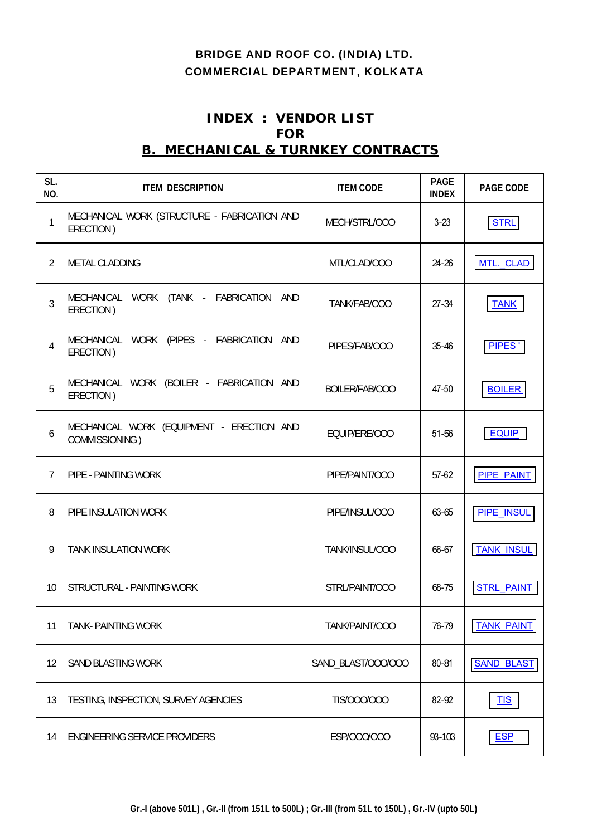# BRIDGE AND ROOF CO. (INDIA) LTD. COMMERCIAL DEPARTMENT, KOLKATA

# **INDEX : VENDOR LIST FOR B. MECHANICAL & TURNKEY CONTRACTS**

| SL.<br>NO.     | <b>ITEM DESCRIPTION</b>                                     | <b>ITEM CODE</b>   | <b>PAGE</b><br><b>INDEX</b> | PAGE CODE         |
|----------------|-------------------------------------------------------------|--------------------|-----------------------------|-------------------|
| 1              | MECHANICAL WORK (STRUCTURE - FABRICATION AND<br>ERECTION)   | MECH/STRL/000      | $3-23$                      | <b>STRL</b>       |
| $\overline{2}$ | <b>METAL CLADDING</b>                                       | MTL/CLAD/000       | $24 - 26$                   | MTL. CLAD         |
| $\overline{3}$ | MECHANICAL WORK (TANK - FABRICATION AND<br>ERECTION)        | TANK/FAB/OOO       | $27 - 34$                   | <b>TANK</b>       |
| 4              | MECHANICAL WORK (PIPES - FABRICATION AND<br>ERECTION)       | PIPES/FAB/000      | 35-46                       | PIPES'            |
| 5              | MECHANICAL WORK (BOILER - FABRICATION AND<br>ERECTION)      | BOILER/FAB/OOO     | 47-50                       | <b>BOILER</b>     |
| 6              | MECHANICAL WORK (EQUIPMENT - ERECTION AND<br>COMMISSIONING) | EQUIP/ERE/000      | 51-56                       | <b>EQUIP</b>      |
| $\overline{7}$ | <b>PIPE - PAINTING WORK</b>                                 | PIPE/PAINT/000     | 57-62                       | <b>PIPE PAINT</b> |
| 8              | PIPE INSULATION WORK                                        | PIPE/INSUL/000     | 63-65                       | <b>PIPE INSUL</b> |
| 9              | <b>TANK INSULATION WORK</b>                                 | TANK/INSUL/000     | 66-67                       | <b>TANK INSUL</b> |
| 10             | STRUCTURAL - PAINTING WORK                                  | STRL/PAINT/000     | 68-75                       | <b>STRL PAINT</b> |
| 11             | TANK- PAINTING WORK                                         | TANK/PAINT/OOO     | 76-79                       | <b>TANK PAINT</b> |
| 12             | <b>SAND BLASTING WORK</b>                                   | SAND_BLAST/000/000 | 80-81                       | <b>SAND BLAST</b> |
| 13             | TESTING, INSPECTION, SURVEY AGENCIES                        | TIS/000/000        | 82-92                       | <b>TIS</b>        |
| 14             | <b>ENGINEERING SERVICE PROVIDERS</b>                        | ESP/000/000        | 93-103                      | <b>ESP</b>        |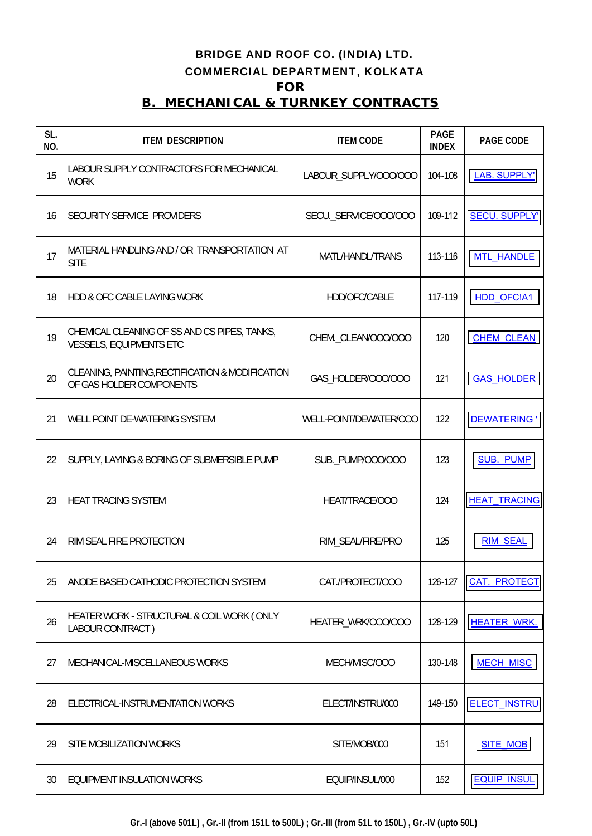# BRIDGE AND ROOF CO. (INDIA) LTD. COMMERCIAL DEPARTMENT, KOLKATA **FOR B. MECHANICAL & TURNKEY CONTRACTS**

| SL.<br>NO. | <b>ITEM DESCRIPTION</b>                                                        | <b>ITEM CODE</b>       | <b>PAGE</b><br><b>INDEX</b> | PAGE CODE            |
|------------|--------------------------------------------------------------------------------|------------------------|-----------------------------|----------------------|
| 15         | LABOUR SUPPLY CONTRACTORS FOR MECHANICAL<br><b>WORK</b>                        | LABOUR_SUPPLY/000/000  | 104-108                     | LAB. SUPPLY'         |
| 16         | SECURITY SERVICE PROVIDERS                                                     | SECU._SERVICE/000/000  | 109-112                     | <b>SECU. SUPPLY'</b> |
| 17         | MATERIAL HANDLING AND / OR TRANSPORTATION AT<br><b>SITE</b>                    | MATL/HANDL/TRANS       | 113-116                     | <b>MTL HANDLE</b>    |
| 18         | <b>HDD &amp; OFC CABLE LAYING WORK</b>                                         | HDD/OFC/CABLE          | 117-119                     | <b>HDD OFC!A1</b>    |
| 19         | CHEMICAL CLEANING OF SS AND CS PIPES, TANKS,<br><b>VESSELS, EQUIPMENTS ETC</b> | CHEM. CLEAN/000/000    | 120                         | <b>CHEM CLEAN</b>    |
| 20         | CLEANING, PAINTING, RECTIFICATION & MODIFICATION<br>OF GAS HOLDER COMPONENTS   | GAS_HOLDER/000/000     | 121                         | <b>GAS HOLDER</b>    |
| 21         | WELL POINT DE-WATERING SYSTEM                                                  | WELL-POINT/DEWATER/OOO | 122                         | <b>DEWATERING</b> '  |
| 22         | SUPPLY, LAYING & BORING OF SUBMERSIBLE PUMP                                    | SUB._PUMP/000/000      | 123                         | <b>SUB. PUMP</b>     |
| 23         | <b>HEAT TRACING SYSTEM</b>                                                     | HEAT/TRACE/000         | 124                         | <b>HEAT TRACING</b>  |
| 24         | RIM SEAL FIRE PROTECTION                                                       | RIM_SEAL/FIRE/PRO      | 125                         | <b>RIM SEAL</b>      |
| 25         | ANODE BASED CATHODIC PROTECTION SYSTEM                                         | CAT./PROTECT/OOO       | 126-127                     | <b>CAT. PROTECT</b>  |
| 26         | HEATER WORK - STRUCTURAL & COIL WORK (ONLY<br>LABOUR CONTRACT)                 | HEATER_WRK/000/000     | 128-129                     | <b>HEATER WRK.</b>   |
| 27         | MECHANICAL-MISCELLANEOUS WORKS                                                 | MECH/MISC/000          | 130-148                     | <b>MECH MISC</b>     |
| 28         | ELECTRICAL-INSTRUMENTATION WORKS                                               | ELECT/INSTRU/000       | 149-150                     | <b>ELECT INSTRU</b>  |
| 29         | SITE MOBILIZATION WORKS                                                        | SITE/MOB/000           | 151                         | <b>SITE MOB</b>      |
| 30         | EQUIPMENT INSULATION WORKS                                                     | EQUIP/INSUL/000        | 152                         | <b>EQUIP INSUL</b>   |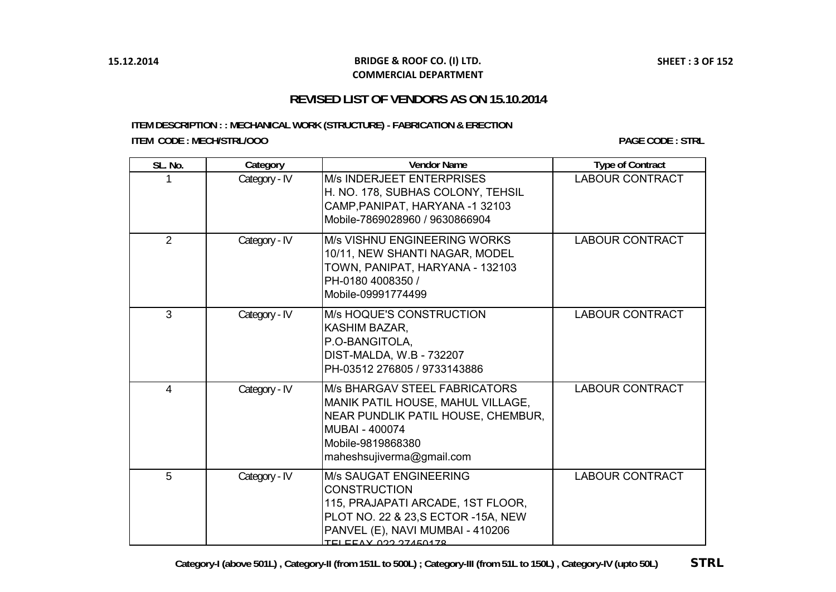#### **BRIDGE & ROOF CO. (I) LTD. COMMERCIAL DEPARTMENT**

## **REVISED LIST OF VENDORS AS ON 15.10.2014**

<span id="page-2-0"></span>**ITEM DESCRIPTION : : MECHANICAL WORK (STRUCTURE) - FABRICATION & ERECTION ITEM CODE : MECH/STRL/OOO**

**PAGE CODE : STRL**

| SL. No.        | Category      | <b>Vendor Name</b>                                                                                                                                                                                   | <b>Type of Contract</b> |
|----------------|---------------|------------------------------------------------------------------------------------------------------------------------------------------------------------------------------------------------------|-------------------------|
|                | Category - IV | <b>M/s INDERJEET ENTERPRISES</b><br>H. NO. 178, SUBHAS COLONY, TEHSIL<br>CAMP, PANIPAT, HARYANA -1 32103<br>Mobile-7869028960 / 9630866904                                                           | <b>LABOUR CONTRACT</b>  |
| $\overline{2}$ | Category - IV | <b>M/s VISHNU ENGINEERING WORKS</b><br>10/11, NEW SHANTI NAGAR, MODEL<br>TOWN, PANIPAT, HARYANA - 132103<br>PH-0180 4008350 /<br>Mobile-09991774499                                                  | <b>LABOUR CONTRACT</b>  |
| 3              | Category - IV | M/s HOQUE'S CONSTRUCTION<br>KASHIM BAZAR,<br>P.O-BANGITOLA,<br>DIST-MALDA, W.B - 732207<br>PH-03512 276805 / 9733143886                                                                              | <b>LABOUR CONTRACT</b>  |
| 4              | Category - IV | M/s BHARGAV STEEL FABRICATORS<br>MANIK PATIL HOUSE, MAHUL VILLAGE,<br>NEAR PUNDLIK PATIL HOUSE, CHEMBUR,<br>MUBAI - 400074<br>Mobile-9819868380<br>maheshsujiverma@gmail.com                         | <b>LABOUR CONTRACT</b>  |
| 5              | Category - IV | <b>M/s SAUGAT ENGINEERING</b><br><b>CONSTRUCTION</b><br>115, PRAJAPATI ARCADE, 1ST FLOOR,<br>PLOT NO. 22 & 23, S ECTOR -15A, NEW<br>PANVEL (E), NAVI MUMBAI - 410206<br><u>TEI EEAV 022 27450479</u> | <b>LABOUR CONTRACT</b>  |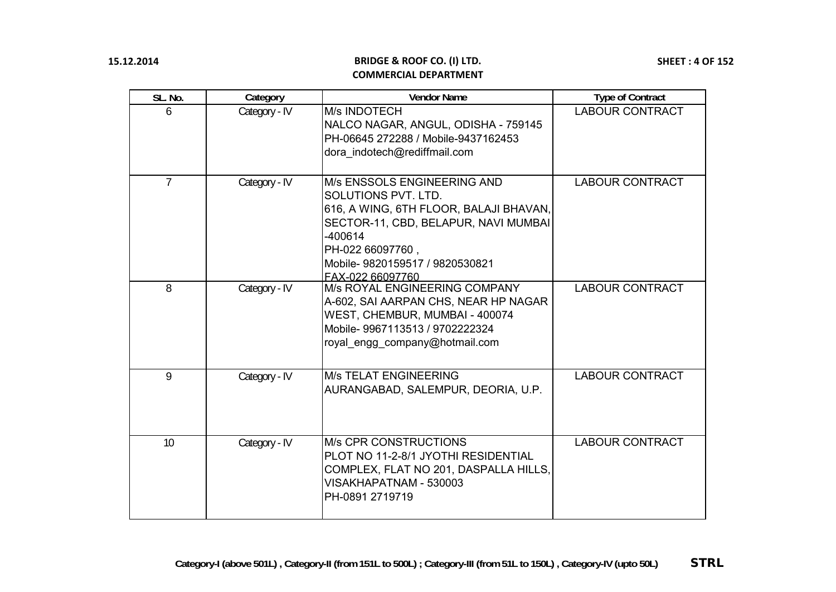| SL. No. | Category      | <b>Vendor Name</b>                                                                                                                                                                                                                 | <b>Type of Contract</b> |
|---------|---------------|------------------------------------------------------------------------------------------------------------------------------------------------------------------------------------------------------------------------------------|-------------------------|
| 6       | Category - IV | M/s INDOTECH<br>NALCO NAGAR, ANGUL, ODISHA - 759145<br>PH-06645 272288 / Mobile-9437162453<br>dora indotech@rediffmail.com                                                                                                         | <b>LABOUR CONTRACT</b>  |
| 7       | Category - IV | <b>M/s ENSSOLS ENGINEERING AND</b><br>SOLUTIONS PVT. LTD.<br>616, A WING, 6TH FLOOR, BALAJI BHAVAN,<br>SECTOR-11, CBD, BELAPUR, NAVI MUMBAI<br>$-400614$<br>PH-022 66097760,<br>Mobile-9820159517 / 9820530821<br>FAX-022 66097760 | <b>LABOUR CONTRACT</b>  |
| 8       | Category - IV | M/s ROYAL ENGINEERING COMPANY<br>A-602, SAI AARPAN CHS, NEAR HP NAGAR<br>WEST, CHEMBUR, MUMBAI - 400074<br>Mobile-9967113513 / 9702222324<br>royal engg company@hotmail.com                                                        | <b>LABOUR CONTRACT</b>  |
| 9       | Category - IV | <b>M/s TELAT ENGINEERING</b><br>AURANGABAD, SALEMPUR, DEORIA, U.P.                                                                                                                                                                 | <b>LABOUR CONTRACT</b>  |
| 10      | Category - IV | <b>M/s CPR CONSTRUCTIONS</b><br>PLOT NO 11-2-8/1 JYOTHI RESIDENTIAL<br>COMPLEX, FLAT NO 201, DASPALLA HILLS,<br>VISAKHAPATNAM - 530003<br>PH-0891 2719719                                                                          | <b>LABOUR CONTRACT</b>  |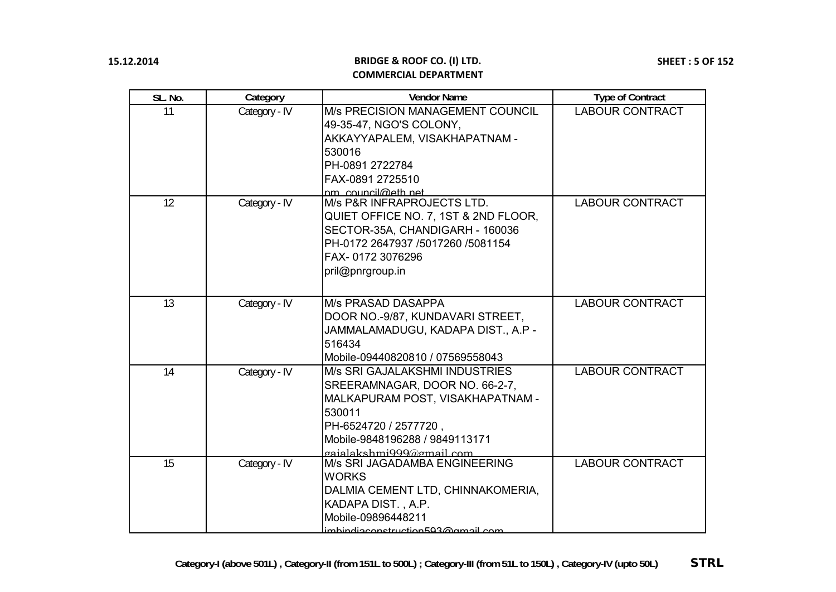| SL. No. | Category      | <b>Vendor Name</b>                                                                                                                                                                                                  | <b>Type of Contract</b> |
|---------|---------------|---------------------------------------------------------------------------------------------------------------------------------------------------------------------------------------------------------------------|-------------------------|
| 11      | Category - IV | <b>M/s PRECISION MANAGEMENT COUNCIL</b><br>49-35-47, NGO'S COLONY,<br>AKKAYYAPALEM, VISAKHAPATNAM -<br>530016<br>PH-0891 2722784<br>FAX-0891 2725510<br>nm_council@eth_net                                          | <b>LABOUR CONTRACT</b>  |
| 12      | Category - IV | M/s P&R INFRAPROJECTS LTD.<br>QUIET OFFICE NO. 7, 1ST & 2ND FLOOR,<br>SECTOR-35A, CHANDIGARH - 160036<br>PH-0172 2647937 /5017260 /5081154<br>FAX-0172 3076296<br>pril@pnrgroup.in                                  | <b>LABOUR CONTRACT</b>  |
| 13      | Category - IV | <b>M/s PRASAD DASAPPA</b><br>DOOR NO.-9/87, KUNDAVARI STREET,<br>JAMMALAMADUGU, KADAPA DIST., A.P -<br>516434<br>Mobile-09440820810 / 07569558043                                                                   | <b>LABOUR CONTRACT</b>  |
| 14      | Category - IV | <b>M/s SRI GAJALAKSHMI INDUSTRIES</b><br>SREERAMNAGAR, DOOR NO. 66-2-7,<br>MALKAPURAM POST, VISAKHAPATNAM -<br>530011<br>PH-6524720 / 2577720,<br>Mobile-9848196288 / 9849113171<br><u>gaialakshmi999@gmail.com</u> | <b>LABOUR CONTRACT</b>  |
| 15      | Category - IV | <b>IM/s SRI JAGADAMBA ENGINEERING</b><br><b>WORKS</b><br>DALMIA CEMENT LTD, CHINNAKOMERIA,<br>KADAPA DIST., A.P.<br>Mobile-09896448211<br>imbindiaconstruction503@amail.com                                         | <b>LABOUR CONTRACT</b>  |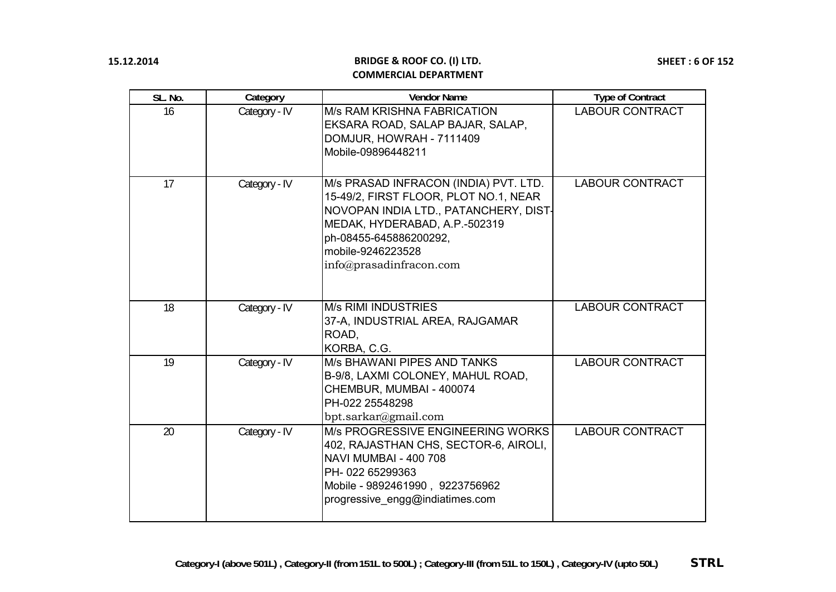| SL. No. | Category      | <b>Vendor Name</b>                                                                                                                                                                                                                 | <b>Type of Contract</b> |
|---------|---------------|------------------------------------------------------------------------------------------------------------------------------------------------------------------------------------------------------------------------------------|-------------------------|
| 16      | Category - IV | <b>M/s RAM KRISHNA FABRICATION</b><br>EKSARA ROAD, SALAP BAJAR, SALAP,<br>DOMJUR, HOWRAH - 7111409<br>Mobile-09896448211                                                                                                           | <b>LABOUR CONTRACT</b>  |
| 17      | Category - IV | M/s PRASAD INFRACON (INDIA) PVT. LTD.<br>15-49/2, FIRST FLOOR, PLOT NO.1, NEAR<br>NOVOPAN INDIA LTD., PATANCHERY, DIST-<br>MEDAK, HYDERABAD, A.P.-502319<br>ph-08455-645886200292,<br>mobile-9246223528<br>info@prasadinfracon.com | <b>LABOUR CONTRACT</b>  |
| 18      | Category - IV | <b>M/s RIMI INDUSTRIES</b><br>37-A, INDUSTRIAL AREA, RAJGAMAR<br>ROAD,<br>KORBA, C.G.                                                                                                                                              | <b>LABOUR CONTRACT</b>  |
| 19      | Category - IV | <b>M/s BHAWANI PIPES AND TANKS</b><br>B-9/8, LAXMI COLONEY, MAHUL ROAD,<br>CHEMBUR, MUMBAI - 400074<br>PH-022 25548298<br>bpt.sarkar@gmail.com                                                                                     | <b>LABOUR CONTRACT</b>  |
| 20      | Category - IV | M/s PROGRESSIVE ENGINEERING WORKS<br>402, RAJASTHAN CHS, SECTOR-6, AIROLI,<br><b>NAVI MUMBAI - 400 708</b><br>PH-022 65299363<br>Mobile - 9892461990, 9223756962<br>progressive_engg@indiatimes.com                                | <b>LABOUR CONTRACT</b>  |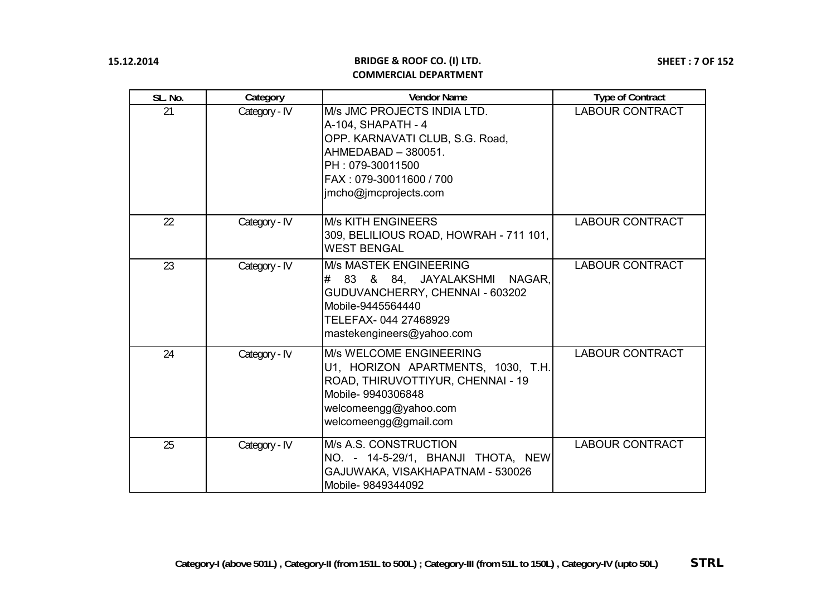| SL. No. | Category      | <b>Vendor Name</b>                                                                                                                                                                  | <b>Type of Contract</b> |
|---------|---------------|-------------------------------------------------------------------------------------------------------------------------------------------------------------------------------------|-------------------------|
| 21      | Category - IV | M/s JMC PROJECTS INDIA LTD.<br>A-104, SHAPATH - 4<br>OPP. KARNAVATI CLUB, S.G. Road,<br>AHMEDABAD - 380051.<br>PH: 079-30011500<br>FAX: 079-30011600 / 700<br>jmcho@jmcprojects.com | <b>LABOUR CONTRACT</b>  |
| 22      | Category - IV | <b>M/s KITH ENGINEERS</b><br>309, BELILIOUS ROAD, HOWRAH - 711 101,<br><b>WEST BENGAL</b>                                                                                           | <b>LABOUR CONTRACT</b>  |
| 23      | Category - IV | <b>M/s MASTEK ENGINEERING</b><br># 83 & 84, JAYALAKSHMI<br>NAGAR,<br>GUDUVANCHERRY, CHENNAI - 603202<br>Mobile-9445564440<br>TELEFAX-044 27468929<br>mastekengineers@yahoo.com      | <b>LABOUR CONTRACT</b>  |
| 24      | Category - IV | M/s WELCOME ENGINEERING<br>U1, HORIZON APARTMENTS, 1030, T.H.<br>ROAD, THIRUVOTTIYUR, CHENNAI - 19<br>Mobile- 9940306848<br>welcomeengg@yahoo.com<br>welcomeengg@gmail.com          | <b>LABOUR CONTRACT</b>  |
| 25      | Category - IV | M/s A.S. CONSTRUCTION<br>NO. - 14-5-29/1, BHANJI THOTA, NEW<br>GAJUWAKA, VISAKHAPATNAM - 530026<br>Mobile- 9849344092                                                               | <b>LABOUR CONTRACT</b>  |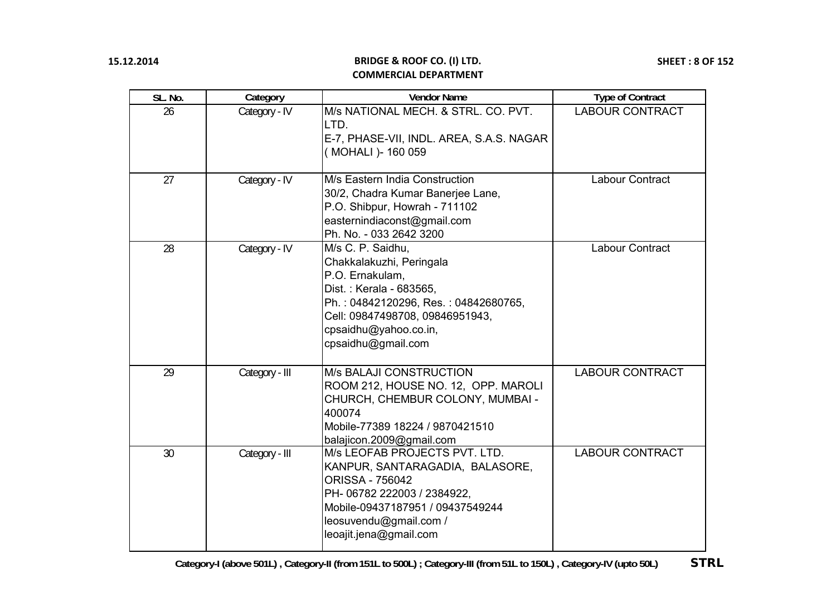| SL. No. | Category       | <b>Vendor Name</b>                                                                                                                                                                                                    | <b>Type of Contract</b> |
|---------|----------------|-----------------------------------------------------------------------------------------------------------------------------------------------------------------------------------------------------------------------|-------------------------|
| 26      | Category - IV  | M/s NATIONAL MECH. & STRL. CO. PVT.<br>LTD.<br>E-7, PHASE-VII, INDL. AREA, S.A.S. NAGAR<br>(MOHALI) - 160 059                                                                                                         | <b>LABOUR CONTRACT</b>  |
| 27      | Category - IV  | M/s Eastern India Construction<br>30/2, Chadra Kumar Banerjee Lane,<br>P.O. Shibpur, Howrah - 711102<br>easternindiaconst@gmail.com<br>Ph. No. - 033 2642 3200                                                        | Labour Contract         |
| 28      | Category - IV  | M/s C. P. Saidhu,<br>Chakkalakuzhi, Peringala<br>P.O. Ernakulam,<br>Dist.: Kerala - 683565,<br>Ph.: 04842120296, Res.: 04842680765,<br>Cell: 09847498708, 09846951943,<br>cpsaidhu@yahoo.co.in,<br>cpsaidhu@gmail.com | Labour Contract         |
| 29      | Category - III | <b>M/s BALAJI CONSTRUCTION</b><br>ROOM 212, HOUSE NO. 12, OPP. MAROLI<br>CHURCH, CHEMBUR COLONY, MUMBAI -<br>400074<br>Mobile-77389 18224 / 9870421510<br>balajicon.2009@gmail.com                                    | <b>LABOUR CONTRACT</b>  |
| 30      | Category - III | M/s LEOFAB PROJECTS PVT. LTD.<br>KANPUR, SANTARAGADIA, BALASORE,<br><b>ORISSA - 756042</b><br>PH- 06782 222003 / 2384922,<br>Mobile-09437187951 / 09437549244<br>leosuvendu@gmail.com /<br>leoajit.jena@gmail.com     | <b>LABOUR CONTRACT</b>  |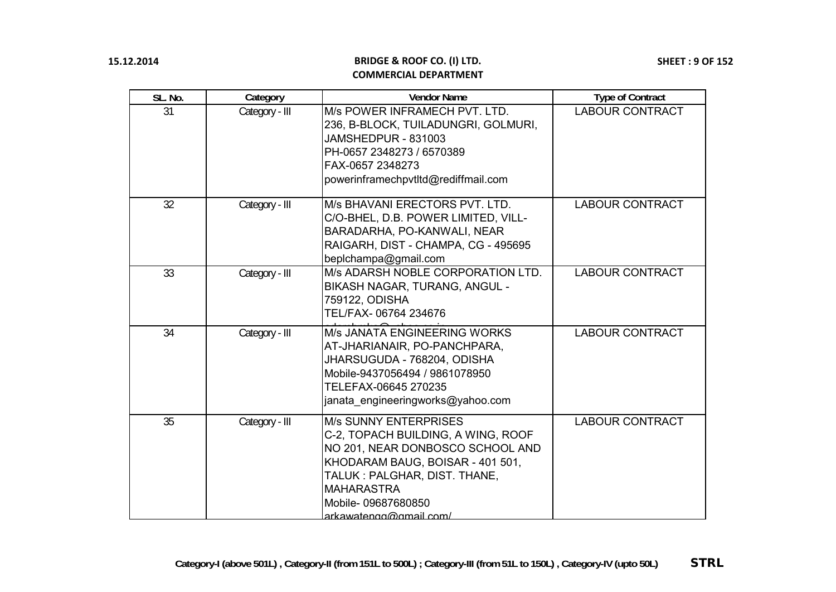| SL. No. | Category       | <b>Vendor Name</b>                                                                                                                                                                                                                              | <b>Type of Contract</b> |
|---------|----------------|-------------------------------------------------------------------------------------------------------------------------------------------------------------------------------------------------------------------------------------------------|-------------------------|
| 31      | Category - III | M/s POWER INFRAMECH PVT. LTD.<br>236, B-BLOCK, TUILADUNGRI, GOLMURI,<br><b>JAMSHEDPUR - 831003</b><br>PH-0657 2348273 / 6570389<br>FAX-0657 2348273<br>powerinframechpvtltd@rediffmail.com                                                      | <b>LABOUR CONTRACT</b>  |
| 32      | Category - III | M/s BHAVANI ERECTORS PVT. LTD.<br>C/O-BHEL, D.B. POWER LIMITED, VILL-<br>BARADARHA, PO-KANWALI, NEAR<br>RAIGARH, DIST - CHAMPA, CG - 495695<br>beplchampa@gmail.com                                                                             | <b>LABOUR CONTRACT</b>  |
| 33      | Category - III | M/s ADARSH NOBLE CORPORATION LTD.<br>BIKASH NAGAR, TURANG, ANGUL -<br>759122, ODISHA<br>TEL/FAX- 06764 234676                                                                                                                                   | <b>LABOUR CONTRACT</b>  |
| 34      | Category - III | <b>M/s JANATA ENGINEERING WORKS</b><br>AT-JHARIANAIR, PO-PANCHPARA,<br>JHARSUGUDA - 768204, ODISHA<br>Mobile-9437056494 / 9861078950<br>TELEFAX-06645 270235<br>janata engineeringworks@yahoo.com                                               | <b>LABOUR CONTRACT</b>  |
| 35      | Category - III | <b>M/s SUNNY ENTERPRISES</b><br>C-2, TOPACH BUILDING, A WING, ROOF<br>NO 201, NEAR DONBOSCO SCHOOL AND<br>KHODARAM BAUG, BOISAR - 401 501,<br>TALUK: PALGHAR, DIST. THANE,<br><b>MAHARASTRA</b><br>Mobile-09687680850<br>arkawatengg@gmail.com/ | <b>LABOUR CONTRACT</b>  |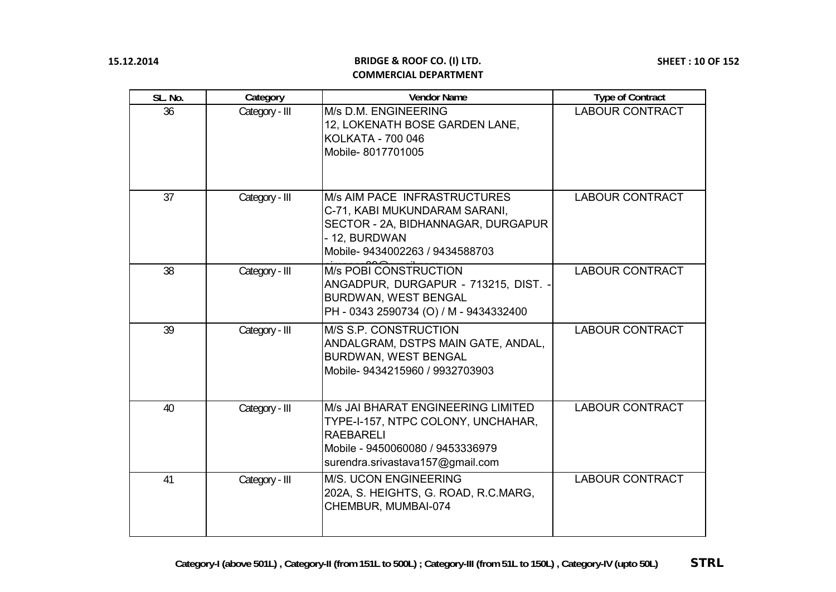| SL. No. | Category       | <b>Vendor Name</b>                                                                                                                                                          | <b>Type of Contract</b> |
|---------|----------------|-----------------------------------------------------------------------------------------------------------------------------------------------------------------------------|-------------------------|
| 36      | Category - III | M/s D.M. ENGINEERING<br>12, LOKENATH BOSE GARDEN LANE,<br>KOLKATA - 700 046<br>Mobile-8017701005                                                                            | <b>LABOUR CONTRACT</b>  |
| 37      | Category - III | <b>M/s AIM PACE INFRASTRUCTURES</b><br>C-71, KABI MUKUNDARAM SARANI,<br>SECTOR - 2A, BIDHANNAGAR, DURGAPUR<br>- 12, BURDWAN<br>Mobile- 9434002263 / 9434588703              | <b>LABOUR CONTRACT</b>  |
| 38      | Category - III | <b>M/s POBI CONSTRUCTION</b><br>ANGADPUR, DURGAPUR - 713215, DIST. -<br><b>BURDWAN, WEST BENGAL</b><br>PH - 0343 2590734 (O) / M - 9434332400                               | <b>LABOUR CONTRACT</b>  |
| 39      | Category - III | M/S S.P. CONSTRUCTION<br>ANDALGRAM, DSTPS MAIN GATE, ANDAL,<br><b>BURDWAN, WEST BENGAL</b><br>Mobile-9434215960 / 9932703903                                                | <b>LABOUR CONTRACT</b>  |
| 40      | Category - III | <b>M/s JAI BHARAT ENGINEERING LIMITED</b><br>TYPE-I-157, NTPC COLONY, UNCHAHAR,<br><b>RAEBARELI</b><br>Mobile - 9450060080 / 9453336979<br>surendra.srivastava157@gmail.com | <b>LABOUR CONTRACT</b>  |
| 41      | Category - III | <b>M/S. UCON ENGINEERING</b><br>202A, S. HEIGHTS, G. ROAD, R.C.MARG,<br>CHEMBUR, MUMBAI-074                                                                                 | <b>LABOUR CONTRACT</b>  |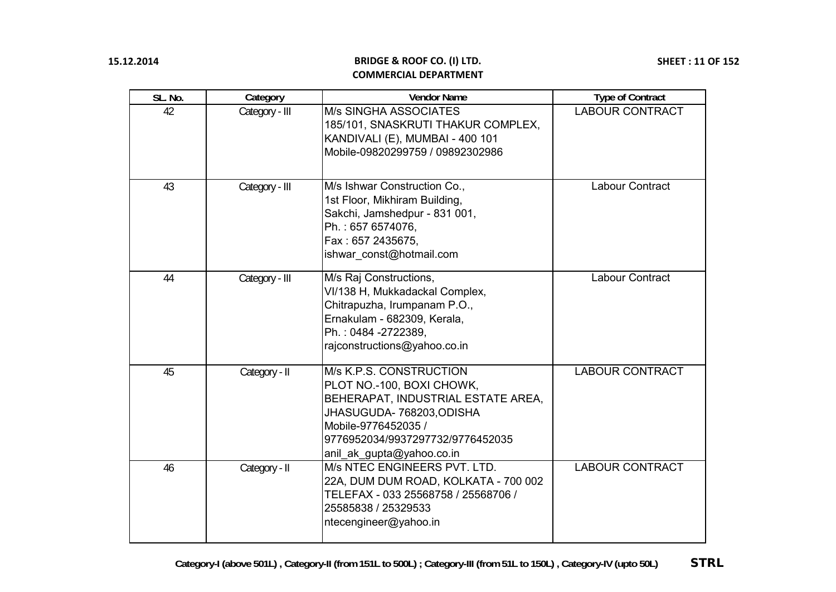| SL. No. | Category       | <b>Vendor Name</b>                                                                                                                                                                                              | <b>Type of Contract</b> |
|---------|----------------|-----------------------------------------------------------------------------------------------------------------------------------------------------------------------------------------------------------------|-------------------------|
| 42      | Category - III | <b>M/s SINGHA ASSOCIATES</b><br>185/101, SNASKRUTI THAKUR COMPLEX,<br>KANDIVALI (E), MUMBAI - 400 101<br>Mobile-09820299759 / 09892302986                                                                       | <b>LABOUR CONTRACT</b>  |
| 43      | Category - III | M/s Ishwar Construction Co.,<br>1st Floor, Mikhiram Building,<br>Sakchi, Jamshedpur - 831 001,<br>Ph.: 657 6574076,<br>Fax: 657 2435675,<br>ishwar_const@hotmail.com                                            | <b>Labour Contract</b>  |
| 44      | Category - III | M/s Raj Constructions,<br>VI/138 H, Mukkadackal Complex,<br>Chitrapuzha, Irumpanam P.O.,<br>Ernakulam - 682309, Kerala,<br>Ph.: 0484 -2722389,<br>rajconstructions@yahoo.co.in                                  | Labour Contract         |
| 45      | Category - II  | M/s K.P.S. CONSTRUCTION<br>PLOT NO.-100, BOXI CHOWK,<br>BEHERAPAT, INDUSTRIAL ESTATE AREA,<br>JHASUGUDA- 768203, ODISHA<br>Mobile-9776452035 /<br>9776952034/9937297732/9776452035<br>anil_ak_gupta@yahoo.co.in | <b>LABOUR CONTRACT</b>  |
| 46      | Category - II  | M/s NTEC ENGINEERS PVT. LTD.<br>22A, DUM DUM ROAD, KOLKATA - 700 002<br>TELEFAX - 033 25568758 / 25568706 /<br>25585838 / 25329533<br>ntecengineer@yahoo.in                                                     | <b>LABOUR CONTRACT</b>  |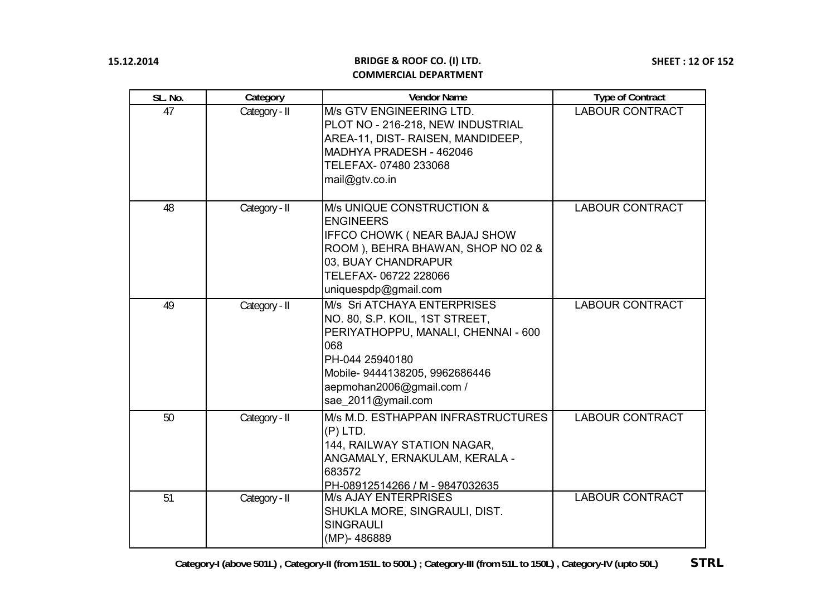| SL. No. | Category      | <b>Vendor Name</b>                                                                                                                                                                                                 | <b>Type of Contract</b> |
|---------|---------------|--------------------------------------------------------------------------------------------------------------------------------------------------------------------------------------------------------------------|-------------------------|
| 47      | Category - II | M/s GTV ENGINEERING LTD.<br>PLOT NO - 216-218, NEW INDUSTRIAL<br>AREA-11, DIST- RAISEN, MANDIDEEP,<br>MADHYA PRADESH - 462046<br>TELEFAX- 07480 233068<br>mail@gtv.co.in                                           | <b>LABOUR CONTRACT</b>  |
| 48      | Category - II | M/s UNIQUE CONSTRUCTION &<br><b>ENGINEERS</b><br><b>IFFCO CHOWK ( NEAR BAJAJ SHOW</b><br>ROOM), BEHRA BHAWAN, SHOP NO 02 &<br>03, BUAY CHANDRAPUR<br>TELEFAX-06722 228066<br>uniquespdp@gmail.com                  | <b>LABOUR CONTRACT</b>  |
| 49      | Category - II | M/s Sri ATCHAYA ENTERPRISES<br>NO. 80, S.P. KOIL, 1ST STREET,<br>PERIYATHOPPU, MANALI, CHENNAI - 600<br>068<br>PH-044 25940180<br>Mobile- 9444138205, 9962686446<br>aepmohan2006@gmail.com /<br>sae 2011@ymail.com | <b>LABOUR CONTRACT</b>  |
| 50      | Category - II | M/s M.D. ESTHAPPAN INFRASTRUCTURES<br>$(P)$ LTD.<br>144, RAILWAY STATION NAGAR,<br>ANGAMALY, ERNAKULAM, KERALA -<br>683572<br>PH-08912514266 / M - 9847032635                                                      | <b>LABOUR CONTRACT</b>  |
| 51      | Category - II | <b>M/s AJAY ENTERPRISES</b><br>SHUKLA MORE, SINGRAULI, DIST.<br><b>SINGRAULI</b><br>(MP)-486889                                                                                                                    | <b>LABOUR CONTRACT</b>  |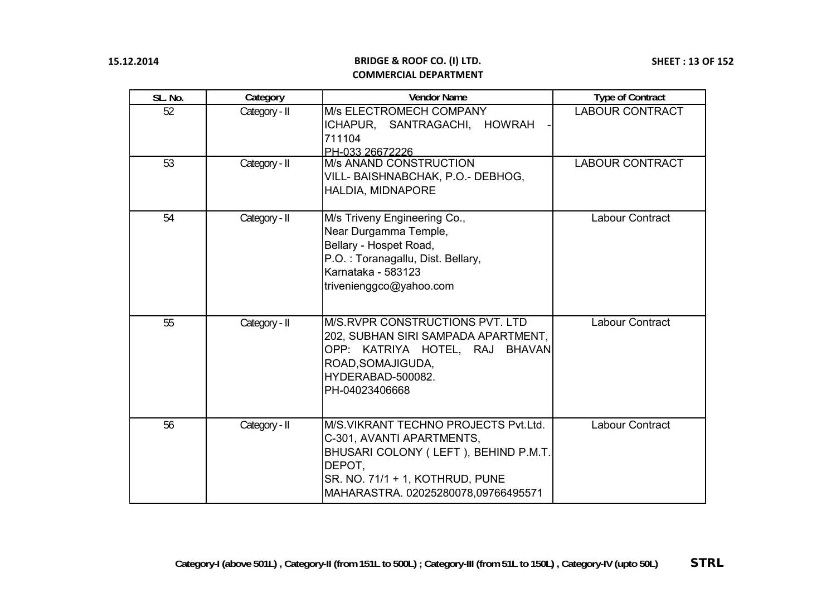| SL. No. | Category      | <b>Vendor Name</b>                                                                                                                                                                            | <b>Type of Contract</b> |
|---------|---------------|-----------------------------------------------------------------------------------------------------------------------------------------------------------------------------------------------|-------------------------|
| 52      | Category - II | M/s ELECTROMECH COMPANY<br>ICHAPUR, SANTRAGACHI, HOWRAH<br>711104<br>PH-033 26672226                                                                                                          | <b>LABOUR CONTRACT</b>  |
| 53      | Category - II | <b>M/s ANAND CONSTRUCTION</b><br>VILL- BAISHNABCHAK, P.O.- DEBHOG,<br>HALDIA, MIDNAPORE                                                                                                       | <b>LABOUR CONTRACT</b>  |
| 54      | Category - II | M/s Triveny Engineering Co.,<br>Near Durgamma Temple,<br>Bellary - Hospet Road,<br>P.O.: Toranagallu, Dist. Bellary,<br>Karnataka - 583123<br>trivenienggco@yahoo.com                         | Labour Contract         |
| 55      | Category - II | M/S.RVPR CONSTRUCTIONS PVT. LTD<br>202, SUBHAN SIRI SAMPADA APARTMENT,<br>OPP: KATRIYA HOTEL, RAJ BHAVAN<br>ROAD, SOMAJIGUDA,<br>HYDERABAD-500082.<br>PH-04023406668                          | <b>Labour Contract</b>  |
| 56      | Category - II | M/S.VIKRANT TECHNO PROJECTS Pvt.Ltd.<br>C-301, AVANTI APARTMENTS,<br>BHUSARI COLONY (LEFT), BEHIND P.M.T.<br>DEPOT,<br>SR. NO. 71/1 + 1, KOTHRUD, PUNE<br>MAHARASTRA. 02025280078,09766495571 | <b>Labour Contract</b>  |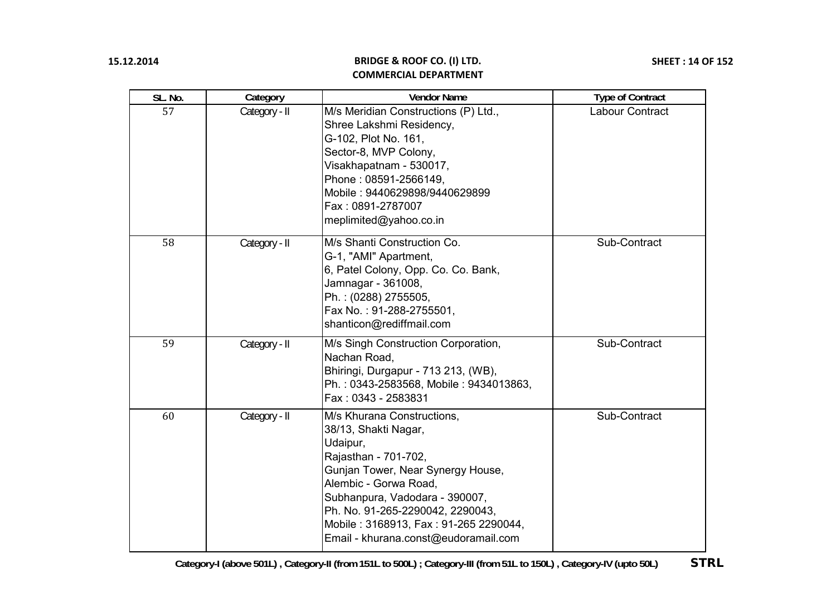| SL. No. | Category      | <b>Vendor Name</b>                                                                                                                                                                                                                                                                                          | <b>Type of Contract</b> |
|---------|---------------|-------------------------------------------------------------------------------------------------------------------------------------------------------------------------------------------------------------------------------------------------------------------------------------------------------------|-------------------------|
| 57      | Category - II | M/s Meridian Constructions (P) Ltd.,<br>Shree Lakshmi Residency,<br>G-102, Plot No. 161,<br>Sector-8, MVP Colony,<br>Visakhapatnam - 530017,<br>Phone: 08591-2566149,<br>Mobile: 9440629898/9440629899<br>Fax: 0891-2787007<br>meplimited@yahoo.co.in                                                       | Labour Contract         |
| 58      | Category - II | M/s Shanti Construction Co.<br>G-1, "AMI" Apartment,<br>6, Patel Colony, Opp. Co. Co. Bank,<br>Jamnagar - 361008,<br>Ph.: (0288) 2755505,<br>Fax No.: 91-288-2755501,<br>shanticon@rediffmail.com                                                                                                           | Sub-Contract            |
| 59      | Category - II | M/s Singh Construction Corporation,<br>Nachan Road,<br>Bhiringi, Durgapur - 713 213, (WB),<br>Ph.: 0343-2583568, Mobile: 9434013863,<br>Fax: 0343 - 2583831                                                                                                                                                 | Sub-Contract            |
| 60      | Category - II | M/s Khurana Constructions,<br>38/13, Shakti Nagar,<br>Udaipur,<br>Rajasthan - 701-702,<br>Gunjan Tower, Near Synergy House,<br>Alembic - Gorwa Road,<br>Subhanpura, Vadodara - 390007,<br>Ph. No. 91-265-2290042, 2290043,<br>Mobile: 3168913, Fax: 91-265 2290044,<br>Email - khurana.const@eudoramail.com | Sub-Contract            |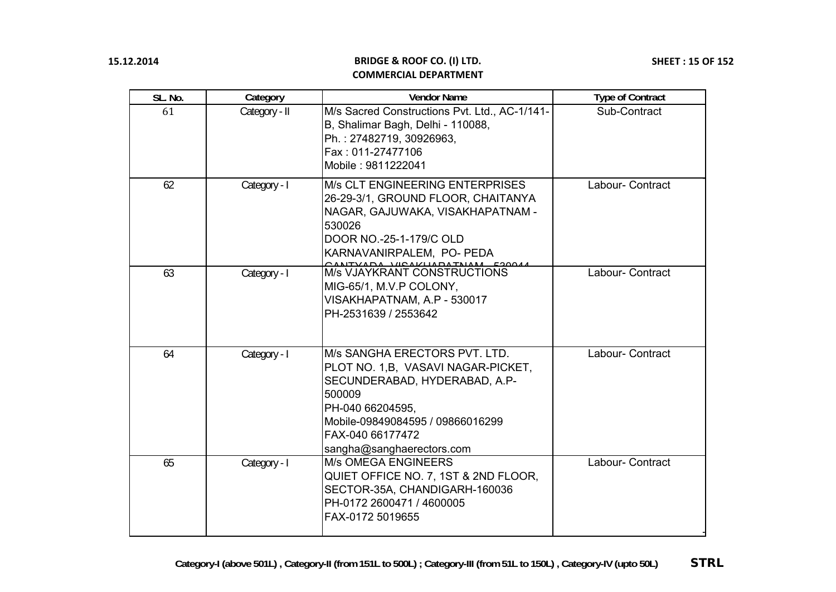| SL. No. | Category      | <b>Vendor Name</b>                                                                                                                                                                                                       | <b>Type of Contract</b> |
|---------|---------------|--------------------------------------------------------------------------------------------------------------------------------------------------------------------------------------------------------------------------|-------------------------|
| 61      | Category - II | M/s Sacred Constructions Pvt. Ltd., AC-1/141-<br>B, Shalimar Bagh, Delhi - 110088,<br>Ph.: 27482719, 30926963,<br>Fax: 011-27477106<br>Mobile: 9811222041                                                                | Sub-Contract            |
| 62      | Category - I  | <b>M/s CLT ENGINEERING ENTERPRISES</b><br>26-29-3/1, GROUND FLOOR, CHAITANYA<br>NAGAR, GAJUWAKA, VISAKHAPATNAM -<br>530026<br>DOOR NO.-25-1-179/C OLD<br>KARNAVANIRPALEM, PO- PEDA                                       | Labour- Contract        |
| 63      | Category - I  | M/s VJAYKRANT CONSTRUCTIONS<br>MIG-65/1, M.V.P COLONY,<br>VISAKHAPATNAM, A.P - 530017<br>PH-2531639 / 2553642                                                                                                            | Labour- Contract        |
| 64      | Category - I  | M/s SANGHA ERECTORS PVT. LTD.<br>PLOT NO. 1, B, VASAVI NAGAR-PICKET,<br>SECUNDERABAD, HYDERABAD, A.P-<br>500009<br>PH-040 66204595,<br>Mobile-09849084595 / 09866016299<br>FAX-040 66177472<br>sangha@sanghaerectors.com | Labour- Contract        |
| 65      | Category - I  | <b>M/s OMEGA ENGINEERS</b><br>QUIET OFFICE NO. 7, 1ST & 2ND FLOOR,<br>SECTOR-35A, CHANDIGARH-160036<br>PH-0172 2600471 / 4600005<br>FAX-0172 5019655                                                                     | Labour- Contract        |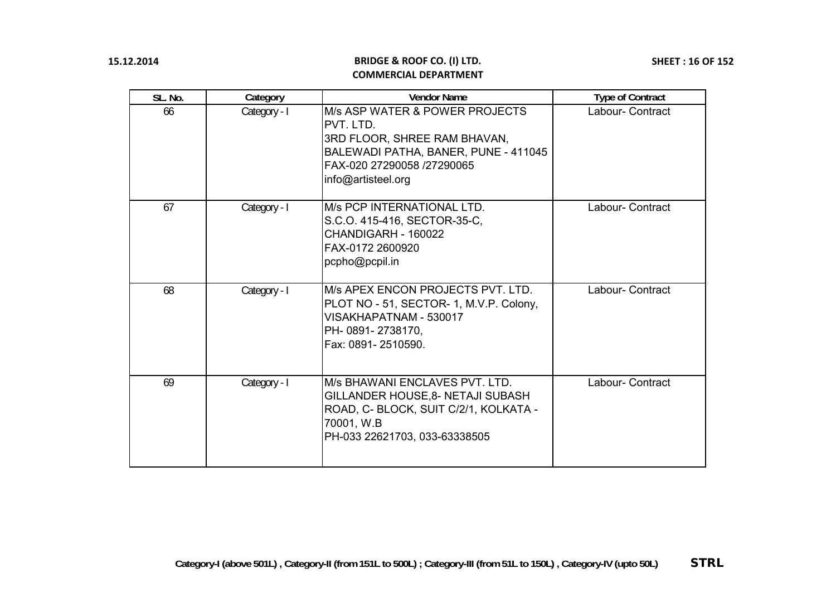| SL. No. | Category     | <b>Vendor Name</b>                                                                                                                                                                        | <b>Type of Contract</b> |
|---------|--------------|-------------------------------------------------------------------------------------------------------------------------------------------------------------------------------------------|-------------------------|
| 66      | Category - I | <b>M/s ASP WATER &amp; POWER PROJECTS</b><br><b>PVT. LTD.</b><br>3RD FLOOR, SHREE RAM BHAVAN,<br>BALEWADI PATHA, BANER, PUNE - 411045<br>FAX-020 27290058 /27290065<br>info@artisteel.org | Labour- Contract        |
| 67      | Category - I | IM/s PCP INTERNATIONAL LTD.<br>S.C.O. 415-416, SECTOR-35-C,<br>CHANDIGARH - 160022<br>FAX-0172 2600920<br>pcpho@pcpil.in                                                                  | Labour- Contract        |
| 68      | Category - I | IM/s APEX ENCON PROJECTS PVT. LTD.<br>PLOT NO - 51, SECTOR- 1, M.V.P. Colony,<br>VISAKHAPATNAM - 530017<br>PH- 0891- 2738170,<br>Fax: 0891-2510590.                                       | Labour- Contract        |
| 69      | Category - I | IM/s BHAWANI ENCLAVES PVT. LTD.<br><b>GILLANDER HOUSE, 8- NETAJI SUBASH</b><br>ROAD, C- BLOCK, SUIT C/2/1, KOLKATA -<br>70001, W.B<br>PH-033 22621703, 033-63338505                       | Labour- Contract        |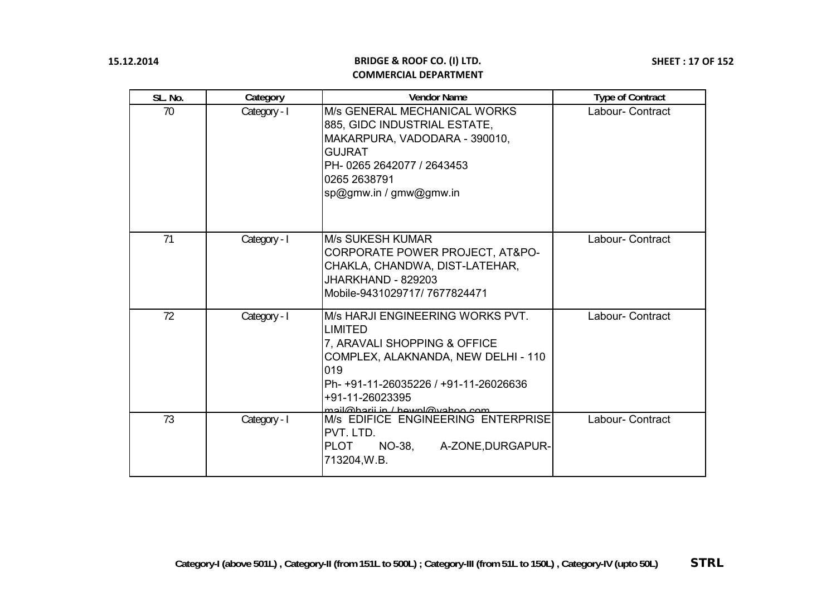| SL. No. | Category     | <b>Vendor Name</b>                                                                                                                                                                                                              | <b>Type of Contract</b> |
|---------|--------------|---------------------------------------------------------------------------------------------------------------------------------------------------------------------------------------------------------------------------------|-------------------------|
| 70      | Category - I | M/s GENERAL MECHANICAL WORKS<br>885, GIDC INDUSTRIAL ESTATE,<br>MAKARPURA, VADODARA - 390010,<br><b>GUJRAT</b><br>PH-0265 2642077 / 2643453<br>0265 2638791<br>sp@gmw.in / gmw@gmw.in                                           | Labour- Contract        |
| 71      | Category - I | <b>M/s SUKESH KUMAR</b><br>CORPORATE POWER PROJECT, AT&PO-<br>CHAKLA, CHANDWA, DIST-LATEHAR,<br>JHARKHAND - 829203<br>Mobile-9431029717/7677824471                                                                              | Labour- Contract        |
| 72      | Category - I | M/s HARJI ENGINEERING WORKS PVT.<br><b>LIMITED</b><br>7, ARAVALI SHOPPING & OFFICE<br>COMPLEX, ALAKNANDA, NEW DELHI - 110<br>019<br>Ph- +91-11-26035226 / +91-11-26026636<br>+91-11-26023395<br>mail@harii.in / hawnl@yahoo.com | Labour- Contract        |
| 73      | Category - I | M/s EDIFICE ENGINEERING ENTERPRISE<br>PVT. LTD.<br><b>PLOT</b><br>A-ZONE, DURGAPUR-<br>NO-38,<br>713204, W.B.                                                                                                                   | Labour- Contract        |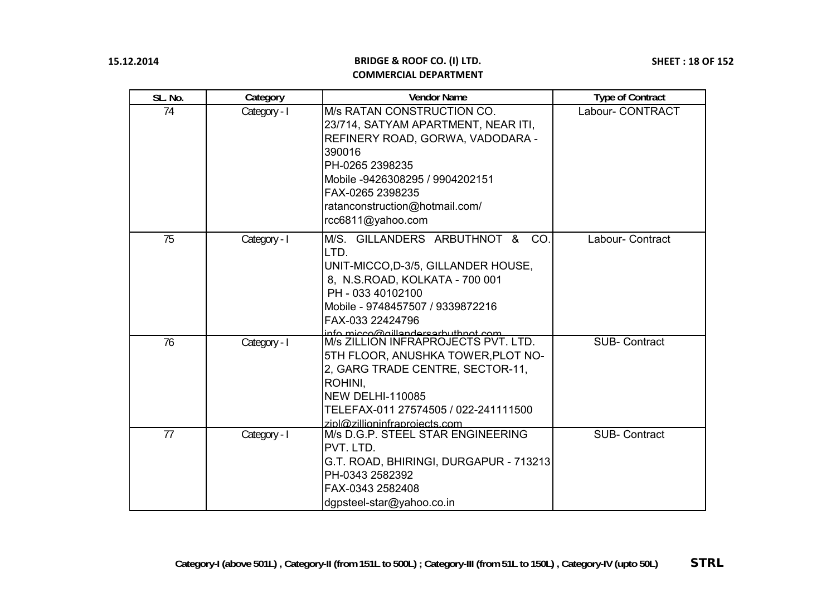| SL. No. | Category     | <b>Vendor Name</b>                                                                                                                                                                                                                                                  | <b>Type of Contract</b> |
|---------|--------------|---------------------------------------------------------------------------------------------------------------------------------------------------------------------------------------------------------------------------------------------------------------------|-------------------------|
| 74      | Category - I | M/s RATAN CONSTRUCTION CO.<br>23/714, SATYAM APARTMENT, NEAR ITI,<br>REFINERY ROAD, GORWA, VADODARA -<br>390016<br>PH-0265 2398235<br>Mobile -9426308295 / 9904202151<br>FAX-0265 2398235<br>ratanconstruction@hotmail.com/<br>rcc6811@yahoo.com                    | Labour- CONTRACT        |
| 75      | Category - I | M/S. GILLANDERS ARBUTHNOT &<br>CO.<br>LTD.<br>UNIT-MICCO, D-3/5, GILLANDER HOUSE,<br>8, N.S.ROAD, KOLKATA - 700 001<br>PH - 033 40102100<br>Mobile - 9748457507 / 9339872216<br>FAX-033 22424796                                                                    | Labour- Contract        |
| 76      | Category - I | info_micco@gillandersarbuthpot_com<br> M/s ZILLION INFRAPROJECTS PVT. LTD.<br>5TH FLOOR, ANUSHKA TOWER, PLOT NO-<br>2, GARG TRADE CENTRE, SECTOR-11,<br>ROHINI.<br><b>NEW DELHI-110085</b><br>TELEFAX-011 27574505 / 022-241111500<br>zipl@zillioninfraproiects.com | <b>SUB-Contract</b>     |
| 77      | Category - I | M/s D.G.P. STEEL STAR ENGINEERING<br>PVT. LTD.<br>G.T. ROAD, BHIRINGI, DURGAPUR - 713213<br>PH-0343 2582392<br>FAX-0343 2582408<br>dgpsteel-star@yahoo.co.in                                                                                                        | <b>SUB-Contract</b>     |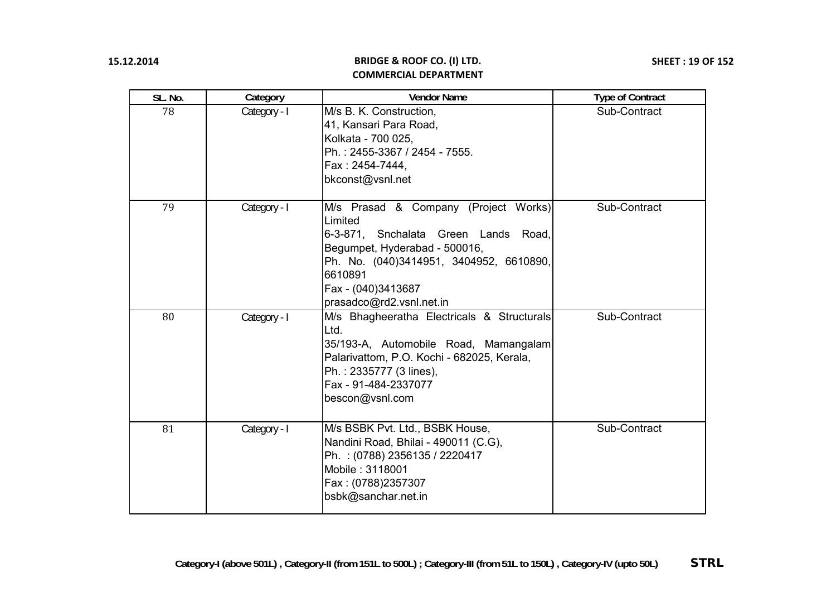| SL. No. | Category     | <b>Vendor Name</b>                                                                                                                                                                                                               | <b>Type of Contract</b> |
|---------|--------------|----------------------------------------------------------------------------------------------------------------------------------------------------------------------------------------------------------------------------------|-------------------------|
| 78      | Category - I | M/s B. K. Construction,<br>41, Kansari Para Road,<br>Kolkata - 700 025,<br>Ph.: 2455-3367 / 2454 - 7555.<br>Fax: 2454-7444,<br>bkconst@vsnl.net                                                                                  | Sub-Contract            |
| 79      | Category - I | M/s Prasad & Company (Project Works)<br>Limited<br>6-3-871, Snchalata Green Lands Road,<br>Begumpet, Hyderabad - 500016,<br>Ph. No. (040)3414951, 3404952, 6610890,<br>6610891<br>Fax - (040)3413687<br>prasadco@rd2.vsnl.net.in | Sub-Contract            |
| 80      | Category - I | M/s Bhagheeratha Electricals & Structurals<br>Ltd.<br>35/193-A, Automobile Road, Mamangalam<br>Palarivattom, P.O. Kochi - 682025, Kerala,<br>Ph.: 2335777 (3 lines),<br>Fax - 91-484-2337077<br>bescon@vsnl.com                  | Sub-Contract            |
| 81      | Category - I | M/s BSBK Pvt. Ltd., BSBK House,<br>Nandini Road, Bhilai - 490011 (C.G),<br>Ph. : (0788) 2356135 / 2220417<br>Mobile: 3118001<br>Fax: (0788)2357307<br>bsbk@sanchar.net.in                                                        | Sub-Contract            |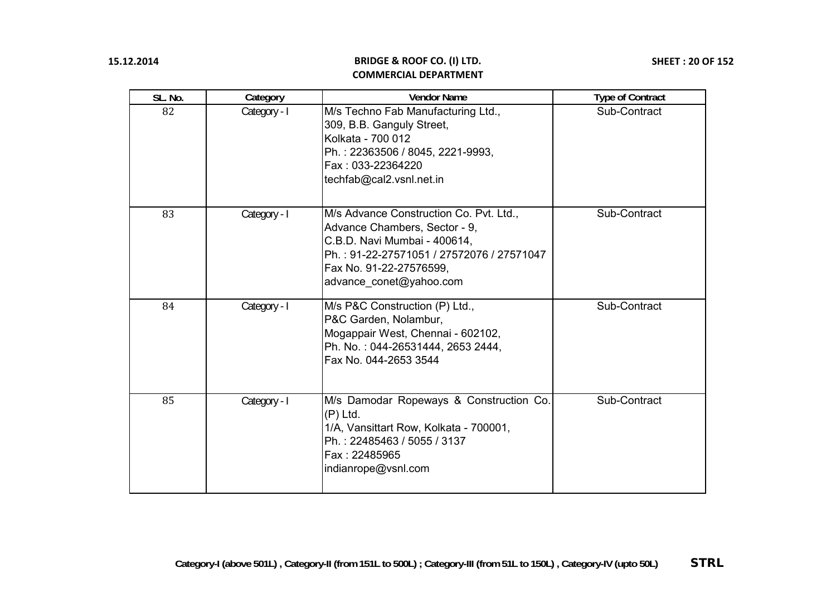| SL. No. | Category     | <b>Vendor Name</b>                                                                                                                                                                                          | <b>Type of Contract</b> |
|---------|--------------|-------------------------------------------------------------------------------------------------------------------------------------------------------------------------------------------------------------|-------------------------|
| 82      | Category - I | M/s Techno Fab Manufacturing Ltd.,<br>309, B.B. Ganguly Street,<br>Kolkata - 700 012<br>Ph.: 22363506 / 8045, 2221-9993,<br>Fax: 033-22364220<br>techfab@cal2.vsnl.net.in                                   | Sub-Contract            |
| 83      | Category - I | M/s Advance Construction Co. Pvt. Ltd.,<br>Advance Chambers, Sector - 9,<br>C.B.D. Navi Mumbai - 400614,<br>Ph.: 91-22-27571051 / 27572076 / 27571047<br>Fax No. 91-22-27576599,<br>advance_conet@yahoo.com | Sub-Contract            |
| 84      | Category - I | M/s P&C Construction (P) Ltd.,<br>P&C Garden, Nolambur,<br>Mogappair West, Chennai - 602102,<br>Ph. No.: 044-26531444, 2653 2444,<br>Fax No. 044-2653 3544                                                  | Sub-Contract            |
| 85      | Category - I | M/s Damodar Ropeways & Construction Co.<br>$(P)$ Ltd.<br>1/A, Vansittart Row, Kolkata - 700001,<br>Ph.: 22485463 / 5055 / 3137<br>Fax: 22485965<br>indianrope@vsnl.com                                      | Sub-Contract            |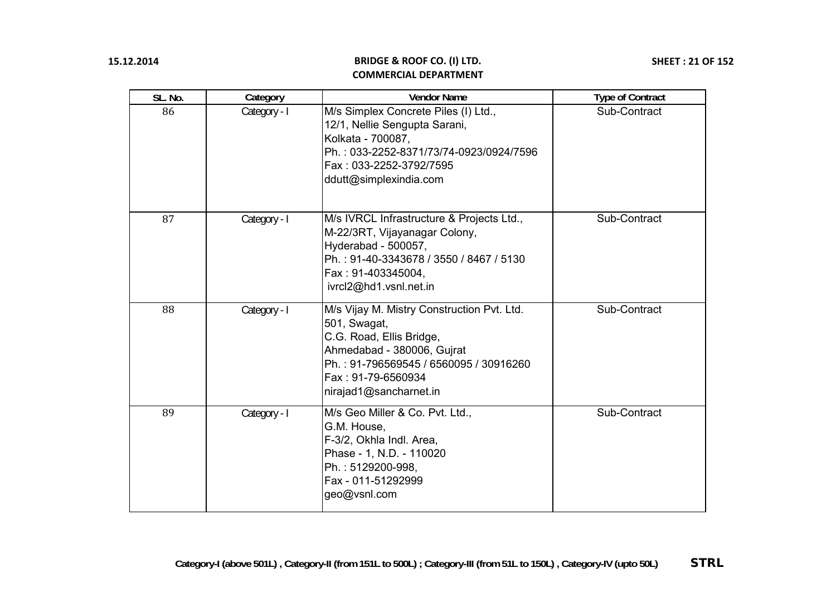| SL. No. | Category     | <b>Vendor Name</b>                                                                                                                                                                                              | <b>Type of Contract</b> |
|---------|--------------|-----------------------------------------------------------------------------------------------------------------------------------------------------------------------------------------------------------------|-------------------------|
| 86      | Category - I | M/s Simplex Concrete Piles (I) Ltd.,<br>12/1, Nellie Sengupta Sarani,<br>Kolkata - 700087,<br>Ph.: 033-2252-8371/73/74-0923/0924/7596<br>Fax: 033-2252-3792/7595<br>ddutt@simplexindia.com                      | Sub-Contract            |
| 87      | Category - I | M/s IVRCL Infrastructure & Projects Ltd.,<br>M-22/3RT, Vijayanagar Colony,<br>Hyderabad - 500057,<br>Ph.: 91-40-3343678 / 3550 / 8467 / 5130<br>Fax: 91-403345004,<br>ivrcl2@hd1.vsnl.net.in                    | Sub-Contract            |
| 88      | Category - I | M/s Vijay M. Mistry Construction Pvt. Ltd.<br>501, Swagat,<br>C.G. Road, Ellis Bridge,<br>Ahmedabad - 380006, Gujrat<br>Ph.: 91-796569545 / 6560095 / 30916260<br>Fax : 91-79-6560934<br>nirajad1@sancharnet.in | Sub-Contract            |
| 89      | Category - I | M/s Geo Miller & Co. Pvt. Ltd.,<br>G.M. House,<br>F-3/2, Okhla Indl. Area,<br>Phase - 1, N.D. - 110020<br>Ph.: 5129200-998,<br>Fax - 011-51292999<br>geo@vsnl.com                                               | Sub-Contract            |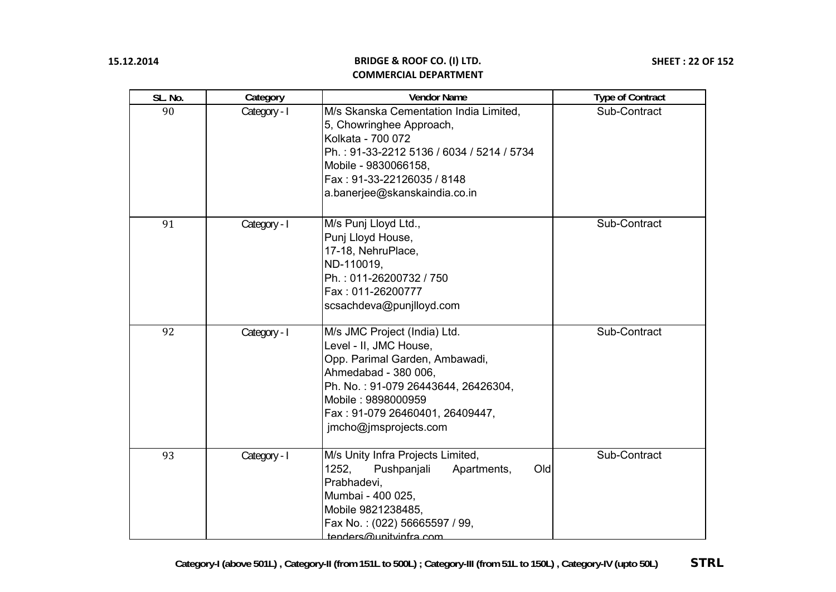| SL. No. | Category     | <b>Vendor Name</b>                                                                                                                                                                                                                        | <b>Type of Contract</b> |
|---------|--------------|-------------------------------------------------------------------------------------------------------------------------------------------------------------------------------------------------------------------------------------------|-------------------------|
| 90      | Category - I | M/s Skanska Cementation India Limited,<br>5, Chowringhee Approach,<br>Kolkata - 700 072<br>Ph.: 91-33-2212 5136 / 6034 / 5214 / 5734<br>Mobile - 9830066158,<br>Fax: 91-33-22126035 / 8148<br>a.banerjee@skanskaindia.co.in               | Sub-Contract            |
| 91      | Category - I | M/s Punj Lloyd Ltd.,<br>Punj Lloyd House,<br>17-18, NehruPlace,<br>ND-110019,<br>Ph.: 011-26200732 / 750<br>Fax: 011-26200777<br>scsachdeva@punjlloyd.com                                                                                 | Sub-Contract            |
| 92      | Category - I | M/s JMC Project (India) Ltd.<br>Level - II, JMC House,<br>Opp. Parimal Garden, Ambawadi,<br>Ahmedabad - 380 006,<br>Ph. No.: 91-079 26443644, 26426304,<br>Mobile: 9898000959<br>Fax: 91-079 26460401, 26409447,<br>jmcho@jmsprojects.com | Sub-Contract            |
| 93      | Category - I | M/s Unity Infra Projects Limited,<br>1252,<br>Old<br>Pushpanjali<br>Apartments,<br>Prabhadevi,<br>Mumbai - 400 025,<br>Mobile 9821238485,<br>Fax No.: (022) 56665597 / 99,<br>tenders@unitvinfra.com                                      | Sub-Contract            |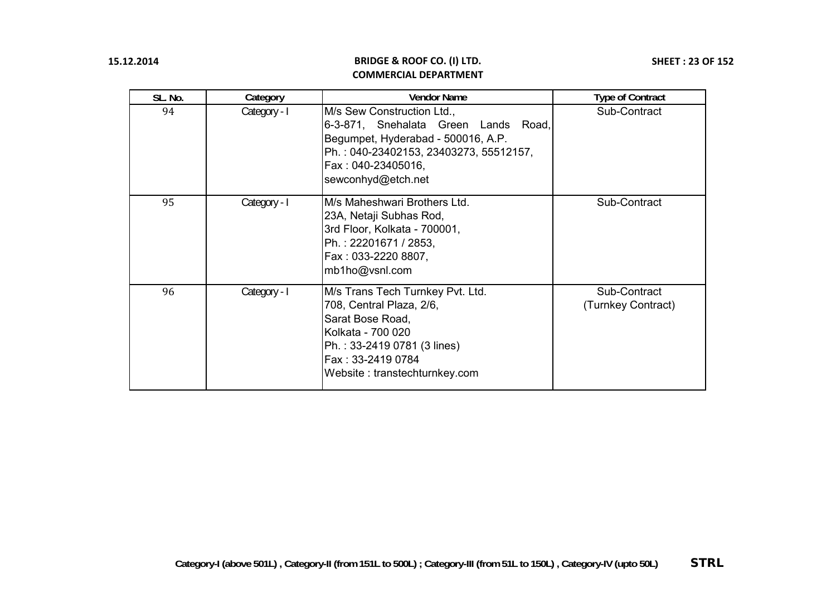| SL. No. | Category     | <b>Vendor Name</b>                                                                                                                                                                                | <b>Type of Contract</b>            |
|---------|--------------|---------------------------------------------------------------------------------------------------------------------------------------------------------------------------------------------------|------------------------------------|
| 94      | Category - I | M/s Sew Construction Ltd.,<br>6-3-871, Snehalata Green Lands<br>Road,<br>Begumpet, Hyderabad - 500016, A.P.<br>Ph.: 040-23402153, 23403273, 55512157,<br>Fax: 040-23405016,<br>sewconhyd@etch.net | Sub-Contract                       |
| 95      | Category - I | M/s Maheshwari Brothers Ltd.<br>23A, Netaji Subhas Rod,<br>3rd Floor, Kolkata - 700001,<br>Ph.: 22201671 / 2853,<br>Fax: 033-2220 8807,<br>mb1ho@vsnl.com                                         | Sub-Contract                       |
| 96      | Category - I | M/s Trans Tech Turnkey Pvt. Ltd.<br>708, Central Plaza, 2/6,<br>Sarat Bose Road,<br>Kolkata - 700 020<br>Ph.: 33-2419 0781 (3 lines)<br>Fax: 33-2419 0784<br>Website: transtechturnkey.com        | Sub-Contract<br>(Turnkey Contract) |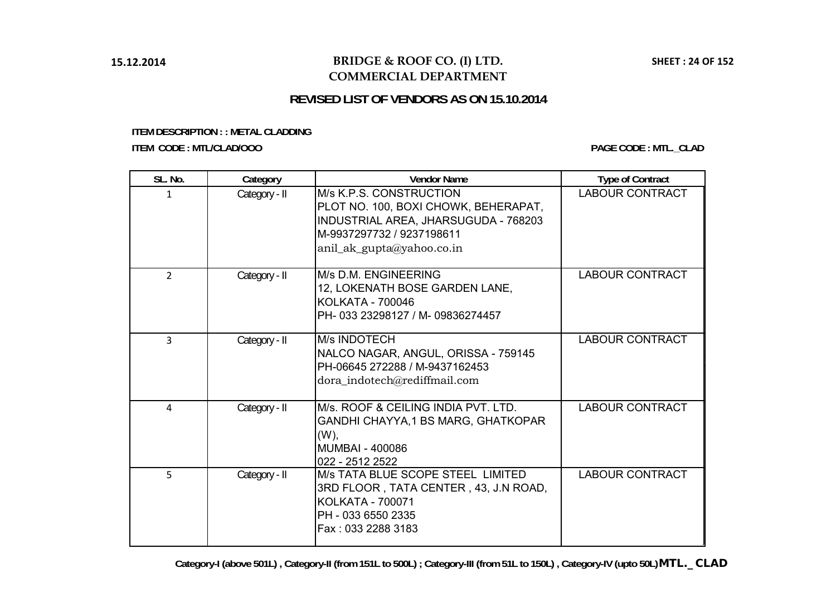## **BRIDGE & ROOF CO. (I) LTD. COMMERCIAL DEPARTMENT**

# **REVISED LIST OF VENDORS AS ON 15.10.2014**

#### <span id="page-23-0"></span>**ITEM DESCRIPTION : : METAL CLADDING ITEM CODE : MTL/CLAD/OOO PAGE CODE : MTL.\_CLAD**

| SL. No.        | Category      | <b>Vendor Name</b>                                                                                                                                                | <b>Type of Contract</b> |
|----------------|---------------|-------------------------------------------------------------------------------------------------------------------------------------------------------------------|-------------------------|
| 1              | Category - II | M/s K.P.S. CONSTRUCTION<br>PLOT NO. 100, BOXI CHOWK, BEHERAPAT,<br>INDUSTRIAL AREA, JHARSUGUDA - 768203<br>M-9937297732 / 9237198611<br>anil_ak_gupta@yahoo.co.in | <b>LABOUR CONTRACT</b>  |
| $\overline{2}$ | Category - II | M/s D.M. ENGINEERING<br>12, LOKENATH BOSE GARDEN LANE,<br>KOLKATA - 700046<br>PH-033 23298127 / M-09836274457                                                     | <b>LABOUR CONTRACT</b>  |
| 3              | Category - II | <b>M/s INDOTECH</b><br>NALCO NAGAR, ANGUL, ORISSA - 759145<br>PH-06645 272288 / M-9437162453<br>dora_indotech@rediffmail.com                                      | <b>LABOUR CONTRACT</b>  |
| 4              | Category - II | M/s. ROOF & CEILING INDIA PVT. LTD.<br>GANDHI CHAYYA, 1 BS MARG, GHATKOPAR<br>$(W)$ ,<br><b>MUMBAI - 400086</b><br>022 - 2512 2522                                | <b>LABOUR CONTRACT</b>  |
| 5              | Category - II | M/s TATA BLUE SCOPE STEEL LIMITED<br>3RD FLOOR, TATA CENTER, 43, J.N ROAD,<br><b>KOLKATA - 700071</b><br>PH - 033 6550 2335<br>Fax: 033 2288 3183                 | <b>LABOUR CONTRACT</b>  |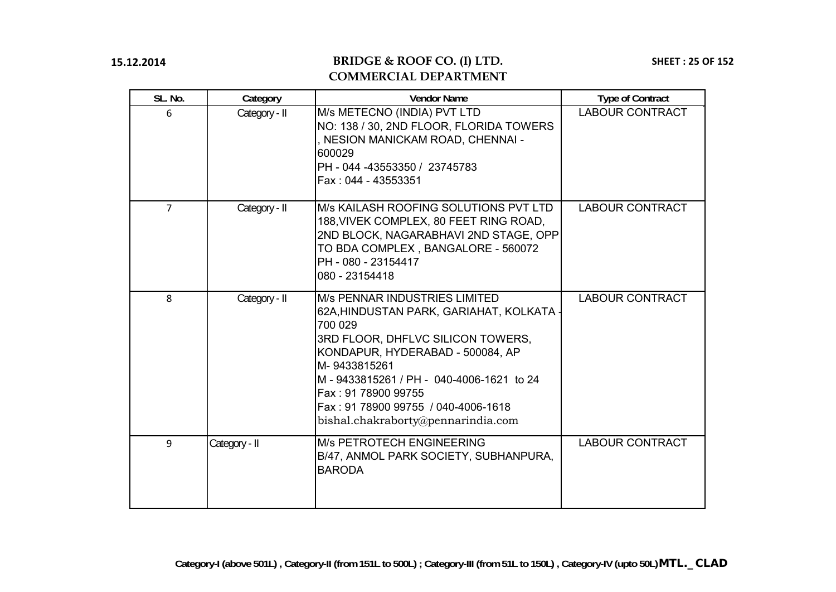# **BRIDGE & ROOF CO. (I) LTD. COMMERCIAL DEPARTMENT**

**SHEET : 25 OF 152**

| SL. No.        | Category      | <b>Vendor Name</b>                                                                                                                                                                                                                                                                                                              | <b>Type of Contract</b> |
|----------------|---------------|---------------------------------------------------------------------------------------------------------------------------------------------------------------------------------------------------------------------------------------------------------------------------------------------------------------------------------|-------------------------|
| 6              | Category - II | M/s METECNO (INDIA) PVT LTD<br>NO: 138 / 30, 2ND FLOOR, FLORIDA TOWERS<br>, NESION MANICKAM ROAD, CHENNAI -<br>600029<br>PH - 044 -43553350 / 23745783<br>Fax: 044 - 43553351                                                                                                                                                   | <b>LABOUR CONTRACT</b>  |
| $\overline{7}$ | Category - II | M/s KAILASH ROOFING SOLUTIONS PVT LTD<br>188, VIVEK COMPLEX, 80 FEET RING ROAD,<br>2ND BLOCK, NAGARABHAVI 2ND STAGE, OPP<br>TO BDA COMPLEX, BANGALORE - 560072<br>PH - 080 - 23154417<br>080 - 23154418                                                                                                                         | <b>LABOUR CONTRACT</b>  |
| 8              | Category - II | <b>M/s PENNAR INDUSTRIES LIMITED</b><br>62A, HINDUSTAN PARK, GARIAHAT, KOLKATA<br>700 029<br>3RD FLOOR, DHFLVC SILICON TOWERS,<br>KONDAPUR, HYDERABAD - 500084, AP<br>M-9433815261<br>M-9433815261 / PH-040-4006-1621 to 24<br>Fax: 91 78900 99755<br>Fax: 91 78900 99755 / 040-4006-1618<br>bishal.chakraborty@pennarindia.com | <b>LABOUR CONTRACT</b>  |
| 9              | Category - II | <b>M/s PETROTECH ENGINEERING</b><br>B/47, ANMOL PARK SOCIETY, SUBHANPURA,<br><b>BARODA</b>                                                                                                                                                                                                                                      | <b>LABOUR CONTRACT</b>  |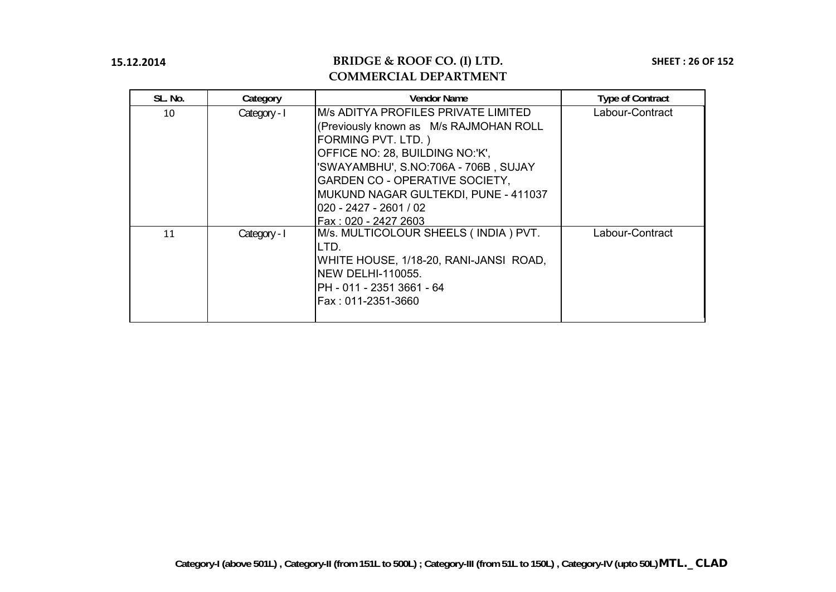| SL. No. | Category     | <b>Vendor Name</b>                                                                                                                                                                                                                                                                                          | <b>Type of Contract</b> |
|---------|--------------|-------------------------------------------------------------------------------------------------------------------------------------------------------------------------------------------------------------------------------------------------------------------------------------------------------------|-------------------------|
| 10      | Category - I | IM/s ADITYA PROFILES PRIVATE LIMITED<br>(Previously known as M/s RAJMOHAN ROLL<br>FORMING PVT. LTD.)<br>OFFICE NO: 28, BUILDING NO:'K',<br>'SWAYAMBHU', S.NO:706A - 706B, SUJAY<br>GARDEN CO - OPERATIVE SOCIETY,<br>MUKUND NAGAR GULTEKDI, PUNE - 411037<br>020 - 2427 - 2601 / 02<br>Fax: 020 - 2427 2603 | Labour-Contract         |
| 11      | Category - I | M/s. MULTICOLOUR SHEELS (INDIA) PVT.<br>LTD.<br>WHITE HOUSE, 1/18-20, RANI-JANSI ROAD,<br><b>INEW DELHI-110055.</b><br>PH - 011 - 2351 3661 - 64<br>Fax : 011-2351-3660                                                                                                                                     | Labour-Contract         |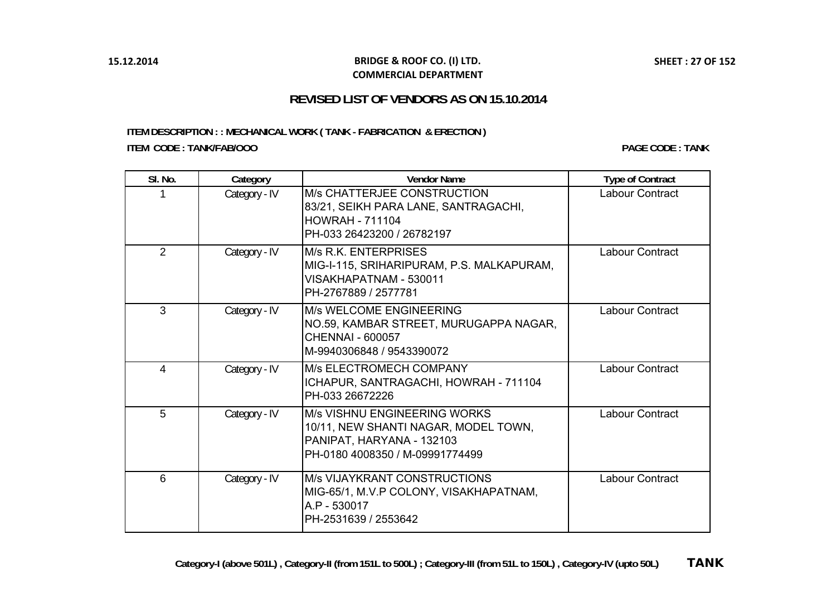#### **BRIDGE & ROOF CO. (I) LTD. COMMERCIAL DEPARTMENT**

## **REVISED LIST OF VENDORS AS ON 15.10.2014**

## <span id="page-26-0"></span>**ITEM DESCRIPTION : : MECHANICAL WORK ( TANK - FABRICATION & ERECTION ) ITEM CODE : TANK/FAB/OOO**

**PAGE CODE : TANK**

| SI. No.        | Category      | <b>Vendor Name</b>                                                                                                                          | <b>Type of Contract</b> |
|----------------|---------------|---------------------------------------------------------------------------------------------------------------------------------------------|-------------------------|
|                | Category - IV | <b>M/s CHATTERJEE CONSTRUCTION</b><br>83/21, SEIKH PARA LANE, SANTRAGACHI,<br><b>HOWRAH - 711104</b><br>PH-033 26423200 / 26782197          | Labour Contract         |
| $\overline{2}$ | Category - IV | <b>M/s R.K. ENTERPRISES</b><br>MIG-I-115, SRIHARIPURAM, P.S. MALKAPURAM,<br>VISAKHAPATNAM - 530011<br>PH-2767889 / 2577781                  | Labour Contract         |
| 3              | Category - IV | M/s WELCOME ENGINEERING<br>NO.59, KAMBAR STREET, MURUGAPPA NAGAR,<br><b>CHENNAI - 600057</b><br>M-9940306848 / 9543390072                   | <b>Labour Contract</b>  |
| 4              | Category - IV | M/s ELECTROMECH COMPANY<br>ICHAPUR, SANTRAGACHI, HOWRAH - 711104<br>PH-033 26672226                                                         | <b>Labour Contract</b>  |
| 5              | Category - IV | <b>M/s VISHNU ENGINEERING WORKS</b><br>10/11, NEW SHANTI NAGAR, MODEL TOWN,<br>PANIPAT, HARYANA - 132103<br>PH-0180 4008350 / M-09991774499 | Labour Contract         |
| 6              | Category - IV | <b>M/s VIJAYKRANT CONSTRUCTIONS</b><br>MIG-65/1, M.V.P COLONY, VISAKHAPATNAM,<br>A.P - 530017<br>PH-2531639 / 2553642                       | <b>Labour Contract</b>  |

**SHEET : 27 OF 152**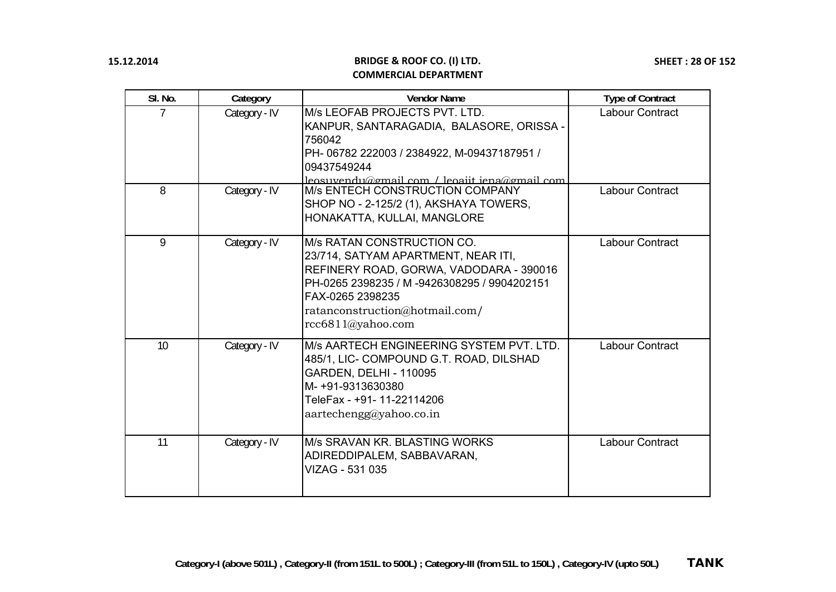| SI. No. | Category      | <b>Vendor Name</b>                                                                                                                                                                                                                             | <b>Type of Contract</b> |
|---------|---------------|------------------------------------------------------------------------------------------------------------------------------------------------------------------------------------------------------------------------------------------------|-------------------------|
|         | Category - IV | M/s LEOFAB PROJECTS PVT. LTD.<br>KANPUR, SANTARAGADIA, BALASORE, ORISSA -<br>756042<br>PH-06782 222003 / 2384922, M-09437187951 /<br>09437549244<br>leosuvendu@gmail.com / leoaiit iena@gmail.com                                              | <b>Labour Contract</b>  |
| 8       | Category - IV | <b>M/s ENTECH CONSTRUCTION COMPANY</b><br>SHOP NO - 2-125/2 (1), AKSHAYA TOWERS,<br>HONAKATTA, KULLAI, MANGLORE                                                                                                                                | <b>Labour Contract</b>  |
| 9       | Category - IV | <b>M/s RATAN CONSTRUCTION CO.</b><br>23/714, SATYAM APARTMENT, NEAR ITI,<br>REFINERY ROAD, GORWA, VADODARA - 390016<br>PH-0265 2398235 / M -9426308295 / 9904202151<br>FAX-0265 2398235<br>ratanconstruction@hotmail.com/<br>rcc6811@yahoo.com | <b>Labour Contract</b>  |
| 10      | Category - IV | M/s AARTECH ENGINEERING SYSTEM PVT. LTD.<br>485/1, LIC- COMPOUND G.T. ROAD, DILSHAD<br><b>GARDEN, DELHI - 110095</b><br>M- +91-9313630380<br>TeleFax - +91- 11-22114206<br>aartechengg@yahoo.co.in                                             | Labour Contract         |
| 11      | Category - IV | M/s SRAVAN KR. BLASTING WORKS<br>ADIREDDIPALEM, SABBAVARAN,<br>VIZAG - 531 035                                                                                                                                                                 | Labour Contract         |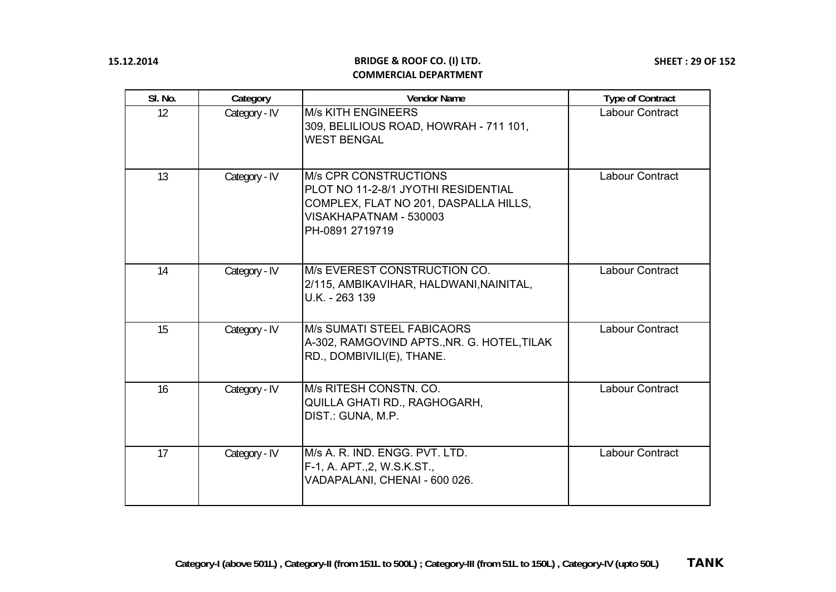| SI. No. | Category      | <b>Vendor Name</b>                                                                                                                                        | <b>Type of Contract</b> |
|---------|---------------|-----------------------------------------------------------------------------------------------------------------------------------------------------------|-------------------------|
| 12      | Category - IV | <b>M/s KITH ENGINEERS</b><br>309, BELILIOUS ROAD, HOWRAH - 711 101,<br><b>WEST BENGAL</b>                                                                 | Labour Contract         |
| 13      | Category - IV | <b>M/s CPR CONSTRUCTIONS</b><br>PLOT NO 11-2-8/1 JYOTHI RESIDENTIAL<br>COMPLEX, FLAT NO 201, DASPALLA HILLS,<br>VISAKHAPATNAM - 530003<br>PH-0891 2719719 | Labour Contract         |
| 14      | Category - IV | M/s EVEREST CONSTRUCTION CO.<br>2/115, AMBIKAVIHAR, HALDWANI, NAINITAL,<br>U.K. - 263 139                                                                 | Labour Contract         |
| 15      | Category - IV | <b>M/s SUMATI STEEL FABICAORS</b><br>A-302, RAMGOVIND APTS., NR. G. HOTEL, TILAK<br>RD., DOMBIVILI(E), THANE.                                             | Labour Contract         |
| 16      | Category - IV | M/s RITESH CONSTN, CO.<br>QUILLA GHATI RD., RAGHOGARH,<br>DIST.: GUNA, M.P.                                                                               | <b>Labour Contract</b>  |
| 17      | Category - IV | M/s A. R. IND. ENGG. PVT. LTD.<br>F-1, A. APT., 2, W.S.K.ST.,<br>VADAPALANI, CHENAI - 600 026.                                                            | Labour Contract         |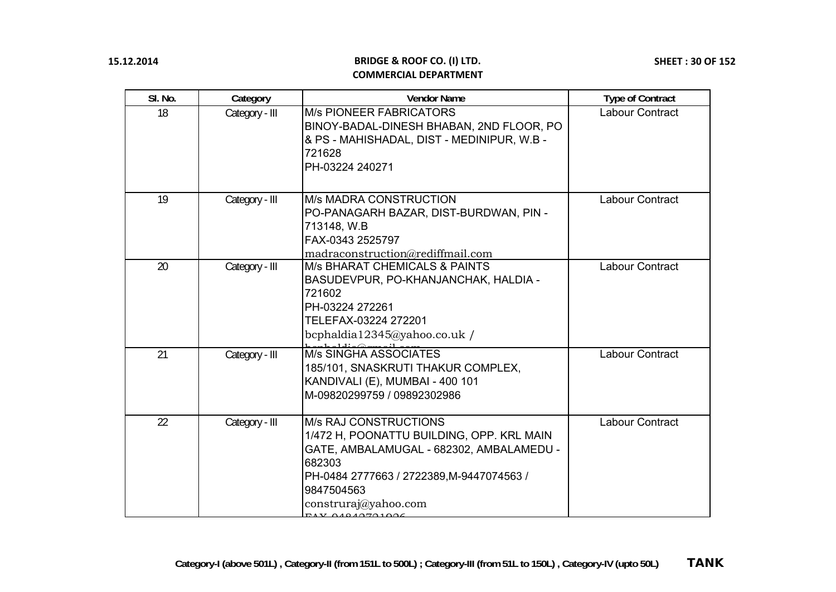| SI. No. | Category       | <b>Vendor Name</b>                                                                                                                                                                                                                   | <b>Type of Contract</b> |
|---------|----------------|--------------------------------------------------------------------------------------------------------------------------------------------------------------------------------------------------------------------------------------|-------------------------|
| 18      | Category - III | <b>M/s PIONEER FABRICATORS</b><br>BINOY-BADAL-DINESH BHABAN, 2ND FLOOR, PO<br>& PS - MAHISHADAL, DIST - MEDINIPUR, W.B -<br>721628<br>PH-03224 240271                                                                                | <b>Labour Contract</b>  |
| 19      | Category - III | <b>M/s MADRA CONSTRUCTION</b><br>PO-PANAGARH BAZAR, DIST-BURDWAN, PIN -<br>713148, W.B<br>FAX-0343 2525797<br>madraconstruction@rediffmail.com                                                                                       | Labour Contract         |
| 20      | Category - III | <b>M/s BHARAT CHEMICALS &amp; PAINTS</b><br>BASUDEVPUR, PO-KHANJANCHAK, HALDIA -<br>721602<br>PH-03224 272261<br>TELEFAX-03224 272201<br>bcphaldia12345@yahoo.co.uk /                                                                | <b>Labour Contract</b>  |
| 21      | Category - III | M/s SINGHA ASSOCIATES<br>185/101, SNASKRUTI THAKUR COMPLEX,<br>KANDIVALI (E), MUMBAI - 400 101<br>M-09820299759 / 09892302986                                                                                                        | <b>Labour Contract</b>  |
| 22      | Category - III | <b>M/s RAJ CONSTRUCTIONS</b><br>1/472 H, POONATTU BUILDING, OPP. KRL MAIN<br>GATE, AMBALAMUGAL - 682302, AMBALAMEDU -<br>682303<br>PH-0484 2777663 / 2722389, M-9447074563 /<br>9847504563<br>construraj@yahoo.com<br>71V01010701000 | Labour Contract         |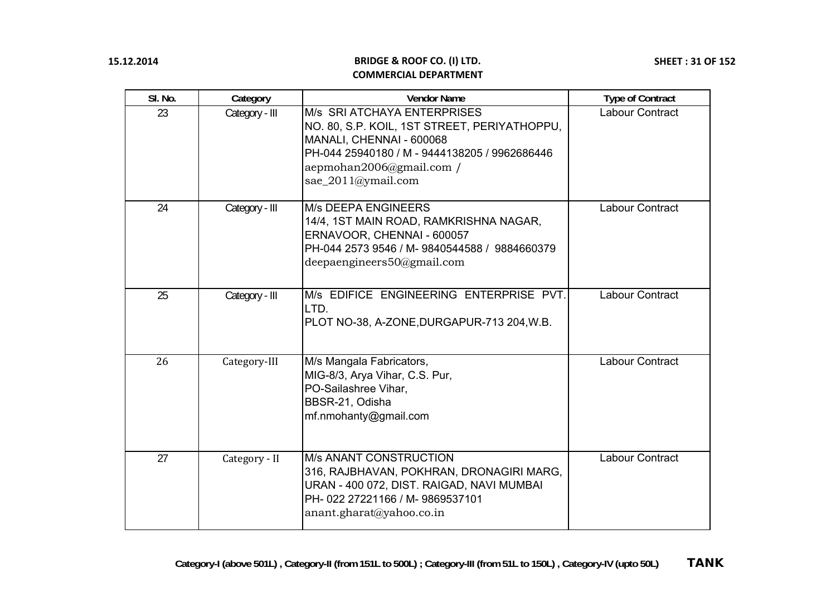| SI. No. | Category       | <b>Vendor Name</b>                                                                                                                                                                                         | <b>Type of Contract</b> |
|---------|----------------|------------------------------------------------------------------------------------------------------------------------------------------------------------------------------------------------------------|-------------------------|
| 23      | Category - III | M/s SRI ATCHAYA ENTERPRISES<br>NO. 80, S.P. KOIL, 1ST STREET, PERIYATHOPPU,<br>MANALI, CHENNAI - 600068<br>PH-044 25940180 / M - 9444138205 / 9962686446<br>aepmohan2006@gmail.com /<br>sae_2011@ymail.com | Labour Contract         |
| 24      | Category - III | <b>M/s DEEPA ENGINEERS</b><br>14/4, 1ST MAIN ROAD, RAMKRISHNA NAGAR,<br>ERNAVOOR, CHENNAI - 600057<br>PH-044 2573 9546 / M-9840544588 / 9884660379<br>deepaengineers50@gmail.com                           | Labour Contract         |
| 25      | Category - III | M/s EDIFICE ENGINEERING ENTERPRISE PVT.<br>LTD.<br>PLOT NO-38, A-ZONE, DURGAPUR-713 204, W.B.                                                                                                              | Labour Contract         |
| 26      | Category-III   | M/s Mangala Fabricators,<br>MIG-8/3, Arya Vihar, C.S. Pur,<br>PO-Sailashree Vihar,<br>BBSR-21, Odisha<br>mf.nmohanty@gmail.com                                                                             | <b>Labour Contract</b>  |
| 27      | Category - II  | <b>M/s ANANT CONSTRUCTION</b><br>316, RAJBHAVAN, POKHRAN, DRONAGIRI MARG,<br>URAN - 400 072, DIST. RAIGAD, NAVI MUMBAI<br>PH-022 27221166 / M-9869537101<br>anant.gharat@yahoo.co.in                       | Labour Contract         |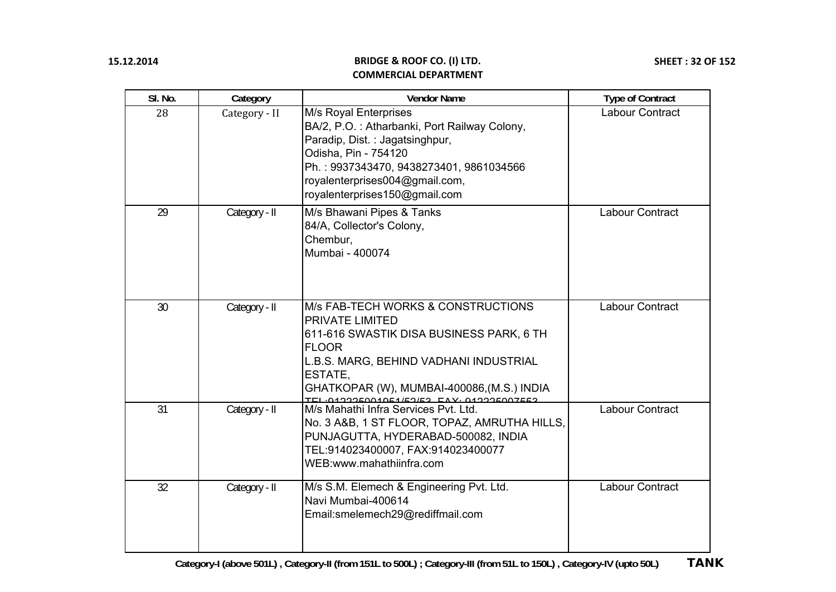| SI. No. | Category      | <b>Vendor Name</b>                                                                                                                                                                                                                                        | <b>Type of Contract</b> |
|---------|---------------|-----------------------------------------------------------------------------------------------------------------------------------------------------------------------------------------------------------------------------------------------------------|-------------------------|
| 28      | Category - II | M/s Royal Enterprises<br>BA/2, P.O.: Atharbanki, Port Railway Colony,<br>Paradip, Dist.: Jagatsinghpur,<br>Odisha, Pin - 754120<br>Ph.: 9937343470, 9438273401, 9861034566<br>royalenterprises004@gmail.com,<br>royalenterprises150@gmail.com             | <b>Labour Contract</b>  |
| 29      | Category - II | M/s Bhawani Pipes & Tanks<br>84/A, Collector's Colony,<br>Chembur,<br>Mumbai - 400074                                                                                                                                                                     | Labour Contract         |
| 30      | Category - II | M/s FAB-TECH WORKS & CONSTRUCTIONS<br>PRIVATE LIMITED<br>611-616 SWASTIK DISA BUSINESS PARK, 6 TH<br><b>FLOOR</b><br>L.B.S. MARG, BEHIND VADHANI INDUSTRIAL<br>ESTATE,<br>GHATKOPAR (W), MUMBAI-400086, (M.S.) INDIA<br>0122250010515252 EAV-012225007552 | Labour Contract         |
| 31      | Category - II | M/s Mahathi Infra Services Pvt. Ltd.<br>No. 3 A&B, 1 ST FLOOR, TOPAZ, AMRUTHA HILLS,<br>PUNJAGUTTA, HYDERABAD-500082, INDIA<br>TEL:914023400007, FAX:914023400077<br>WEB:www.mahathiinfra.com                                                             | Labour Contract         |
| 32      | Category - II | M/s S.M. Elemech & Engineering Pvt. Ltd.<br>Navi Mumbai-400614<br>Email:smelemech29@rediffmail.com                                                                                                                                                        | Labour Contract         |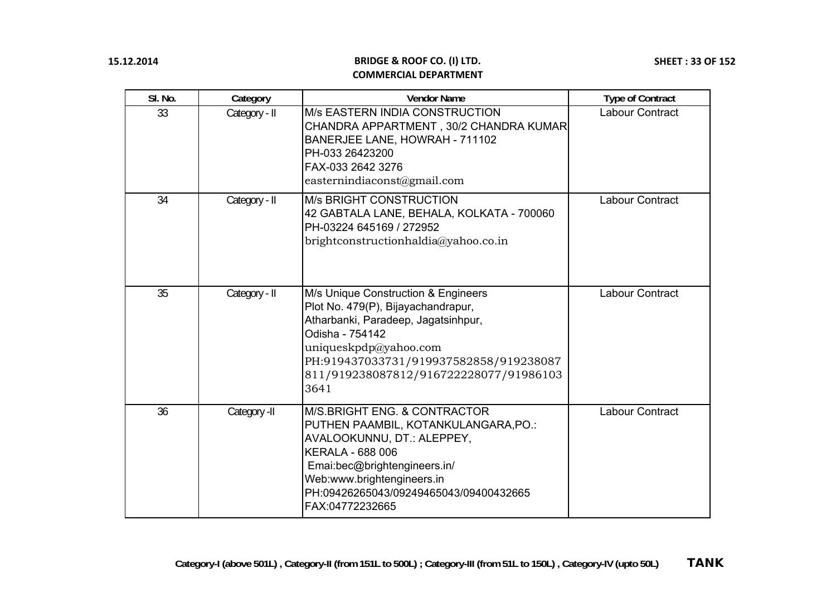| SI. No. | Category      | <b>Vendor Name</b>                                                                                                                                                                                                                                                   | <b>Type of Contract</b> |
|---------|---------------|----------------------------------------------------------------------------------------------------------------------------------------------------------------------------------------------------------------------------------------------------------------------|-------------------------|
| 33      | Category - II | <b>M/s EASTERN INDIA CONSTRUCTION</b><br>CHANDRA APPARTMENT, 30/2 CHANDRA KUMAR<br>BANERJEE LANE, HOWRAH - 711102<br>PH-033 26423200<br>FAX-033 2642 3276<br>easternindiaconst@gmail.com                                                                             | <b>Labour Contract</b>  |
| 34      | Category - II | <b>M/s BRIGHT CONSTRUCTION</b><br>42 GABTALA LANE, BEHALA, KOLKATA - 700060<br>PH-03224 645169 / 272952<br>brightconstructionhaldia@yahoo.co.in                                                                                                                      | Labour Contract         |
| 35      | Category - II | M/s Unique Construction & Engineers<br>Plot No. 479(P), Bijayachandrapur,<br>Atharbanki, Paradeep, Jagatsinhpur,<br>Odisha - 754142<br>uniqueskpdp@yahoo.com<br>PH:919437033731/919937582858/919238087<br>811/919238087812/916722228077/91986103<br>3641             | Labour Contract         |
| 36      | Category -II  | <b>IM/S.BRIGHT ENG. &amp; CONTRACTOR</b><br>PUTHEN PAAMBIL, KOTANKULANGARA, PO.:<br>AVALOOKUNNU, DT.: ALEPPEY,<br><b>KERALA - 688 006</b><br>Emai:bec@brightengineers.in/<br>Web:www.brightengineers.in<br>PH:09426265043/09249465043/09400432665<br>FAX:04772232665 | Labour Contract         |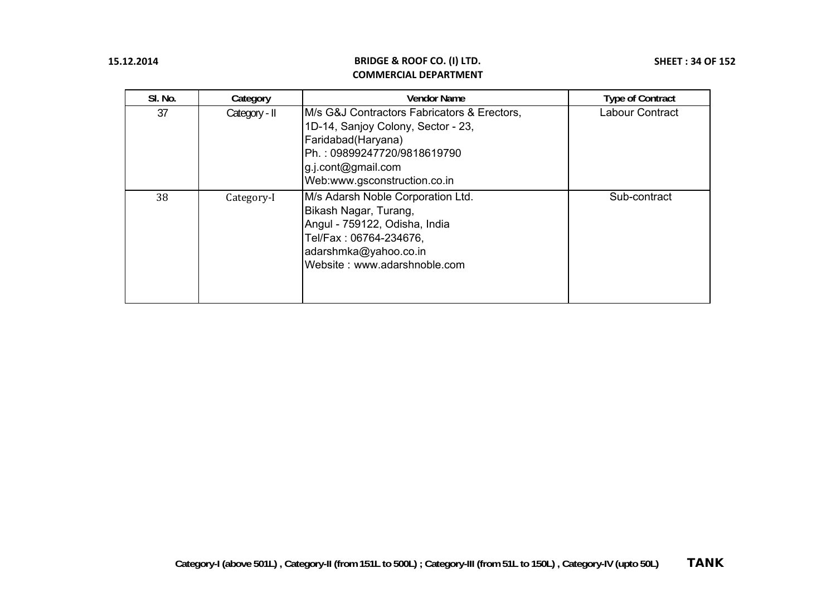| SI. No. | Category      | <b>Vendor Name</b>                                                                                                                                                                            | <b>Type of Contract</b> |
|---------|---------------|-----------------------------------------------------------------------------------------------------------------------------------------------------------------------------------------------|-------------------------|
| 37      | Category - II | M/s G&J Contractors Fabricators & Erectors,<br>1D-14, Sanjoy Colony, Sector - 23,<br>Faridabad (Haryana)<br>Ph.: 09899247720/9818619790<br>g.j.cont@gmail.com<br>Web:www.gsconstruction.co.in | Labour Contract         |
| 38      | Category-I    | M/s Adarsh Noble Corporation Ltd.<br>Bikash Nagar, Turang,<br>Angul - 759122, Odisha, India<br>Tel/Fax: 06764-234676,<br>adarshmka@yahoo.co.in<br>Website: www.adarshnoble.com                | Sub-contract            |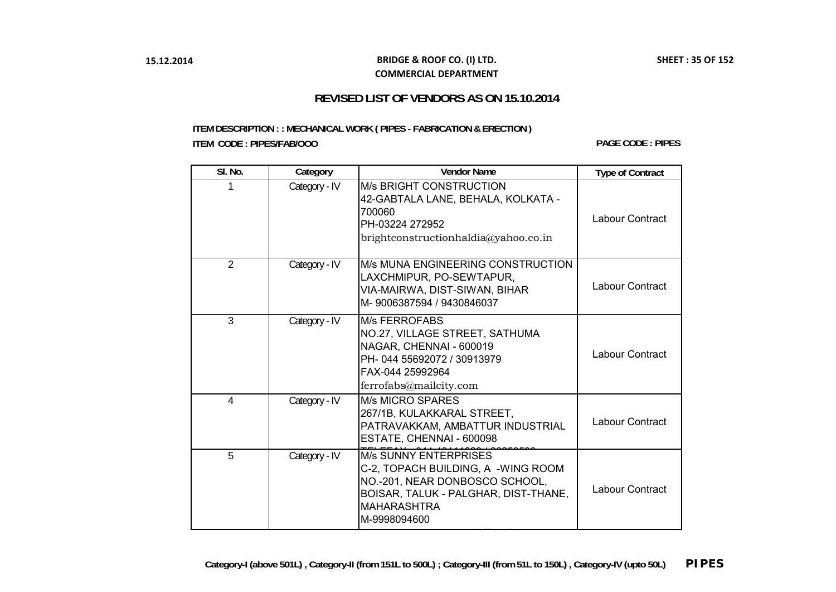#### **BRIDGE & ROOF CO. (I) LTD. COMMERCIAL DEPARTMENT**

## **REVISED LIST OF VENDORS AS ON 15.10.2014**

#### <span id="page-34-0"></span>**ITEM DESCRIPTION : : MECHANICAL WORK ( PIPES - FABRICATION & ERECTION ) ITEM CODE : PIPES/FAB/OOO**

**PAGE CODE : PIPES**

| SI. No.        | Category      | <b>Vendor Name</b>                                                                                                                                                                 | <b>Type of Contract</b> |
|----------------|---------------|------------------------------------------------------------------------------------------------------------------------------------------------------------------------------------|-------------------------|
| 1              | Category - IV | <b>M/s BRIGHT CONSTRUCTION</b><br>42-GABTALA LANE, BEHALA, KOLKATA -<br>700060<br>PH-03224 272952<br>brightconstructionhaldia@yahoo.co.in                                          | Labour Contract         |
| $\overline{2}$ | Category - IV | M/s MUNA ENGINEERING CONSTRUCTION<br>LAXCHMIPUR, PO-SEWTAPUR,<br>VIA-MAIRWA, DIST-SIWAN, BIHAR<br>M-9006387594 / 9430846037                                                        | Labour Contract         |
| $\mathcal{S}$  | Category - IV | <b>M/s FERROFABS</b><br>NO.27, VILLAGE STREET, SATHUMA<br>NAGAR, CHENNAI - 600019<br>PH-044 55692072 / 30913979<br>FAX-044 25992964<br>ferrofabs@mailcity.com                      | Labour Contract         |
| 4              | Category - IV | <b>M/s MICRO SPARES</b><br>267/1B, KULAKKARAL STREET,<br>PATRAVAKKAM, AMBATTUR INDUSTRIAL<br>ESTATE, CHENNAI - 600098                                                              | Labour Contract         |
| 5              | Category - IV | <b>M/s SUNNY ENTERPRISES</b><br>C-2, TOPACH BUILDING, A -WING ROOM<br>NO.-201, NEAR DONBOSCO SCHOOL,<br>BOISAR, TALUK - PALGHAR, DIST-THANE,<br><b>MAHARASHTRA</b><br>M-9998094600 | Labour Contract         |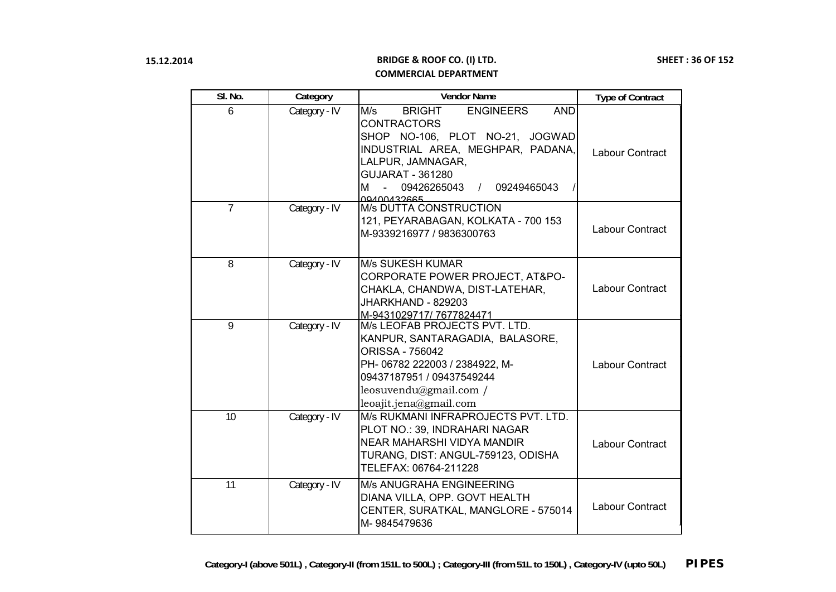| SI. No.        | Category      | <b>Vendor Name</b>                                                                                                                                                                                                                                    | <b>Type of Contract</b> |
|----------------|---------------|-------------------------------------------------------------------------------------------------------------------------------------------------------------------------------------------------------------------------------------------------------|-------------------------|
| 6              | Category - IV | <b>ENGINEERS</b><br>M/s<br><b>BRIGHT</b><br><b>AND</b><br><b>CONTRACTORS</b><br>SHOP NO-106, PLOT NO-21, JOGWAD<br>INDUSTRIAL AREA, MEGHPAR, PADANA,<br>LALPUR, JAMNAGAR,<br><b>GUJARAT - 361280</b><br>м<br>09426265043 / 09249465043<br>00400432665 | Labour Contract         |
| $\overline{7}$ | Category - IV | <b>M/s DUTTA CONSTRUCTION</b><br>121, PEYARABAGAN, KOLKATA - 700 153<br>M-9339216977 / 9836300763                                                                                                                                                     | Labour Contract         |
| $\overline{8}$ | Category - IV | <b>M/s SUKESH KUMAR</b><br>CORPORATE POWER PROJECT, AT&PO-<br>CHAKLA, CHANDWA, DIST-LATEHAR,<br>JHARKHAND - 829203<br>M-9431029717/7677824471                                                                                                         | Labour Contract         |
| 9              | Category - IV | M/s LEOFAB PROJECTS PVT. LTD.<br>KANPUR, SANTARAGADIA, BALASORE,<br><b>ORISSA - 756042</b><br>PH- 06782 222003 / 2384922, M-<br>09437187951 / 09437549244<br>leosuvendu@gmail.com /<br>leoajit.jena@gmail.com                                         | Labour Contract         |
| 10             | Category - IV | M/s RUKMANI INFRAPROJECTS PVT. LTD.<br>PLOT NO.: 39, INDRAHARI NAGAR<br>NEAR MAHARSHI VIDYA MANDIR<br>TURANG, DIST: ANGUL-759123, ODISHA<br>TELEFAX: 06764-211228                                                                                     | Labour Contract         |
| 11             | Category - IV | M/s ANUGRAHA ENGINEERING<br>DIANA VILLA, OPP. GOVT HEALTH<br>CENTER, SURATKAL, MANGLORE - 575014<br>M-9845479636                                                                                                                                      | Labour Contract         |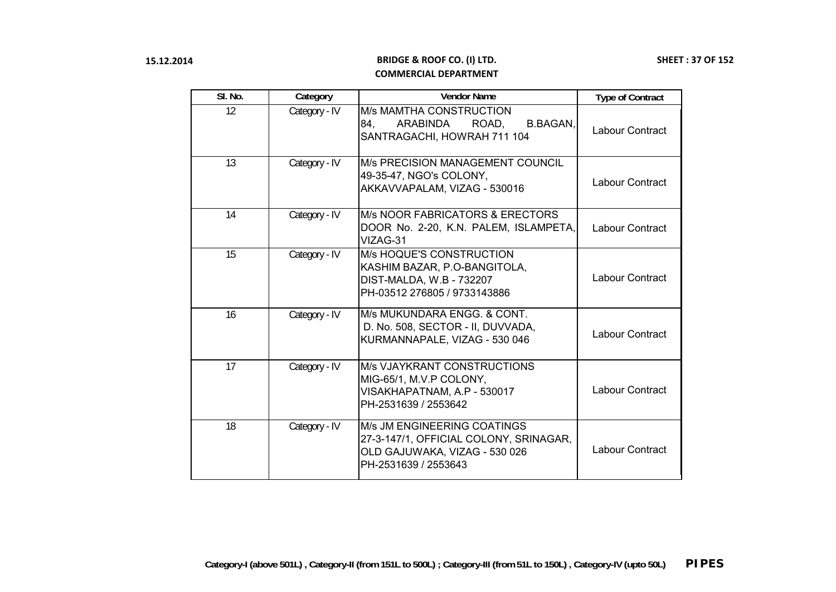| SI. No. | Category      | <b>Vendor Name</b>                                                                                                             | <b>Type of Contract</b> |
|---------|---------------|--------------------------------------------------------------------------------------------------------------------------------|-------------------------|
| 12      | Category - IV | <b>M/s MAMTHA CONSTRUCTION</b><br>ARABINDA<br><b>B.BAGAN,</b><br>84.<br>ROAD,<br>SANTRAGACHI, HOWRAH 711 104                   | Labour Contract         |
| 13      | Category - IV | M/s PRECISION MANAGEMENT COUNCIL<br>49-35-47, NGO's COLONY,<br>AKKAVVAPALAM, VIZAG - 530016                                    | Labour Contract         |
| 14      | Category - IV | M/s NOOR FABRICATORS & ERECTORS<br>DOOR No. 2-20, K.N. PALEM, ISLAMPETA,<br>VIZAG-31                                           | Labour Contract         |
| 15      | Category - IV | <b>M/s HOQUE'S CONSTRUCTION</b><br>KASHIM BAZAR, P.O-BANGITOLA,<br>DIST-MALDA, W.B - 732207<br>PH-03512 276805 / 9733143886    | <b>Labour Contract</b>  |
| 16      | Category - IV | M/s MUKUNDARA ENGG. & CONT.<br>D. No. 508, SECTOR - II, DUVVADA,<br>KURMANNAPALE, VIZAG - 530 046                              | Labour Contract         |
| 17      | Category - IV | <b>M/s VJAYKRANT CONSTRUCTIONS</b><br>MIG-65/1, M.V.P COLONY,<br>VISAKHAPATNAM, A.P - 530017<br>PH-2531639 / 2553642           | <b>Labour Contract</b>  |
| 18      | Category - IV | M/s JM ENGINEERING COATINGS<br>27-3-147/1, OFFICIAL COLONY, SRINAGAR,<br>OLD GAJUWAKA, VIZAG - 530 026<br>PH-2531639 / 2553643 | Labour Contract         |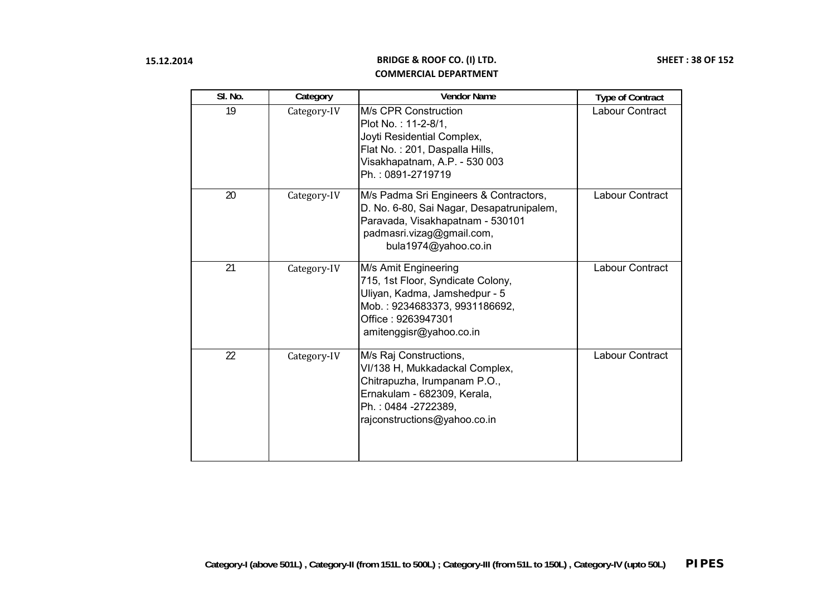| SI. No. | Category    | <b>Vendor Name</b>                                                                                                                                                             | <b>Type of Contract</b> |
|---------|-------------|--------------------------------------------------------------------------------------------------------------------------------------------------------------------------------|-------------------------|
| 19      | Category-IV | M/s CPR Construction<br>Plot No.: 11-2-8/1,<br>Joyti Residential Complex,<br>Flat No.: 201, Daspalla Hills,<br>Visakhapatnam, A.P. - 530 003<br>Ph.: 0891-2719719              | Labour Contract         |
| 20      | Category-IV | M/s Padma Sri Engineers & Contractors,<br>D. No. 6-80, Sai Nagar, Desapatrunipalem,<br>Paravada, Visakhapatnam - 530101<br>padmasri.vizag@gmail.com,<br>bula1974@yahoo.co.in   | Labour Contract         |
| 21      | Category-IV | M/s Amit Engineering<br>715, 1st Floor, Syndicate Colony,<br>Uliyan, Kadma, Jamshedpur - 5<br>Mob.: 9234683373, 9931186692,<br>Office: 9263947301<br>amitenggisr@yahoo.co.in   | Labour Contract         |
| 22      | Category-IV | M/s Raj Constructions,<br>VI/138 H, Mukkadackal Complex,<br>Chitrapuzha, Irumpanam P.O.,<br>Ernakulam - 682309, Kerala,<br>Ph.: 0484 -2722389,<br>rajconstructions@yahoo.co.in | Labour Contract         |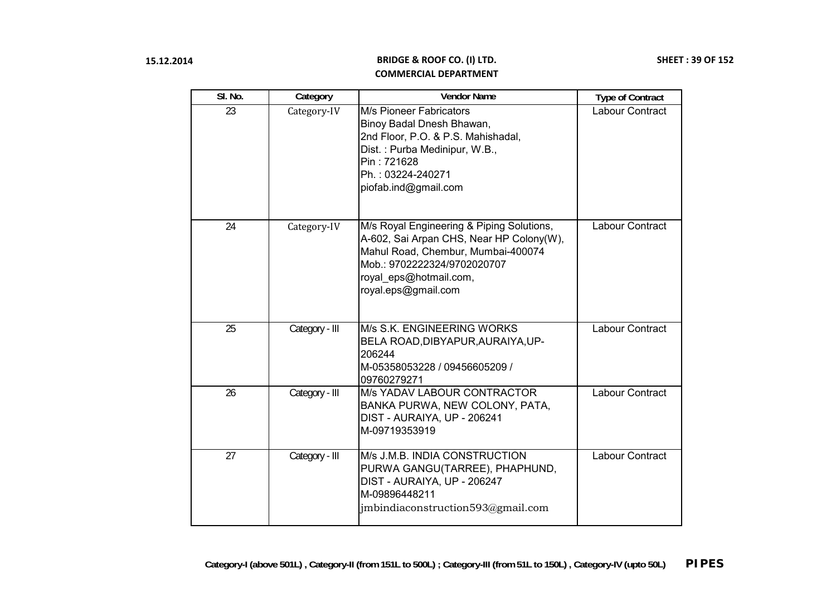| SI. No. | Category       | <b>Vendor Name</b>                                                                                                                                                                                          | <b>Type of Contract</b> |
|---------|----------------|-------------------------------------------------------------------------------------------------------------------------------------------------------------------------------------------------------------|-------------------------|
| 23      | Category-IV    | <b>M/s Pioneer Fabricators</b><br>Binoy Badal Dnesh Bhawan,<br>2nd Floor, P.O. & P.S. Mahishadal,<br>Dist.: Purba Medinipur, W.B.,<br>Pin: 721628<br>Ph.: 03224-240271<br>piofab.ind@gmail.com              | Labour Contract         |
| 24      | Category-IV    | M/s Royal Engineering & Piping Solutions,<br>A-602, Sai Arpan CHS, Near HP Colony(W),<br>Mahul Road, Chembur, Mumbai-400074<br>Mob.: 9702222324/9702020707<br>royal_eps@hotmail.com,<br>royal.eps@gmail.com | Labour Contract         |
| 25      | Category - III | M/s S.K. ENGINEERING WORKS<br>BELA ROAD, DIBYAPUR, AURAIYA, UP-<br>206244<br>M-05358053228 / 09456605209 /<br>09760279271                                                                                   | Labour Contract         |
| 26      | Category - III | M/s YADAV LABOUR CONTRACTOR<br>BANKA PURWA, NEW COLONY, PATA,<br>DIST - AURAIYA, UP - 206241<br>M-09719353919                                                                                               | Labour Contract         |
| 27      | Category - III | M/s J.M.B. INDIA CONSTRUCTION<br>PURWA GANGU(TARREE), PHAPHUND,<br>DIST - AURAIYA, UP - 206247<br>M-09896448211<br>jmbindiaconstruction593@gmail.com                                                        | Labour Contract         |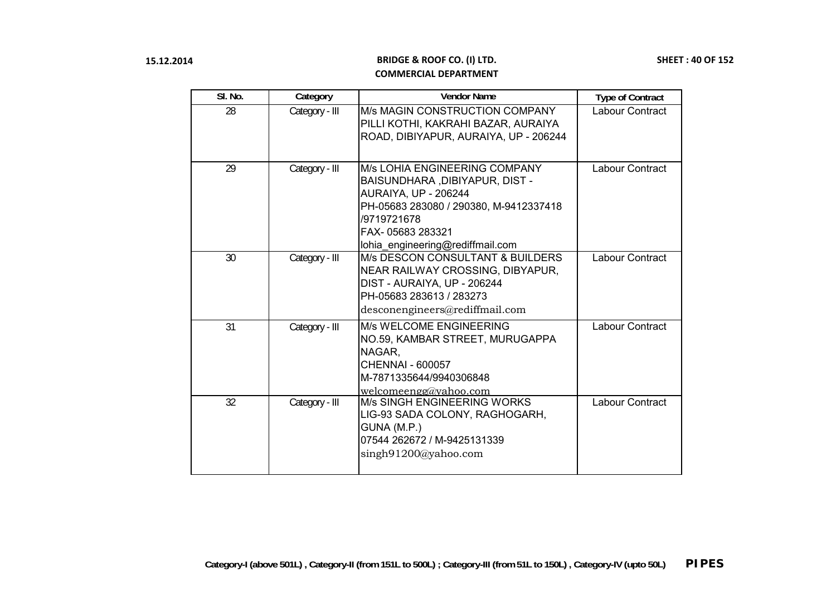| SI. No. | Category       | <b>Vendor Name</b>                                                                                                                                                                                                     | <b>Type of Contract</b> |
|---------|----------------|------------------------------------------------------------------------------------------------------------------------------------------------------------------------------------------------------------------------|-------------------------|
| 28      | Category - III | M/s MAGIN CONSTRUCTION COMPANY<br>PILLI KOTHI, KAKRAHI BAZAR, AURAIYA<br>ROAD, DIBIYAPUR, AURAIYA, UP - 206244                                                                                                         | Labour Contract         |
| 29      | Category - III | <b>M/s LOHIA ENGINEERING COMPANY</b><br>BAISUNDHARA, DIBIYAPUR, DIST -<br><b>AURAIYA, UP - 206244</b><br>PH-05683 283080 / 290380, M-9412337418<br>/9719721678<br>FAX-05683 283321<br>lohia_engineering@rediffmail.com | Labour Contract         |
| 30      | Category - III | <b>M/s DESCON CONSULTANT &amp; BUILDERS</b><br>NEAR RAILWAY CROSSING, DIBYAPUR,<br>DIST - AURAIYA, UP - 206244<br>PH-05683 283613 / 283273<br>desconengineers@rediffmail.com                                           | Labour Contract         |
| 31      | Category - III | M/s WELCOME ENGINEERING<br>NO.59, KAMBAR STREET, MURUGAPPA<br>NAGAR,<br><b>CHENNAI - 600057</b><br>M-7871335644/9940306848<br>welcomeengg@yahoo.com                                                                    | Labour Contract         |
| 32      | Category - III | <b>M/s SINGH ENGINEERING WORKS</b><br>LIG-93 SADA COLONY, RAGHOGARH,<br>GUNA (M.P.)<br>07544 262672 / M-9425131339<br>singh91200@yahoo.com                                                                             | Labour Contract         |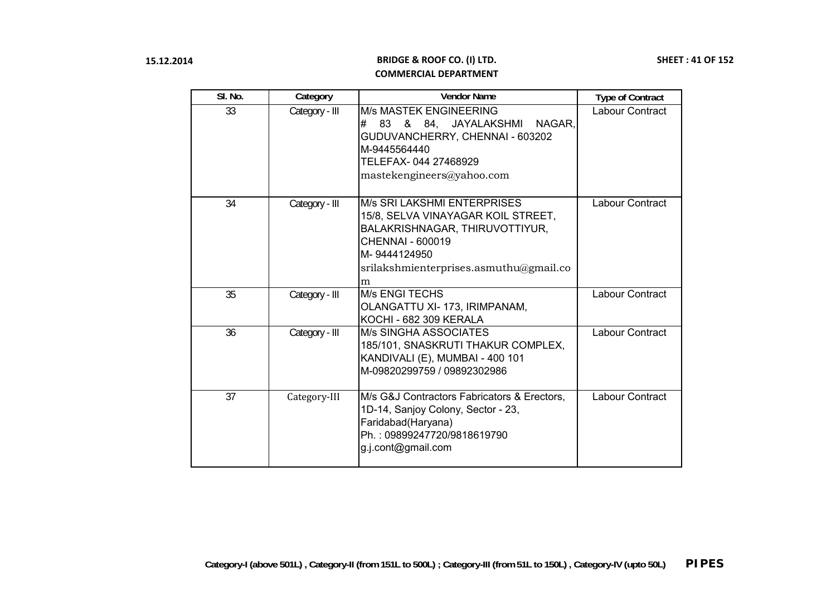| SI. No. | Category       | <b>Vendor Name</b>                                                                                                                                                                            | <b>Type of Contract</b> |
|---------|----------------|-----------------------------------------------------------------------------------------------------------------------------------------------------------------------------------------------|-------------------------|
| 33      | Category - III | <b>M/s MASTEK ENGINEERING</b><br>83 & 84, JAYALAKSHMI NAGAR,<br>#<br>GUDUVANCHERRY, CHENNAI - 603202<br>M-9445564440<br>TELEFAX-044 27468929<br>mastekengineers@yahoo.com                     | Labour Contract         |
| 34      | Category - III | <b>M/s SRI LAKSHMI ENTERPRISES</b><br>15/8, SELVA VINAYAGAR KOIL STREET,<br>BALAKRISHNAGAR, THIRUVOTTIYUR,<br>CHENNAI - 600019<br>M-9444124950<br>srilakshmienterprises.asmuthu@gmail.co<br>m | Labour Contract         |
| 35      | Category - III | <b>M/s ENGI TECHS</b><br>OLANGATTU XI-173, IRIMPANAM,<br><b>KOCHI - 682 309 KERALA</b>                                                                                                        | <b>Labour Contract</b>  |
| 36      | Category - III | <b>M/s SINGHA ASSOCIATES</b><br>185/101, SNASKRUTI THAKUR COMPLEX,<br>KANDIVALI (E), MUMBAI - 400 101<br>M-09820299759 / 09892302986                                                          | <b>Labour Contract</b>  |
| 37      | Category-III   | M/s G&J Contractors Fabricators & Erectors,<br>1D-14, Sanjoy Colony, Sector - 23,<br>Faridabad(Haryana)<br>Ph.: 09899247720/9818619790<br>g.j.cont@gmail.com                                  | <b>Labour Contract</b>  |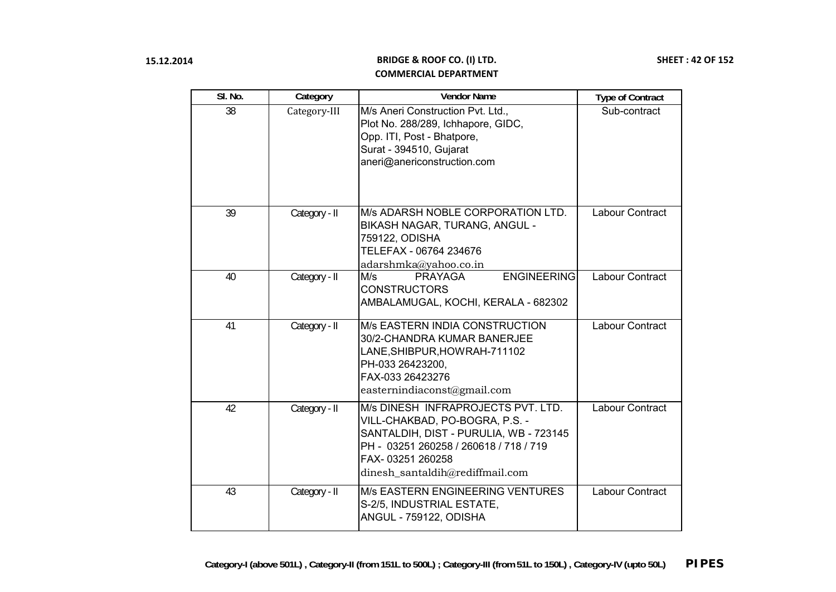| SI. No. | Category      | <b>Vendor Name</b>                                                                                                                                                                                              | <b>Type of Contract</b> |
|---------|---------------|-----------------------------------------------------------------------------------------------------------------------------------------------------------------------------------------------------------------|-------------------------|
| 38      | Category-III  | M/s Aneri Construction Pvt. Ltd.,<br>Plot No. 288/289, Ichhapore, GIDC,<br>Opp. ITI, Post - Bhatpore,<br>Surat - 394510, Gujarat<br>aneri@anericonstruction.com                                                 | Sub-contract            |
| 39      | Category - II | M/s ADARSH NOBLE CORPORATION LTD.<br>BIKASH NAGAR, TURANG, ANGUL -<br>759122, ODISHA<br>TELEFAX - 06764 234676<br>adarshmka@yahoo.co.in                                                                         | Labour Contract         |
| 40      | Category - II | <b>ENGINEERING</b><br>M/s<br><b>PRAYAGA</b><br><b>CONSTRUCTORS</b><br>AMBALAMUGAL, KOCHI, KERALA - 682302                                                                                                       | Labour Contract         |
| 41      | Category - II | M/s EASTERN INDIA CONSTRUCTION<br>30/2-CHANDRA KUMAR BANERJEE<br>LANE, SHIBPUR, HOWRAH-711102<br>PH-033 26423200,<br>FAX-033 26423276<br>easternindiaconst@gmail.com                                            | Labour Contract         |
| 42      | Category - II | M/s DINESH INFRAPROJECTS PVT. LTD.<br>VILL-CHAKBAD, PO-BOGRA, P.S. -<br>SANTALDIH, DIST - PURULIA, WB - 723145<br>PH - 03251 260258 / 260618 / 718 / 719<br>FAX-03251 260258<br>dinesh_santaldih@rediffmail.com | Labour Contract         |
| 43      | Category - II | M/s EASTERN ENGINEERING VENTURES<br>S-2/5, INDUSTRIAL ESTATE,<br>ANGUL - 759122, ODISHA                                                                                                                         | Labour Contract         |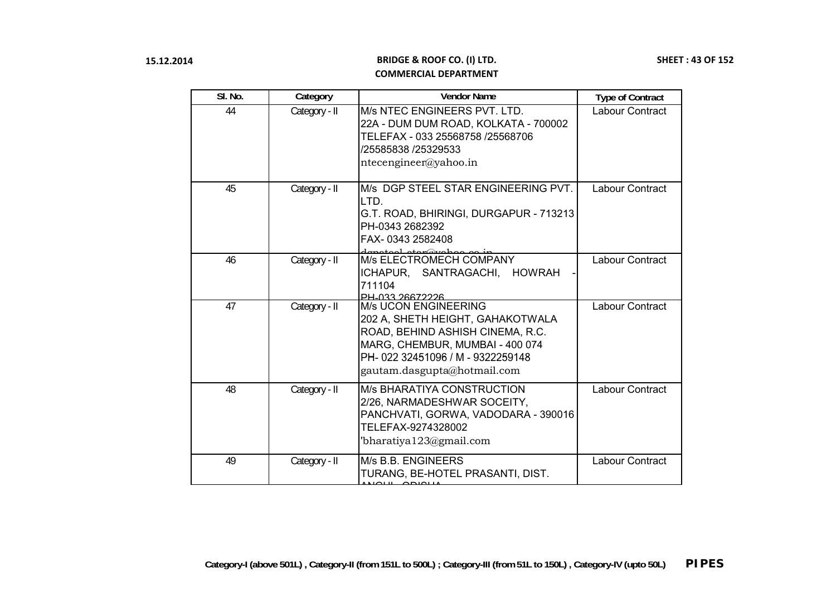| SI. No. | Category      | <b>Vendor Name</b>                                                                                                                                                                                        | <b>Type of Contract</b> |
|---------|---------------|-----------------------------------------------------------------------------------------------------------------------------------------------------------------------------------------------------------|-------------------------|
| 44      | Category - II | M/s NTEC ENGINEERS PVT. LTD.<br>22A - DUM DUM ROAD, KOLKATA - 700002<br>TELEFAX - 033 25568758 /25568706<br>/25585838 /25329533<br>ntecengineer@yahoo.in                                                  | Labour Contract         |
| 45      | Category - II | M/s DGP STEEL STAR ENGINEERING PVT.<br>LTD.<br>G.T. ROAD, BHIRINGI, DURGAPUR - 713213<br>PH-0343 2682392<br>FAX-0343 2582408                                                                              | Labour Contract         |
| 46      | Category - II | depated atom <sup>o</sup> rieboo.co.ip____<br>M/s ELECTROMECH COMPANY<br>ICHAPUR, SANTRAGACHI, HOWRAH<br>711104<br><b>PH_033_26672226</b>                                                                 | Labour Contract         |
| 47      | Category - II | <b>M/s UCON ENGINEERING</b><br>202 A, SHETH HEIGHT, GAHAKOTWALA<br>ROAD, BEHIND ASHISH CINEMA, R.C.<br>MARG, CHEMBUR, MUMBAI - 400 074<br>PH-022 32451096 / M - 9322259148<br>gautam.dasgupta@hotmail.com | Labour Contract         |
| 48      | Category - II | M/s BHARATIYA CONSTRUCTION<br>2/26, NARMADESHWAR SOCEITY,<br>PANCHVATI, GORWA, VADODARA - 390016<br>TELEFAX-9274328002<br>'bharatiya $123$ @gmail.com                                                     | Labour Contract         |
| 49      | Category - II | M/s B.B. ENGINEERS<br>TURANG, BE-HOTEL PRASANTI, DIST.                                                                                                                                                    | Labour Contract         |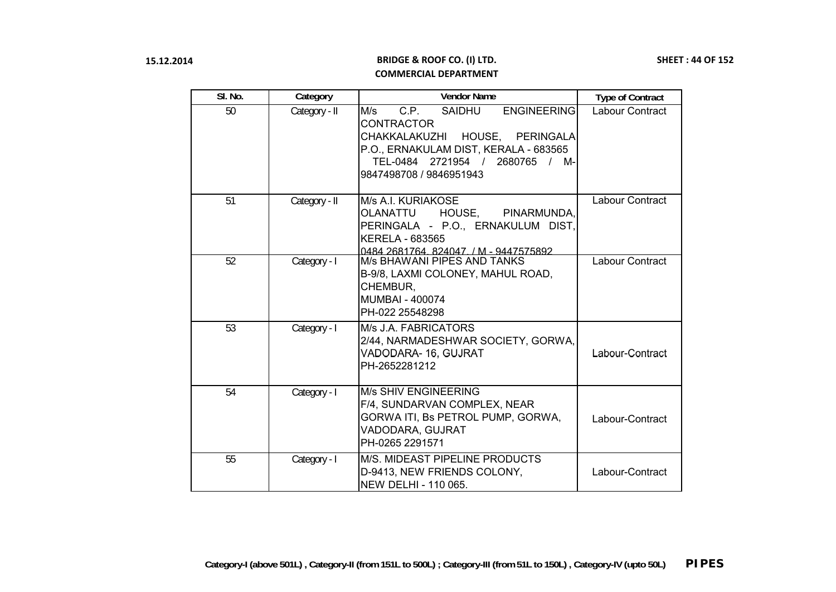| SI. No. | Category      | <b>Vendor Name</b>                                                                                                                                                                                                    | <b>Type of Contract</b> |
|---------|---------------|-----------------------------------------------------------------------------------------------------------------------------------------------------------------------------------------------------------------------|-------------------------|
| 50      | Category - II | SAIDHU<br>M/s<br>C.P.<br><b>ENGINEERING</b><br><b>CONTRACTOR</b><br>HOUSE, PERINGALA<br>CHAKKALAKUZHI<br>P.O., ERNAKULAM DIST, KERALA - 683565<br>2721954 /<br>2680765<br>TEL-0484<br>/ M-<br>9847498708 / 9846951943 | Labour Contract         |
| 51      | Category - II | M/s A.I. KURIAKOSE<br>OLANATTU<br>HOUSE,<br>PINARMUNDA,<br>PERINGALA - P.O., ERNAKULUM DIST,<br><b>KERELA - 683565</b><br>0484 2681764 824047 / M - 9447575892                                                        | Labour Contract         |
| 52      | Category - I  | M/s BHAWANI PIPES AND TANKS<br>B-9/8, LAXMI COLONEY, MAHUL ROAD,<br>CHEMBUR,<br><b>MUMBAI - 400074</b><br>PH-022 25548298                                                                                             | Labour Contract         |
| 53      | Category - I  | M/s J.A. FABRICATORS<br>2/44, NARMADESHWAR SOCIETY, GORWA,<br>VADODARA- 16, GUJRAT<br>PH-2652281212                                                                                                                   | Labour-Contract         |
| 54      | Category - I  | <b>M/s SHIV ENGINEERING</b><br>F/4, SUNDARVAN COMPLEX, NEAR<br>GORWA ITI, Bs PETROL PUMP, GORWA,<br>VADODARA, GUJRAT<br>PH-0265 2291571                                                                               | Labour-Contract         |
| 55      | Category - I  | M/S. MIDEAST PIPELINE PRODUCTS<br>D-9413, NEW FRIENDS COLONY,<br><b>NEW DELHI - 110 065.</b>                                                                                                                          | Labour-Contract         |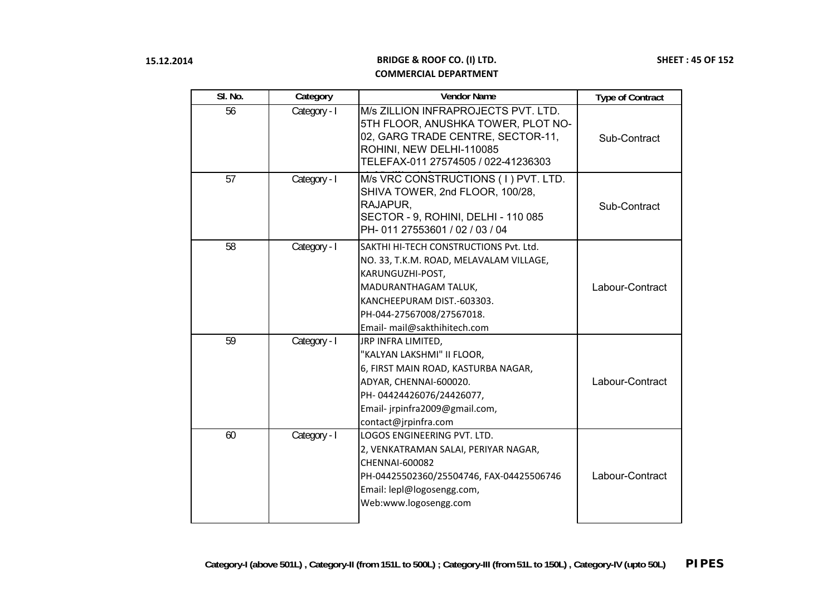| SI. No. | Category     | <b>Vendor Name</b>                                                                                                                                                                                                       | <b>Type of Contract</b> |
|---------|--------------|--------------------------------------------------------------------------------------------------------------------------------------------------------------------------------------------------------------------------|-------------------------|
| 56      | Category - I | M/s ZILLION INFRAPROJECTS PVT. LTD.<br>5TH FLOOR, ANUSHKA TOWER, PLOT NO-<br>02, GARG TRADE CENTRE, SECTOR-11,<br>ROHINI, NEW DELHI-110085<br>TELEFAX-011 27574505 / 022-41236303                                        | Sub-Contract            |
| 57      | Category - I | M/s VRC CONSTRUCTIONS (1) PVT. LTD.<br>SHIVA TOWER, 2nd FLOOR, 100/28,<br>RAJAPUR.<br>SECTOR - 9, ROHINI, DELHI - 110 085<br>PH-011 27553601 / 02 / 03 / 04                                                              | Sub-Contract            |
| 58      | Category - I | SAKTHI HI-TECH CONSTRUCTIONS Pvt. Ltd.<br>NO. 33, T.K.M. ROAD, MELAVALAM VILLAGE,<br>KARUNGUZHI-POST,<br>MADURANTHAGAM TALUK,<br>KANCHEEPURAM DIST.-603303.<br>PH-044-27567008/27567018.<br>Email- mail@sakthihitech.com | Labour-Contract         |
| 59      | Category - I | JRP INFRA LIMITED,<br>"KALYAN LAKSHMI" II FLOOR,<br>6, FIRST MAIN ROAD, KASTURBA NAGAR,<br>ADYAR, CHENNAI-600020.<br>PH-04424426076/24426077,<br>Email- jrpinfra2009@gmail.com,<br>contact@jrpinfra.com                  | Labour-Contract         |
| 60      | Category - I | LOGOS ENGINEERING PVT. LTD.<br>2, VENKATRAMAN SALAI, PERIYAR NAGAR,<br><b>CHENNAI-600082</b><br>PH-04425502360/25504746, FAX-04425506746<br>Email: lepl@logosengg.com,<br>Web:www.logosengg.com                          | Labour-Contract         |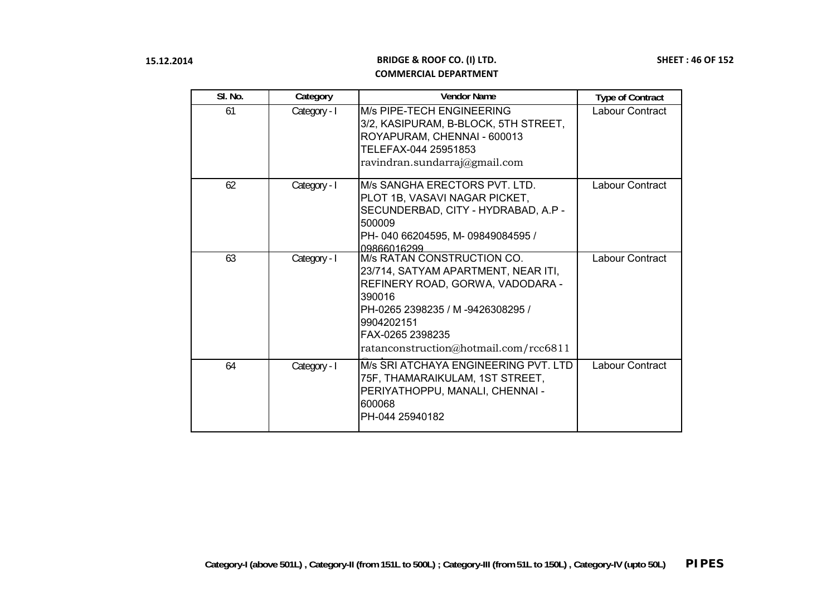| SI. No. | Category     | <b>Vendor Name</b>                                                                                                                                                                                                             | <b>Type of Contract</b> |
|---------|--------------|--------------------------------------------------------------------------------------------------------------------------------------------------------------------------------------------------------------------------------|-------------------------|
| 61      | Category - I | M/s PIPE-TECH ENGINEERING<br>3/2, KASIPURAM, B-BLOCK, 5TH STREET,<br>ROYAPURAM, CHENNAI - 600013<br>TELEFAX-044 25951853<br>ravindran.sundarraj@gmail.com                                                                      | Labour Contract         |
| 62      | Category - I | M/s SANGHA ERECTORS PVT. LTD.<br>PLOT 1B, VASAVI NAGAR PICKET,<br>SECUNDERBAD, CITY - HYDRABAD, A.P -<br>500009<br>PH-040 66204595, M-09849084595 /<br>09866016299                                                             | Labour Contract         |
| 63      | Category - I | M/s RATAN CONSTRUCTION CO.<br>23/714, SATYAM APARTMENT, NEAR ITI,<br>REFINERY ROAD, GORWA, VADODARA -<br>390016<br>PH-0265 2398235 / M-9426308295 /<br>9904202151<br>FAX-0265 2398235<br>ratanconstruction@hotmail.com/rcc6811 | <b>Labour Contract</b>  |
| 64      | Category - I | M/s SRI ATCHAYA ENGINEERING PVT. LTD<br>75F, THAMARAIKULAM, 1ST STREET,<br>PERIYATHOPPU, MANALI, CHENNAI -<br>600068<br>PH-044 25940182                                                                                        | <b>Labour Contract</b>  |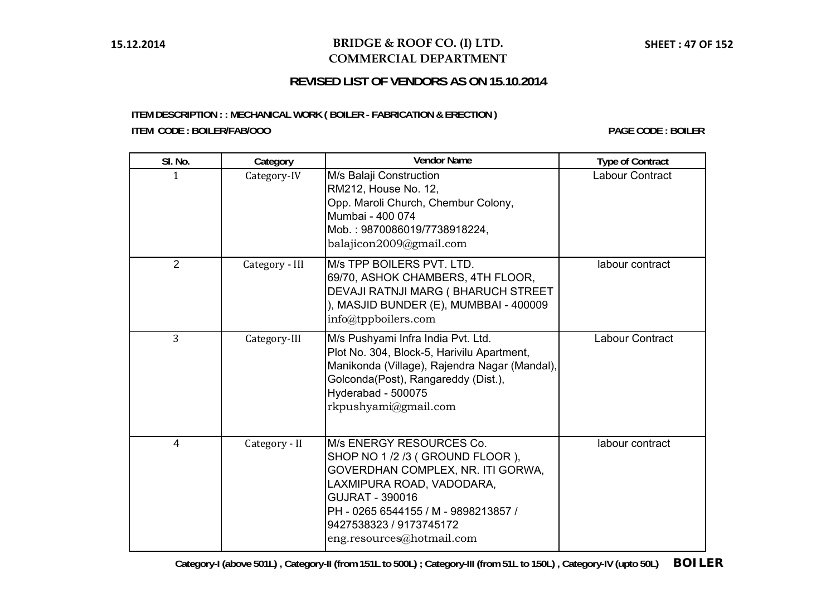## **BRIDGE & ROOF CO. (I) LTD. COMMERCIAL DEPARTMENT**

# **REVISED LIST OF VENDORS AS ON 15.10.2014**

# **ITEM DESCRIPTION : : MECHANICAL WORK ( BOILER - FABRICATION & ERECTION )**

**ITEM CODE : BOILER/FAB/OOO**

**PAGE CODE : BOILER**

| SI. No.        | Category       | <b>Vendor Name</b>                                                                                                                                                                                                                                      | <b>Type of Contract</b> |
|----------------|----------------|---------------------------------------------------------------------------------------------------------------------------------------------------------------------------------------------------------------------------------------------------------|-------------------------|
| $\mathbf{1}$   | Category-IV    | M/s Balaji Construction<br>RM212, House No. 12,<br>Opp. Maroli Church, Chembur Colony,<br>Mumbai - 400 074<br>Mob.: 9870086019/7738918224,<br>balajicon2009@gmail.com                                                                                   | Labour Contract         |
| $\overline{2}$ | Category - III | M/s TPP BOILERS PVT. LTD.<br>69/70, ASHOK CHAMBERS, 4TH FLOOR,<br>DEVAJI RATNJI MARG (BHARUCH STREET<br>), MASJID BUNDER (E), MUMBBAI - 400009<br>info@tppboilers.com                                                                                   | labour contract         |
| 3              | Category-III   | M/s Pushyami Infra India Pvt. Ltd.<br>Plot No. 304, Block-5, Harivilu Apartment,<br>Manikonda (Village), Rajendra Nagar (Mandal),<br>Golconda(Post), Rangareddy (Dist.),<br>Hyderabad - 500075<br>rkpushyami@gmail.com                                  | Labour Contract         |
| $\overline{4}$ | Category - II  | M/s ENERGY RESOURCES Co.<br>SHOP NO 1 /2 /3 (GROUND FLOOR),<br>GOVERDHAN COMPLEX, NR. ITI GORWA,<br>LAXMIPURA ROAD, VADODARA,<br><b>GUJRAT - 390016</b><br>PH - 0265 6544155 / M - 9898213857 /<br>9427538323 / 9173745172<br>eng.resources@hotmail.com | labour contract         |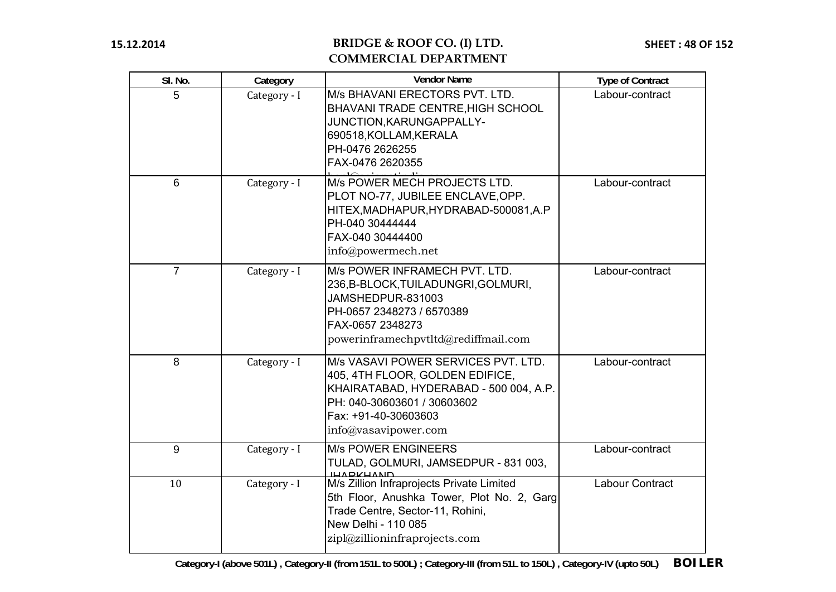# **BRIDGE & ROOF CO. (I) LTD. COMMERCIAL DEPARTMENT**

| SI. No.        | Category     | <b>Vendor Name</b>                                                                                                                                                                                 | <b>Type of Contract</b> |
|----------------|--------------|----------------------------------------------------------------------------------------------------------------------------------------------------------------------------------------------------|-------------------------|
| 5              | Category - I | M/s BHAVANI ERECTORS PVT. LTD.<br><b>BHAVANI TRADE CENTRE, HIGH SCHOOL</b><br>JUNCTION, KARUNGAPPALLY-<br>690518, KOLLAM, KERALA<br>PH-0476 2626255<br>FAX-0476 2620355                            | Labour-contract         |
| 6              | Category - I | M/s POWER MECH PROJECTS LTD.<br>PLOT NO-77, JUBILEE ENCLAVE, OPP.<br>HITEX, MADHAPUR, HYDRABAD-500081, A.P<br>PH-040 30444444<br>FAX-040 30444400<br>info@powermech.net                            | Labour-contract         |
| $\overline{7}$ | Category - I | M/s POWER INFRAMECH PVT. LTD.<br>236, B-BLOCK, TUILADUNGRI, GOLMURI,<br>JAMSHEDPUR-831003<br>PH-0657 2348273 / 6570389<br>FAX-0657 2348273<br>powerinframechpvtltd@rediffmail.com                  | Labour-contract         |
| 8              | Category - I | M/s VASAVI POWER SERVICES PVT. LTD.<br>405, 4TH FLOOR, GOLDEN EDIFICE,<br>KHAIRATABAD, HYDERABAD - 500 004, A.P.<br>PH: 040-30603601 / 30603602<br>Fax: +91-40-30603603<br>$info@v$ asavipower.com | Labour-contract         |
| 9              | Category - I | <b>M/s POWER ENGINEERS</b><br>TULAD, GOLMURI, JAMSEDPUR - 831 003,<br><b>ILIADIZLIANIN</b>                                                                                                         | Labour-contract         |
| 10             | Category - I | M/s Zillion Infraprojects Private Limited<br>5th Floor, Anushka Tower, Plot No. 2, Garg<br>Trade Centre, Sector-11, Rohini,<br>New Delhi - 110 085<br>zipl@zillioninfraprojects.com                | Labour Contract         |

**Category-I (above 501L) , Category-II (from 151L to 500L) ; Category-III (from 51L to 150L) , Category-IV (upto 50L) BOILER**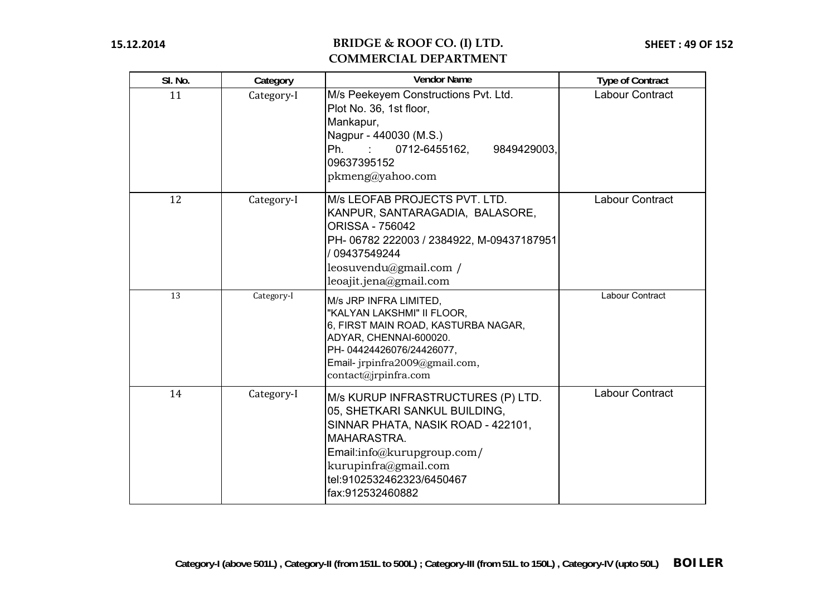| SI. No. | Category   | <b>Vendor Name</b>                                                                                                                                                                                                              | <b>Type of Contract</b> |
|---------|------------|---------------------------------------------------------------------------------------------------------------------------------------------------------------------------------------------------------------------------------|-------------------------|
| 11      | Category-I | M/s Peekeyem Constructions Pvt. Ltd.<br>Plot No. 36, 1st floor,<br>Mankapur,<br>Nagpur - 440030 (M.S.)<br>Ph.<br>0712-6455162,<br>9849429003,<br>09637395152<br>pkmeng@yahoo.com                                                | Labour Contract         |
| 12      | Category-I | M/s LEOFAB PROJECTS PVT. LTD.<br>KANPUR, SANTARAGADIA, BALASORE,<br><b>ORISSA - 756042</b><br>PH-06782 222003 / 2384922, M-09437187951<br>/ 09437549244<br>leosuvendu@gmail.com /<br>leoajit.jena@gmail.com                     | Labour Contract         |
| 13      | Category-I | M/s JRP INFRA LIMITED,<br>"KALYAN LAKSHMI" II FLOOR,<br>6, FIRST MAIN ROAD, KASTURBA NAGAR,<br>ADYAR, CHENNAI-600020.<br>PH-04424426076/24426077,<br>Email- jrpinfra2009@gmail.com,<br>contact@jrpinfra.com                     | <b>Labour Contract</b>  |
| 14      | Category-I | M/s KURUP INFRASTRUCTURES (P) LTD.<br>05, SHETKARI SANKUL BUILDING,<br>SINNAR PHATA, NASIK ROAD - 422101,<br>MAHARASTRA.<br>Email:info@kurupgroup.com/<br>kurupinfra@gmail.com<br>tel:9102532462323/6450467<br>fax:912532460882 | Labour Contract         |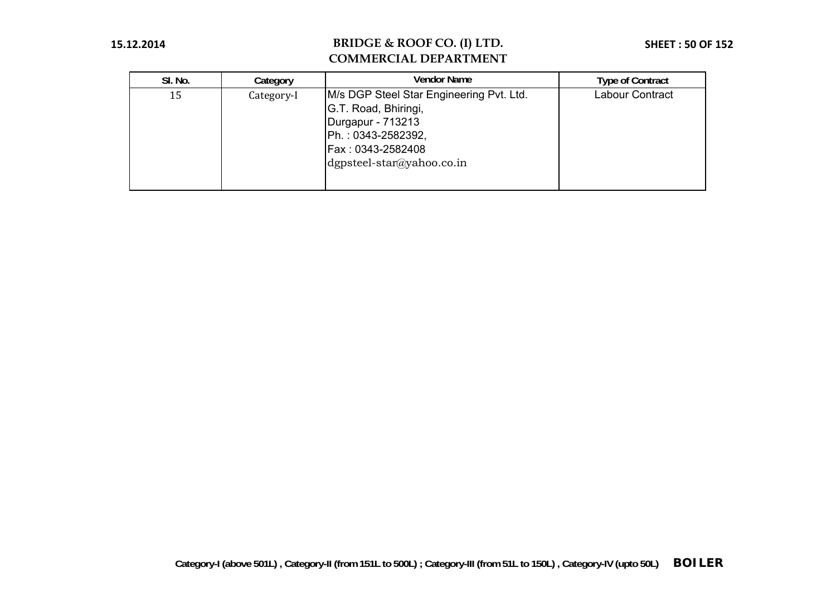| SI. No. | Category   | Vendor Name                                                                                                                                                       | <b>Type of Contract</b> |
|---------|------------|-------------------------------------------------------------------------------------------------------------------------------------------------------------------|-------------------------|
| 15      | Category-I | M/s DGP Steel Star Engineering Pvt. Ltd.<br>G.T. Road, Bhiringi,<br>Durgapur - 713213<br>Ph.: 0343-2582392,<br>Fax : 0343-2582408<br>$d$ gpsteel-star@yahoo.co.in | Labour Contract         |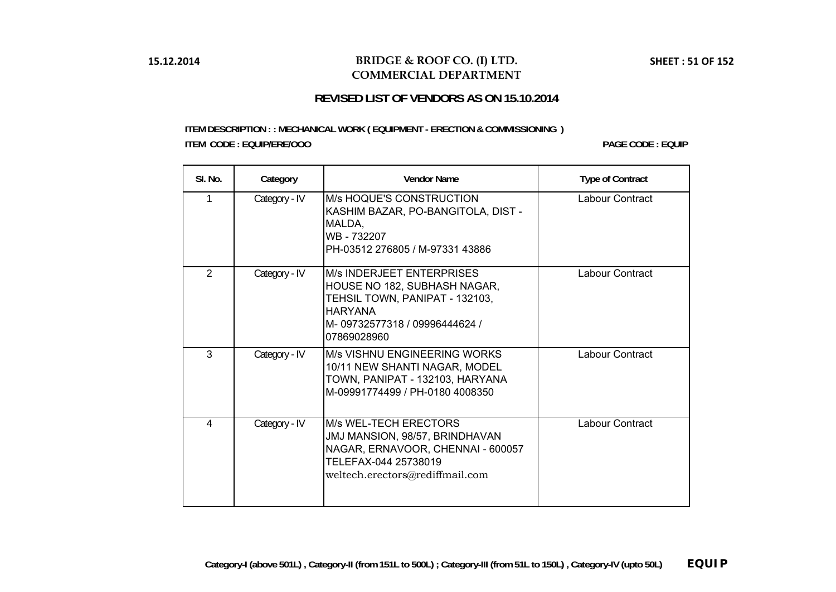### **BRIDGE & ROOF CO. (I) LTD. COMMERCIAL DEPARTMENT**

### **REVISED LIST OF VENDORS AS ON 15.10.2014**

### **ITEM DESCRIPTION : : MECHANICAL WORK ( EQUIPMENT - ERECTION & COMMISSIONING ) ITEM CODE : EQUIP/ERE/OOO**

**PAGE CODE: EQUIP** 

| SI. No.        | Category      | <b>Vendor Name</b>                                                                                                                                                   | <b>Type of Contract</b> |
|----------------|---------------|----------------------------------------------------------------------------------------------------------------------------------------------------------------------|-------------------------|
| 1              | Category - IV | M/s HOQUE'S CONSTRUCTION<br>KASHIM BAZAR, PO-BANGITOLA, DIST -<br>MALDA,<br>WB - 732207<br>PH-03512 276805 / M-97331 43886                                           | Labour Contract         |
| 2              | Category - IV | <b>M/s INDERJEET ENTERPRISES</b><br>HOUSE NO 182, SUBHASH NAGAR,<br>TEHSIL TOWN, PANIPAT - 132103,<br><b>HARYANA</b><br>M-09732577318 / 09996444624 /<br>07869028960 | Labour Contract         |
| $\overline{3}$ | Category - IV | M/s VISHNU ENGINEERING WORKS<br>10/11 NEW SHANTI NAGAR, MODEL<br>TOWN, PANIPAT - 132103, HARYANA<br>M-09991774499 / PH-0180 4008350                                  | Labour Contract         |
| 4              | Category - IV | <b>M/s WEL-TECH ERECTORS</b><br>JMJ MANSION, 98/57, BRINDHAVAN<br>NAGAR, ERNAVOOR, CHENNAI - 600057<br>TELEFAX-044 25738019<br>weltech.erectors@rediffmail.com       | Labour Contract         |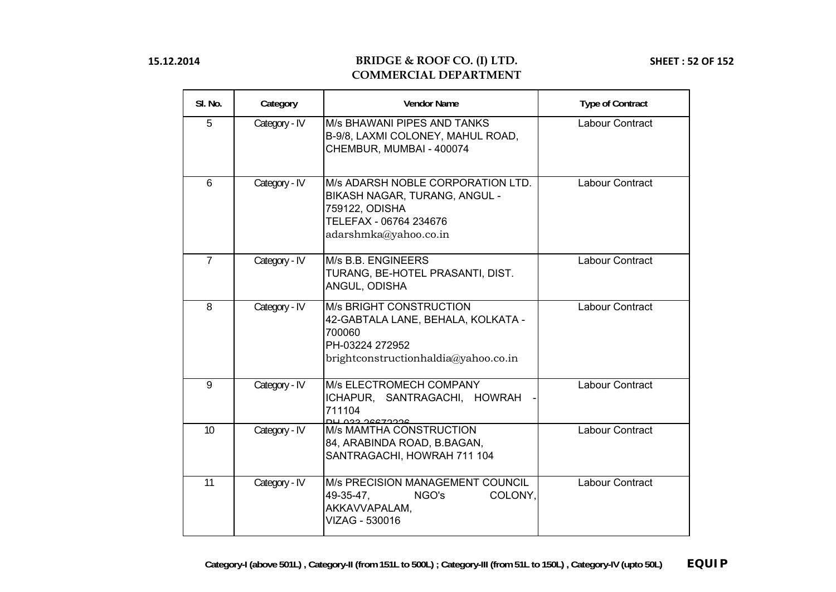| SI. No.        | Category      | <b>Vendor Name</b>                                                                                                                        | <b>Type of Contract</b> |
|----------------|---------------|-------------------------------------------------------------------------------------------------------------------------------------------|-------------------------|
| 5              | Category - IV | <b>M/s BHAWANI PIPES AND TANKS</b><br>B-9/8, LAXMI COLONEY, MAHUL ROAD,<br>CHEMBUR, MUMBAI - 400074                                       | Labour Contract         |
| 6              | Category - IV | M/s ADARSH NOBLE CORPORATION LTD.<br>BIKASH NAGAR, TURANG, ANGUL -<br>759122, ODISHA<br>TELEFAX - 06764 234676<br>adarshmka@yahoo.co.in   | Labour Contract         |
| $\overline{7}$ | Category - IV | M/s B.B. ENGINEERS<br>TURANG, BE-HOTEL PRASANTI, DIST.<br>ANGUL, ODISHA                                                                   | Labour Contract         |
| 8              | Category - IV | <b>M/s BRIGHT CONSTRUCTION</b><br>42-GABTALA LANE, BEHALA, KOLKATA -<br>700060<br>PH-03224 272952<br>brightconstructionhaldia@yahoo.co.in | Labour Contract         |
| 9              | Category - IV | M/s ELECTROMECH COMPANY<br>ICHAPUR, SANTRAGACHI, HOWRAH<br>711104<br>DU 022 26672226                                                      | Labour Contract         |
| 10             | Category - IV | M/s MAMTHA CONSTRUCTION<br>84, ARABINDA ROAD, B.BAGAN,<br>SANTRAGACHI, HOWRAH 711 104                                                     | Labour Contract         |
| 11             | Category - IV | M/s PRECISION MANAGEMENT COUNCIL<br>49-35-47,<br>COLONY,<br>NGO's<br>AKKAVVAPALAM,<br>VIZAG - 530016                                      | Labour Contract         |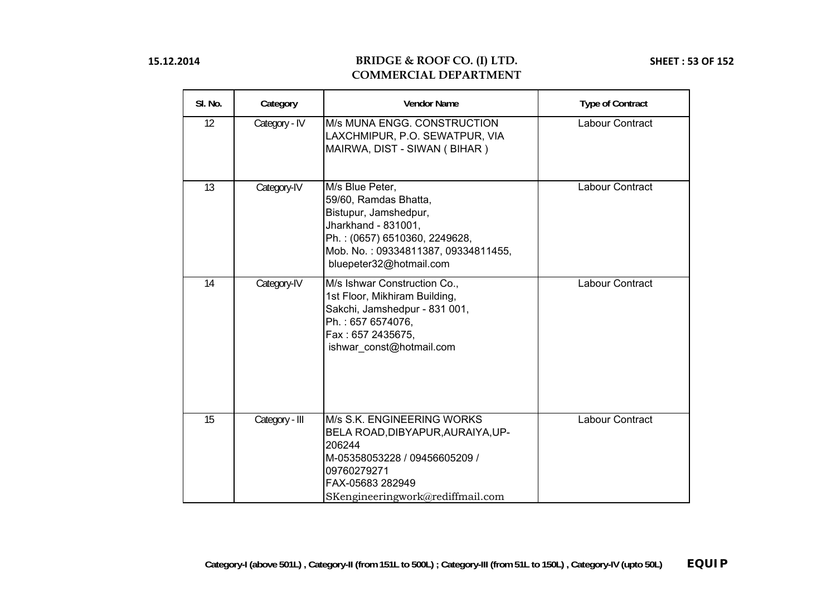| SI. No. | Category       | <b>Vendor Name</b>                                                                                                                                                                          | <b>Type of Contract</b> |
|---------|----------------|---------------------------------------------------------------------------------------------------------------------------------------------------------------------------------------------|-------------------------|
| 12      | Category - IV  | M/s MUNA ENGG. CONSTRUCTION<br>LAXCHMIPUR, P.O. SEWATPUR, VIA<br>MAIRWA, DIST - SIWAN ( BIHAR )                                                                                             | Labour Contract         |
| 13      | Category-IV    | M/s Blue Peter,<br>59/60, Ramdas Bhatta,<br>Bistupur, Jamshedpur,<br>Jharkhand - 831001,<br>Ph.: (0657) 6510360, 2249628,<br>Mob. No.: 09334811387, 09334811455,<br>bluepeter32@hotmail.com | Labour Contract         |
| 14      | Category-IV    | M/s Ishwar Construction Co.,<br>1st Floor, Mikhiram Building,<br>Sakchi, Jamshedpur - 831 001,<br>Ph.: 657 6574076,<br>Fax: 657 2435675,<br>ishwar const@hotmail.com                        | <b>Labour Contract</b>  |
| 15      | Category - III | M/s S.K. ENGINEERING WORKS<br>BELA ROAD, DIBYAPUR, AURAIYA, UP-<br>206244<br>M-05358053228 / 09456605209 /<br>09760279271<br>FAX-05683 282949<br>SKengineeringwork@rediffmail.com           | <b>Labour Contract</b>  |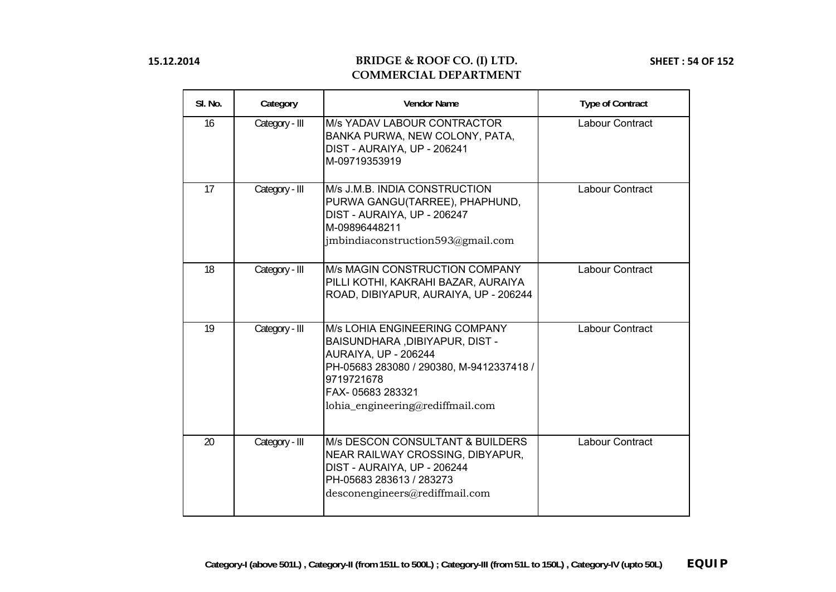| SI. No. | Category       | <b>Vendor Name</b>                                                                                                                                                                                        | <b>Type of Contract</b> |
|---------|----------------|-----------------------------------------------------------------------------------------------------------------------------------------------------------------------------------------------------------|-------------------------|
| 16      | Category - III | M/s YADAV LABOUR CONTRACTOR<br>BANKA PURWA, NEW COLONY, PATA,<br>DIST - AURAIYA, UP - 206241<br>M-09719353919                                                                                             | Labour Contract         |
| 17      | Category - III | M/s J.M.B. INDIA CONSTRUCTION<br>PURWA GANGU(TARREE), PHAPHUND,<br>DIST - AURAIYA, UP - 206247<br>M-09896448211<br>jmbindiaconstruction593@gmail.com                                                      | Labour Contract         |
| 18      | Category - III | M/s MAGIN CONSTRUCTION COMPANY<br>PILLI KOTHI, KAKRAHI BAZAR, AURAIYA<br>ROAD, DIBIYAPUR, AURAIYA, UP - 206244                                                                                            | Labour Contract         |
| 19      | Category - III | M/s LOHIA ENGINEERING COMPANY<br>BAISUNDHARA, DIBIYAPUR, DIST -<br>AURAIYA, UP - 206244<br>PH-05683 283080 / 290380, M-9412337418 /<br>9719721678<br>FAX-05683 283321<br>lohia_engineering@rediffmail.com | Labour Contract         |
| 20      | Category - III | <b>M/s DESCON CONSULTANT &amp; BUILDERS</b><br>NEAR RAILWAY CROSSING, DIBYAPUR,<br>DIST - AURAIYA, UP - 206244<br>PH-05683 283613 / 283273<br>desconengineers@rediffmail.com                              | Labour Contract         |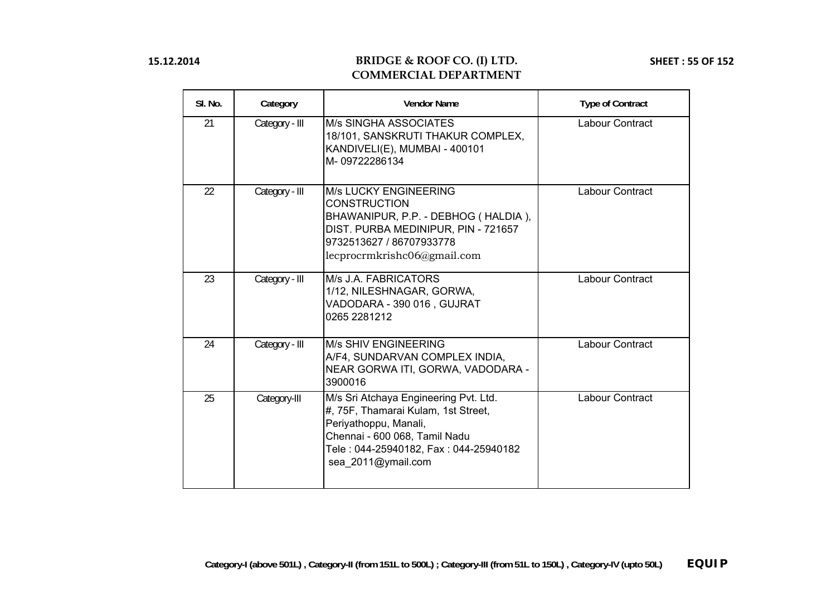| SI. No. | Category       | <b>Vendor Name</b>                                                                                                                                                                                    | <b>Type of Contract</b> |
|---------|----------------|-------------------------------------------------------------------------------------------------------------------------------------------------------------------------------------------------------|-------------------------|
| 21      | Category - III | <b>M/s SINGHA ASSOCIATES</b><br>18/101, SANSKRUTI THAKUR COMPLEX,<br>KANDIVELI(E), MUMBAI - 400101<br>M-09722286134                                                                                   | Labour Contract         |
| 22      | Category - III | <b>M/s LUCKY ENGINEERING</b><br><b>CONSTRUCTION</b><br>BHAWANIPUR, P.P. - DEBHOG (HALDIA),<br>DIST. PURBA MEDINIPUR, PIN - 721657<br>9732513627 / 86707933778<br>lecprocrmkrishc06@gmail.com          | <b>Labour Contract</b>  |
| 23      | Category - III | M/s J.A. FABRICATORS<br>1/12, NILESHNAGAR, GORWA,<br>VADODARA - 390 016, GUJRAT<br>0265 2281212                                                                                                       | Labour Contract         |
| 24      | Category - III | <b>M/s SHIV ENGINEERING</b><br>A/F4, SUNDARVAN COMPLEX INDIA,<br>NEAR GORWA ITI, GORWA, VADODARA -<br>3900016                                                                                         | Labour Contract         |
| 25      | Category-III   | M/s Sri Atchaya Engineering Pvt. Ltd.<br>#, 75F, Thamarai Kulam, 1st Street,<br>Periyathoppu, Manali,<br>Chennai - 600 068, Tamil Nadu<br>Tele: 044-25940182, Fax: 044-25940182<br>sea 2011@ymail.com | <b>Labour Contract</b>  |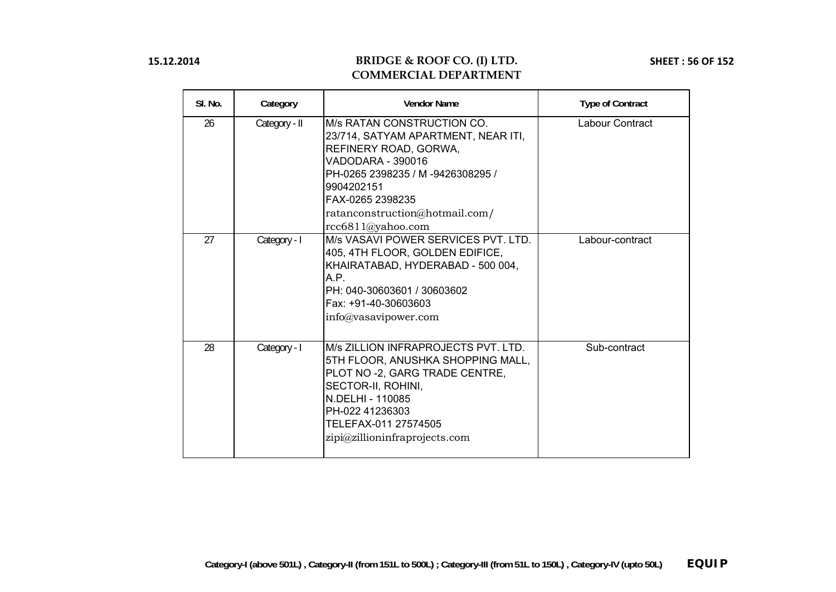| SI. No. | Category      | <b>Vendor Name</b>                                                                                                                                                                                                                                | <b>Type of Contract</b> |
|---------|---------------|---------------------------------------------------------------------------------------------------------------------------------------------------------------------------------------------------------------------------------------------------|-------------------------|
| 26      | Category - II | IM/s RATAN CONSTRUCTION CO.<br>23/714, SATYAM APARTMENT, NEAR ITI,<br>REFINERY ROAD, GORWA,<br>VADODARA - 390016<br>PH-0265 2398235 / M-9426308295 /<br>9904202151<br>FAX-0265 2398235<br>ratanconstruction@hotmail.com/<br>rcc6811@yahoo.com     | Labour Contract         |
| 27      | Category - I  | IM/s VASAVI POWER SERVICES PVT. LTD.<br>405, 4TH FLOOR, GOLDEN EDIFICE,<br>KHAIRATABAD, HYDERABAD - 500 004,<br>A.P.<br>PH: 040-30603601 / 30603602<br>Fax: +91-40-30603603<br>$info@v$ asavipower.com                                            | Labour-contract         |
| 28      | Category - I  | <b>IM/s ZILLION INFRAPROJECTS PVT. LTD.</b><br>5TH FLOOR, ANUSHKA SHOPPING MALL,<br>PLOT NO -2, GARG TRADE CENTRE,<br>SECTOR-II, ROHINI,<br><b>IN.DELHI - 110085</b><br>PH-022 41236303<br>TELEFAX-011 27574505<br>zipi@zillion infraprojects.com | Sub-contract            |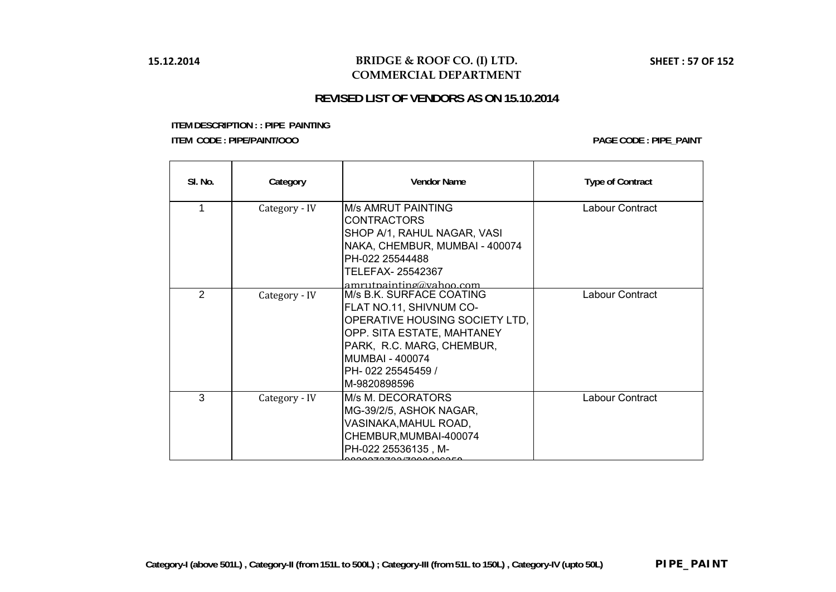## **BRIDGE & ROOF CO. (I) LTD. COMMERCIAL DEPARTMENT**

# **REVISED LIST OF VENDORS AS ON 15.10.2014**

| SI. No.        | Category      | <b>Vendor Name</b>                                                                                                                                                                                              | <b>Type of Contract</b> |
|----------------|---------------|-----------------------------------------------------------------------------------------------------------------------------------------------------------------------------------------------------------------|-------------------------|
| 1              | Category - IV | M/s AMRUT PAINTING<br><b>CONTRACTORS</b><br>SHOP A/1, RAHUL NAGAR, VASI<br>NAKA, CHEMBUR, MUMBAI - 400074<br>PH-022 25544488<br>TELEFAX- 25542367<br>$amru$ tpainting@vahoo.com                                 | Labour Contract         |
| $\mathfrak{D}$ | Category - IV | M/s B.K. SURFACE COATING<br>FLAT NO.11, SHIVNUM CO-<br>OPERATIVE HOUSING SOCIETY LTD,<br>OPP. SITA ESTATE, MAHTANEY<br>PARK, R.C. MARG, CHEMBUR,<br><b>MUMBAI - 400074</b><br>PH-022 25545459 /<br>M-9820898596 | Labour Contract         |
| 3              | Category - IV | M/s M. DECORATORS<br>MG-39/2/5, ASHOK NAGAR,<br>VASINAKA, MAHUL ROAD,<br>CHEMBUR, MUMBAI-400074<br>PH-022 25536135, M-                                                                                          | Labour Contract         |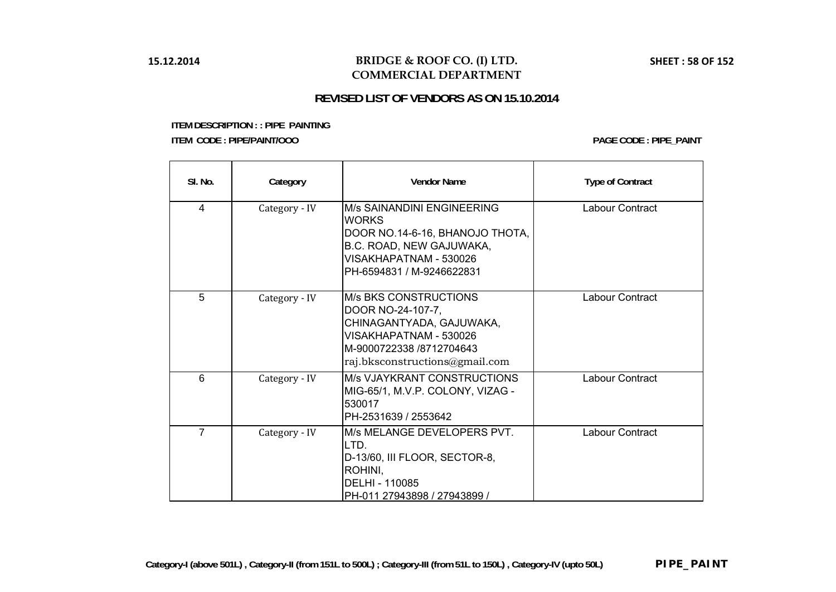## **BRIDGE & ROOF CO. (I) LTD. COMMERCIAL DEPARTMENT**

# **REVISED LIST OF VENDORS AS ON 15.10.2014**

| SI. No.        | Category      | <b>Vendor Name</b>                                                                                                                                                    | <b>Type of Contract</b> |
|----------------|---------------|-----------------------------------------------------------------------------------------------------------------------------------------------------------------------|-------------------------|
| 4              | Category - IV | M/s SAINANDINI ENGINEERING<br><b>WORKS</b><br>DOOR NO.14-6-16, BHANOJO THOTA,<br>B.C. ROAD, NEW GAJUWAKA,<br>VISAKHAPATNAM - 530026<br>PH-6594831 / M-9246622831      | Labour Contract         |
| 5              | Category - IV | <b>M/s BKS CONSTRUCTIONS</b><br>DOOR NO-24-107-7,<br>CHINAGANTYADA, GAJUWAKA,<br>VISAKHAPATNAM - 530026<br>M-9000722338 /8712704643<br>raj.bksconstructions@gmail.com | Labour Contract         |
| 6              | Category - IV | M/s VJAYKRANT CONSTRUCTIONS<br>MIG-65/1, M.V.P. COLONY, VIZAG -<br>530017<br>PH-2531639 / 2553642                                                                     | Labour Contract         |
| $\overline{7}$ | Category - IV | M/s MELANGE DEVELOPERS PVT.<br>LTD.<br>D-13/60, III FLOOR, SECTOR-8,<br>ROHINI,<br>DELHI - 110085<br>PH-011 27943898 / 27943899 /                                     | Labour Contract         |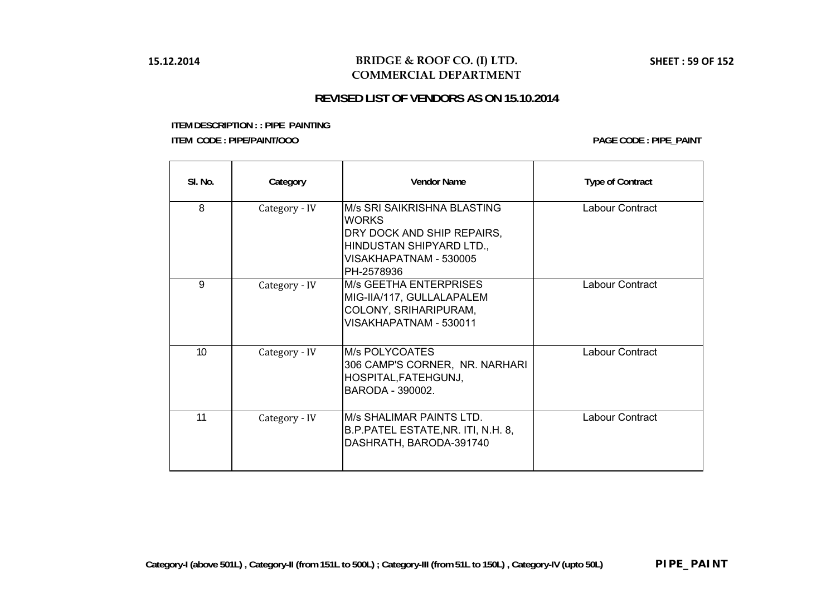## **BRIDGE & ROOF CO. (I) LTD. COMMERCIAL DEPARTMENT**

# **REVISED LIST OF VENDORS AS ON 15.10.2014**

| SI. No. | Category      | <b>Vendor Name</b>                                                                                                                            | <b>Type of Contract</b> |
|---------|---------------|-----------------------------------------------------------------------------------------------------------------------------------------------|-------------------------|
| 8       | Category - IV | M/s SRI SAIKRISHNA BLASTING<br><b>WORKS</b><br>DRY DOCK AND SHIP REPAIRS,<br>HINDUSTAN SHIPYARD LTD.,<br>VISAKHAPATNAM - 530005<br>PH-2578936 | Labour Contract         |
| 9       | Category - IV | <b>M/s GEETHA ENTERPRISES</b><br>MIG-IIA/117, GULLALAPALEM<br>COLONY, SRIHARIPURAM,<br>VISAKHAPATNAM - 530011                                 | Labour Contract         |
| 10      | Category - IV | M/s POLYCOATES<br>306 CAMP'S CORNER, NR. NARHARI<br>HOSPITAL, FATEHGUNJ,<br>BARODA - 390002.                                                  | Labour Contract         |
| 11      | Category - IV | M/s SHALIMAR PAINTS LTD.<br>B.P. PATEL ESTATE, NR. ITI, N.H. 8,<br>DASHRATH, BARODA-391740                                                    | Labour Contract         |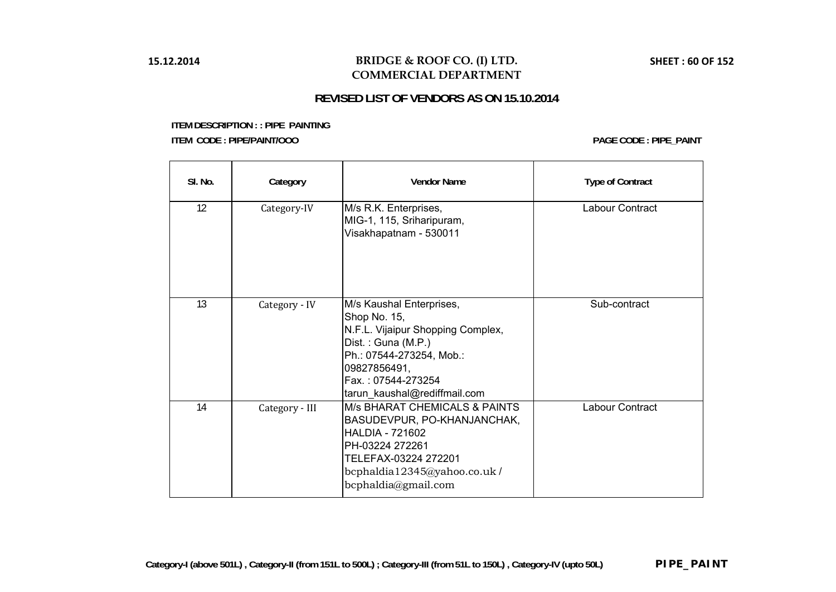## **BRIDGE & ROOF CO. (I) LTD. COMMERCIAL DEPARTMENT**

## **REVISED LIST OF VENDORS AS ON 15.10.2014**

| SI. No. | Category       | <b>Vendor Name</b>                                                                                                                                                                                    | <b>Type of Contract</b> |
|---------|----------------|-------------------------------------------------------------------------------------------------------------------------------------------------------------------------------------------------------|-------------------------|
| 12      | Category-IV    | M/s R.K. Enterprises,<br>MIG-1, 115, Sriharipuram,<br>Visakhapatnam - 530011                                                                                                                          | Labour Contract         |
| 13      | Category - IV  | M/s Kaushal Enterprises,<br>Shop No. 15,<br>N.F.L. Vijaipur Shopping Complex,<br>Dist.: Guna (M.P.)<br>Ph.: 07544-273254, Mob.:<br>09827856491,<br>Fax.: 07544-273254<br>tarun_kaushal@rediffmail.com | Sub-contract            |
| 14      | Category - III | <b>M/s BHARAT CHEMICALS &amp; PAINTS</b><br>BASUDEVPUR, PO-KHANJANCHAK,<br><b>HALDIA - 721602</b><br>PH-03224 272261<br>TELEFAX-03224 272201<br>bcphaldia12345@yahoo.co.uk/<br>bcphaldia@gmail.com    | Labour Contract         |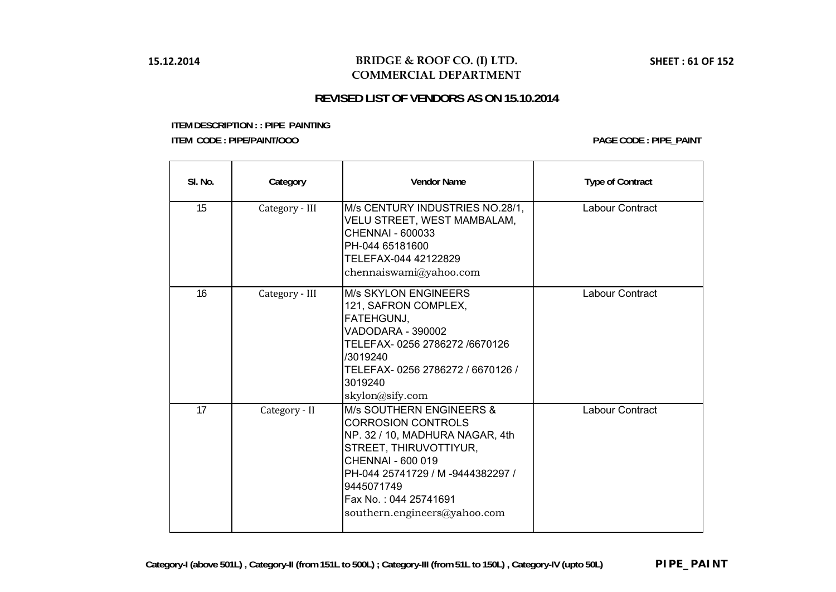## **BRIDGE & ROOF CO. (I) LTD. COMMERCIAL DEPARTMENT**

# **REVISED LIST OF VENDORS AS ON 15.10.2014**

| SI. No. | Category       | <b>Vendor Name</b>                                                                                                                                                                                                                                  | <b>Type of Contract</b> |
|---------|----------------|-----------------------------------------------------------------------------------------------------------------------------------------------------------------------------------------------------------------------------------------------------|-------------------------|
| 15      | Category - III | M/s CENTURY INDUSTRIES NO.28/1,<br>VELU STREET, WEST MAMBALAM,<br>CHENNAI - 600033<br>PH-044 65181600<br>TELEFAX-044 42122829<br>chennaiswami@yahoo.com                                                                                             | Labour Contract         |
| 16      | Category - III | <b>M/s SKYLON ENGINEERS</b><br>121, SAFRON COMPLEX,<br>FATEHGUNJ,<br>VADODARA - 390002<br>TELEFAX-0256 2786272 /6670126<br>/3019240<br>TELEFAX-0256 2786272 / 6670126 /<br>3019240<br>skylon@sify.com                                               | Labour Contract         |
| 17      | Category - II  | M/s SOUTHERN ENGINEERS &<br><b>CORROSION CONTROLS</b><br>NP. 32 / 10, MADHURA NAGAR, 4th<br>STREET, THIRUVOTTIYUR,<br>CHENNAI - 600 019<br>PH-044 25741729 / M -9444382297 /<br>9445071749<br>Fax No.: 044 25741691<br>southern.engineers@yahoo.com | Labour Contract         |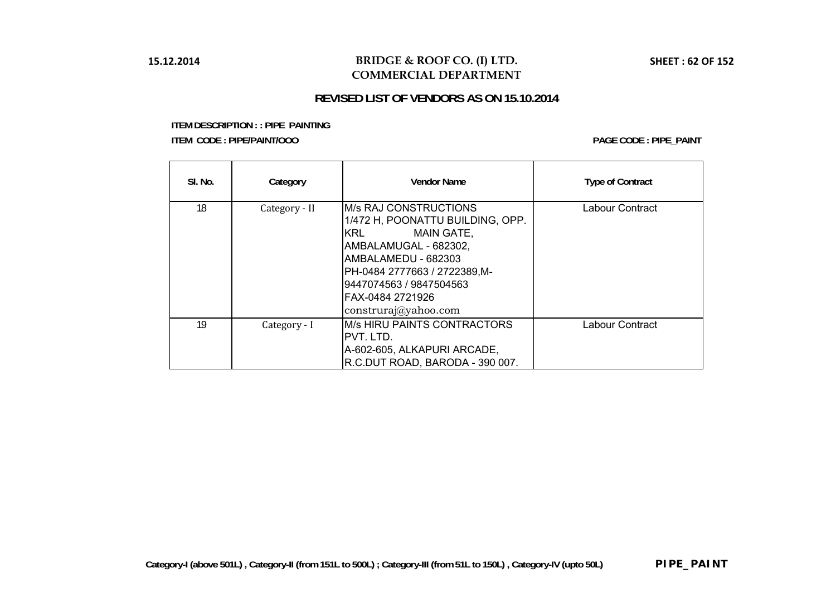## **BRIDGE & ROOF CO. (I) LTD. COMMERCIAL DEPARTMENT**

## **REVISED LIST OF VENDORS AS ON 15.10.2014**

| SI. No. | Category      | <b>Vendor Name</b>                                                                                                                                                                                                                                   | <b>Type of Contract</b> |
|---------|---------------|------------------------------------------------------------------------------------------------------------------------------------------------------------------------------------------------------------------------------------------------------|-------------------------|
| 18      | Category - II | <b>M/s RAJ CONSTRUCTIONS</b><br>1/472 H, POONATTU BUILDING, OPP.<br>KRL<br><b>MAIN GATE,</b><br>AMBALAMUGAL - 682302,<br>AMBALAMEDU - 682303<br>PH-0484 2777663 / 2722389, M-<br>9447074563 / 9847504563<br>FAX-0484 2721926<br>construraj@yahoo.com | Labour Contract         |
| 19      | Category - I  | IM/s HIRU PAINTS CONTRACTORS<br>IPVT. LTD.<br>A-602-605, ALKAPURI ARCADE,<br>R.C.DUT ROAD, BARODA - 390 007.                                                                                                                                         | Labour Contract         |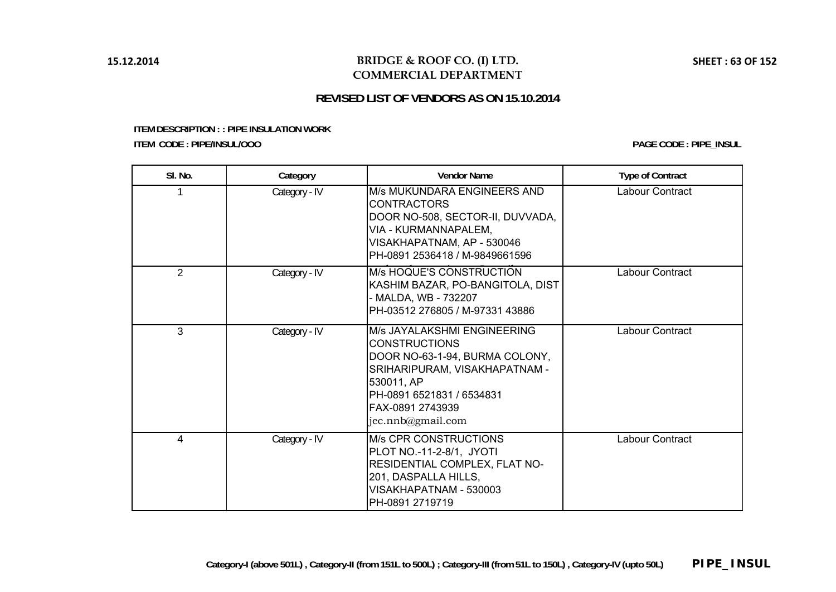## **BRIDGE & ROOF CO. (I) LTD. COMMERCIAL DEPARTMENT**

# **REVISED LIST OF VENDORS AS ON 15.10.2014**

**ITEM DESCRIPTION : : PIPE INSULATION WORK ITEM CODE : PIPE/INSUL/OOO**

**PAGE CODE : PIPE\_INSUL**

| SI. No.        | Category      | <b>Vendor Name</b>                                                                                                                                                                                         | <b>Type of Contract</b> |
|----------------|---------------|------------------------------------------------------------------------------------------------------------------------------------------------------------------------------------------------------------|-------------------------|
|                | Category - IV | <b>M/s MUKUNDARA ENGINEERS AND</b><br><b>CONTRACTORS</b><br>DOOR NO-508, SECTOR-II, DUVVADA,<br>VIA - KURMANNAPALEM,<br>VISAKHAPATNAM, AP - 530046<br>PH-0891 2536418 / M-9849661596                       | Labour Contract         |
| 2              | Category - IV | M/s HOQUE'S CONSTRUCTION<br>KASHIM BAZAR, PO-BANGITOLA, DIST<br>- MALDA, WB - 732207<br>PH-03512 276805 / M-97331 43886                                                                                    | Labour Contract         |
| $\overline{3}$ | Category - IV | M/s JAYALAKSHMI ENGINEERING<br><b>CONSTRUCTIONS</b><br>DOOR NO-63-1-94, BURMA COLONY,<br>SRIHARIPURAM, VISAKHAPATNAM -<br>530011, AP<br>PH-0891 6521831 / 6534831<br>FAX-0891 2743939<br>jec.nnb@gmail.com | Labour Contract         |
| 4              | Category - IV | <b>M/s CPR CONSTRUCTIONS</b><br>PLOT NO.-11-2-8/1, JYOTI<br>RESIDENTIAL COMPLEX, FLAT NO-<br>201, DASPALLA HILLS,<br>VISAKHAPATNAM - 530003<br>PH-0891 2719719                                             | Labour Contract         |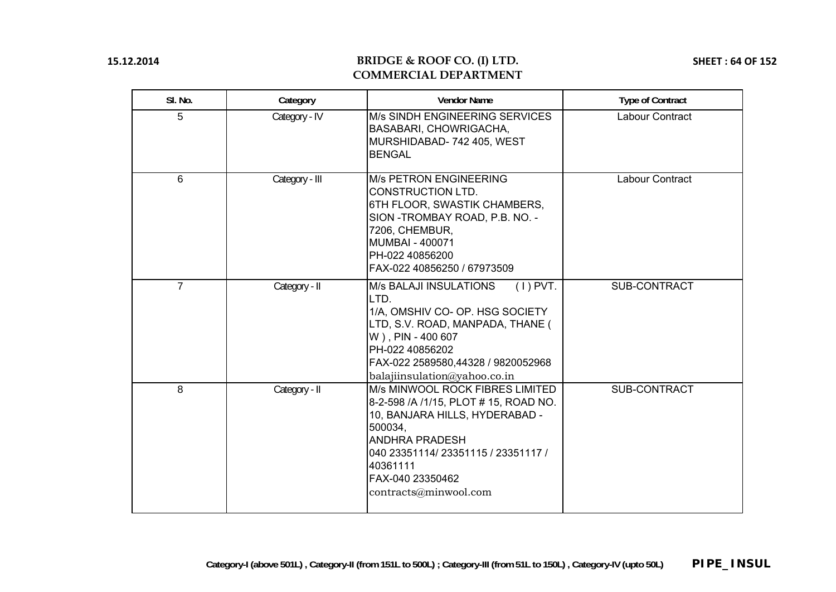# **BRIDGE & ROOF CO. (I) LTD. COMMERCIAL DEPARTMENT**

**SHEET : 64 OF 152**

| SI. No.        | Category       | <b>Vendor Name</b>                                                                                                                                                                                                                               | <b>Type of Contract</b> |
|----------------|----------------|--------------------------------------------------------------------------------------------------------------------------------------------------------------------------------------------------------------------------------------------------|-------------------------|
| 5              | Category - IV  | M/s SINDH ENGINEERING SERVICES<br>BASABARI, CHOWRIGACHA,<br>MURSHIDABAD-742 405, WEST<br><b>BENGAL</b>                                                                                                                                           | Labour Contract         |
| 6              | Category - III | <b>M/s PETRON ENGINEERING</b><br><b>CONSTRUCTION LTD.</b><br>6TH FLOOR, SWASTIK CHAMBERS,<br>SION - TROMBAY ROAD, P.B. NO. -<br>7206, CHEMBUR,<br><b>MUMBAI - 400071</b><br>PH-022 40856200<br>FAX-022 40856250 / 67973509                       | Labour Contract         |
| $\overline{7}$ | Category - II  | $(1)$ PVT.<br><b>M/s BALAJI INSULATIONS</b><br>LTD.<br>1/A, OMSHIV CO- OP. HSG SOCIETY<br>LTD, S.V. ROAD, MANPADA, THANE (<br>W), PIN - 400 607<br>PH-022 40856202<br>FAX-022 2589580,44328 / 9820052968<br>balajiinsulation@yahoo.co.in         | <b>SUB-CONTRACT</b>     |
| 8              | Category - II  | M/s MINWOOL ROCK FIBRES LIMITED<br>8-2-598 / A / 1/15, PLOT # 15, ROAD NO.<br>10, BANJARA HILLS, HYDERABAD -<br>500034,<br><b>ANDHRA PRADESH</b><br>040 23351114/ 23351115 / 23351117 /<br>40361111<br>FAX-040 23350462<br>contracts@minwool.com | SUB-CONTRACT            |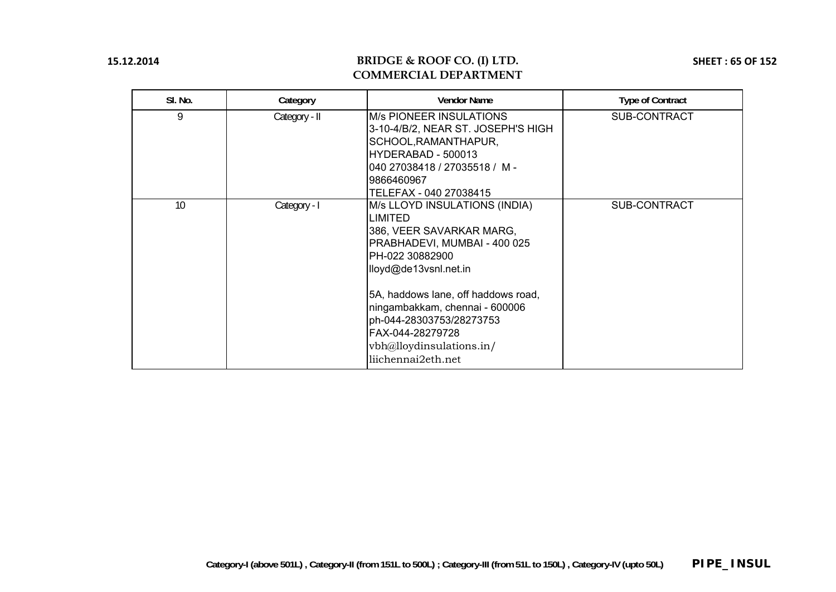# **BRIDGE & ROOF CO. (I) LTD. COMMERCIAL DEPARTMENT**

**SHEET : 65 OF 152**

| SI. No. | Category      | <b>Vendor Name</b>                                                                                                                                                                                                                                                                                                             | <b>Type of Contract</b> |
|---------|---------------|--------------------------------------------------------------------------------------------------------------------------------------------------------------------------------------------------------------------------------------------------------------------------------------------------------------------------------|-------------------------|
| 9       | Category - II | <b>M/s PIONEER INSULATIONS</b><br>3-10-4/B/2, NEAR ST. JOSEPH'S HIGH<br>SCHOOL, RAMANTHAPUR,<br>IHYDERABAD - 500013<br>040 27038418 / 27035518 / M -<br>9866460967<br>TELEFAX - 040 27038415                                                                                                                                   | <b>SUB-CONTRACT</b>     |
| 10      | Category - I  | M/s LLOYD INSULATIONS (INDIA)<br>ILIMITED<br>386, VEER SAVARKAR MARG,<br>PRABHADEVI, MUMBAI - 400 025<br>IPH-022 30882900<br>lloyd@de13vsnl.net.in<br>5A, haddows lane, off haddows road,<br>ningambakkam, chennai - 600006<br>ph-044-28303753/28273753<br>IFAX-044-28279728<br>vbh@lloydinsulations.in/<br>liichennai2eth.net | <b>SUB-CONTRACT</b>     |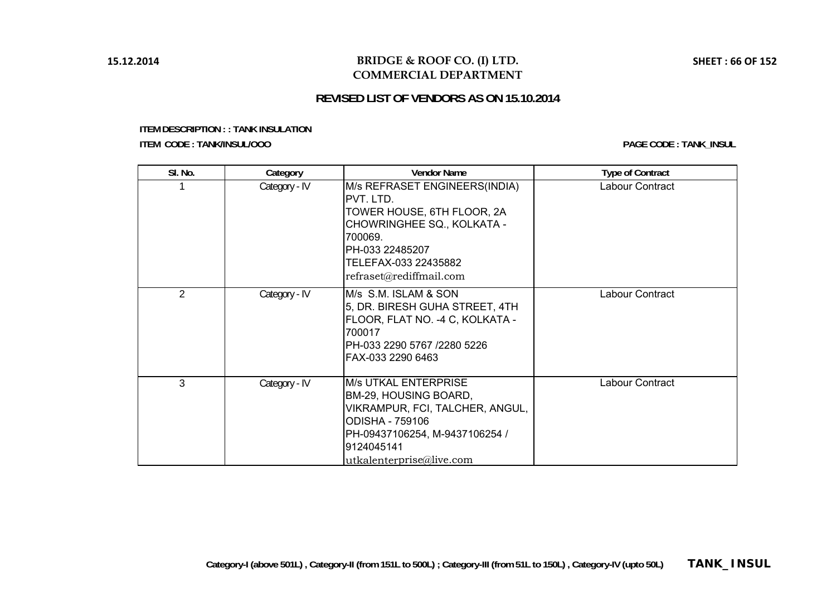## **BRIDGE & ROOF CO. (I) LTD. COMMERCIAL DEPARTMENT**

# **REVISED LIST OF VENDORS AS ON 15.10.2014**

**ITEM DESCRIPTION : : TANK INSULATION** 

**ITEM CODE : TANK/INSUL/OOO**

**PAGE CODE : TANK\_INSUL**

| SI. No.        | Category      | <b>Vendor Name</b>                                                                                                                                                                       | <b>Type of Contract</b> |
|----------------|---------------|------------------------------------------------------------------------------------------------------------------------------------------------------------------------------------------|-------------------------|
|                | Category - IV | M/s REFRASET ENGINEERS(INDIA)<br>IPVT. LTD.<br>TOWER HOUSE, 6TH FLOOR, 2A<br>CHOWRINGHEE SQ., KOLKATA -<br>700069.<br>PH-033 22485207<br>TELEFAX-033 22435882<br>refraset@rediffmail.com | Labour Contract         |
| $\overline{2}$ | Category - IV | M/s S.M. ISLAM & SON<br>5, DR. BIRESH GUHA STREET, 4TH<br>FLOOR, FLAT NO. -4 C, KOLKATA -<br>700017<br>PH-033 2290 5767 /2280 5226<br>FAX-033 2290 6463                                  | Labour Contract         |
| 3              | Category - IV | <b>M/s UTKAL ENTERPRISE</b><br>BM-29, HOUSING BOARD,<br>VIKRAMPUR, FCI, TALCHER, ANGUL,<br>ODISHA - 759106<br>PH-09437106254, M-9437106254 /<br>9124045141<br>utkalenterprise@live.com   | Labour Contract         |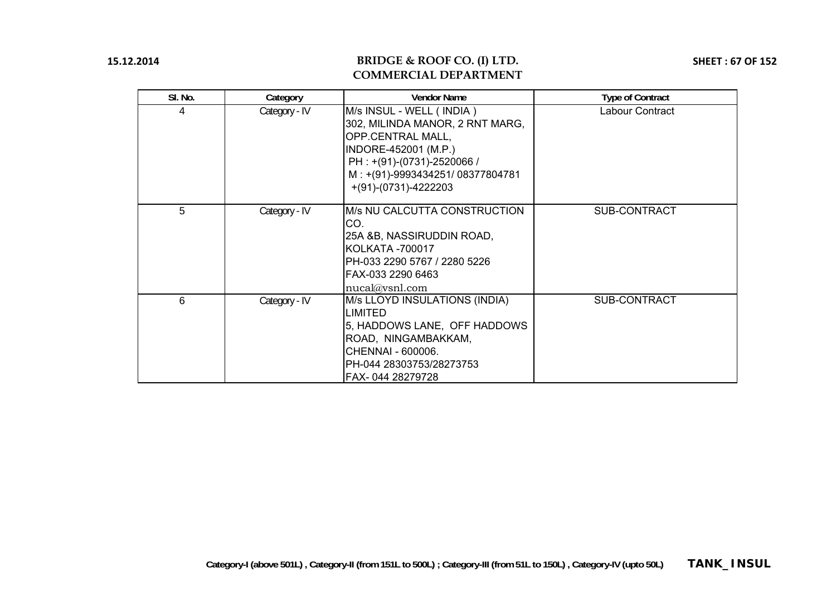# **BRIDGE & ROOF CO. (I) LTD. COMMERCIAL DEPARTMENT**

**SHEET : 67 OF 152**

| SI. No. | Category      | <b>Vendor Name</b>                                                                                                                                                                                  | <b>Type of Contract</b> |
|---------|---------------|-----------------------------------------------------------------------------------------------------------------------------------------------------------------------------------------------------|-------------------------|
| 4       | Category - IV | M/s INSUL - WELL (INDIA)<br>302, MILINDA MANOR, 2 RNT MARG,<br>OPP.CENTRAL MALL,<br>INDORE-452001 (M.P.)<br>PH: +(91)-(0731)-2520066 /<br>M: +(91)-9993434251/08377804781<br>$+(91)-(0731)-4222203$ | Labour Contract         |
| 5       | Category - IV | M/s NU CALCUTTA CONSTRUCTION<br>CO.<br>25A &B, NASSIRUDDIN ROAD,<br>KOLKATA -700017<br>PH-033 2290 5767 / 2280 5226<br>FAX-033 2290 6463<br>nucal@vsnl.com                                          | <b>SUB-CONTRACT</b>     |
| 6       | Category - IV | M/s LLOYD INSULATIONS (INDIA)<br><b>LIMITED</b><br>5, HADDOWS LANE, OFF HADDOWS<br>ROAD, NINGAMBAKKAM,<br>CHENNAI - 600006.<br>PH-044 28303753/28273753<br>FAX-044 28279728                         | <b>SUB-CONTRACT</b>     |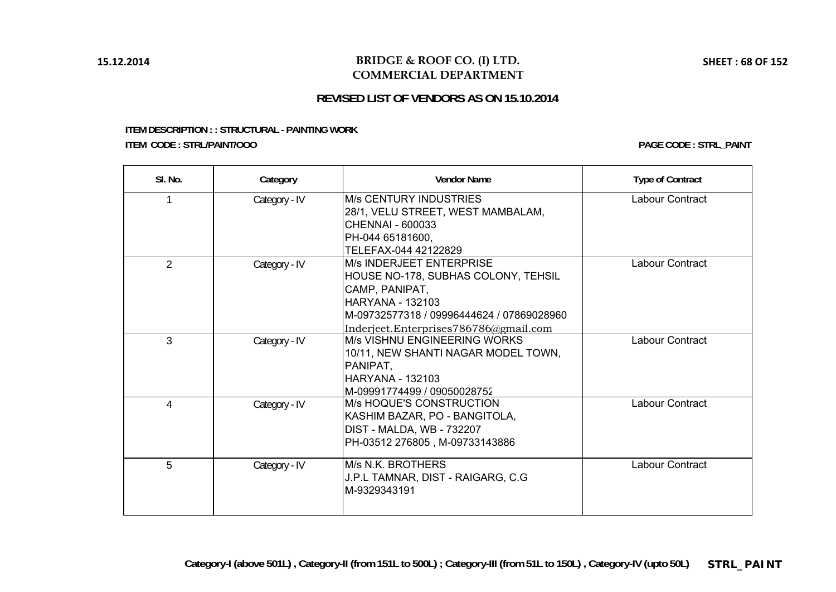### **BRIDGE & ROOF CO. (I) LTD. COMMERCIAL DEPARTMENT**

# **REVISED LIST OF VENDORS AS ON 15.10.2014**

#### **ITEM DESCRIPTION : : STRUCTURAL - PAINTING WORK ITEM CODE : STRL/PAINT/OOO**

| SI. No.        | Category      | <b>Vendor Name</b>                                                                                                                                                                                  | <b>Type of Contract</b> |
|----------------|---------------|-----------------------------------------------------------------------------------------------------------------------------------------------------------------------------------------------------|-------------------------|
|                | Category - IV | IM/s CENTURY INDUSTRIES<br>28/1, VELU STREET, WEST MAMBALAM,<br>CHENNAI - 600033<br>PH-044 65181600,<br>TELEFAX-044 42122829                                                                        | Labour Contract         |
| $\overline{2}$ | Category - IV | IM/s INDERJEET ENTERPRISE<br>HOUSE NO-178, SUBHAS COLONY, TEHSIL<br>CAMP, PANIPAT,<br><b>HARYANA - 132103</b><br>M-09732577318 / 09996444624 / 07869028960<br>Inderjeet.Enterprises786786@gmail.com | Labour Contract         |
| 3              | Category - IV | <b>M/s VISHNU ENGINEERING WORKS</b><br>10/11, NEW SHANTI NAGAR MODEL TOWN,<br>PANIPAT,<br><b>HARYANA - 132103</b><br>IM-09991774499 / 09050028752                                                   | <b>Labour Contract</b>  |
| 4              | Category - IV | IM/s HOQUE'S CONSTRUCTION<br>KASHIM BAZAR, PO - BANGITOLA,<br>DIST - MALDA, WB - 732207<br>PH-03512 276805, M-09733143886                                                                           | Labour Contract         |
| 5              | Category - IV | IM/s N.K. BROTHERS<br>J.P.L TAMNAR, DIST - RAIGARG, C.G<br>lM-9329343191                                                                                                                            | Labour Contract         |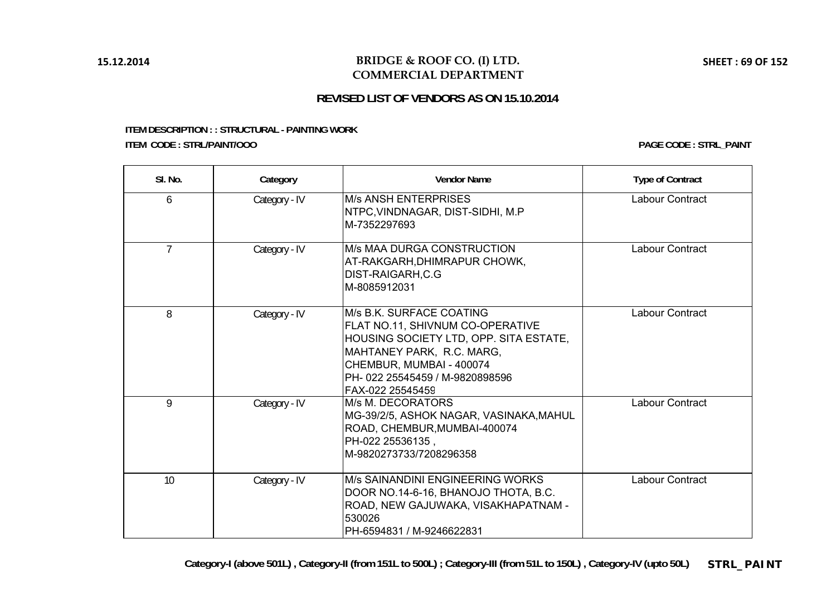### **BRIDGE & ROOF CO. (I) LTD. COMMERCIAL DEPARTMENT**

# **REVISED LIST OF VENDORS AS ON 15.10.2014**

#### **ITEM DESCRIPTION : : STRUCTURAL - PAINTING WORK ITEM CODE : STRL/PAINT/OOO**

| SI. No.        | Category      | <b>Vendor Name</b>                                                                                                                                                                                                      | <b>Type of Contract</b> |
|----------------|---------------|-------------------------------------------------------------------------------------------------------------------------------------------------------------------------------------------------------------------------|-------------------------|
| 6              | Category - IV | <b>IM/s ANSH ENTERPRISES</b><br>NTPC, VINDNAGAR, DIST-SIDHI, M.P<br>IM-7352297693                                                                                                                                       | Labour Contract         |
| $\overline{7}$ | Category - IV | <b>M/s MAA DURGA CONSTRUCTION</b><br>AT-RAKGARH,DHIMRAPUR CHOWK,<br>DIST-RAIGARH,C.G<br>M-8085912031                                                                                                                    | Labour Contract         |
| 8              | Category - IV | M/s B.K. SURFACE COATING<br>FLAT NO.11, SHIVNUM CO-OPERATIVE<br>HOUSING SOCIETY LTD, OPP. SITA ESTATE,<br>MAHTANEY PARK, R.C. MARG,<br>CHEMBUR, MUMBAI - 400074<br>IPH- 022 25545459 / M-9820898596<br>FAX-022 25545459 | Labour Contract         |
| 9              | Category - IV | M/s M. DECORATORS<br>MG-39/2/5, ASHOK NAGAR, VASINAKA,MAHUL<br>ROAD, CHEMBUR, MUMBAI-400074<br>PH-022 25536135,<br>M-9820273733/7208296358                                                                              | Labour Contract         |
| 10             | Category - IV | IM/s SAINANDINI ENGINEERING WORKS<br>DOOR NO.14-6-16, BHANOJO THOTA, B.C.<br>ROAD, NEW GAJUWAKA, VISAKHAPATNAM -<br>530026<br>IPH-6594831 / M-9246622831                                                                | Labour Contract         |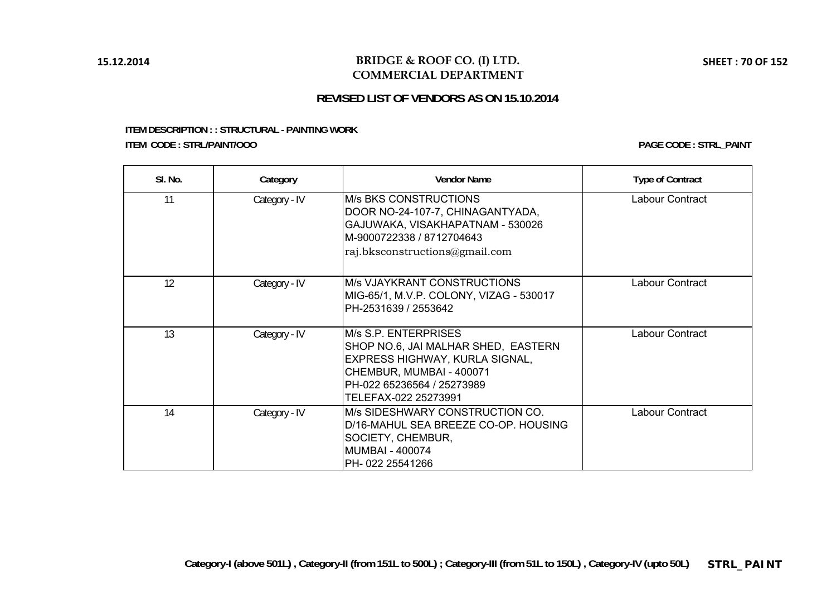### **BRIDGE & ROOF CO. (I) LTD. COMMERCIAL DEPARTMENT**

# **REVISED LIST OF VENDORS AS ON 15.10.2014**

#### **ITEM DESCRIPTION : : STRUCTURAL - PAINTING WORK ITEM CODE : STRL/PAINT/OOO**

| SI. No. | Category      | <b>Vendor Name</b>                                                                                                                                                              | <b>Type of Contract</b> |
|---------|---------------|---------------------------------------------------------------------------------------------------------------------------------------------------------------------------------|-------------------------|
| 11      | Category - IV | <b>IM/s BKS CONSTRUCTIONS</b><br>DOOR NO-24-107-7, CHINAGANTYADA,<br>GAJUWAKA, VISAKHAPATNAM - 530026<br>IM-9000722338 / 8712704643<br>raj.bksconstructions@gmail.com           | Labour Contract         |
| 12      | Category - IV | <b>M/s VJAYKRANT CONSTRUCTIONS</b><br>MIG-65/1, M.V.P. COLONY, VIZAG - 530017<br>IPH-2531639 / 2553642                                                                          | Labour Contract         |
| 13      | Category - IV | M/s S.P. ENTERPRISES<br>SHOP NO.6, JAI MALHAR SHED, EASTERN<br>EXPRESS HIGHWAY, KURLA SIGNAL,<br>CHEMBUR, MUMBAI - 400071<br>PH-022 65236564 / 25273989<br>TELEFAX-022 25273991 | Labour Contract         |
| 14      | Category - IV | M/s SIDESHWARY CONSTRUCTION CO.<br>D/16-MAHUL SEA BREEZE CO-OP. HOUSING<br>SOCIETY, CHEMBUR,<br>IMUMBAI - 400074<br>PH-022 25541266                                             | Labour Contract         |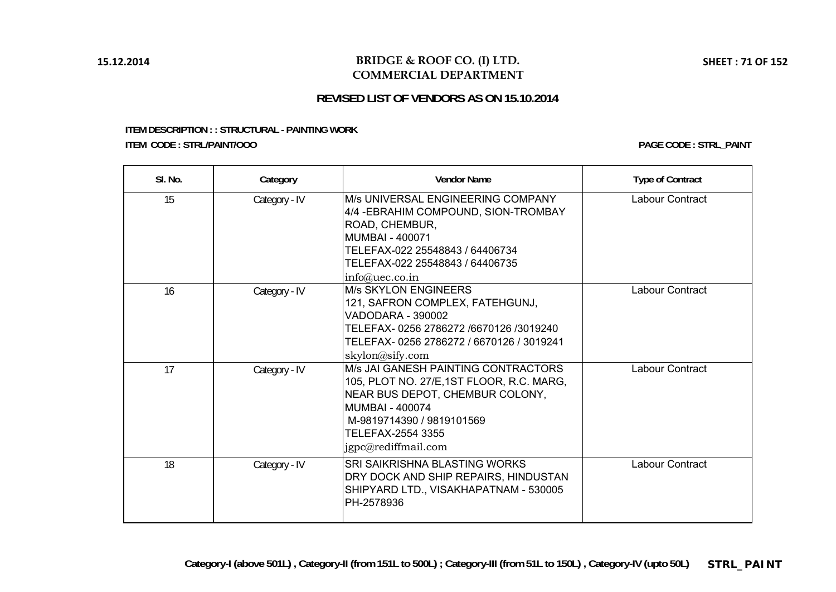### **BRIDGE & ROOF CO. (I) LTD. COMMERCIAL DEPARTMENT**

# **REVISED LIST OF VENDORS AS ON 15.10.2014**

#### **ITEM DESCRIPTION : : STRUCTURAL - PAINTING WORK ITEM CODE : STRL/PAINT/OOO**

| SI. No. | Category      | <b>Vendor Name</b>                                                                                                                                                                                                     | <b>Type of Contract</b> |
|---------|---------------|------------------------------------------------------------------------------------------------------------------------------------------------------------------------------------------------------------------------|-------------------------|
| 15      | Category - IV | <b>M/s UNIVERSAL ENGINEERING COMPANY</b><br>4/4 - EBRAHIM COMPOUND, SION-TROMBAY<br>ROAD, CHEMBUR,<br>MUMBAI - 400071<br>TELEFAX-022 25548843 / 64406734<br>TELEFAX-022 25548843 / 64406735<br>info@uec.co.in          | Labour Contract         |
| 16      | Category - IV | <b>M/s SKYLON ENGINEERS</b><br>121, SAFRON COMPLEX, FATEHGUNJ,<br>VADODARA - 390002<br>TELEFAX- 0256 2786272 /6670126 /3019240<br>TELEFAX- 0256 2786272 / 6670126 / 3019241<br>skylon@sify.com                         | Labour Contract         |
| 17      | Category - IV | M/s JAI GANESH PAINTING CONTRACTORS<br>105, PLOT NO. 27/E, 1ST FLOOR, R.C. MARG,<br>NEAR BUS DEPOT, CHEMBUR COLONY,<br><b>MUMBAI - 400074</b><br>M-9819714390 / 9819101569<br>TELEFAX-2554 3355<br>jgpc@rediffmail.com | Labour Contract         |
| 18      | Category - IV | SRI SAIKRISHNA BLASTING WORKS<br>DRY DOCK AND SHIP REPAIRS, HINDUSTAN<br>SHIPYARD LTD., VISAKHAPATNAM - 530005<br>PH-2578936                                                                                           | Labour Contract         |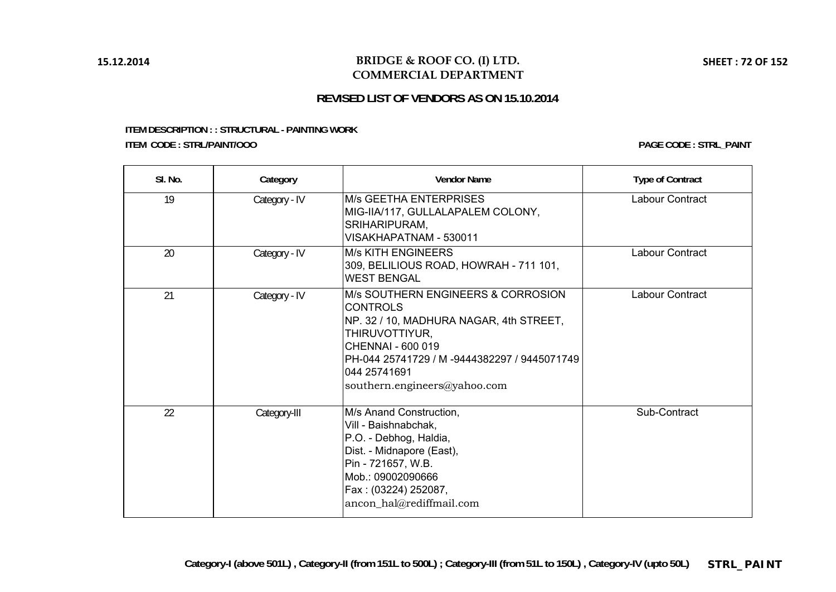### **BRIDGE & ROOF CO. (I) LTD. COMMERCIAL DEPARTMENT**

# **REVISED LIST OF VENDORS AS ON 15.10.2014**

#### **ITEM DESCRIPTION : : STRUCTURAL - PAINTING WORK ITEM CODE : STRL/PAINT/OOO**

| SI. No. | Category      | <b>Vendor Name</b>                                                                                                                                                                                                                      | <b>Type of Contract</b> |
|---------|---------------|-----------------------------------------------------------------------------------------------------------------------------------------------------------------------------------------------------------------------------------------|-------------------------|
| 19      | Category - IV | <b>M/s GEETHA ENTERPRISES</b><br>MIG-IIA/117, GULLALAPALEM COLONY,<br>SRIHARIPURAM,<br>VISAKHAPATNAM - 530011                                                                                                                           | Labour Contract         |
| 20      | Category - IV | <b>M/s KITH ENGINEERS</b><br>309, BELILIOUS ROAD, HOWRAH - 711 101,<br><b>WEST BENGAL</b>                                                                                                                                               | Labour Contract         |
| 21      | Category - IV | M/s SOUTHERN ENGINEERS & CORROSION<br><b>CONTROLS</b><br>NP. 32 / 10, MADHURA NAGAR, 4th STREET,<br>THIRUVOTTIYUR,<br>CHENNAI - 600 019<br>PH-044 25741729 / M -9444382297 / 9445071749<br>044 25741691<br>southern.engineers@yahoo.com | Labour Contract         |
| 22      | Category-III  | M/s Anand Construction,<br>Vill - Baishnabchak,<br>P.O. - Debhog, Haldia,<br>Dist. - Midnapore (East),<br>Pin - 721657, W.B.<br>Mob.: 09002090666<br>Fax: (03224) 252087,<br>ancon_hal@rediffmail.com                                   | Sub-Contract            |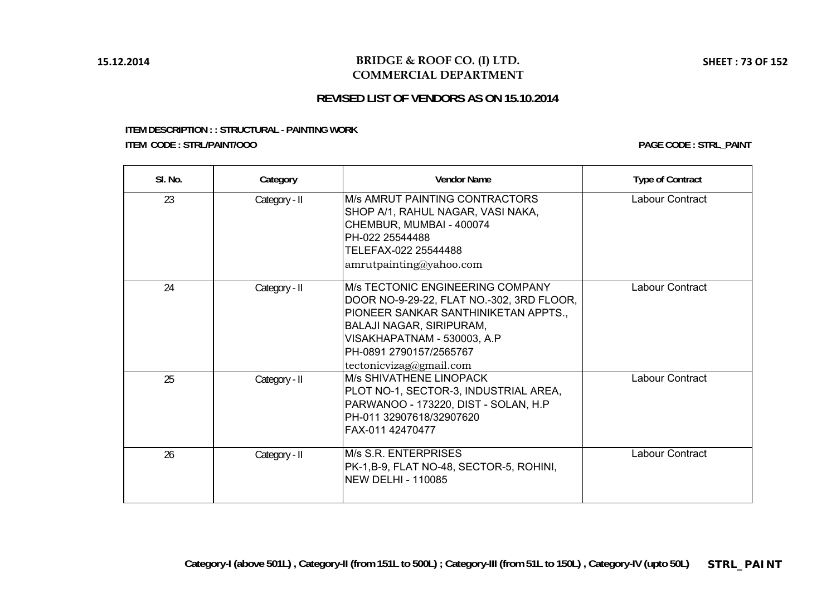### **BRIDGE & ROOF CO. (I) LTD. COMMERCIAL DEPARTMENT**

# **REVISED LIST OF VENDORS AS ON 15.10.2014**

#### **ITEM DESCRIPTION : : STRUCTURAL - PAINTING WORK ITEM CODE : STRL/PAINT/OOO**

**PAGE CODE : STRL\_PAINT**

| SI. No. | Category      | <b>Vendor Name</b>                                                                                                                                                                                                                                    | <b>Type of Contract</b> |
|---------|---------------|-------------------------------------------------------------------------------------------------------------------------------------------------------------------------------------------------------------------------------------------------------|-------------------------|
| 23      | Category - II | M/s AMRUT PAINTING CONTRACTORS<br>SHOP A/1, RAHUL NAGAR, VASI NAKA,<br>CHEMBUR, MUMBAI - 400074<br>PH-022 25544488<br>TELEFAX-022 25544488<br>amrutpainting@yahoo.com                                                                                 | Labour Contract         |
| 24      | Category - II | <b>IM/s TECTONIC ENGINEERING COMPANY</b><br>DOOR NO-9-29-22, FLAT NO.-302, 3RD FLOOR,<br>PIONEER SANKAR SANTHINIKETAN APPTS.,<br><b>BALAJI NAGAR, SIRIPURAM,</b><br>VISAKHAPATNAM - 530003, A.P<br>PH-0891 2790157/2565767<br>tectonicvizag@gmail.com | Labour Contract         |
| 25      | Category - II | <b>M/s SHIVATHENE LINOPACK</b><br>PLOT NO-1, SECTOR-3, INDUSTRIAL AREA,<br>PARWANOO - 173220, DIST - SOLAN, H.P<br>PH-011 32907618/32907620<br>FAX-011 42470477                                                                                       | Labour Contract         |
| 26      | Category - II | M/s S.R. ENTERPRISES<br>PK-1, B-9, FLAT NO-48, SECTOR-5, ROHINI,<br><b>NEW DELHI - 110085</b>                                                                                                                                                         | Labour Contract         |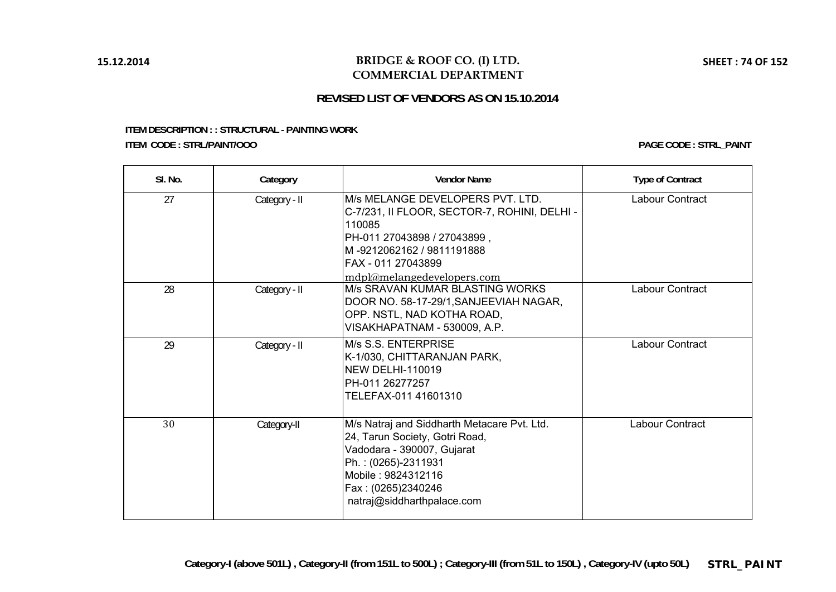#### **BRIDGE & ROOF CO. (I) LTD. COMMERCIAL DEPARTMENT**

# **REVISED LIST OF VENDORS AS ON 15.10.2014**

#### **ITEM DESCRIPTION : : STRUCTURAL - PAINTING WORK ITEM CODE : STRL/PAINT/OOO**

**PAGE CODE : STRL\_PAINT**

| SI. No. | Category      | <b>Vendor Name</b>                                                                                                                                                                                            | <b>Type of Contract</b> |
|---------|---------------|---------------------------------------------------------------------------------------------------------------------------------------------------------------------------------------------------------------|-------------------------|
| 27      | Category - II | M/s MELANGE DEVELOPERS PVT. LTD.<br>C-7/231, II FLOOR, SECTOR-7, ROHINI, DELHI -<br>110085<br>PH-011 27043898 / 27043899,<br>lM -9212062162 / 9811191888<br>IFAX - 011 27043899<br>mdpl@melangedevelopers.com | Labour Contract         |
| 28      | Category - II | M/s SRAVAN KUMAR BLASTING WORKS<br>DOOR NO. 58-17-29/1, SANJEEVIAH NAGAR,<br>OPP. NSTL, NAD KOTHA ROAD,<br>VISAKHAPATNAM - 530009, A.P.                                                                       | <b>Labour Contract</b>  |
| 29      | Category - II | M/s S.S. ENTERPRISE<br>K-1/030, CHITTARANJAN PARK,<br>NEW DELHI-110019<br>IPH-011 26277257<br>TELEFAX-011 41601310                                                                                            | <b>Labour Contract</b>  |
| 30      | Category-II   | M/s Natraj and Siddharth Metacare Pvt. Ltd.<br>24, Tarun Society, Gotri Road,<br>Vadodara - 390007, Gujarat<br>Ph.: (0265)-2311931<br>Mobile: 9824312116<br>Fax: (0265)2340246<br>natraj@siddharthpalace.com  | <b>Labour Contract</b>  |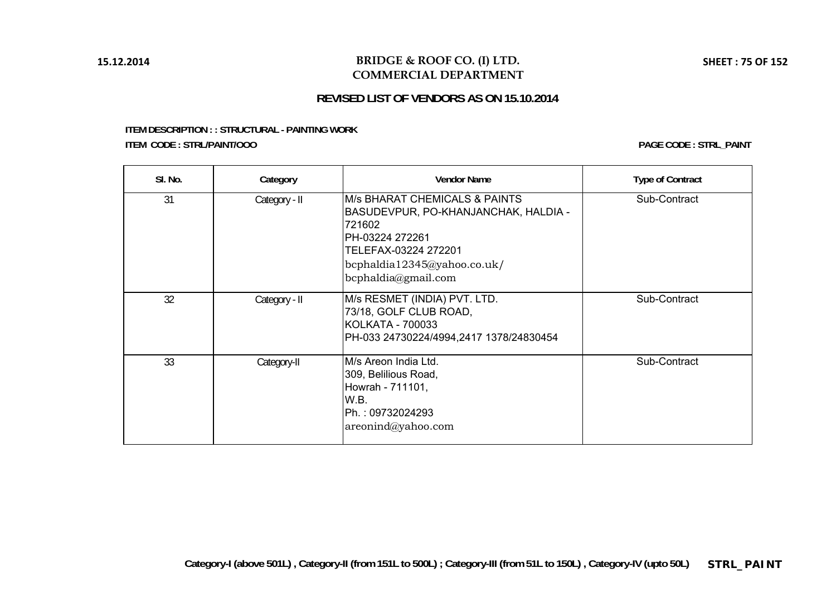### **BRIDGE & ROOF CO. (I) LTD. COMMERCIAL DEPARTMENT**

# **REVISED LIST OF VENDORS AS ON 15.10.2014**

#### **ITEM DESCRIPTION : : STRUCTURAL - PAINTING WORK ITEM CODE : STRL/PAINT/OOO**

**PAGE CODE : STRL\_PAINT**

| SI. No. | Category      | <b>Vendor Name</b>                                                                                                                                                                    | <b>Type of Contract</b> |
|---------|---------------|---------------------------------------------------------------------------------------------------------------------------------------------------------------------------------------|-------------------------|
| 31      | Category - II | IM/s BHARAT CHEMICALS & PAINTS<br>BASUDEVPUR, PO-KHANJANCHAK, HALDIA -<br>721602<br>IPH-03224 272261<br>TELEFAX-03224 272201<br>bcphaldia12345@yahoo.co.uk/<br>$b$ cphaldia@gmail.com | Sub-Contract            |
| 32      | Category - II | M/s RESMET (INDIA) PVT. LTD.<br>73/18, GOLF CLUB ROAD,<br>KOLKATA - 700033<br>PH-033 24730224/4994,2417 1378/24830454                                                                 | Sub-Contract            |
| 33      | Category-II   | IM/s Areon India Ltd.<br>309, Belilious Road,<br>Howrah - 711101,<br>IW.B.<br>Ph.: 09732024293<br>areonind@yahoo.com                                                                  | Sub-Contract            |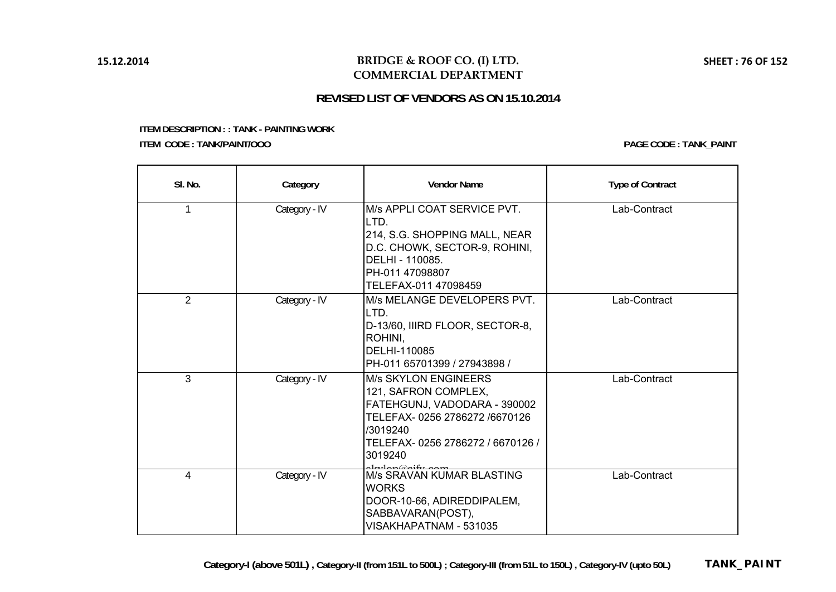### **BRIDGE & ROOF CO. (I) LTD. COMMERCIAL DEPARTMENT**

# **REVISED LIST OF VENDORS AS ON 15.10.2014**

**ITEM DESCRIPTION : : TANK - PAINTING WORK ITEM CODE : TANK/PAINT/OOO**

**PAGE CODE : TANK\_PAINT**

| SI. No.        | Category      | <b>Vendor Name</b>                                                                                                                                                              | <b>Type of Contract</b> |
|----------------|---------------|---------------------------------------------------------------------------------------------------------------------------------------------------------------------------------|-------------------------|
| $\mathbf{1}$   | Category - IV | M/s APPLI COAT SERVICE PVT.<br>LTD.<br>214, S.G. SHOPPING MALL, NEAR<br>D.C. CHOWK, SECTOR-9, ROHINI,<br>DELHI - 110085.<br>PH-011 47098807<br>TELEFAX-011 47098459             | Lab-Contract            |
| $\overline{2}$ | Category - IV | M/s MELANGE DEVELOPERS PVT.<br>LTD.<br>D-13/60, IIIRD FLOOR, SECTOR-8,<br>ROHINI.<br>DELHI-110085<br>PH-011 65701399 / 27943898 /                                               | Lab-Contract            |
| $\overline{3}$ | Category - IV | <b>M/s SKYLON ENGINEERS</b><br>121, SAFRON COMPLEX,<br>FATEHGUNJ, VADODARA - 390002<br>TELEFAX-0256 2786272 /6670126<br>/3019240<br>TELEFAX-0256 2786272 / 6670126 /<br>3019240 | Lab-Contract            |
| 4              | Category - IV | M/s SRAVAN KUMAR BLASTING<br><b>WORKS</b><br>DOOR-10-66, ADIREDDIPALEM,<br>SABBAVARAN(POST),<br>VISAKHAPATNAM - 531035                                                          | Lab-Contract            |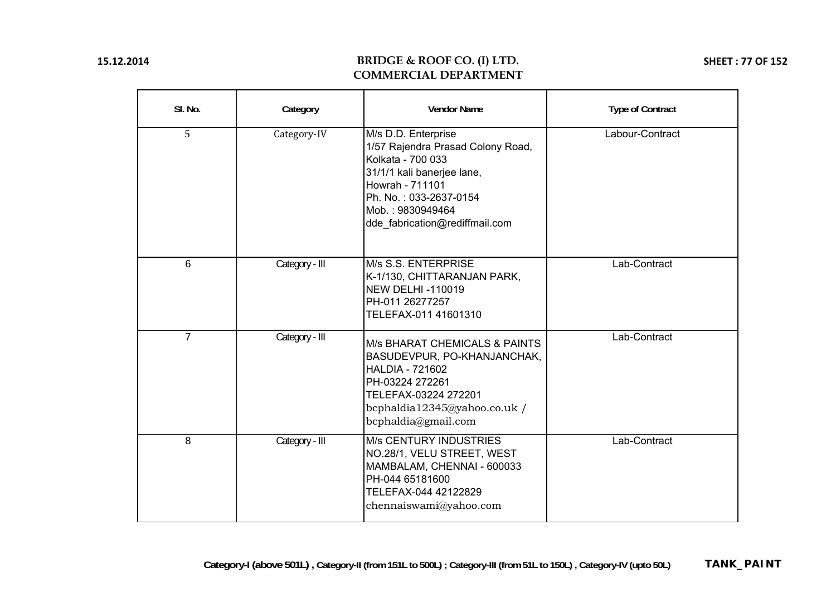# **BRIDGE & ROOF CO. (I) LTD. COMMERCIAL DEPARTMENT**

**SHEET : 77 OF 152**

| SI. No.        | Category       | <b>Vendor Name</b>                                                                                                                                                                                             | <b>Type of Contract</b> |
|----------------|----------------|----------------------------------------------------------------------------------------------------------------------------------------------------------------------------------------------------------------|-------------------------|
| 5              | Category-IV    | M/s D.D. Enterprise<br>1/57 Rajendra Prasad Colony Road,<br>Kolkata - 700 033<br>31/1/1 kali banerjee lane,<br>Howrah - 711101<br>Ph. No.: 033-2637-0154<br>Mob.: 9830949464<br>dde_fabrication@rediffmail.com | Labour-Contract         |
| 6              | Category - III | M/s S.S. ENTERPRISE<br>K-1/130, CHITTARANJAN PARK,<br><b>NEW DELHI-110019</b><br>PH-011 26277257<br>TELEFAX-011 41601310                                                                                       | Lab-Contract            |
| $\overline{7}$ | Category - III | <b>M/s BHARAT CHEMICALS &amp; PAINTS</b><br>BASUDEVPUR, PO-KHANJANCHAK,<br><b>HALDIA - 721602</b><br>PH-03224 272261<br>TELEFAX-03224 272201<br>bcphaldia12345@yahoo.co.uk /<br>bcphaldia@gmail.com            | Lab-Contract            |
| 8              | Category - III | <b>M/s CENTURY INDUSTRIES</b><br>NO.28/1, VELU STREET, WEST<br>MAMBALAM, CHENNAI - 600033<br>PH-044 65181600<br>TELEFAX-044 42122829<br>chennaiswami@yahoo.com                                                 | Lab-Contract            |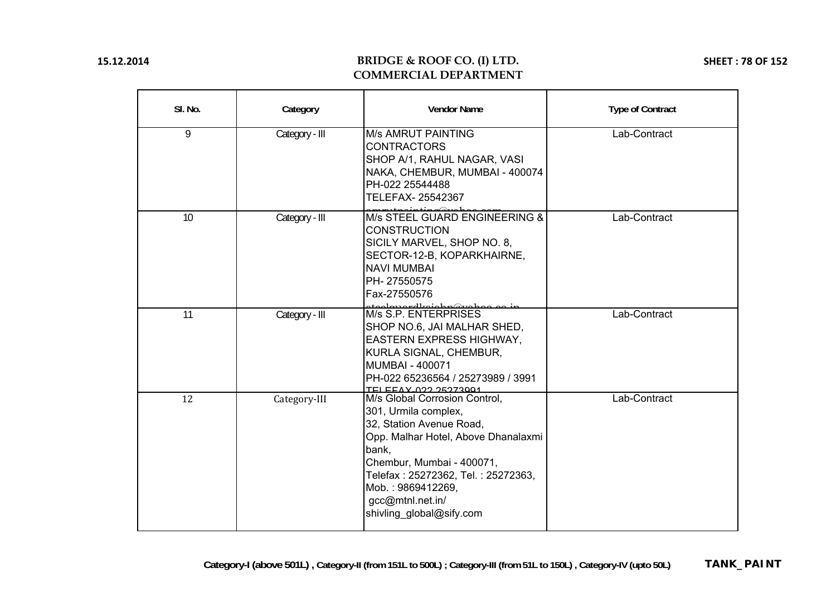## **BRIDGE & ROOF CO. (I) LTD. COMMERCIAL DEPARTMENT**

**SHEET : 78 OF 152**

| SI. No. | Category       | <b>Vendor Name</b>                                                                                                                                                                                                                                                        | <b>Type of Contract</b> |
|---------|----------------|---------------------------------------------------------------------------------------------------------------------------------------------------------------------------------------------------------------------------------------------------------------------------|-------------------------|
| 9       | Category - III | <b>M/s AMRUT PAINTING</b><br><b>CONTRACTORS</b><br>SHOP A/1, RAHUL NAGAR, VASI<br>NAKA, CHEMBUR, MUMBAI - 400074<br>PH-022 25544488<br>TELEFAX- 25542367                                                                                                                  | Lab-Contract            |
| 10      | Category - III | M/s STEEL GUARD ENGINEERING &<br><b>CONSTRUCTION</b><br>SICILY MARVEL, SHOP NO. 8,<br>SECTOR-12-B, KOPARKHAIRNE,<br><b>NAVI MUMBAI</b><br>PH-27550575<br>Fax-27550576                                                                                                     | Lab-Contract            |
| 11      | Category - III | atoolawardkajabp@yaboo.oo.jr<br> M/s S.P. ENTERPRISES<br>SHOP NO.6, JAI MALHAR SHED,<br><b>EASTERN EXPRESS HIGHWAY,</b><br>KURLA SIGNAL, CHEMBUR,<br>MUMBAI - 400071<br>PH-022 65236564 / 25273989 / 3991<br>TELEEAY 022 25273001                                         | Lab-Contract            |
| 12      | Category-III   | M/s Global Corrosion Control,<br>301, Urmila complex,<br>32, Station Avenue Road,<br>Opp. Malhar Hotel, Above Dhanalaxmi<br>bank,<br>Chembur, Mumbai - 400071,<br>Telefax: 25272362, Tel.: 25272363,<br>Mob.: 9869412269,<br>gcc@mtnl.net.in/<br>shivling_global@sify.com | Lab-Contract            |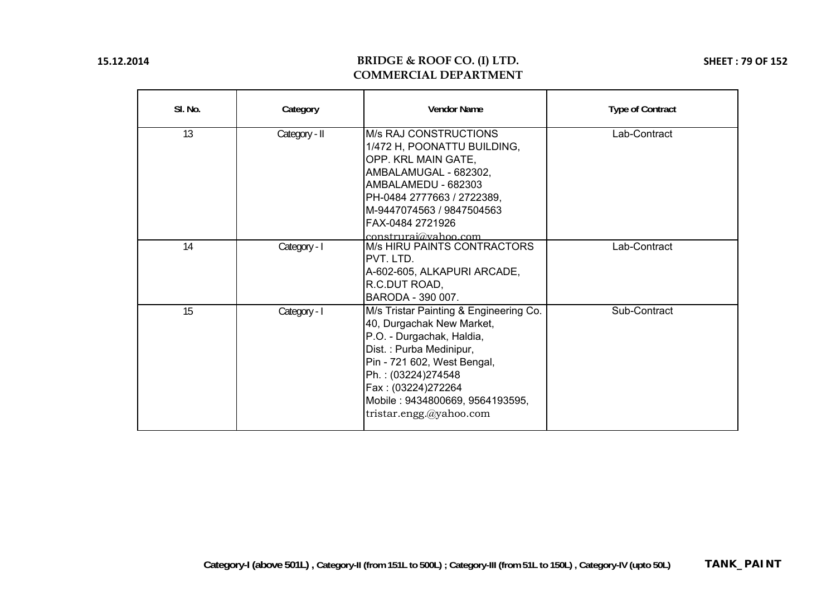## **BRIDGE & ROOF CO. (I) LTD. COMMERCIAL DEPARTMENT**

**SHEET : 79 OF 152**

| SI. No. | Category      | <b>Vendor Name</b>                                                                                                                                                                                                                                                   | <b>Type of Contract</b> |
|---------|---------------|----------------------------------------------------------------------------------------------------------------------------------------------------------------------------------------------------------------------------------------------------------------------|-------------------------|
| 13      | Category - II | <b>M/s RAJ CONSTRUCTIONS</b><br>1/472 H, POONATTU BUILDING,<br>OPP. KRL MAIN GATE,<br>AMBALAMUGAL - 682302,<br>AMBALAMEDU - 682303<br>PH-0484 2777663 / 2722389,<br>M-9447074563 / 9847504563<br>FAX-0484 2721926<br>construraj@vahoo.com                            | Lab-Contract            |
| 14      | Category - I  | <b>M/s HIRU PAINTS CONTRACTORS</b><br>IPVT. LTD.<br>A-602-605, ALKAPURI ARCADE,<br>R.C.DUT ROAD,<br>BARODA - 390 007.                                                                                                                                                | Lab-Contract            |
| 15      | Category - I  | M/s Tristar Painting & Engineering Co.<br>40, Durgachak New Market,<br>P.O. - Durgachak, Haldia,<br>Dist.: Purba Medinipur,<br>Pin - 721 602, West Bengal,<br>Ph.: (03224)274548<br>Fax: (03224)272264<br>Mobile: 9434800669, 9564193595,<br>tristar.engg.@yahoo.com | Sub-Contract            |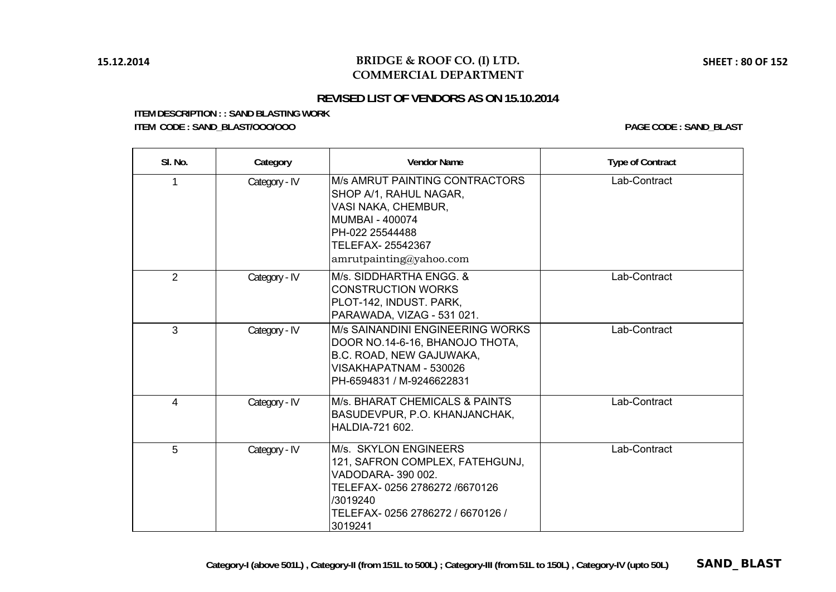# **REVISED LIST OF VENDORS AS ON 15.10.2014**

**ITEM DESCRIPTION : : SAND BLASTING WORK ITEM CODE : SAND\_BLAST/OOO/OOO PAGE CODE : SAND\_BLAST**

| SI. No.        | Category      | <b>Vendor Name</b>                                                                                                                                                                 | <b>Type of Contract</b> |
|----------------|---------------|------------------------------------------------------------------------------------------------------------------------------------------------------------------------------------|-------------------------|
| 1              | Category - IV | <b>M/s AMRUT PAINTING CONTRACTORS</b><br>SHOP A/1, RAHUL NAGAR,<br>VASI NAKA, CHEMBUR,<br><b>MUMBAI - 400074</b><br>PH-022 25544488<br>TELEFAX-25542367<br>amrutpainting@yahoo.com | Lab-Contract            |
| $\overline{2}$ | Category - IV | M/s. SIDDHARTHA ENGG. &<br><b>CONSTRUCTION WORKS</b><br>PLOT-142, INDUST. PARK,<br>PARAWADA, VIZAG - 531 021.                                                                      | Lab-Contract            |
| 3              | Category - IV | M/s SAINANDINI ENGINEERING WORKS<br>DOOR NO.14-6-16, BHANOJO THOTA,<br>B.C. ROAD, NEW GAJUWAKA,<br>VISAKHAPATNAM - 530026<br>PH-6594831 / M-9246622831                             | Lab-Contract            |
| 4              | Category - IV | <b>M/s. BHARAT CHEMICALS &amp; PAINTS</b><br>BASUDEVPUR, P.O. KHANJANCHAK,<br><b>HALDIA-721 602.</b>                                                                               | Lab-Contract            |
| 5              | Category - IV | M/s. SKYLON ENGINEERS<br>121, SAFRON COMPLEX, FATEHGUNJ,<br>VADODARA-390 002.<br>TELEFAX-0256 2786272 /6670126<br>/3019240<br>TELEFAX-0256 2786272 / 6670126 /<br>3019241          | Lab-Contract            |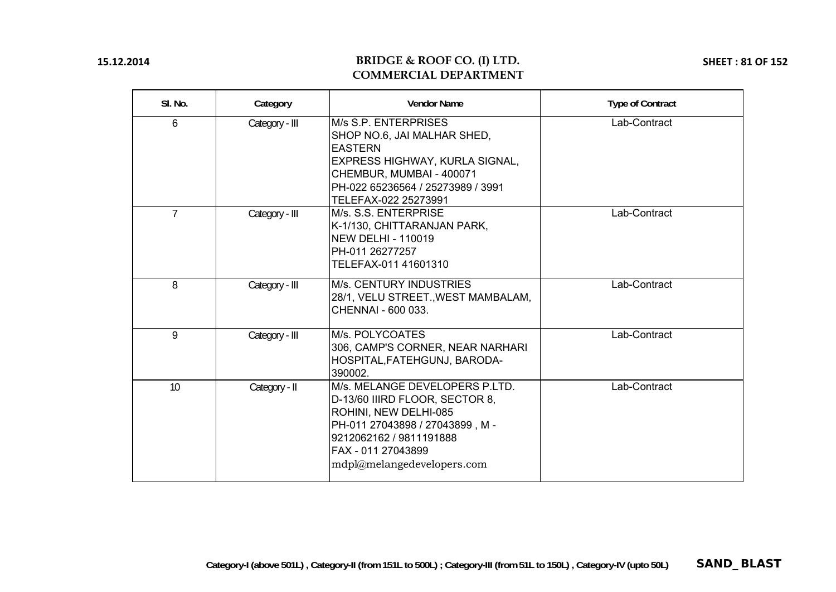### **BRIDGE & ROOF CO. (I) LTD. COMMERCIAL DEPARTMENT**

**SHEET : 81 OF 152**

| SI. No.         | Category       | <b>Vendor Name</b>                                                                                                                                                                                         | <b>Type of Contract</b> |
|-----------------|----------------|------------------------------------------------------------------------------------------------------------------------------------------------------------------------------------------------------------|-------------------------|
| 6               | Category - III | M/s S.P. ENTERPRISES<br>SHOP NO.6, JAI MALHAR SHED,<br><b>EASTERN</b><br>EXPRESS HIGHWAY, KURLA SIGNAL,<br>CHEMBUR, MUMBAI - 400071<br>PH-022 65236564 / 25273989 / 3991<br>TELEFAX-022 25273991           | Lab-Contract            |
| $7\overline{ }$ | Category - III | M/s. S.S. ENTERPRISE<br>K-1/130, CHITTARANJAN PARK,<br><b>NEW DELHI - 110019</b><br>PH-011 26277257<br>TELEFAX-011 41601310                                                                                | Lab-Contract            |
| 8               | Category - III | M/s. CENTURY INDUSTRIES<br>28/1, VELU STREET., WEST MAMBALAM,<br>CHENNAI - 600 033.                                                                                                                        | Lab-Contract            |
| 9               | Category - III | M/s. POLYCOATES<br>306, CAMP'S CORNER, NEAR NARHARI<br>HOSPITAL, FATEHGUNJ, BARODA-<br>390002.                                                                                                             | Lab-Contract            |
| 10              | Category - II  | M/s. MELANGE DEVELOPERS P.LTD.<br>D-13/60 IIIRD FLOOR, SECTOR 8,<br>ROHINI, NEW DELHI-085<br>PH-011 27043898 / 27043899, M-<br>9212062162 / 9811191888<br>FAX - 011 27043899<br>mdpl@melangedevelopers.com | Lab-Contract            |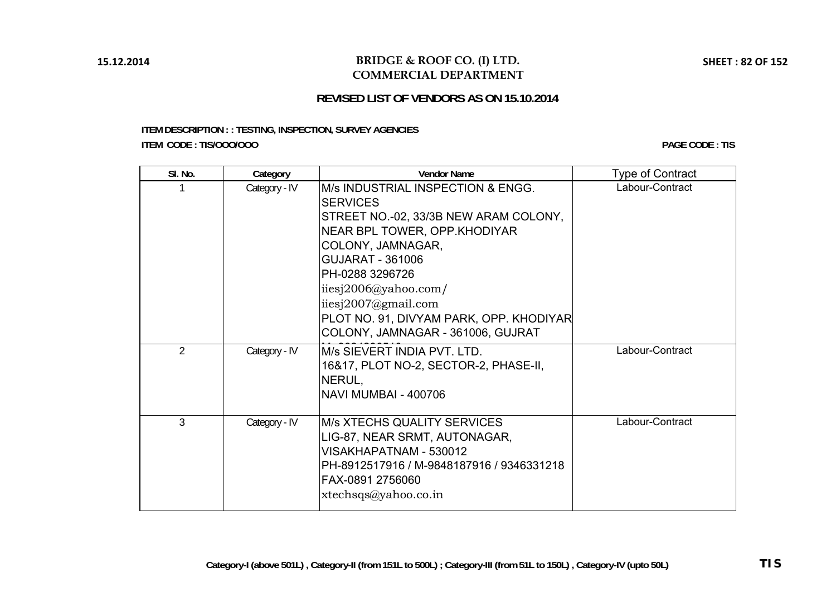### **BRIDGE & ROOF CO. (I) LTD. COMMERCIAL DEPARTMENT**

## **REVISED LIST OF VENDORS AS ON 15.10.2014**

### **ITEM DESCRIPTION : : TESTING, INSPECTION, SURVEY AGENCIES ITEM CODE : TIS/OOO/OOO**

**PAGE CODE : TIS**

| SI. No.        | Category      | <b>Vendor Name</b>                                                                                                                                                                                                                                                                                                                  | <b>Type of Contract</b> |
|----------------|---------------|-------------------------------------------------------------------------------------------------------------------------------------------------------------------------------------------------------------------------------------------------------------------------------------------------------------------------------------|-------------------------|
|                | Category - IV | M/s INDUSTRIAL INSPECTION & ENGG.<br><b>SERVICES</b><br>STREET NO.-02, 33/3B NEW ARAM COLONY,<br>NEAR BPL TOWER, OPP.KHODIYAR<br>COLONY, JAMNAGAR,<br><b>GUJARAT - 361006</b><br>PH-0288 3296726<br>iiesj2006@yahoo.com/<br>iiesj $2007$ @gmail.com<br>PLOT NO. 91, DIVYAM PARK, OPP. KHODIYAR<br>COLONY, JAMNAGAR - 361006, GUJRAT | Labour-Contract         |
| $\overline{2}$ | Category - IV | M/s SIEVERT INDIA PVT. LTD.<br>16&17, PLOT NO-2, SECTOR-2, PHASE-II,<br>NERUL,<br><b>NAVI MUMBAI - 400706</b>                                                                                                                                                                                                                       | Labour-Contract         |
| 3              | Category - IV | <b>M/s XTECHS QUALITY SERVICES</b><br>LIG-87, NEAR SRMT, AUTONAGAR,<br>VISAKHAPATNAM - 530012<br>PH-8912517916 / M-9848187916 / 9346331218<br>FAX-0891 2756060<br>xtechsgs@yahoo.co.in                                                                                                                                              | Labour-Contract         |

**SHEET : 82 OF 152**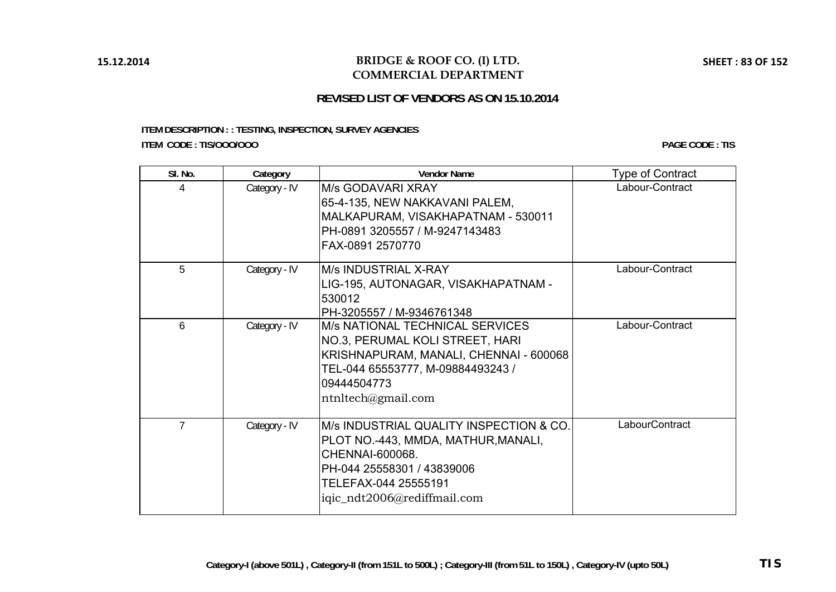### **BRIDGE & ROOF CO. (I) LTD. COMMERCIAL DEPARTMENT**

### **REVISED LIST OF VENDORS AS ON 15.10.2014**

### **ITEM DESCRIPTION : : TESTING, INSPECTION, SURVEY AGENCIES ITEM CODE : TIS/OOO/OOO**

| SI. No.        | Category      | <b>Vendor Name</b>                                                                                                                                                                     | <b>Type of Contract</b> |
|----------------|---------------|----------------------------------------------------------------------------------------------------------------------------------------------------------------------------------------|-------------------------|
| 4              | Category - IV | M/s GODAVARI XRAY<br>65-4-135, NEW NAKKAVANI PALEM,<br>MALKAPURAM, VISAKHAPATNAM - 530011<br>PH-0891 3205557 / M-9247143483<br>FAX-0891 2570770                                        | Labour-Contract         |
| 5              | Category - IV | M/s INDUSTRIAL X-RAY<br>LIG-195, AUTONAGAR, VISAKHAPATNAM -<br>530012<br>PH-3205557 / M-9346761348                                                                                     | Labour-Contract         |
| 6              | Category - IV | M/s NATIONAL TECHNICAL SERVICES<br>NO.3, PERUMAL KOLI STREET, HARI<br>KRISHNAPURAM, MANALI, CHENNAI - 600068<br>TEL-044 65553777, M-09884493243 /<br>09444504773<br>ntnltech@gmail.com | Labour-Contract         |
| $\overline{7}$ | Category - IV | M/s INDUSTRIAL QUALITY INSPECTION & CO.<br>PLOT NO.-443, MMDA, MATHUR, MANALI,<br>CHENNAI-600068.<br>PH-044 25558301 / 43839006<br>TELEFAX-044 25555191<br>iqic_ndt2006@rediffmail.com | LabourContract          |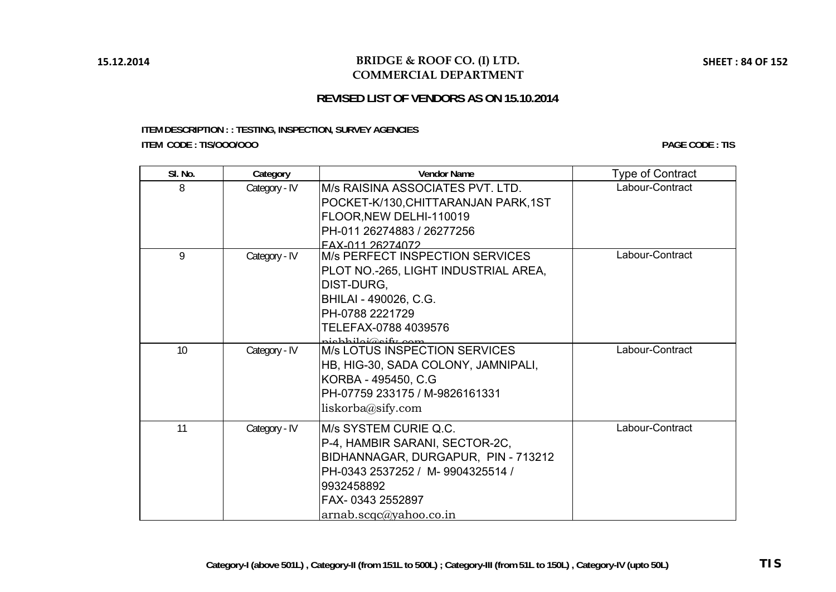### **BRIDGE & ROOF CO. (I) LTD. COMMERCIAL DEPARTMENT**

# **REVISED LIST OF VENDORS AS ON 15.10.2014**

### **ITEM DESCRIPTION : : TESTING, INSPECTION, SURVEY AGENCIES ITEM CODE : TIS/OOO/OOO**

| SI. No. | Category      | <b>Vendor Name</b>                                                                                                                                                                            | <b>Type of Contract</b> |
|---------|---------------|-----------------------------------------------------------------------------------------------------------------------------------------------------------------------------------------------|-------------------------|
| 8       | Category - IV | M/s RAISINA ASSOCIATES PVT. LTD.<br>POCKET-K/130, CHITTARANJAN PARK, 1ST<br>FLOOR, NEW DELHI-110019<br>PH-011 26274883 / 26277256<br>FAX-011 26274072                                         | Labour-Contract         |
| 9       | Category - IV | <b>M/s PERFECT INSPECTION SERVICES</b><br>PLOT NO.-265, LIGHT INDUSTRIAL AREA,<br>DIST-DURG,<br>BHILAI - 490026, C.G.<br>PH-0788 2221729<br>TELEFAX-0788 4039576<br>nichhiloi@aify.com        | Labour-Contract         |
| 10      | Category - IV | <b>M/s LOTUS INSPECTION SERVICES</b><br>HB, HIG-30, SADA COLONY, JAMNIPALI,<br>KORBA - 495450, C.G.<br>PH-07759 233175 / M-9826161331<br>liskorba@sify.com                                    | Labour-Contract         |
| 11      | Category - IV | M/s SYSTEM CURIE Q.C.<br>P-4, HAMBIR SARANI, SECTOR-2C,<br>BIDHANNAGAR, DURGAPUR, PIN - 713212<br>PH-0343 2537252 / M-9904325514 /<br>9932458892<br>FAX-0343 2552897<br>arnab.scq@yahoo.co.in | Labour-Contract         |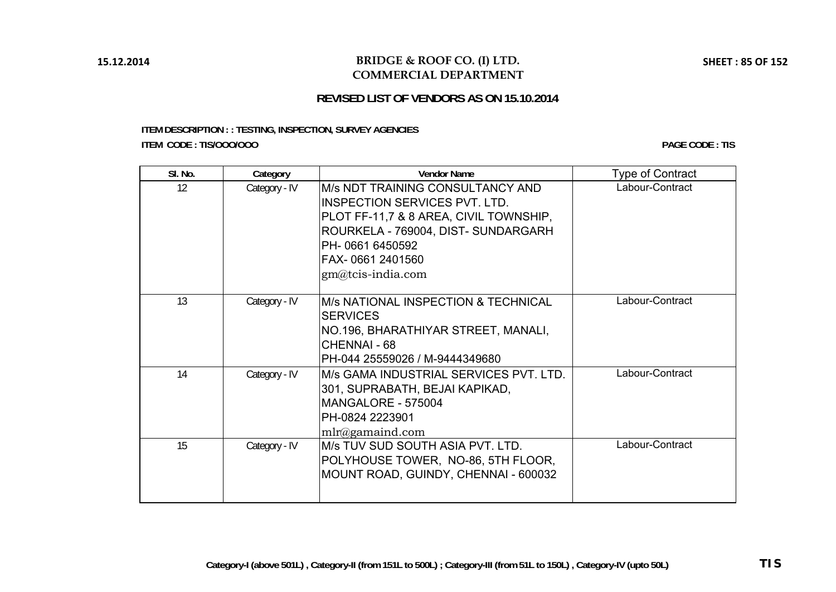### **BRIDGE & ROOF CO. (I) LTD. COMMERCIAL DEPARTMENT**

## **REVISED LIST OF VENDORS AS ON 15.10.2014**

### **ITEM DESCRIPTION : : TESTING, INSPECTION, SURVEY AGENCIES ITEM CODE : TIS/OOO/OOO**

**PAGE CODE : TIS**

| SI. No. | Category      | <b>Vendor Name</b>                                                                                                                                                                                                   | <b>Type of Contract</b> |
|---------|---------------|----------------------------------------------------------------------------------------------------------------------------------------------------------------------------------------------------------------------|-------------------------|
| 12      | Category - IV | M/s NDT TRAINING CONSULTANCY AND<br><b>INSPECTION SERVICES PVT. LTD.</b><br>PLOT FF-11,7 & 8 AREA, CIVIL TOWNSHIP,<br>ROURKELA - 769004, DIST- SUNDARGARH<br>PH-06616450592<br>FAX-0661 2401560<br>gm@tcis-india.com | Labour-Contract         |
| 13      | Category - IV | <b>M/s NATIONAL INSPECTION &amp; TECHNICAL</b><br><b>SERVICES</b><br>NO.196, BHARATHIYAR STREET, MANALI,<br>CHENNAI - 68<br>PH-044 25559026 / M-9444349680                                                           | Labour-Contract         |
| 14      | Category - IV | M/s GAMA INDUSTRIAL SERVICES PVT. LTD.<br>301, SUPRABATH, BEJAI KAPIKAD,<br>MANGALORE - 575004<br>PH-0824 2223901<br>$mlr@gamma$ gamaind.com                                                                         | Labour-Contract         |
| 15      | Category - IV | M/s TUV SUD SOUTH ASIA PVT. LTD.<br>POLYHOUSE TOWER, NO-86, 5TH FLOOR,<br>MOUNT ROAD, GUINDY, CHENNAI - 600032                                                                                                       | Labour-Contract         |

**SHEET : 85 OF 152**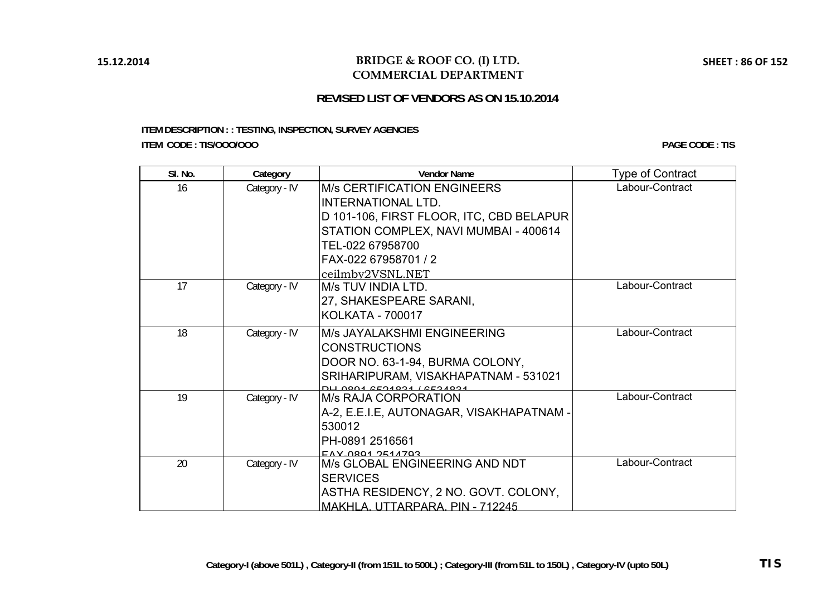### **BRIDGE & ROOF CO. (I) LTD. COMMERCIAL DEPARTMENT**

## **REVISED LIST OF VENDORS AS ON 15.10.2014**

### **ITEM DESCRIPTION : : TESTING, INSPECTION, SURVEY AGENCIES ITEM CODE : TIS/OOO/OOO**

| SI. No. | Category      | <b>Vendor Name</b>                                 | <b>Type of Contract</b> |
|---------|---------------|----------------------------------------------------|-------------------------|
| 16      | Category - IV | <b>M/s CERTIFICATION ENGINEERS</b>                 | Labour-Contract         |
|         |               | <b>INTERNATIONAL LTD.</b>                          |                         |
|         |               | D 101-106, FIRST FLOOR, ITC, CBD BELAPUR           |                         |
|         |               | STATION COMPLEX, NAVI MUMBAI - 400614              |                         |
|         |               | TEL-022 67958700                                   |                         |
|         |               | FAX-022 67958701 / 2                               |                         |
|         |               | ceilmby2VSNL.NET                                   |                         |
| 17      | Category - IV | M/s TUV INDIA LTD.                                 | Labour-Contract         |
|         |               | 27, SHAKESPEARE SARANI,                            |                         |
|         |               | KOLKATA - 700017                                   |                         |
| 18      | Category - IV | M/s JAYALAKSHMI ENGINEERING                        | Labour-Contract         |
|         |               | <b>CONSTRUCTIONS</b>                               |                         |
|         |               | DOOR NO. 63-1-94, BURMA COLONY,                    |                         |
|         |               | SRIHARIPURAM, VISAKHAPATNAM - 531021               |                         |
|         |               | POORCED LACOACED AODE                              | Labour-Contract         |
| 19      | Category - IV | <b>M/s RAJA CORPORATION</b>                        |                         |
|         |               | A-2, E.E.I.E, AUTONAGAR, VISAKHAPATNAM -           |                         |
|         |               | 530012                                             |                         |
|         |               | PH-0891 2516561                                    |                         |
| 20      | Category - IV | EAY 0801 2514703<br>M/s GLOBAL ENGINEERING AND NDT | Labour-Contract         |
|         |               | <b>SERVICES</b>                                    |                         |
|         |               | ASTHA RESIDENCY, 2 NO. GOVT. COLONY,               |                         |
|         |               | MAKHLA, UTTARPARA, PIN - 712245                    |                         |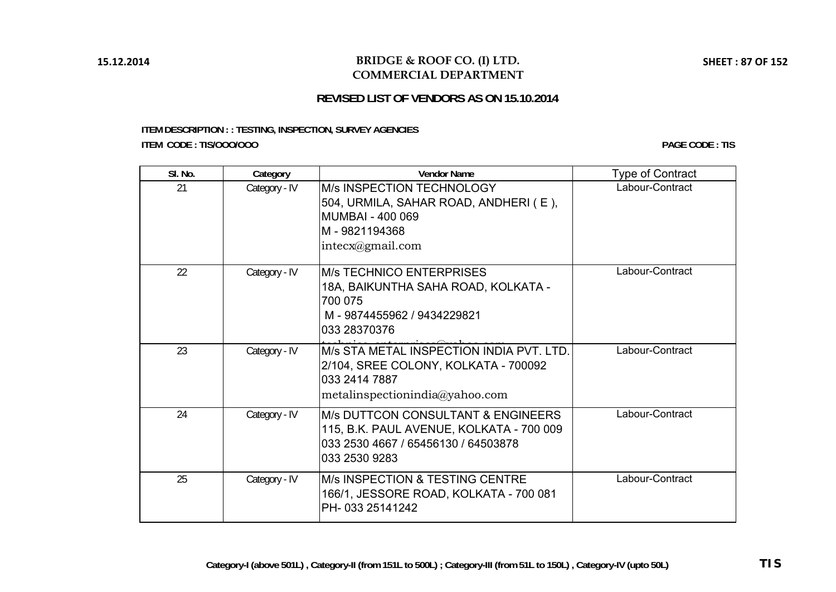### **BRIDGE & ROOF CO. (I) LTD. COMMERCIAL DEPARTMENT**

# **REVISED LIST OF VENDORS AS ON 15.10.2014**

### **ITEM DESCRIPTION : : TESTING, INSPECTION, SURVEY AGENCIES ITEM CODE : TIS/OOO/OOO**

| SI. No. | Category      | <b>Vendor Name</b>                                                                                                                                | <b>Type of Contract</b> |
|---------|---------------|---------------------------------------------------------------------------------------------------------------------------------------------------|-------------------------|
| 21      | Category - IV | <b>M/s INSPECTION TECHNOLOGY</b><br>504, URMILA, SAHAR ROAD, ANDHERI (E),<br><b>MUMBAI - 400 069</b><br>M-9821194368<br>intecx@gmail.com          | Labour-Contract         |
| 22      | Category - IV | <b>M/s TECHNICO ENTERPRISES</b><br>18A, BAIKUNTHA SAHA ROAD, KOLKATA -<br>700 075<br>M-9874455962 / 9434229821<br>033 28370376                    | Labour-Contract         |
| 23      | Category - IV | M/s STA METAL INSPECTION INDIA PVT. LTD.<br>2/104, SREE COLONY, KOLKATA - 700092<br>033 2414 7887<br>metalin specificationindia@yahoo.com         | Labour-Contract         |
| 24      | Category - IV | <b>M/s DUTTCON CONSULTANT &amp; ENGINEERS</b><br>115, B.K. PAUL AVENUE, KOLKATA - 700 009<br>033 2530 4667 / 65456130 / 64503878<br>033 2530 9283 | Labour-Contract         |
| 25      | Category - IV | M/s INSPECTION & TESTING CENTRE<br>166/1, JESSORE ROAD, KOLKATA - 700 081<br>PH-033 25141242                                                      | Labour-Contract         |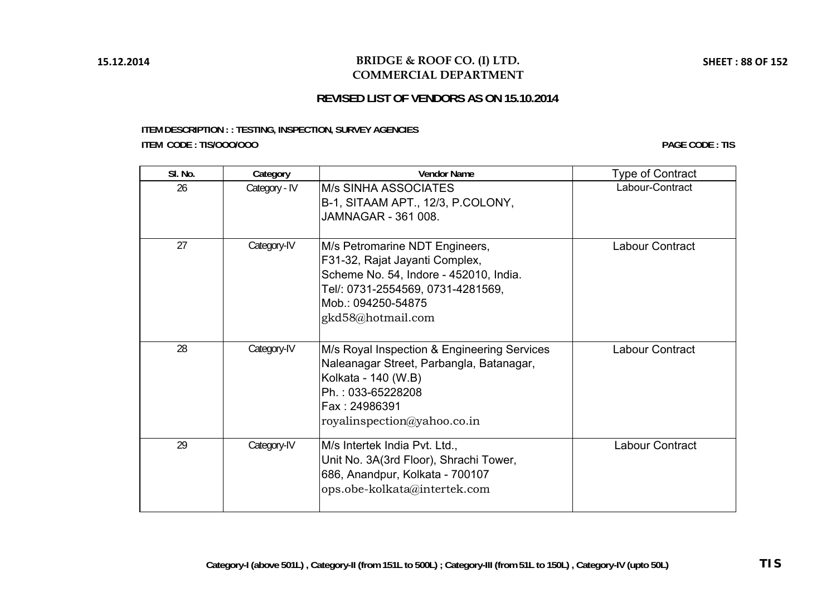### **BRIDGE & ROOF CO. (I) LTD. COMMERCIAL DEPARTMENT**

### **REVISED LIST OF VENDORS AS ON 15.10.2014**

### **ITEM DESCRIPTION : : TESTING, INSPECTION, SURVEY AGENCIES ITEM CODE : TIS/OOO/OOO**

| SI. No. | Category      | <b>Vendor Name</b>                                                                                                                                                                         | <b>Type of Contract</b> |
|---------|---------------|--------------------------------------------------------------------------------------------------------------------------------------------------------------------------------------------|-------------------------|
| 26      | Category - IV | <b>M/s SINHA ASSOCIATES</b><br>B-1, SITAAM APT., 12/3, P.COLONY,<br>JAMNAGAR - 361 008.                                                                                                    | Labour-Contract         |
| 27      | Category-IV   | M/s Petromarine NDT Engineers,<br>F31-32, Rajat Jayanti Complex,<br>Scheme No. 54, Indore - 452010, India.<br>Tel/: 0731-2554569, 0731-4281569,<br>Mob.: 094250-54875<br>gkd58@hotmail.com | Labour Contract         |
| 28      | Category-IV   | M/s Royal Inspection & Engineering Services<br>Naleanagar Street, Parbangla, Batanagar,<br>Kolkata - 140 (W.B)<br>Ph.: 033-65228208<br>Fax: 24986391<br>royalinspection@yahoo.co.in        | Labour Contract         |
| 29      | Category-IV   | M/s Intertek India Pvt. Ltd.,<br>Unit No. 3A(3rd Floor), Shrachi Tower,<br>686, Anandpur, Kolkata - 700107<br>ops.obe-kolkata@intertek.com                                                 | Labour Contract         |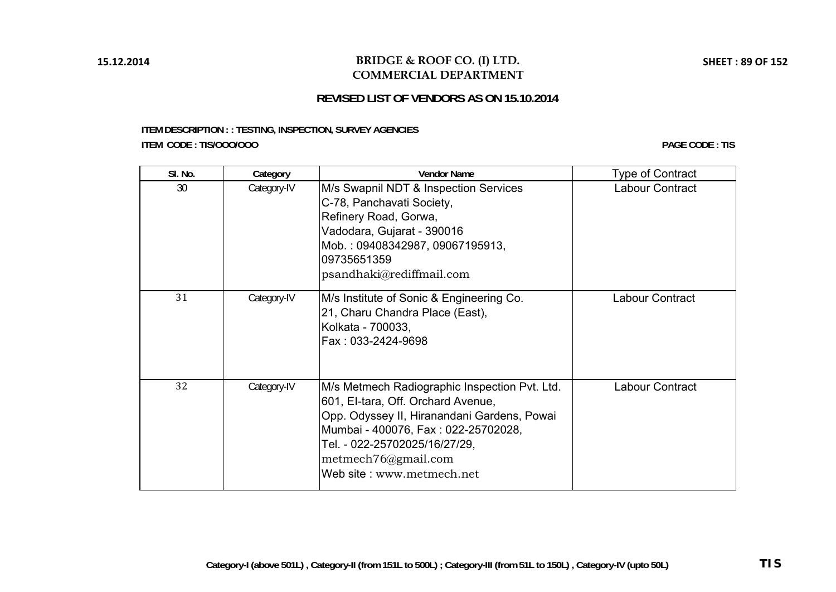# **REVISED LIST OF VENDORS AS ON 15.10.2014**

### **ITEM DESCRIPTION : : TESTING, INSPECTION, SURVEY AGENCIES ITEM CODE : TIS/OOO/OOO**

| SI. No. | Category    | <b>Vendor Name</b>                                                                                                                                                                                                                                             | <b>Type of Contract</b> |
|---------|-------------|----------------------------------------------------------------------------------------------------------------------------------------------------------------------------------------------------------------------------------------------------------------|-------------------------|
| 30      | Category-IV | M/s Swapnil NDT & Inspection Services<br>C-78, Panchavati Society,<br>Refinery Road, Gorwa,<br>Vadodara, Gujarat - 390016<br>Mob.: 09408342987, 09067195913,<br>09735651359<br>psandhaki@rediffmail.com                                                        | Labour Contract         |
| 31      | Category-IV | M/s Institute of Sonic & Engineering Co.<br>21, Charu Chandra Place (East),<br>Kolkata - 700033,<br>Fax: 033-2424-9698                                                                                                                                         | Labour Contract         |
| 32      | Category-IV | M/s Metmech Radiographic Inspection Pvt. Ltd.<br>601, El-tara, Off. Orchard Avenue,<br>Opp. Odyssey II, Hiranandani Gardens, Powai<br>Mumbai - 400076, Fax: 022-25702028,<br>Tel. - 022-25702025/16/27/29,<br>metmech76@gmail.com<br>Web site: www.metmech.net | Labour Contract         |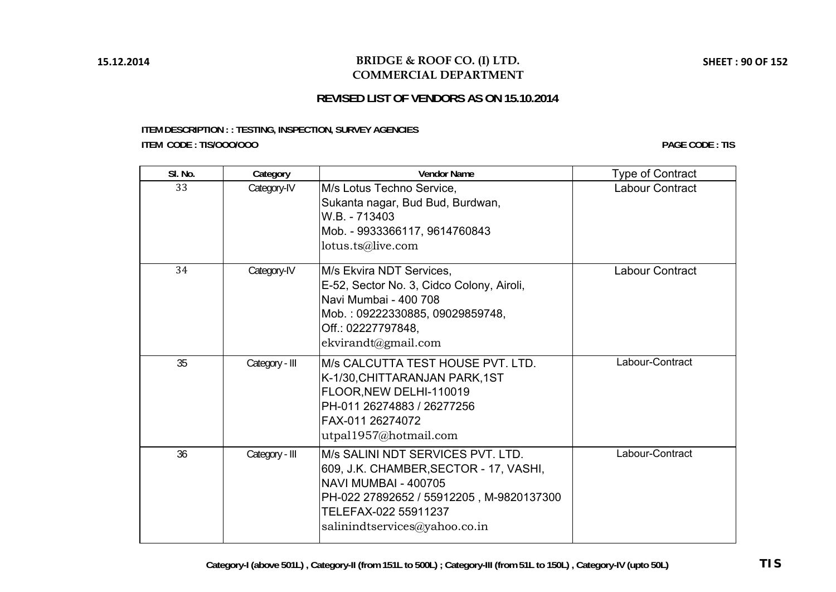# **REVISED LIST OF VENDORS AS ON 15.10.2014**

### **ITEM DESCRIPTION : : TESTING, INSPECTION, SURVEY AGENCIES ITEM CODE : TIS/OOO/OOO**

| SI. No. | Category       | <b>Vendor Name</b>                                                                                                                                                                                       | <b>Type of Contract</b> |
|---------|----------------|----------------------------------------------------------------------------------------------------------------------------------------------------------------------------------------------------------|-------------------------|
| 33      | Category-IV    | M/s Lotus Techno Service,<br>Sukanta nagar, Bud Bud, Burdwan,<br>W.B. - 713403<br>Mob. - 9933366117, 9614760843<br>lotus.ts@live.com                                                                     | Labour Contract         |
| 34      | Category-IV    | M/s Ekvira NDT Services,<br>E-52, Sector No. 3, Cidco Colony, Airoli,<br>Navi Mumbai - 400 708<br>Mob.: 09222330885, 09029859748,<br>Off.: 02227797848,<br>ekvirandt@gmail.com                           | <b>Labour Contract</b>  |
| 35      | Category - III | M/s CALCUTTA TEST HOUSE PVT. LTD.<br>K-1/30, CHITTARANJAN PARK, 1ST<br>FLOOR, NEW DELHI-110019<br>PH-011 26274883 / 26277256<br>FAX-011 26274072<br>utpal1957@hotmail.com                                | Labour-Contract         |
| 36      | Category - III | M/s SALINI NDT SERVICES PVT. LTD.<br>609, J.K. CHAMBER, SECTOR - 17, VASHI,<br>NAVI MUMBAI - 400705<br>PH-022 27892652 / 55912205, M-9820137300<br>TELEFAX-022 55911237<br>salinindtservices@yahoo.co.in | Labour-Contract         |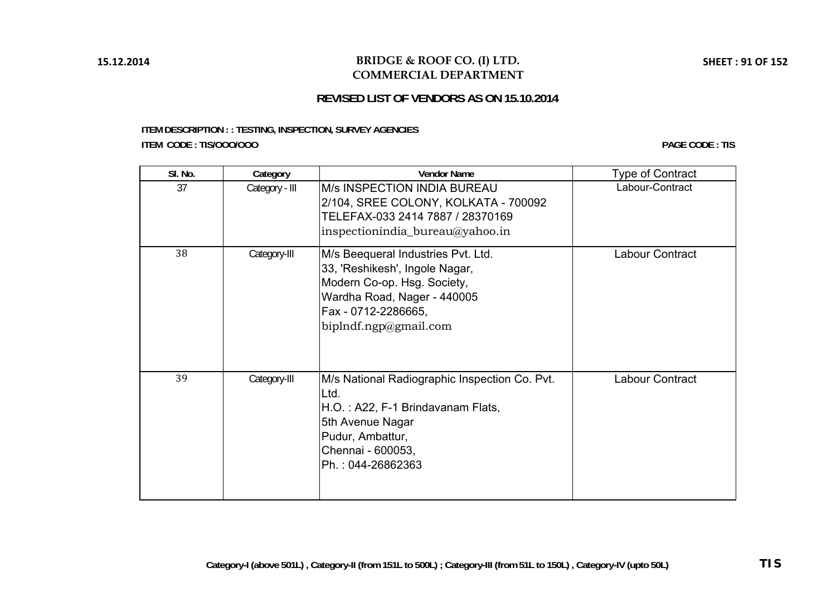### **BRIDGE & ROOF CO. (I) LTD. COMMERCIAL DEPARTMENT**

# **REVISED LIST OF VENDORS AS ON 15.10.2014**

### **ITEM DESCRIPTION : : TESTING, INSPECTION, SURVEY AGENCIES ITEM CODE : TIS/OOO/OOO**

| SI. No. | Category       | <b>Vendor Name</b>                                                                                                                                                                 | Type of Contract |
|---------|----------------|------------------------------------------------------------------------------------------------------------------------------------------------------------------------------------|------------------|
| 37      | Category - III | <b>M/s INSPECTION INDIA BUREAU</b><br>2/104, SREE COLONY, KOLKATA - 700092<br>TELEFAX-033 2414 7887 / 28370169<br>inspectionindia_bureau $@y$ ahoo.in                              | Labour-Contract  |
| 38      | Category-III   | M/s Beequeral Industries Pvt. Ltd.<br>33, 'Reshikesh', Ingole Nagar,<br>Modern Co-op. Hsg. Society,<br>Wardha Road, Nager - 440005<br>Fax - 0712-2286665,<br>biplndf.ngp@gmail.com | Labour Contract  |
| 39      | Category-III   | M/s National Radiographic Inspection Co. Pvt.<br>Ltd.<br>H.O.: A22, F-1 Brindavanam Flats,<br>5th Avenue Nagar<br>Pudur, Ambattur,<br>Chennai - 600053,<br>Ph.: 044-26862363       | Labour Contract  |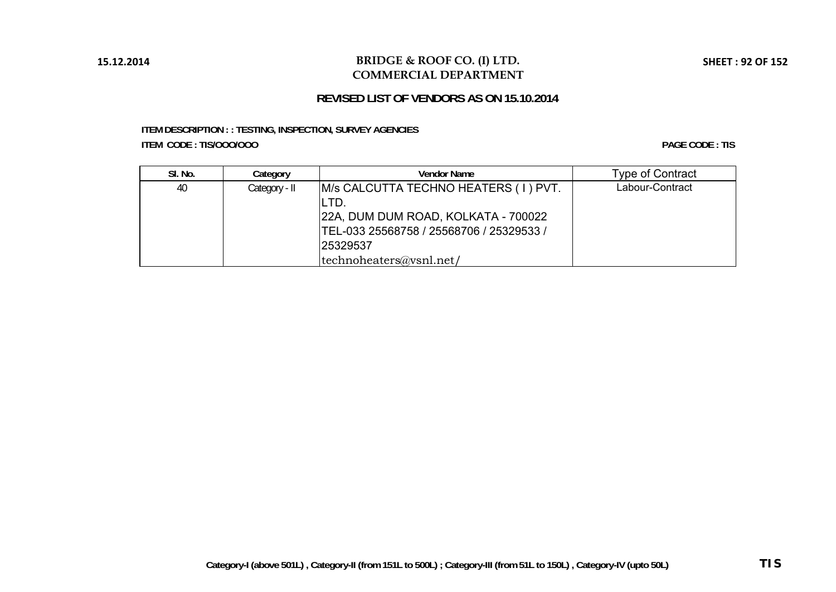### **BRIDGE & ROOF CO. (I) LTD. COMMERCIAL DEPARTMENT**

## **REVISED LIST OF VENDORS AS ON 15.10.2014**

### **ITEM DESCRIPTION : : TESTING, INSPECTION, SURVEY AGENCIES ITEM CODE : TIS/OOO/OOO**

| SI. No. | Category      | <b>Vendor Name</b>                       | <b>Type of Contract</b> |
|---------|---------------|------------------------------------------|-------------------------|
| 40      | Category - II | M/s CALCUTTA TECHNO HEATERS ( I ) PVT.   | Labour-Contract         |
|         |               | LTD.                                     |                         |
|         |               | 22A, DUM DUM ROAD, KOLKATA - 700022      |                         |
|         |               | TEL-033 25568758 / 25568706 / 25329533 / |                         |
|         |               | 25329537                                 |                         |
|         |               | technoheaters@vsnl.net/                  |                         |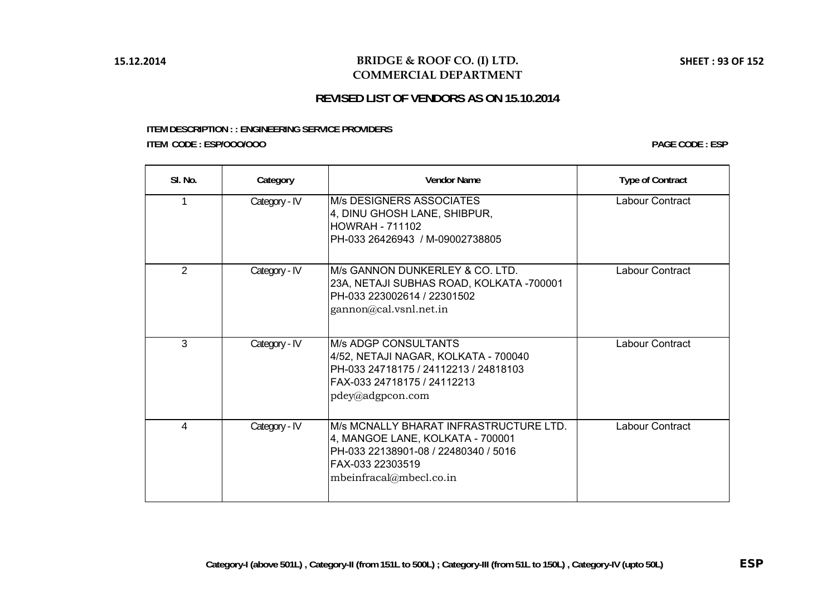# **REVISED LIST OF VENDORS AS ON 15.10.2014**

#### **ITEM DESCRIPTION : : ENGINEERING SERVICE PROVIDERS ITEM CODE : ESP/OOO/OOO**

| SI. No.        | Category      | <b>Vendor Name</b>                                                                                                                                                 | <b>Type of Contract</b> |
|----------------|---------------|--------------------------------------------------------------------------------------------------------------------------------------------------------------------|-------------------------|
|                | Category - IV | <b>M/s DESIGNERS ASSOCIATES</b><br>4, DINU GHOSH LANE, SHIBPUR,<br><b>HOWRAH - 711102</b><br>PH-033 26426943 / M-09002738805                                       | Labour Contract         |
| $\overline{2}$ | Category - IV | IM/s GANNON DUNKERLEY & CO. LTD.<br>23A, NETAJI SUBHAS ROAD, KOLKATA -700001<br>PH-033 223002614 / 22301502<br>gannon@cal.vsnl.net.in                              | Labour Contract         |
| 3              | Category - IV | <b>M/s ADGP CONSULTANTS</b><br>4/52, NETAJI NAGAR, KOLKATA - 700040<br>PH-033 24718175 / 24112213 / 24818103<br>FAX-033 24718175 / 24112213<br>pdey@adgpcon.com    | Labour Contract         |
| 4              | Category - IV | IM/s MCNALLY BHARAT INFRASTRUCTURE LTD.<br>4, MANGOE LANE, KOLKATA - 700001<br>PH-033 22138901-08 / 22480340 / 5016<br>FAX-033 22303519<br>mbeinfracal@mbecl.co.in | Labour Contract         |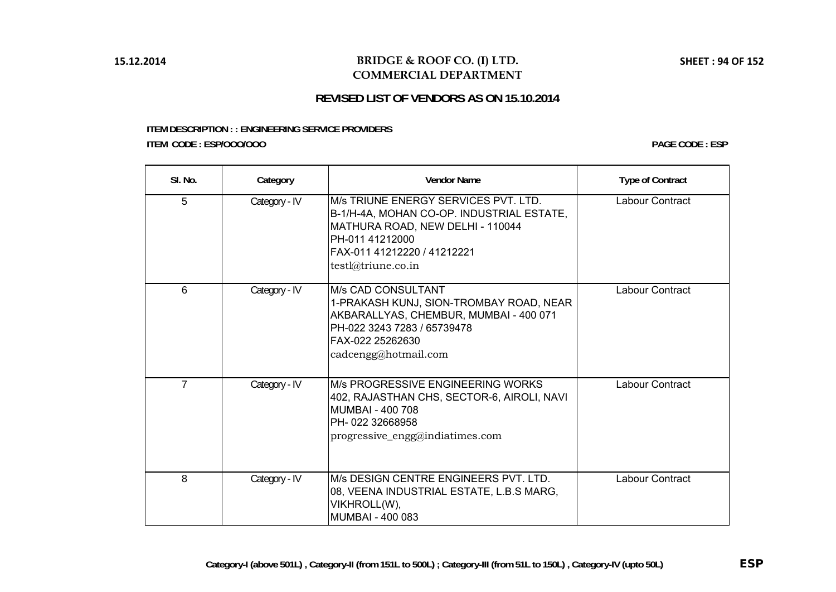# **REVISED LIST OF VENDORS AS ON 15.10.2014**

#### **ITEM DESCRIPTION : : ENGINEERING SERVICE PROVIDERS ITEM CODE : ESP/OOO/OOO**

| SI. No.        | Category      | <b>Vendor Name</b>                                                                                                                                                                            | <b>Type of Contract</b> |
|----------------|---------------|-----------------------------------------------------------------------------------------------------------------------------------------------------------------------------------------------|-------------------------|
| 5              | Category - IV | M/s TRIUNE ENERGY SERVICES PVT. LTD.<br>B-1/H-4A, MOHAN CO-OP. INDUSTRIAL ESTATE,<br>MATHURA ROAD, NEW DELHI - 110044<br>PH-011 41212000<br>FAX-011 41212220 / 41212221<br>testl@triune.co.in | Labour Contract         |
| 6              | Category - IV | M/s CAD CONSULTANT<br>1-PRAKASH KUNJ, SION-TROMBAY ROAD, NEAR<br>AKBARALLYAS, CHEMBUR, MUMBAI - 400 071<br>PH-022 3243 7283 / 65739478<br>FAX-022 25262630<br>cadcengg@hotmail.com            | Labour Contract         |
| $\overline{7}$ | Category - IV | M/s PROGRESSIVE ENGINEERING WORKS<br>402, RAJASTHAN CHS, SECTOR-6, AIROLI, NAVI<br><b>MUMBAI - 400 708</b><br>PH-022 32668958<br>progressive_engg@indiatimes.com                              | Labour Contract         |
| 8              | Category - IV | M/s DESIGN CENTRE ENGINEERS PVT. LTD.<br>08, VEENA INDUSTRIAL ESTATE, L.B.S MARG,<br>VIKHROLL(W),<br>MUMBAI - 400 083                                                                         | Labour Contract         |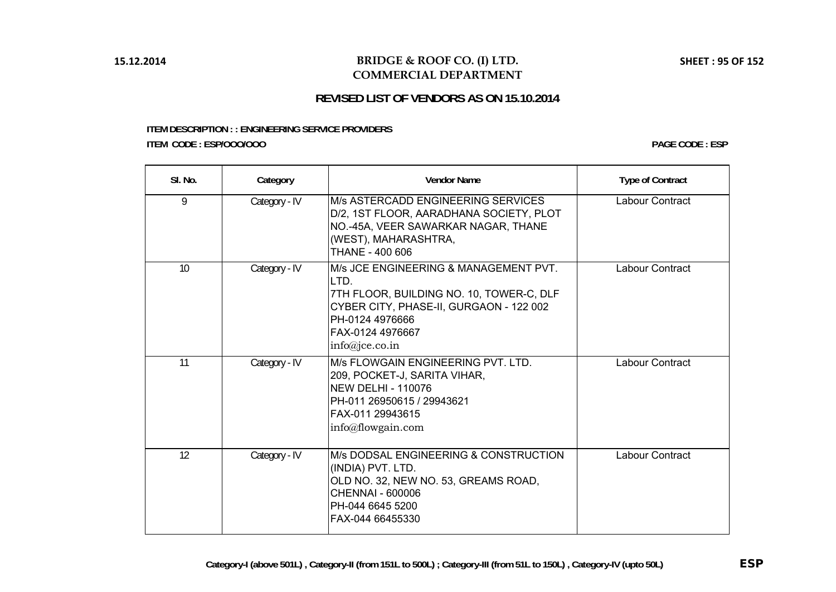# **REVISED LIST OF VENDORS AS ON 15.10.2014**

#### **ITEM DESCRIPTION : : ENGINEERING SERVICE PROVIDERS ITEM CODE : ESP/OOO/OOO**

| SI. No. | Category      | <b>Vendor Name</b>                                                                                                                                                                            | <b>Type of Contract</b> |
|---------|---------------|-----------------------------------------------------------------------------------------------------------------------------------------------------------------------------------------------|-------------------------|
| 9       | Category - IV | M/s ASTERCADD ENGINEERING SERVICES<br>D/2, 1ST FLOOR, AARADHANA SOCIETY, PLOT<br>NO.-45A, VEER SAWARKAR NAGAR, THANE<br>(WEST), MAHARASHTRA,<br>THANE - 400 606                               | Labour Contract         |
| 10      | Category - IV | M/s JCE ENGINEERING & MANAGEMENT PVT.<br>LTD.<br>7TH FLOOR, BUILDING NO. 10, TOWER-C, DLF<br>CYBER CITY, PHASE-II, GURGAON - 122 002<br>PH-0124 4976666<br>FAX-0124 4976667<br>info@ice.co.in | Labour Contract         |
| 11      | Category - IV | M/s FLOWGAIN ENGINEERING PVT. LTD.<br>209, POCKET-J, SARITA VIHAR,<br><b>NEW DELHI - 110076</b><br>PH-011 26950615 / 29943621<br>FAX-011 29943615<br>info@flowgain.com                        | Labour Contract         |
| 12      | Category - IV | M/s DODSAL ENGINEERING & CONSTRUCTION<br>(INDIA) PVT. LTD.<br>OLD NO. 32, NEW NO. 53, GREAMS ROAD,<br><b>CHENNAI - 600006</b><br>PH-044 6645 5200<br>FAX-044 66455330                         | <b>Labour Contract</b>  |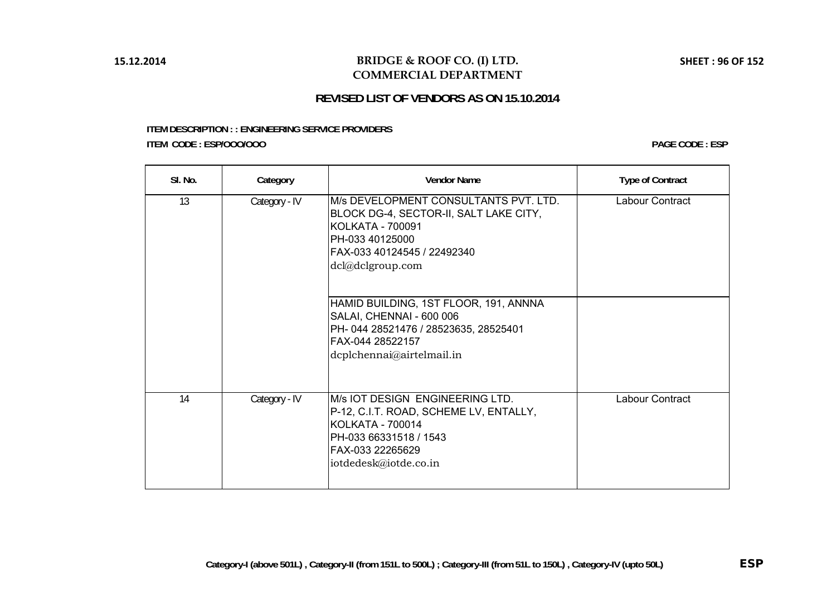# **REVISED LIST OF VENDORS AS ON 15.10.2014**

#### **ITEM DESCRIPTION : : ENGINEERING SERVICE PROVIDERS ITEM CODE : ESP/OOO/OOO**

| SI. No. | Category      | <b>Vendor Name</b>                                                                                                                                                               | <b>Type of Contract</b> |
|---------|---------------|----------------------------------------------------------------------------------------------------------------------------------------------------------------------------------|-------------------------|
| 13      | Category - IV | M/s DEVELOPMENT CONSULTANTS PVT. LTD.<br>BLOCK DG-4, SECTOR-II, SALT LAKE CITY,<br><b>KOLKATA - 700091</b><br>PH-033 40125000<br>FAX-033 40124545 / 22492340<br>dcl@dclgroup.com | Labour Contract         |
|         |               | HAMID BUILDING, 1ST FLOOR, 191, ANNNA<br>SALAI, CHENNAI - 600 006<br>PH-044 28521476 / 28523635, 28525401<br>FAX-044 28522157<br>dcplchennai@airtelmail.in                       |                         |
| 14      | Category - IV | M/s IOT DESIGN ENGINEERING LTD.<br>P-12, C.I.T. ROAD, SCHEME LV, ENTALLY,<br><b>KOLKATA - 700014</b><br>PH-033 66331518 / 1543<br>FAX-033 22265629<br>iotdedesk@iotde.co.in      | Labour Contract         |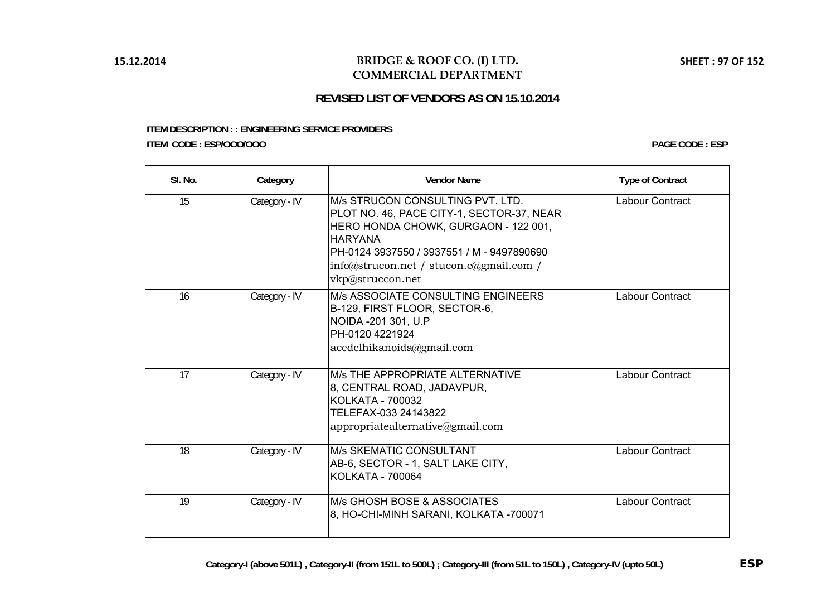# **REVISED LIST OF VENDORS AS ON 15.10.2014**

#### **ITEM DESCRIPTION : : ENGINEERING SERVICE PROVIDERS ITEM CODE : ESP/OOO/OOO**

| SI. No. | Category      | <b>Vendor Name</b>                                                                                                                                                                                                                                        | <b>Type of Contract</b> |
|---------|---------------|-----------------------------------------------------------------------------------------------------------------------------------------------------------------------------------------------------------------------------------------------------------|-------------------------|
| 15      | Category - IV | IM/s STRUCON CONSULTING PVT. LTD.<br>PLOT NO. 46, PACE CITY-1, SECTOR-37, NEAR<br>HERO HONDA CHOWK, GURGAON - 122 001,<br><b>HARYANA</b><br>PH-0124 3937550 / 3937551 / M - 9497890690<br>$\ln$ fo@strucon.net / stucon.e@gmail.com /<br>vkp@struccon.net | Labour Contract         |
| 16      | Category - IV | <b>M/s ASSOCIATE CONSULTING ENGINEERS</b><br>B-129, FIRST FLOOR, SECTOR-6,<br>NOIDA - 201 301, U.P<br>PH-0120 4221924<br>acedelhikanoida@gmail.com                                                                                                        | Labour Contract         |
| 17      | Category - IV | <b>M/s THE APPROPRIATE ALTERNATIVE</b><br>8, CENTRAL ROAD, JADAVPUR,<br>KOLKATA - 700032<br>TELEFAX-033 24143822<br>appropriatedternative@gmail.com                                                                                                       | <b>Labour Contract</b>  |
| 18      | Category - IV | <b>M/s SKEMATIC CONSULTANT</b><br>AB-6, SECTOR - 1, SALT LAKE CITY,<br><b>KOLKATA - 700064</b>                                                                                                                                                            | Labour Contract         |
| 19      | Category - IV | IM/s GHOSH BOSE & ASSOCIATES<br>8, HO-CHI-MINH SARANI, KOLKATA -700071                                                                                                                                                                                    | Labour Contract         |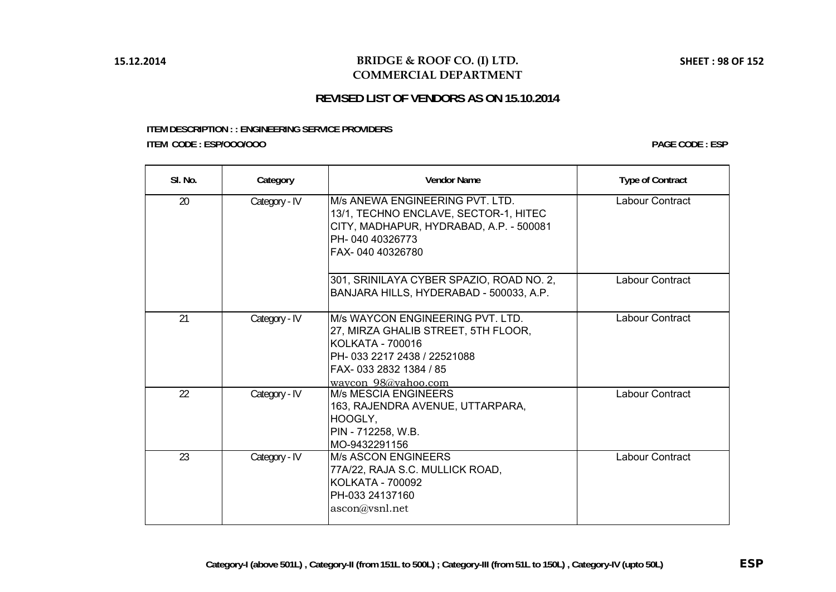# **REVISED LIST OF VENDORS AS ON 15.10.2014**

#### **ITEM DESCRIPTION : : ENGINEERING SERVICE PROVIDERS ITEM CODE : ESP/OOO/OOO**

| SI. No. | Category      | <b>Vendor Name</b>                                                                                                                                                                 | <b>Type of Contract</b> |
|---------|---------------|------------------------------------------------------------------------------------------------------------------------------------------------------------------------------------|-------------------------|
| 20      | Category - IV | M/s ANEWA ENGINEERING PVT. LTD.<br>13/1, TECHNO ENCLAVE, SECTOR-1, HITEC<br>CITY, MADHAPUR, HYDRABAD, A.P. - 500081<br>PH-040 40326773<br>FAX-040 40326780                         | Labour Contract         |
|         |               | 301, SRINILAYA CYBER SPAZIO, ROAD NO. 2,<br>BANJARA HILLS, HYDERABAD - 500033, A.P.                                                                                                | Labour Contract         |
| 21      | Category - IV | M/s WAYCON ENGINEERING PVT. LTD.<br>27, MIRZA GHALIB STREET, 5TH FLOOR,<br><b>KOLKATA - 700016</b><br>PH-033 2217 2438 / 22521088<br>FAX-033 2832 1384 / 85<br>waycon 98@yahoo.com | Labour Contract         |
| 22      | Category - IV | <b>M/s MESCIA ENGINEERS</b><br>163, RAJENDRA AVENUE, UTTARPARA,<br>HOOGLY,<br>PIN - 712258, W.B.<br>MO-9432291156                                                                  | Labour Contract         |
| 23      | Category - IV | <b>M/s ASCON ENGINEERS</b><br>77A/22, RAJA S.C. MULLICK ROAD,<br><b>KOLKATA - 700092</b><br>PH-033 24137160<br>ascon@vsnl.net                                                      | Labour Contract         |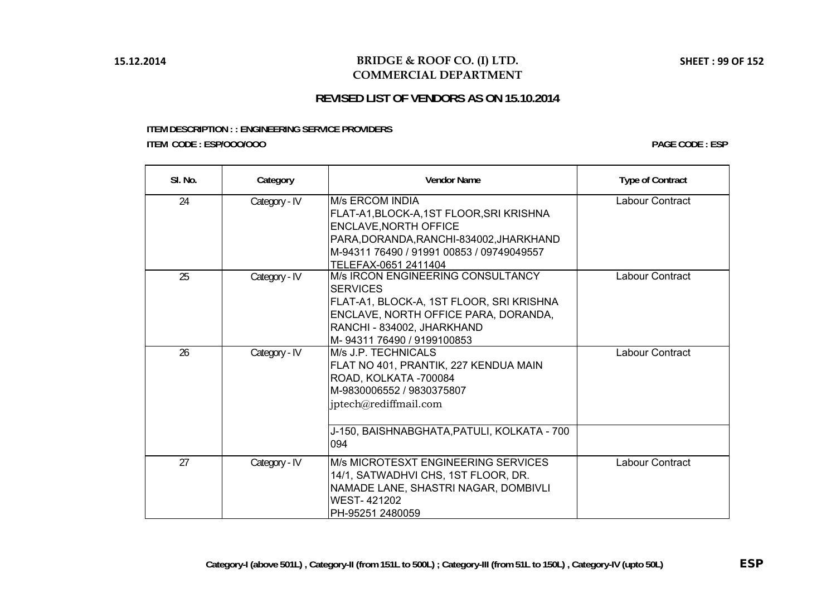# **REVISED LIST OF VENDORS AS ON 15.10.2014**

#### **ITEM DESCRIPTION : : ENGINEERING SERVICE PROVIDERS ITEM CODE : ESP/OOO/OOO**

| SI. No. | Category      | <b>Vendor Name</b>                                                                                                                                                                                                | <b>Type of Contract</b> |
|---------|---------------|-------------------------------------------------------------------------------------------------------------------------------------------------------------------------------------------------------------------|-------------------------|
| 24      | Category - IV | <b>M/s ERCOM INDIA</b><br>FLAT-A1, BLOCK-A, 1ST FLOOR, SRIKRISHNA<br><b>ENCLAVE, NORTH OFFICE</b><br>PARA, DORANDA, RANCHI-834002, JHARKHAND<br>M-94311 76490 / 91991 00853 / 09749049557<br>TELEFAX-0651 2411404 | Labour Contract         |
| 25      | Category - IV | M/s IRCON ENGINEERING CONSULTANCY<br><b>SERVICES</b><br>FLAT-A1, BLOCK-A, 1ST FLOOR, SRI KRISHNA<br>ENCLAVE, NORTH OFFICE PARA, DORANDA,<br>RANCHI - 834002, JHARKHAND<br>M-9431176490 / 9199100853               | Labour Contract         |
| 26      | Category - IV | M/s J.P. TECHNICALS<br>FLAT NO 401, PRANTIK, 227 KENDUA MAIN<br>ROAD, KOLKATA -700084<br>M-9830006552 / 9830375807<br>jptech@rediffmail.com<br>J-150, BAISHNABGHATA, PATULI, KOLKATA - 700<br>094                 | Labour Contract         |
| 27      | Category - IV | M/s MICROTESXT ENGINEERING SERVICES<br>14/1, SATWADHVI CHS, 1ST FLOOR, DR.<br>NAMADE LANE, SHASTRI NAGAR, DOMBIVLI<br><b>WEST-421202</b><br>PH-95251 2480059                                                      | Labour Contract         |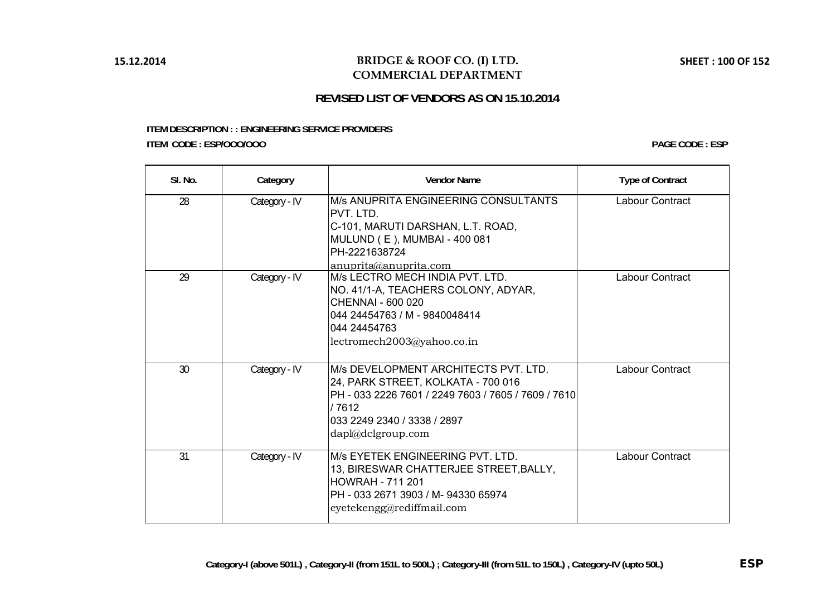# **REVISED LIST OF VENDORS AS ON 15.10.2014**

#### **ITEM DESCRIPTION : : ENGINEERING SERVICE PROVIDERS ITEM CODE : ESP/OOO/OOO**

| SI. No. | Category      | <b>Vendor Name</b>                                                                                                                                                                              | <b>Type of Contract</b> |
|---------|---------------|-------------------------------------------------------------------------------------------------------------------------------------------------------------------------------------------------|-------------------------|
| 28      | Category - IV | M/s ANUPRITA ENGINEERING CONSULTANTS<br>PVT. LTD.<br>C-101, MARUTI DARSHAN, L.T. ROAD,<br>MULUND (E), MUMBAI - 400 081<br>PH-2221638724<br>anuprita@anuprita.com                                | Labour Contract         |
| 29      | Category - IV | M/s LECTRO MECH INDIA PVT. LTD.<br>NO. 41/1-A, TEACHERS COLONY, ADYAR,<br>CHENNAI - 600 020<br>044 24454763 / M - 9840048414<br>044 24454763<br>lectromech2003@yahoo.co.in                      | Labour Contract         |
| 30      | Category - IV | M/s DEVELOPMENT ARCHITECTS PVT. LTD.<br>24, PARK STREET, KOLKATA - 700 016<br>PH - 033 2226 7601 / 2249 7603 / 7605 / 7609 / 7610<br>/ 7612<br>033 2249 2340 / 3338 / 2897<br>dapl@dclgroup.com | Labour Contract         |
| 31      | Category - IV | M/s EYETEK ENGINEERING PVT. LTD.<br>13, BIRESWAR CHATTERJEE STREET, BALLY,<br><b>HOWRAH - 711 201</b><br>PH - 033 2671 3903 / M- 94330 65974<br>eyetekengg@rediffmail.com                       | Labour Contract         |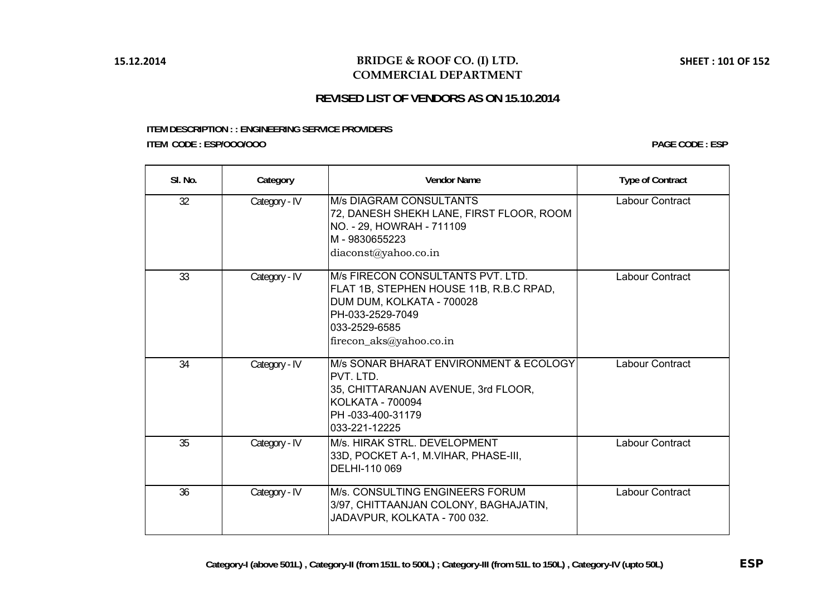# **REVISED LIST OF VENDORS AS ON 15.10.2014**

#### **ITEM DESCRIPTION : : ENGINEERING SERVICE PROVIDERS ITEM CODE : ESP/OOO/OOO**

| SI. No. | Category      | <b>Vendor Name</b>                                                                                                                                                        | <b>Type of Contract</b> |
|---------|---------------|---------------------------------------------------------------------------------------------------------------------------------------------------------------------------|-------------------------|
| 32      | Category - IV | <b>M/s DIAGRAM CONSULTANTS</b><br>72, DANESH SHEKH LANE, FIRST FLOOR, ROOM<br>NO. - 29, HOWRAH - 711109<br>M-9830655223<br>diaconst@yahoo.co.in                           | Labour Contract         |
| 33      | Category - IV | M/s FIRECON CONSULTANTS PVT. LTD.<br>FLAT 1B, STEPHEN HOUSE 11B, R.B.C RPAD,<br>DUM DUM, KOLKATA - 700028<br>PH-033-2529-7049<br>033-2529-6585<br>firecon_aks@yahoo.co.in | Labour Contract         |
| 34      | Category - IV | M/s SONAR BHARAT ENVIRONMENT & ECOLOGY<br>PVT. LTD.<br>35, CHITTARANJAN AVENUE, 3rd FLOOR,<br>KOLKATA - 700094<br>PH -033-400-31179<br>033-221-12225                      | Labour Contract         |
| 35      | Category - IV | M/s. HIRAK STRL, DEVELOPMENT<br>33D, POCKET A-1, M.VIHAR, PHASE-III,<br>DELHI-110 069                                                                                     | <b>Labour Contract</b>  |
| 36      | Category - IV | M/s. CONSULTING ENGINEERS FORUM<br>3/97, CHITTAANJAN COLONY, BAGHAJATIN,<br>JADAVPUR, KOLKATA - 700 032.                                                                  | <b>Labour Contract</b>  |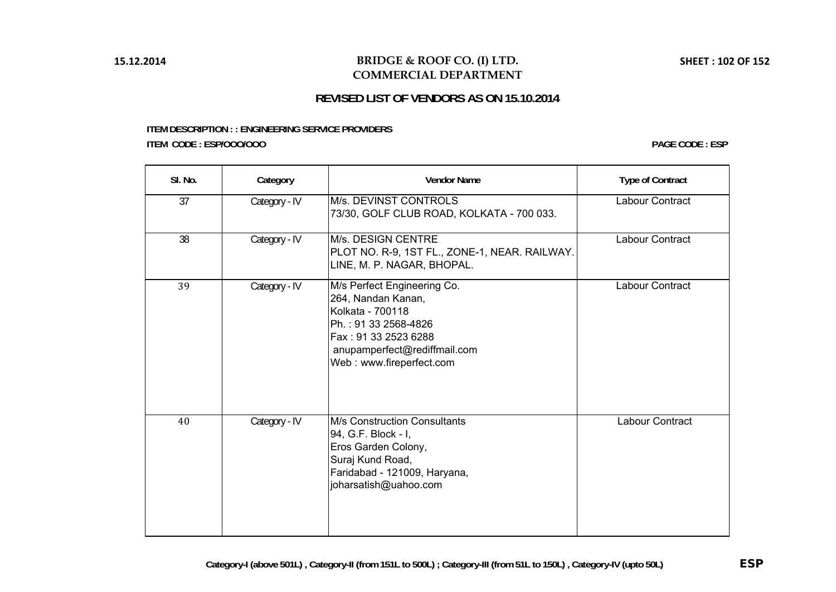# **REVISED LIST OF VENDORS AS ON 15.10.2014**

#### **ITEM DESCRIPTION : : ENGINEERING SERVICE PROVIDERS ITEM CODE : ESP/OOO/OOO**

| SI. No. | Category      | <b>Vendor Name</b>                                                                                                                                                                | <b>Type of Contract</b> |
|---------|---------------|-----------------------------------------------------------------------------------------------------------------------------------------------------------------------------------|-------------------------|
| 37      | Category - IV | M/s. DEVINST CONTROLS<br>73/30, GOLF CLUB ROAD, KOLKATA - 700 033.                                                                                                                | Labour Contract         |
| 38      | Category - IV | M/s. DESIGN CENTRE<br>PLOT NO. R-9, 1ST FL., ZONE-1, NEAR. RAILWAY.<br>LINE, M. P. NAGAR, BHOPAL.                                                                                 | Labour Contract         |
| 39      | Category - IV | M/s Perfect Engineering Co.<br>264, Nandan Kanan,<br>Kolkata - 700118<br>Ph.: 91 33 2568-4826<br>Fax: 91 33 2523 6288<br>anupamperfect@rediffmail.com<br>Web: www.fireperfect.com | Labour Contract         |
| 40      | Category - IV | <b>M/s Construction Consultants</b><br>94, G.F. Block - I,<br>Eros Garden Colony,<br>Suraj Kund Road,<br>Faridabad - 121009, Haryana,<br>joharsatish@uahoo.com                    | Labour Contract         |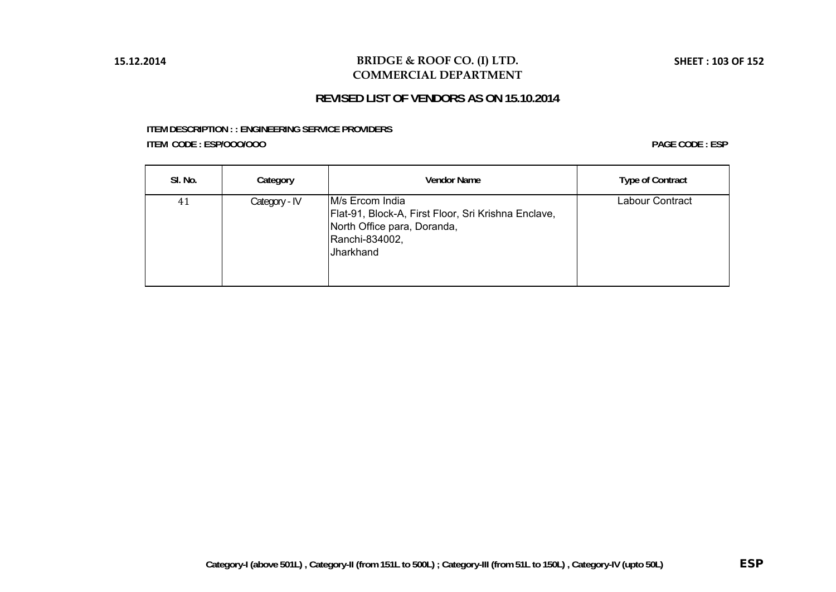# **REVISED LIST OF VENDORS AS ON 15.10.2014**

#### **ITEM DESCRIPTION : : ENGINEERING SERVICE PROVIDERS ITEM CODE : ESP/OOO/OOO**

| SI. No. | Category      | <b>Vendor Name</b>                                                                                                                   | <b>Type of Contract</b> |
|---------|---------------|--------------------------------------------------------------------------------------------------------------------------------------|-------------------------|
| 41      | Category - IV | M/s Ercom India<br>Flat-91, Block-A, First Floor, Sri Krishna Enclave,<br>North Office para, Doranda,<br>Ranchi-834002,<br>Jharkhand | Labour Contract         |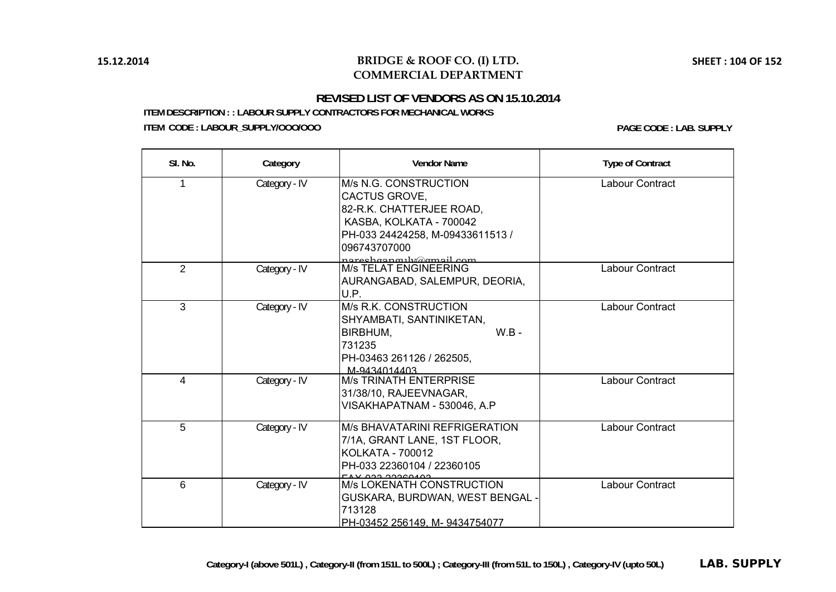# **REVISED LIST OF VENDORS AS ON 15.10.2014**

**ITEM DESCRIPTION : : LABOUR SUPPLY CONTRACTORS FOR MECHANICAL WORKS ITEM CODE : LABOUR\_SUPPLY/OOO/OOO PAGE CODE : LAB. SUPPLY**

| SI. No.        | Category      | <b>Vendor Name</b>                                                                                                                                                           | <b>Type of Contract</b> |
|----------------|---------------|------------------------------------------------------------------------------------------------------------------------------------------------------------------------------|-------------------------|
| 1              | Category - IV | M/s N.G. CONSTRUCTION<br>CACTUS GROVE,<br>82-R.K. CHATTERJEE ROAD,<br>KASBA, KOLKATA - 700042<br>PH-033 24424258, M-09433611513 /<br>096743707000<br>nareshaanguly@amail.com | Labour Contract         |
| $\mathcal{P}$  | Category - IV | <b>M/s TELAT ENGINEERING</b><br>AURANGABAD, SALEMPUR, DEORIA,<br>U.P.                                                                                                        | Labour Contract         |
| 3              | Category - IV | M/s R.K. CONSTRUCTION<br>SHYAMBATI, SANTINIKETAN,<br>$W.B -$<br>BIRBHUM.<br>731235<br>PH-03463 261126 / 262505,<br>M-9434014403                                              | Labour Contract         |
| $\overline{4}$ | Category - IV | <b>M/s TRINATH ENTERPRISE</b><br>31/38/10, RAJEEVNAGAR,<br>VISAKHAPATNAM - 530046, A.P                                                                                       | Labour Contract         |
| 5              | Category - IV | <b>M/s BHAVATARINI REFRIGERATION</b><br>7/1A, GRANT LANE, 1ST FLOOR,<br><b>KOLKATA - 700012</b><br>PH-033 22360104 / 22360105<br><u>מחגמפרים בכם עגד</u>                     | Labour Contract         |
| 6              | Category - IV | <b>M/s LOKENATH CONSTRUCTION</b><br>GUSKARA, BURDWAN, WEST BENGAL<br>713128<br>PH-03452 256149, M-9434754077                                                                 | Labour Contract         |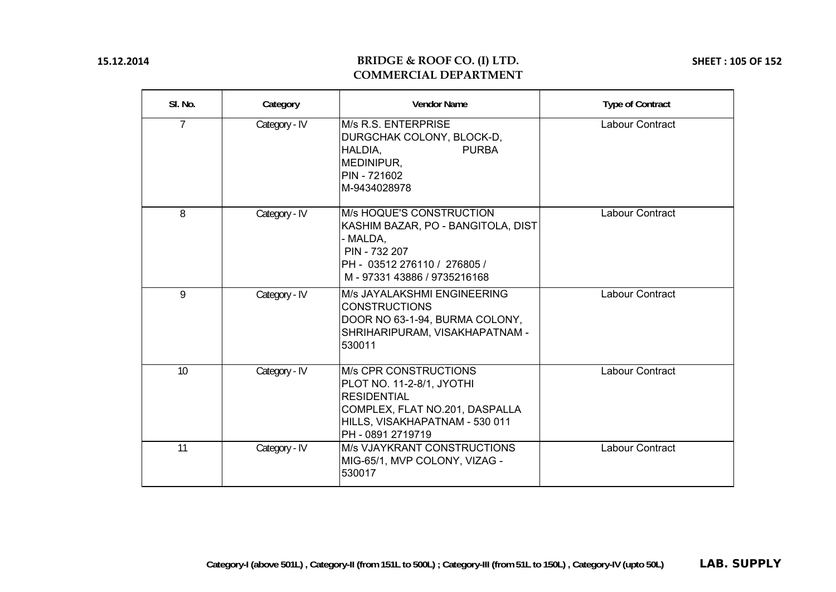# **BRIDGE & ROOF CO. (I) LTD. COMMERCIAL DEPARTMENT**

**SHEET : 105 OF 152**

| SI. No.        | Category      | <b>Vendor Name</b>                                                                                                                                                       | <b>Type of Contract</b> |
|----------------|---------------|--------------------------------------------------------------------------------------------------------------------------------------------------------------------------|-------------------------|
| $\overline{7}$ | Category - IV | M/s R.S. ENTERPRISE<br>DURGCHAK COLONY, BLOCK-D,<br><b>PURBA</b><br>HALDIA,<br>MEDINIPUR,<br>PIN - 721602<br>M-9434028978                                                | <b>Labour Contract</b>  |
| 8              | Category - IV | M/s HOQUE'S CONSTRUCTION<br>KASHIM BAZAR, PO - BANGITOLA, DIST<br>- MALDA,<br>PIN - 732 207<br>PH - 03512 276110 / 276805 /<br>M-97331 43886 / 9735216168                | Labour Contract         |
| 9              | Category - IV | M/s JAYALAKSHMI ENGINEERING<br><b>CONSTRUCTIONS</b><br>DOOR NO 63-1-94, BURMA COLONY,<br>SHRIHARIPURAM, VISAKHAPATNAM -<br>530011                                        | Labour Contract         |
| 10             | Category - IV | <b>M/s CPR CONSTRUCTIONS</b><br>PLOT NO. 11-2-8/1, JYOTHI<br><b>RESIDENTIAL</b><br>COMPLEX, FLAT NO.201, DASPALLA<br>HILLS, VISAKHAPATNAM - 530 011<br>PH - 0891 2719719 | Labour Contract         |
| 11             | Category - IV | <b>M/s VJAYKRANT CONSTRUCTIONS</b><br>MIG-65/1, MVP COLONY, VIZAG -<br>530017                                                                                            | Labour Contract         |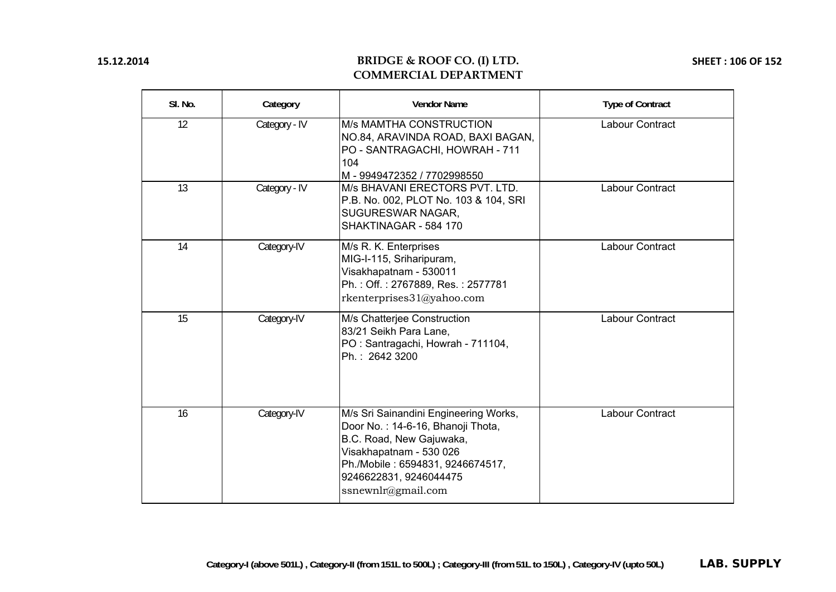## **BRIDGE & ROOF CO. (I) LTD. COMMERCIAL DEPARTMENT**

**SHEET : 106 OF 152**

| SI. No. | Category      | <b>Vendor Name</b>                                                                                                                                                                                                    | <b>Type of Contract</b> |
|---------|---------------|-----------------------------------------------------------------------------------------------------------------------------------------------------------------------------------------------------------------------|-------------------------|
| 12      | Category - IV | <b>M/s MAMTHA CONSTRUCTION</b><br>NO.84, ARAVINDA ROAD, BAXI BAGAN,<br>PO - SANTRAGACHI, HOWRAH - 711<br>104<br>M-9949472352 / 7702998550                                                                             | Labour Contract         |
| 13      | Category - IV | M/s BHAVANI ERECTORS PVT. LTD.<br>P.B. No. 002, PLOT No. 103 & 104, SRI<br>SUGURESWAR NAGAR,<br>SHAKTINAGAR - 584 170                                                                                                 | Labour Contract         |
| 14      | Category-IV   | M/s R. K. Enterprises<br>MIG-I-115, Sriharipuram,<br>Visakhapatnam - 530011<br>Ph.: Off.: 2767889, Res.: 2577781<br>rkenterprises31@yahoo.com                                                                         | <b>Labour Contract</b>  |
| 15      | Category-IV   | M/s Chatterjee Construction<br>83/21 Seikh Para Lane,<br>PO: Santragachi, Howrah - 711104,<br>Ph.: 2642 3200                                                                                                          | Labour Contract         |
| 16      | Category-IV   | M/s Sri Sainandini Engineering Works,<br>Door No.: 14-6-16, Bhanoji Thota,<br>B.C. Road, New Gajuwaka,<br>Visakhapatnam - 530 026<br>Ph./Mobile: 6594831, 9246674517,<br>9246622831, 9246044475<br>ssnewnlr@gmail.com | Labour Contract         |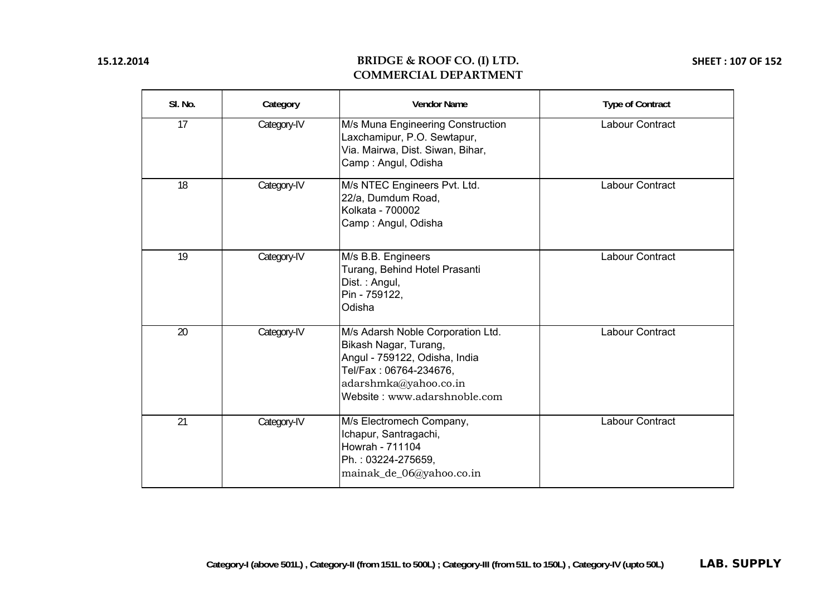## **BRIDGE & ROOF CO. (I) LTD. COMMERCIAL DEPARTMENT**

**SHEET : 107 OF 152**

| SI. No. | Category    | <b>Vendor Name</b>                                                                                                                                                             | <b>Type of Contract</b> |
|---------|-------------|--------------------------------------------------------------------------------------------------------------------------------------------------------------------------------|-------------------------|
| 17      | Category-IV | M/s Muna Engineering Construction<br>Laxchamipur, P.O. Sewtapur,<br>Via. Mairwa, Dist. Siwan, Bihar,<br>Camp: Angul, Odisha                                                    | Labour Contract         |
| 18      | Category-IV | M/s NTEC Engineers Pvt. Ltd.<br>22/a, Dumdum Road,<br>Kolkata - 700002<br>Camp: Angul, Odisha                                                                                  | Labour Contract         |
| 19      | Category-IV | M/s B.B. Engineers<br>Turang, Behind Hotel Prasanti<br>Dist.: Angul,<br>Pin - 759122,<br>Odisha                                                                                | Labour Contract         |
| 20      | Category-IV | M/s Adarsh Noble Corporation Ltd.<br>Bikash Nagar, Turang,<br>Angul - 759122, Odisha, India<br>Tel/Fax: 06764-234676,<br>adarshmka@yahoo.co.in<br>Website: www.adarshnoble.com | Labour Contract         |
| 21      | Category-IV | M/s Electromech Company,<br>Ichapur, Santragachi,<br>Howrah - 711104<br>Ph.: 03224-275659,<br>mainak_de_06@yahoo.co.in                                                         | Labour Contract         |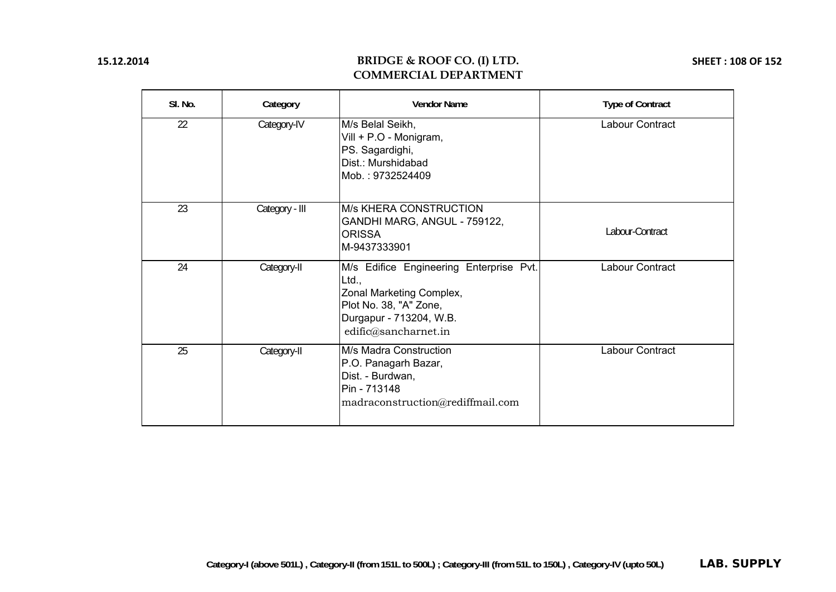## **BRIDGE & ROOF CO. (I) LTD. COMMERCIAL DEPARTMENT**

**SHEET : 108 OF 152**

| SI. No. | Category       | <b>Vendor Name</b>                                                                                                                                        | <b>Type of Contract</b> |
|---------|----------------|-----------------------------------------------------------------------------------------------------------------------------------------------------------|-------------------------|
| 22      | Category-IV    | M/s Belal Seikh,<br>Vill + P.O - Monigram,<br>PS. Sagardighi,<br>Dist.: Murshidabad<br>Mob.: 9732524409                                                   | Labour Contract         |
| 23      | Category - III | <b>M/s KHERA CONSTRUCTION</b><br>GANDHI MARG, ANGUL - 759122,<br><b>ORISSA</b><br>M-9437333901                                                            | Labour-Contract         |
| 24      | Category-II    | M/s Edifice Engineering Enterprise Pvt.<br>Ltd.,<br>Zonal Marketing Complex,<br>Plot No. 38, "A" Zone,<br>Durgapur - 713204, W.B.<br>edific@sancharnet.in | Labour Contract         |
| 25      | Category-II    | M/s Madra Construction<br>P.O. Panagarh Bazar,<br>Dist. - Burdwan,<br>Pin - 713148<br>madraconstruction@rediffmail.com                                    | Labour Contract         |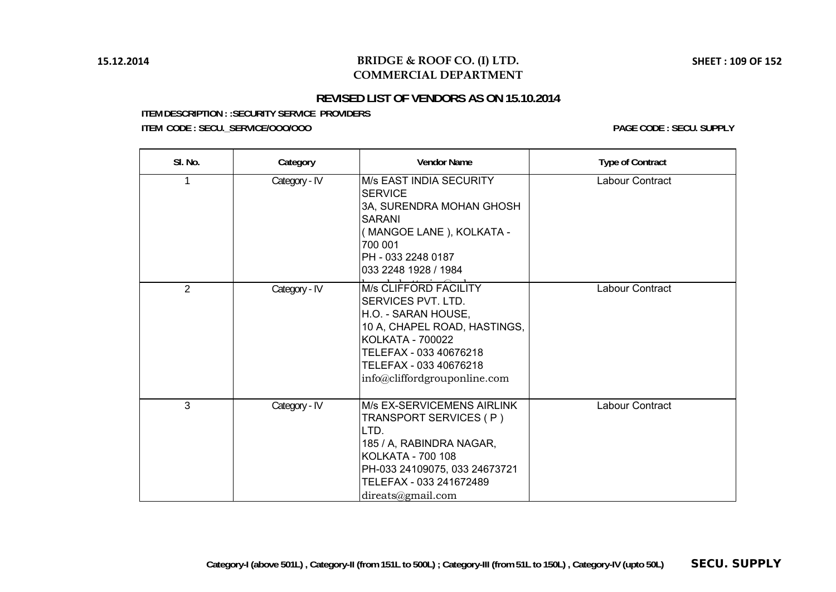# **BRIDGE & ROOF CO. (I) LTD. COMMERCIAL DEPARTMENT**

# **REVISED LIST OF VENDORS AS ON 15.10.2014**

**ITEM DESCRIPTION : :SECURITY SERVICE PROVIDERS**

**ITEM CODE : SECU.\_SERVICE/OOO/OOO PAGE CODE : SECU. SUPPLY**

| SI. No.        | Category      | <b>Vendor Name</b>                                                                                                                                                                                                       | <b>Type of Contract</b> |
|----------------|---------------|--------------------------------------------------------------------------------------------------------------------------------------------------------------------------------------------------------------------------|-------------------------|
|                | Category - IV | M/s EAST INDIA SECURITY<br><b>SERVICE</b><br>3A, SURENDRA MOHAN GHOSH<br><b>SARANI</b><br>(MANGOE LANE), KOLKATA -<br>700 001<br>PH - 033 2248 0187<br>033 2248 1928 / 1984                                              | Labour Contract         |
| $\overline{2}$ | Category - IV | <b>M/s CLIFFORD FACILITY</b><br>SERVICES PVT. LTD.<br>H.O. - SARAN HOUSE,<br>10 A, CHAPEL ROAD, HASTINGS,<br><b>KOLKATA - 700022</b><br>TELEFAX - 033 40676218<br>TELEFAX - 033 40676218<br>info@cliffordgrouponline.com | Labour Contract         |
| 3              | Category - IV | <b>M/s EX-SERVICEMENS AIRLINK</b><br>TRANSPORT SERVICES (P)<br>LTD.<br>185 / A, RABINDRA NAGAR,<br><b>KOLKATA - 700 108</b><br>PH-033 24109075, 033 24673721<br>TELEFAX - 033 241672489<br>direats@gmail.com             | Labour Contract         |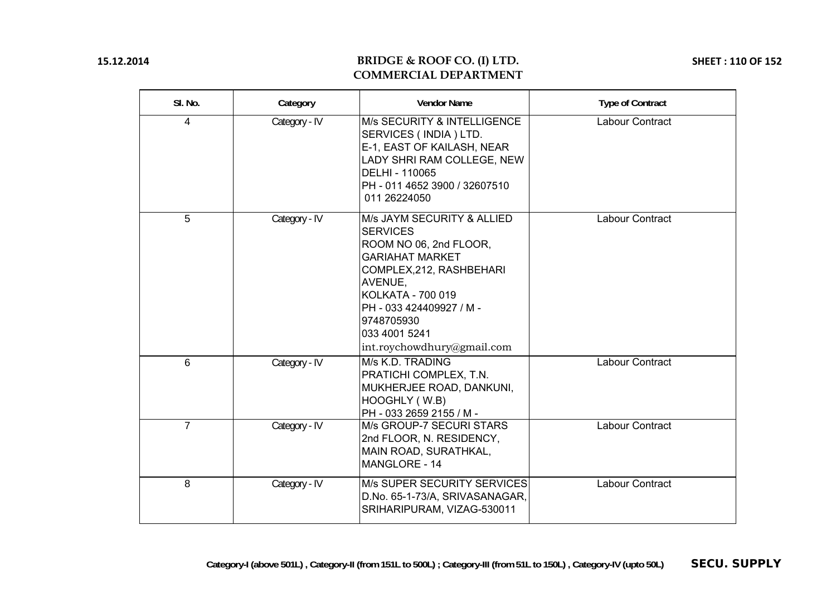# **BRIDGE & ROOF CO. (I) LTD. COMMERCIAL DEPARTMENT**

**SHEET : 110 OF 152**

| SI. No.        | Category      | <b>Vendor Name</b>                                                                                                                                                                                                                                     | <b>Type of Contract</b> |
|----------------|---------------|--------------------------------------------------------------------------------------------------------------------------------------------------------------------------------------------------------------------------------------------------------|-------------------------|
| 4              | Category - IV | M/s SECURITY & INTELLIGENCE<br>SERVICES (INDIA) LTD.<br>E-1, EAST OF KAILASH, NEAR<br>LADY SHRI RAM COLLEGE, NEW<br>DELHI - 110065<br>PH - 011 4652 3900 / 32607510<br>011 26224050                                                                    | Labour Contract         |
| 5              | Category - IV | M/s JAYM SECURITY & ALLIED<br><b>SERVICES</b><br>ROOM NO 06, 2nd FLOOR,<br><b>GARIAHAT MARKET</b><br>COMPLEX, 212, RASHBEHARI<br>AVENUE,<br>KOLKATA - 700 019<br>PH - 033 424409927 / M -<br>9748705930<br>033 4001 5241<br>int.roychowdhury@gmail.com | Labour Contract         |
| 6              | Category - IV | M/s K.D. TRADING<br>PRATICHI COMPLEX, T.N.<br>MUKHERJEE ROAD, DANKUNI,<br>HOOGHLY (W.B)<br>PH - 033 2659 2155 / M -                                                                                                                                    | Labour Contract         |
| $\overline{7}$ | Category - IV | M/s GROUP-7 SECURI STARS<br>2nd FLOOR, N. RESIDENCY,<br>MAIN ROAD, SURATHKAL,<br>MANGLORE - 14                                                                                                                                                         | Labour Contract         |
| 8              | Category - IV | M/s SUPER SECURITY SERVICES<br>D.No. 65-1-73/A, SRIVASANAGAR,<br>SRIHARIPURAM, VIZAG-530011                                                                                                                                                            | Labour Contract         |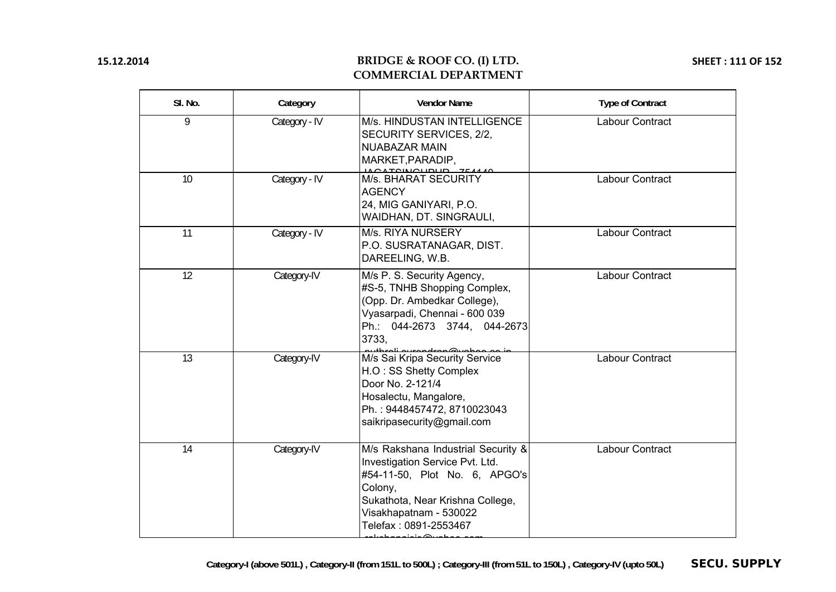# **BRIDGE & ROOF CO. (I) LTD. COMMERCIAL DEPARTMENT**

**SHEET : 111 OF 152**

| SI. No. | Category      | <b>Vendor Name</b>                                                                                                                                                                                                  | <b>Type of Contract</b> |
|---------|---------------|---------------------------------------------------------------------------------------------------------------------------------------------------------------------------------------------------------------------|-------------------------|
| 9       | Category - IV | M/s. HINDUSTAN INTELLIGENCE<br>SECURITY SERVICES, 2/2,<br><b>NUABAZAR MAIN</b><br>MARKET, PARADIP,                                                                                                                  | Labour Contract         |
| 10      | Category - IV | MS. BHARAT SECURITY<br><b>AGENCY</b><br>24, MIG GANIYARI, P.O.<br>WAIDHAN, DT. SINGRAULI,                                                                                                                           | Labour Contract         |
| 11      | Category - IV | M/s. RIYA NURSERY<br>P.O. SUSRATANAGAR, DIST.<br>DAREELING, W.B.                                                                                                                                                    | Labour Contract         |
| 12      | Category-IV   | M/s P. S. Security Agency,<br>#S-5, TNHB Shopping Complex,<br>(Opp. Dr. Ambedkar College),<br>Vyasarpadi, Chennai - 600 039<br>Ph.: 044-2673 3744, 044-2673<br>3733,                                                | Labour Contract         |
| 13      | Category-IV   | منحم موطوبرهموموسوم المعطيرين<br>M/s Sai Kripa Security Service<br>H.O: SS Shetty Complex<br>Door No. 2-121/4<br>Hosalectu, Mangalore,<br>Ph.: 9448457472, 8710023043<br>saikripasecurity@gmail.com                 | Labour Contract         |
| 14      | Category-IV   | M/s Rakshana Industrial Security &<br>Investigation Service Pvt. Ltd.<br>#54-11-50, Plot No. 6, APGO's<br>Colony,<br>Sukathota, Near Krishna College,<br>Visakhapatnam - 530022<br>Telefax: 0891-2553467<br>ه دنمند | Labour Contract         |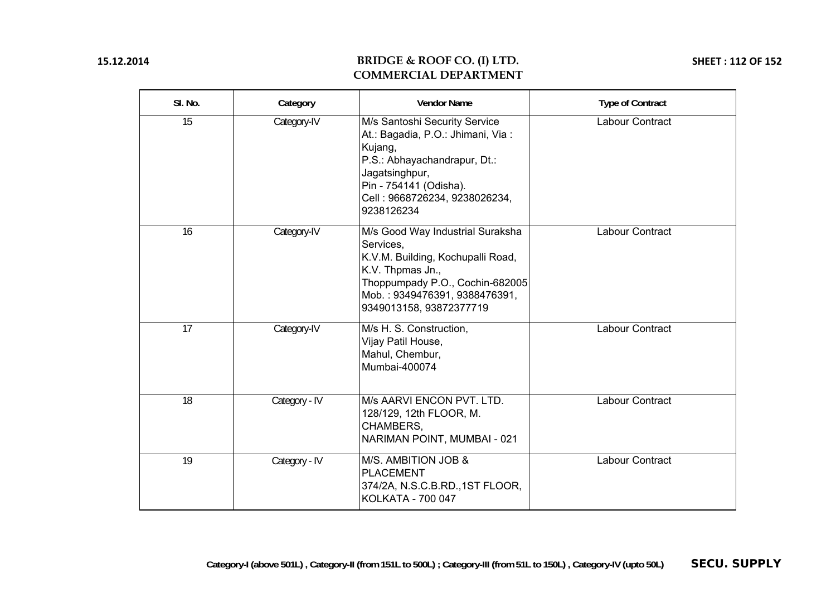# **BRIDGE & ROOF CO. (I) LTD. COMMERCIAL DEPARTMENT**

**SHEET : 112 OF 152**

| SI. No. | Category      | <b>Vendor Name</b>                                                                                                                                                                                       | <b>Type of Contract</b> |
|---------|---------------|----------------------------------------------------------------------------------------------------------------------------------------------------------------------------------------------------------|-------------------------|
| 15      | Category-IV   | M/s Santoshi Security Service<br>At.: Bagadia, P.O.: Jhimani, Via:<br>Kujang,<br>P.S.: Abhayachandrapur, Dt.:<br>Jagatsinghpur,<br>Pin - 754141 (Odisha).<br>Cell: 9668726234, 9238026234,<br>9238126234 | Labour Contract         |
| 16      | Category-IV   | M/s Good Way Industrial Suraksha<br>Services,<br>K.V.M. Building, Kochupalli Road,<br>K.V. Thpmas Jn.,<br>Thoppumpady P.O., Cochin-682005<br>Mob.: 9349476391, 9388476391,<br>9349013158, 93872377719    | Labour Contract         |
| 17      | Category-IV   | M/s H. S. Construction,<br>Vijay Patil House,<br>Mahul, Chembur,<br>Mumbai-400074                                                                                                                        | Labour Contract         |
| 18      | Category - IV | M/s AARVI ENCON PVT. LTD.<br>128/129, 12th FLOOR, M.<br>CHAMBERS,<br>NARIMAN POINT, MUMBAI - 021                                                                                                         | Labour Contract         |
| 19      | Category - IV | M/S. AMBITION JOB &<br><b>PLACEMENT</b><br>374/2A, N.S.C.B.RD., 1ST FLOOR,<br>KOLKATA - 700 047                                                                                                          | Labour Contract         |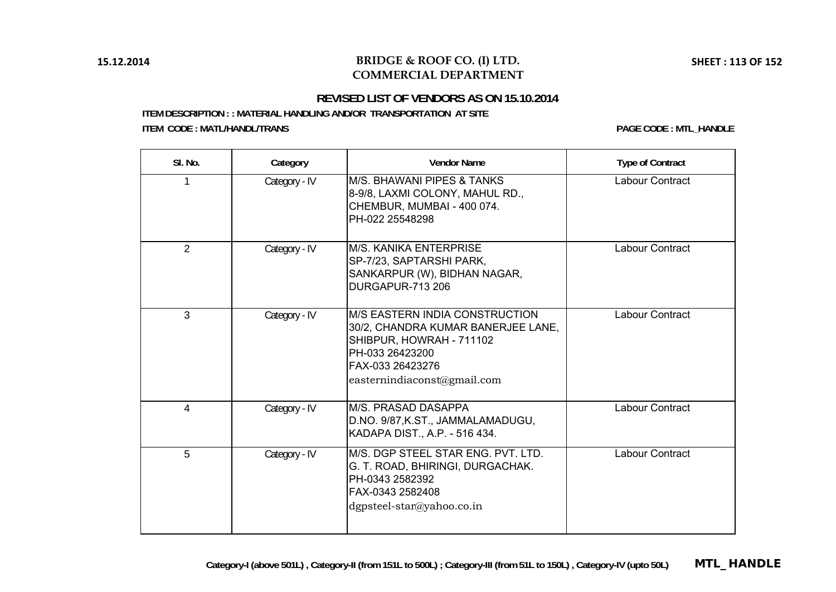### **BRIDGE & ROOF CO. (I) LTD. COMMERCIAL DEPARTMENT**

### **REVISED LIST OF VENDORS AS ON 15.10.2014**

**ITEM DESCRIPTION : : MATERIAL HANDLING AND/OR TRANSPORTATION AT SITE ITEM CODE : MATL/HANDL/TRANS PAGE CODE : MTL\_HANDLE**

| SI. No.        | Category      | <b>Vendor Name</b>                                                                                                                                                            | <b>Type of Contract</b> |
|----------------|---------------|-------------------------------------------------------------------------------------------------------------------------------------------------------------------------------|-------------------------|
|                | Category - IV | M/S. BHAWANI PIPES & TANKS<br>8-9/8, LAXMI COLONY, MAHUL RD.,<br>CHEMBUR, MUMBAI - 400 074.<br>PH-022 25548298                                                                | Labour Contract         |
| $\overline{2}$ | Category - IV | <b>M/S. KANIKA ENTERPRISE</b><br>SP-7/23, SAPTARSHI PARK,<br>SANKARPUR (W), BIDHAN NAGAR,<br><b>DURGAPUR-713 206</b>                                                          | Labour Contract         |
| $\overline{3}$ | Category - IV | <b>M/S EASTERN INDIA CONSTRUCTION</b><br>30/2, CHANDRA KUMAR BANERJEE LANE,<br>SHIBPUR, HOWRAH - 711102<br>PH-033 26423200<br>FAX-033 26423276<br>easternindiaconst@gmail.com | Labour Contract         |
| $\overline{4}$ | Category - IV | M/S. PRASAD DASAPPA<br>D.NO. 9/87, K.ST., JAMMALAMADUGU,<br>KADAPA DIST., A.P. - 516 434.                                                                                     | <b>Labour Contract</b>  |
| 5              | Category - IV | M/S. DGP STEEL STAR ENG. PVT. LTD.<br>G. T. ROAD, BHIRINGI, DURGACHAK.<br>PH-0343 2582392<br>FAX-0343 2582408<br>$dg$ psteel-star@yahoo.co.in                                 | Labour Contract         |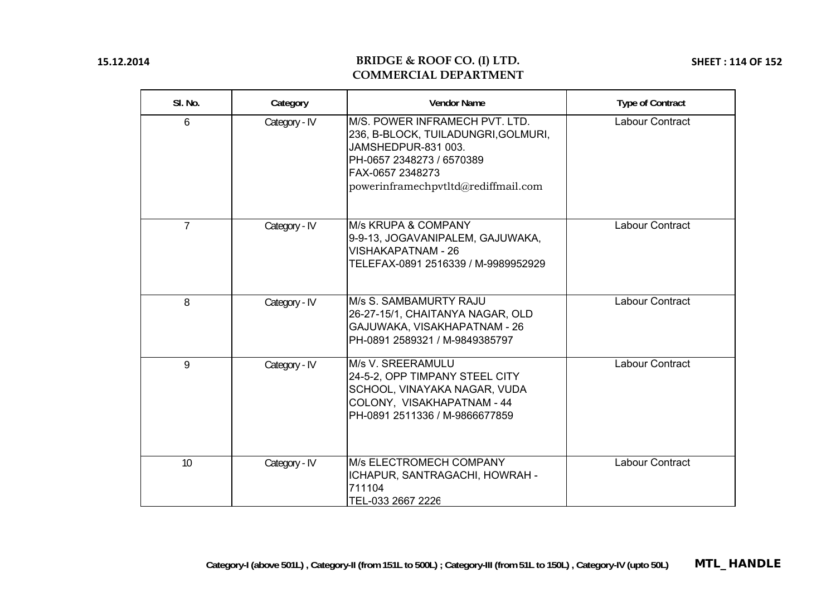### **BRIDGE & ROOF CO. (I) LTD. COMMERCIAL DEPARTMENT**

**SHEET : 114 OF 152**

| SI. No.        | Category      | <b>Vendor Name</b>                                                                                                                                                                   | <b>Type of Contract</b> |
|----------------|---------------|--------------------------------------------------------------------------------------------------------------------------------------------------------------------------------------|-------------------------|
| 6              | Category - IV | M/S. POWER INFRAMECH PVT. LTD.<br>236, B-BLOCK, TUILADUNGRI, GOLMURI,<br>JAMSHEDPUR-831 003.<br>PH-0657 2348273 / 6570389<br>FAX-0657 2348273<br>powerinframechpvtltd@rediffmail.com | Labour Contract         |
| $\overline{7}$ | Category - IV | M/s KRUPA & COMPANY<br>9-9-13, JOGAVANIPALEM, GAJUWAKA,<br><b>VISHAKAPATNAM - 26</b><br>TELEFAX-0891 2516339 / M-9989952929                                                          | <b>Labour Contract</b>  |
| 8              | Category - IV | M/s S. SAMBAMURTY RAJU<br>26-27-15/1, CHAITANYA NAGAR, OLD<br>GAJUWAKA, VISAKHAPATNAM - 26<br>PH-0891 2589321 / M-9849385797                                                         | <b>Labour Contract</b>  |
| 9              | Category - IV | M/s V. SREERAMULU<br>24-5-2, OPP TIMPANY STEEL CITY<br>SCHOOL, VINAYAKA NAGAR, VUDA<br>COLONY, VISAKHAPATNAM - 44<br>PH-0891 2511336 / M-9866677859                                  | <b>Labour Contract</b>  |
| 10             | Category - IV | M/s ELECTROMECH COMPANY<br>ICHAPUR, SANTRAGACHI, HOWRAH -<br>711104<br>TEL-033 2667 2226                                                                                             | <b>Labour Contract</b>  |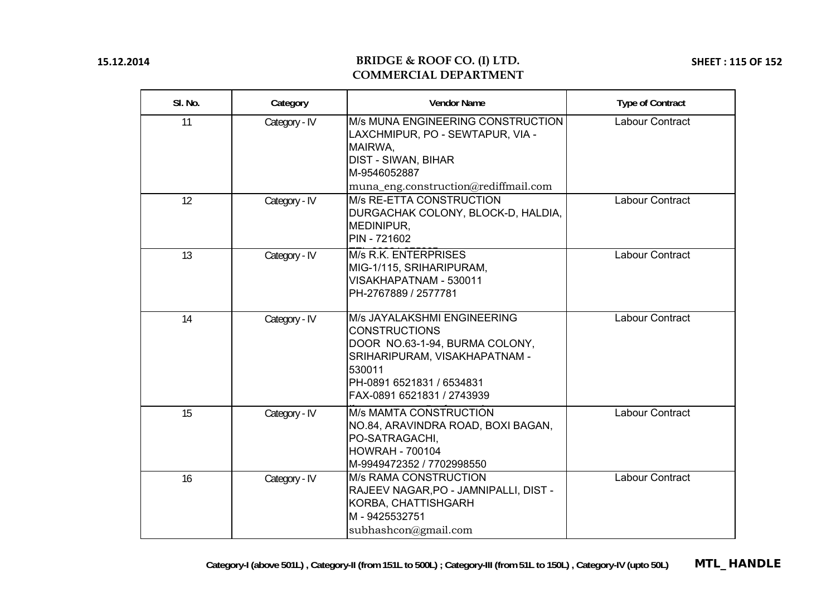### **BRIDGE & ROOF CO. (I) LTD. COMMERCIAL DEPARTMENT**

**SHEET : 115 OF 152**

| SI. No. | Category      | <b>Vendor Name</b>                                                                                                                                                                          | <b>Type of Contract</b> |
|---------|---------------|---------------------------------------------------------------------------------------------------------------------------------------------------------------------------------------------|-------------------------|
| 11      | Category - IV | M/s MUNA ENGINEERING CONSTRUCTION<br>LAXCHMIPUR, PO - SEWTAPUR, VIA -<br>MAIRWA,<br><b>DIST - SIWAN, BIHAR</b><br>M-9546052887                                                              | <b>Labour Contract</b>  |
| 12      | Category - IV | muna_eng.construction@rediffmail.com<br>M/s RE-ETTA CONSTRUCTION<br>DURGACHAK COLONY, BLOCK-D, HALDIA,<br>MEDINIPUR,<br>PIN - 721602                                                        | Labour Contract         |
| 13      | Category - IV | M/s R.K. ENTERPRISES<br>MIG-1/115, SRIHARIPURAM,<br>VISAKHAPATNAM - 530011<br>PH-2767889 / 2577781                                                                                          | Labour Contract         |
| 14      | Category - IV | M/s JAYALAKSHMI ENGINEERING<br><b>CONSTRUCTIONS</b><br>DOOR NO.63-1-94, BURMA COLONY,<br>SRIHARIPURAM, VISAKHAPATNAM -<br>530011<br>PH-0891 6521831 / 6534831<br>FAX-0891 6521831 / 2743939 | Labour Contract         |
| 15      | Category - IV | <b>M/s MAMTA CONSTRUCTION</b><br>NO.84, ARAVINDRA ROAD, BOXI BAGAN,<br>PO-SATRAGACHI,<br><b>HOWRAH - 700104</b><br>M-9949472352 / 7702998550                                                | <b>Labour Contract</b>  |
| 16      | Category - IV | <b>M/s RAMA CONSTRUCTION</b><br>RAJEEV NAGAR, PO - JAMNIPALLI, DIST -<br>KORBA, CHATTISHGARH<br>M-9425532751<br>subhashcon@gmail.com                                                        | <b>Labour Contract</b>  |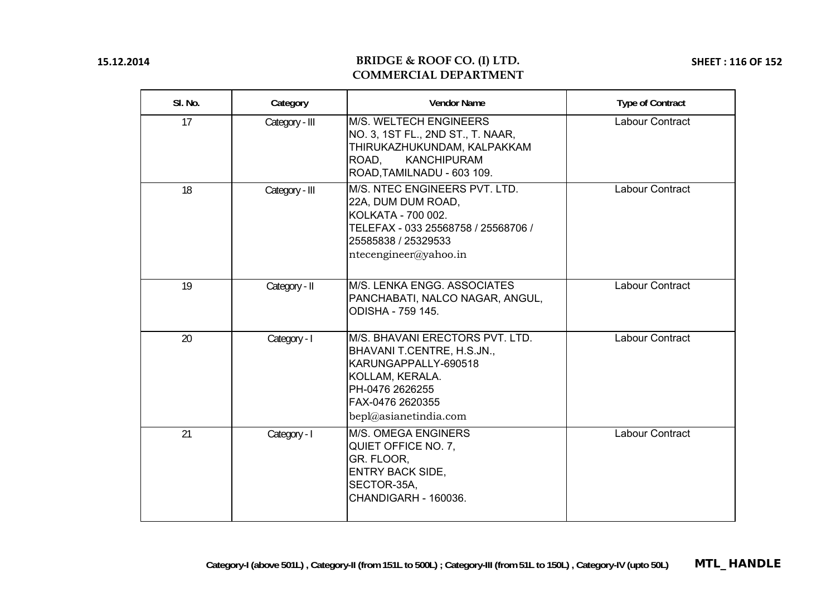### **BRIDGE & ROOF CO. (I) LTD. COMMERCIAL DEPARTMENT**

**SHEET : 116 OF 152**

| SI. No. | Category       | <b>Vendor Name</b>                                                                                                                                                       | <b>Type of Contract</b> |
|---------|----------------|--------------------------------------------------------------------------------------------------------------------------------------------------------------------------|-------------------------|
| 17      | Category - III | M/S. WELTECH ENGINEERS<br>NO. 3, 1ST FL., 2ND ST., T. NAAR,<br>THIRUKAZHUKUNDAM, KALPAKKAM<br>ROAD,<br><b>KANCHIPURAM</b><br>ROAD, TAMILNADU - 603 109.                  | Labour Contract         |
| 18      | Category - III | M/S. NTEC ENGINEERS PVT. LTD.<br>22A, DUM DUM ROAD,<br>KOLKATA - 700 002.<br>TELEFAX - 033 25568758 / 25568706 /<br>25585838 / 25329533<br>ntecengineer@yahoo.in         | Labour Contract         |
| 19      | Category - II  | M/S. LENKA ENGG. ASSOCIATES<br>PANCHABATI, NALCO NAGAR, ANGUL,<br><b>ODISHA - 759 145.</b>                                                                               | Labour Contract         |
| 20      | Category - I   | M/S. BHAVANI ERECTORS PVT. LTD.<br>BHAVANI T.CENTRE, H.S.JN.,<br>KARUNGAPPALLY-690518<br>KOLLAM, KERALA.<br>PH-0476 2626255<br>FAX-0476 2620355<br>bepl@asianetindia.com | Labour Contract         |
| 21      | Category - I   | <b>M/S. OMEGA ENGINERS</b><br>QUIET OFFICE NO. 7,<br>GR. FLOOR,<br><b>ENTRY BACK SIDE,</b><br>SECTOR-35A,<br><b>CHANDIGARH - 160036.</b>                                 | Labour Contract         |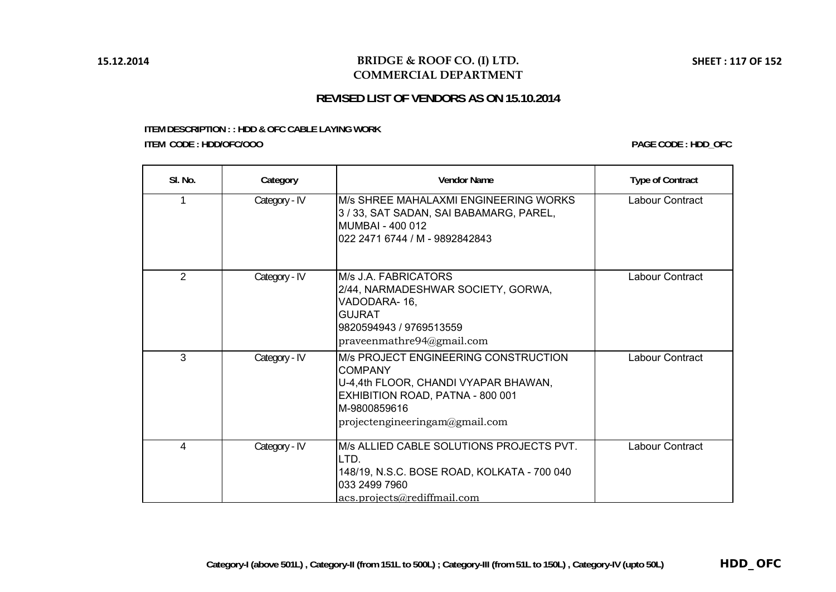## **BRIDGE & ROOF CO. (I) LTD. COMMERCIAL DEPARTMENT**

# **REVISED LIST OF VENDORS AS ON 15.10.2014**

#### **ITEM DESCRIPTION : : HDD & OFC CABLE LAYING WORK ITEM CODE : HDD/OFC/OOO**

**PAGE CODE : HDD\_OFC**

| SI. No.        | Category      | <b>Vendor Name</b>                                                                                                                                                                   | <b>Type of Contract</b> |
|----------------|---------------|--------------------------------------------------------------------------------------------------------------------------------------------------------------------------------------|-------------------------|
|                | Category - IV | M/s SHREE MAHALAXMI ENGINEERING WORKS<br>3/33, SAT SADAN, SAI BABAMARG, PAREL,<br>MUMBAI - 400 012<br>022 2471 6744 / M - 9892842843                                                 | Labour Contract         |
| $\overline{2}$ | Category - IV | M/s J.A. FABRICATORS<br>2/44, NARMADESHWAR SOCIETY, GORWA,<br>VADODARA-16,<br><b>GUJRAT</b><br>9820594943 / 9769513559<br>praveenmathere94@gmail.com                                 | Labour Contract         |
| 3              | Category - IV | M/s PROJECT ENGINEERING CONSTRUCTION<br><b>COMPANY</b><br>U-4,4th FLOOR, CHANDI VYAPAR BHAWAN,<br>EXHIBITION ROAD, PATNA - 800 001<br>M-9800859616<br>projectengineeringam@gmail.com | Labour Contract         |
| 4              | Category - IV | M/s ALLIED CABLE SOLUTIONS PROJECTS PVT.<br>LTD.<br>148/19, N.S.C. BOSE ROAD, KOLKATA - 700 040<br>033 2499 7960<br>acs.projects@rediffmail.com                                      | Labour Contract         |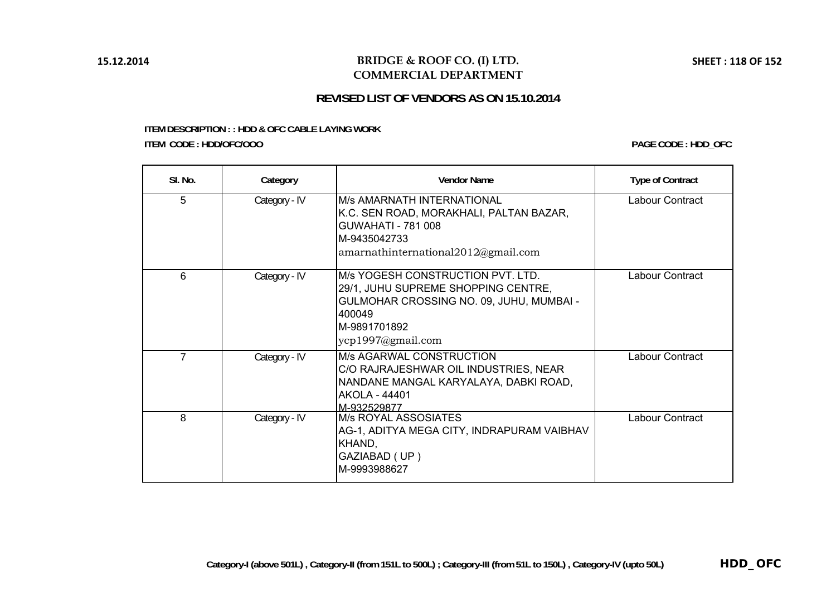# **BRIDGE & ROOF CO. (I) LTD. COMMERCIAL DEPARTMENT**

#### **ITEM DESCRIPTION : : HDD & OFC CABLE LAYING WORK ITEM CODE : HDD/OFC/OOO**

**PAGE CODE : HDD\_OFC**

| SI. No.        | Category      | <b>Vendor Name</b>                                                                                                                                                   | <b>Type of Contract</b> |
|----------------|---------------|----------------------------------------------------------------------------------------------------------------------------------------------------------------------|-------------------------|
| 5              | Category - IV | <b>M/s AMARNATH INTERNATIONAL</b><br>K.C. SEN ROAD, MORAKHALI, PALTAN BAZAR,<br><b>GUWAHATI - 781 008</b><br>M-9435042733<br>amarnathinternational $2012$ @gmail.com | Labour Contract         |
| 6              | Category - IV | M/s YOGESH CONSTRUCTION PVT. LTD.<br>29/1, JUHU SUPREME SHOPPING CENTRE,<br>GULMOHAR CROSSING NO. 09, JUHU, MUMBAI -<br>400049<br>IM-9891701892<br>ycp1997@gmail.com | Labour Contract         |
| $\overline{7}$ | Category - IV | <b>M/s AGARWAL CONSTRUCTION</b><br>C/O RAJRAJESHWAR OIL INDUSTRIES, NEAR<br>NANDANE MANGAL KARYALAYA, DABKI ROAD,<br><b>AKOLA - 44401</b><br>M-932529877             | Labour Contract         |
| 8              | Category - IV | <b>M/s ROYAL ASSOSIATES</b><br>AG-1, ADITYA MEGA CITY, INDRAPURAM VAIBHAV<br>KHAND,<br>GAZIABAD (UP)<br>M-9993988627                                                 | Labour Contract         |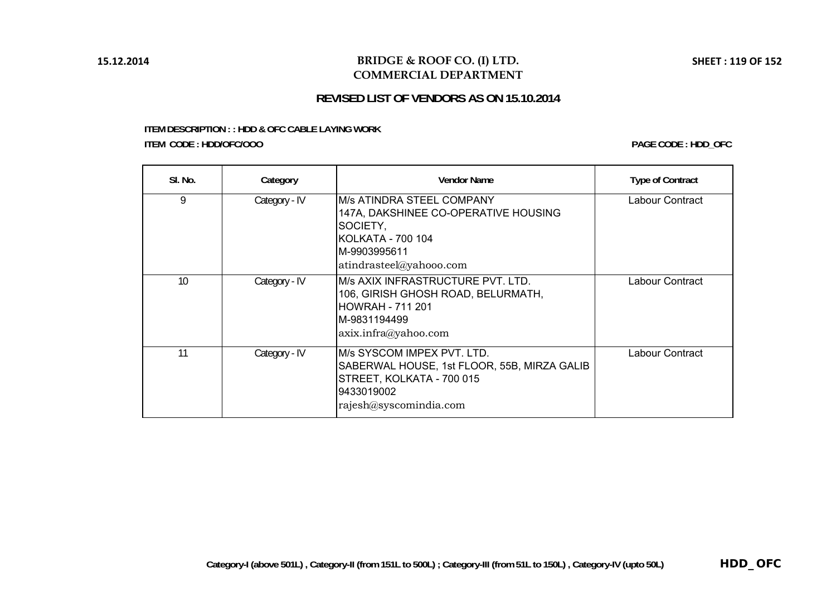# **BRIDGE & ROOF CO. (I) LTD. COMMERCIAL DEPARTMENT**

# **REVISED LIST OF VENDORS AS ON 15.10.2014**

#### **ITEM DESCRIPTION : : HDD & OFC CABLE LAYING WORK ITEM CODE : HDD/OFC/OOO**

**PAGE CODE : HDD\_OFC**

| SI. No. | Category      | <b>Vendor Name</b>                                                                                                                             | <b>Type of Contract</b> |
|---------|---------------|------------------------------------------------------------------------------------------------------------------------------------------------|-------------------------|
| 9       | Category - IV | M/s ATINDRA STEEL COMPANY<br>147A, DAKSHINEE CO-OPERATIVE HOUSING<br>SOCIETY,<br>KOLKATA - 700 104<br>M-9903995611<br>atindrasteel@yahooo.com  | Labour Contract         |
| 10      | Category - IV | M/s AXIX INFRASTRUCTURE PVT. LTD.<br>106, GIRISH GHOSH ROAD, BELURMATH,<br><b>HOWRAH - 711 201</b><br>M-9831194499<br>axix.infra@yahoo.com     | Labour Contract         |
| 11      | Category - IV | M/s SYSCOM IMPEX PVT. LTD.<br>SABERWAL HOUSE, 1st FLOOR, 55B, MIRZA GALIB<br>STREET, KOLKATA - 700 015<br>9433019002<br>rajesh@syscomindia.com | Labour Contract         |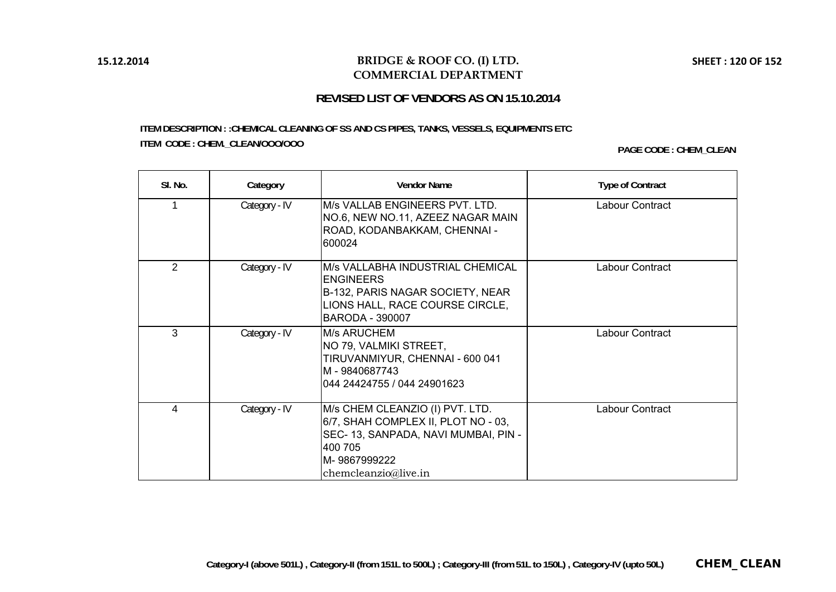### **BRIDGE & ROOF CO. (I) LTD. COMMERCIAL DEPARTMENT**

# **REVISED LIST OF VENDORS AS ON 15.10.2014**

# **ITEM CODE : CHEM.\_CLEAN/OOO/OOO PAGE CODE : CHEM\_CLEAN ITEM DESCRIPTION : :CHEMICAL CLEANING OF SS AND CS PIPES, TANKS, VESSELS, EQUIPMENTS ETC**

| SI. No.        | Category      | <b>Vendor Name</b>                                                                                                                                           | <b>Type of Contract</b> |
|----------------|---------------|--------------------------------------------------------------------------------------------------------------------------------------------------------------|-------------------------|
|                | Category - IV | M/s VALLAB ENGINEERS PVT. LTD.<br>NO.6, NEW NO.11, AZEEZ NAGAR MAIN<br>ROAD, KODANBAKKAM, CHENNAI -<br>600024                                                | Labour Contract         |
| $\mathfrak{D}$ | Category - IV | M/s VALLABHA INDUSTRIAL CHEMICAL<br><b>ENGINEERS</b><br>B-132, PARIS NAGAR SOCIETY, NEAR<br>LIONS HALL, RACE COURSE CIRCLE,<br><b>BARODA - 390007</b>        | Labour Contract         |
| 3              | Category - IV | <b>M/s ARUCHEM</b><br>NO 79, VALMIKI STREET,<br>TIRUVANMIYUR, CHENNAI - 600 041<br>IM - 9840687743<br>l044 24424755 / 044 24901623                           | Labour Contract         |
| 4              | Category - IV | M/s CHEM CLEANZIO (I) PVT. LTD.<br>6/7, SHAH COMPLEX II, PLOT NO - 03,<br>SEC-13, SANPADA, NAVI MUMBAI, PIN -<br>400 705<br>lM- 9867999222<br>chemicalive.in | Labour Contract         |

**SHEET : 120 OF 152**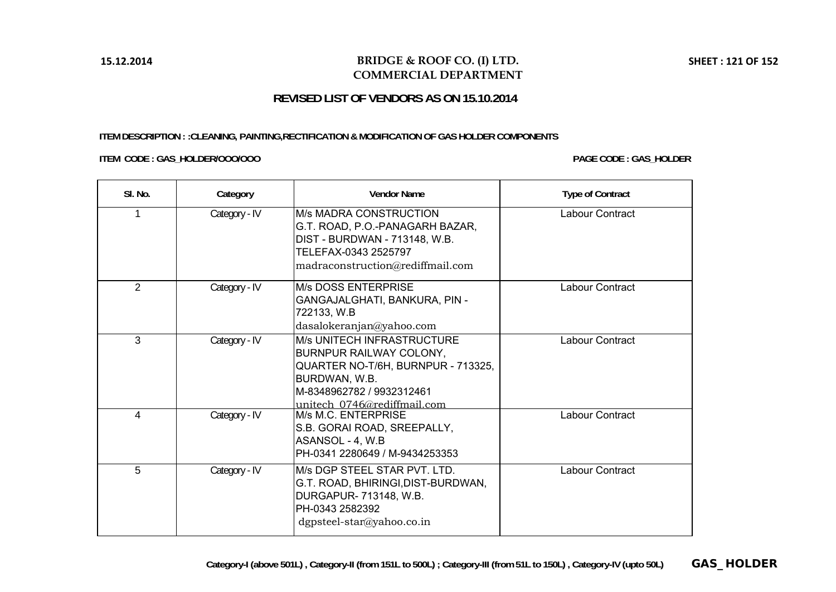### **BRIDGE & ROOF CO. (I) LTD. COMMERCIAL DEPARTMENT**

# **REVISED LIST OF VENDORS AS ON 15.10.2014**

#### **ITEM DESCRIPTION : :CLEANING, PAINTING,RECTIFICATION & MODIFICATION OF GAS HOLDER COMPONENTS**

**ITEM CODE : GAS\_HOLDER/OOO/OOO PAGE CODE : GAS\_HOLDER**

| SI. No. | Category      | <b>Vendor Name</b>                                                                                                                                                                     | <b>Type of Contract</b> |
|---------|---------------|----------------------------------------------------------------------------------------------------------------------------------------------------------------------------------------|-------------------------|
|         | Category - IV | <b>M/s MADRA CONSTRUCTION</b><br>G.T. ROAD, P.O.-PANAGARH BAZAR,<br>DIST - BURDWAN - 713148, W.B.<br>TELEFAX-0343 2525797<br>madraconstruction@rediffmail.com                          | Labour Contract         |
| 2       | Category - IV | <b>M/s DOSS ENTERPRISE</b><br>GANGAJALGHATI, BANKURA, PIN -<br>722133, W.B<br>dasalokeranjan@yahoo.com                                                                                 | Labour Contract         |
| 3       | Category - IV | <b>M/s UNITECH INFRASTRUCTURE</b><br><b>BURNPUR RAILWAY COLONY,</b><br>QUARTER NO-T/6H, BURNPUR - 713325,<br>BURDWAN, W.B.<br>M-8348962782 / 9932312461<br>unitech 0746@rediffmail.com | Labour Contract         |
| 4       | Category - IV | M/s M.C. ENTERPRISE<br>S.B. GORAI ROAD, SREEPALLY,<br>ASANSOL - 4, W.B<br>PH-0341 2280649 / M-9434253353                                                                               | Labour Contract         |
| 5       | Category - IV | M/s DGP STEEL STAR PVT. LTD.<br>G.T. ROAD, BHIRINGI, DIST-BURDWAN,<br>DURGAPUR- 713148, W.B.<br>PH-0343 2582392<br>$dg$ psteel-star@yahoo.co.in                                        | Labour Contract         |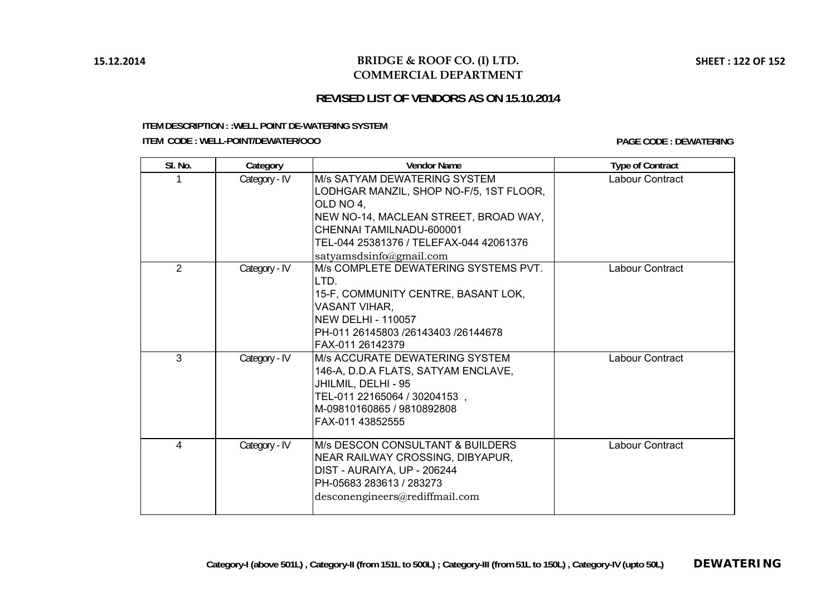# **BRIDGE & ROOF CO. (I) LTD. COMMERCIAL DEPARTMENT**

# **REVISED LIST OF VENDORS AS ON 15.10.2014**

#### **ITEM DESCRIPTION : :WELL POINT DE-WATERING SYSTEM**

**ITEM CODE : WELL-POINT/DEWATER/OOO**

**PAGE CODE : DEWATERING**

| SI. No.        | Category      | <b>Vendor Name</b>                                                                                                                                                                                                       | <b>Type of Contract</b> |
|----------------|---------------|--------------------------------------------------------------------------------------------------------------------------------------------------------------------------------------------------------------------------|-------------------------|
|                | Category - IV | IM/s SATYAM DEWATERING SYSTEM<br>LODHGAR MANZIL, SHOP NO-F/5, 1ST FLOOR,<br>OLD NO 4.<br>NEW NO-14, MACLEAN STREET, BROAD WAY,<br>CHENNAI TAMILNADU-600001<br>TEL-044 25381376 / TELEFAX-044 42061376                    | Labour Contract         |
| $\overline{2}$ | Category - IV | satyamsdsinfo@gmail.com<br>M/s COMPLETE DEWATERING SYSTEMS PVT.<br>LTD.<br>15-F, COMMUNITY CENTRE, BASANT LOK,<br><b>VASANT VIHAR,</b><br>INEW DELHI - 110057<br>PH-011 26145803 /26143403 /26144678<br>FAX-011 26142379 | Labour Contract         |
| 3              | Category - IV | IM/s ACCURATE DEWATERING SYSTEM<br>146-A, D.D.A FLATS, SATYAM ENCLAVE,<br>JHILMIL, DELHI - 95<br>TEL-011 22165064 / 30204153,<br>IM-09810160865 / 9810892808<br>FAX-011 43852555                                         | Labour Contract         |
| 4              | Category - IV | IM/s DESCON CONSULTANT & BUILDERS<br>NEAR RAILWAY CROSSING, DIBYAPUR,<br>DIST - AURAIYA, UP - 206244<br>PH-05683 283613 / 283273<br>desconengineers@rediffmail.com                                                       | Labour Contract         |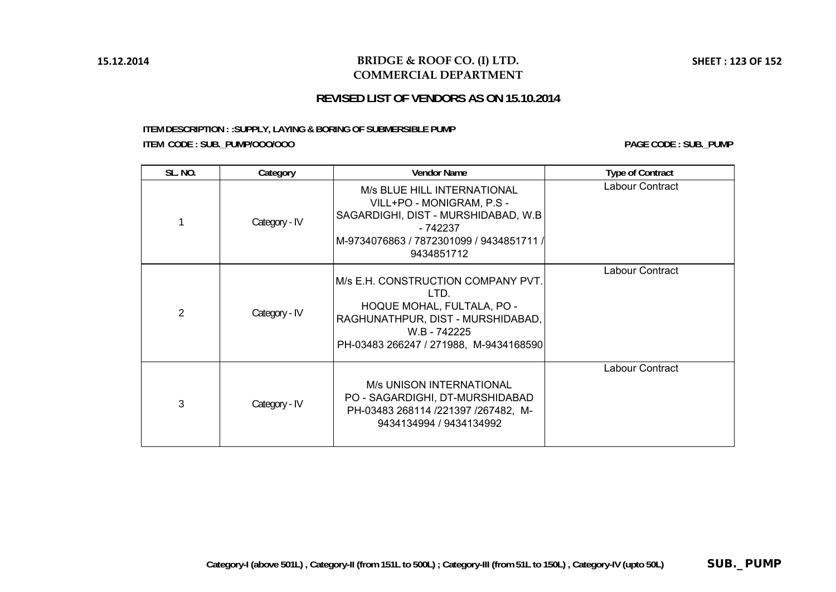# **BRIDGE & ROOF CO. (I) LTD. COMMERCIAL DEPARTMENT**

**SHEET : 123 OF 152**

# **REVISED LIST OF VENDORS AS ON 15.10.2014**

**ITEM DESCRIPTION : :SUPPLY, LAYING & BORING OF SUBMERSIBLE PUMP ITEM CODE : SUB.\_PUMP/OOO/OOO PAGE CODE : SUB.\_PUMP**

| <b>SL. NO.</b> | Category      | <b>Vendor Name</b>                                                                                                                                                              | <b>Type of Contract</b> |
|----------------|---------------|---------------------------------------------------------------------------------------------------------------------------------------------------------------------------------|-------------------------|
|                | Category - IV | M/s BLUE HILL INTERNATIONAL<br>VILL+PO - MONIGRAM, P.S -<br>SAGARDIGHI, DIST - MURSHIDABAD, W.B.<br>- 742237<br> M-9734076863 / 7872301099 / 9434851711 / <br>9434851712        | Labour Contract         |
| $\overline{2}$ | Category - IV | <b>IM/s E.H. CONSTRUCTION COMPANY PVT.</b><br>LTD.<br>HOQUE MOHAL, FULTALA, PO -<br>RAGHUNATHPUR, DIST - MURSHIDABAD,<br>W.B - 742225<br>PH-03483 266247 / 271988, M-9434168590 | Labour Contract         |
| 3              | Category - IV | <b>M/s UNISON INTERNATIONAL</b><br>PO - SAGARDIGHI, DT-MURSHIDABAD<br>PH-03483 268114 /221397 /267482, M-<br>9434134994 / 9434134992                                            | Labour Contract         |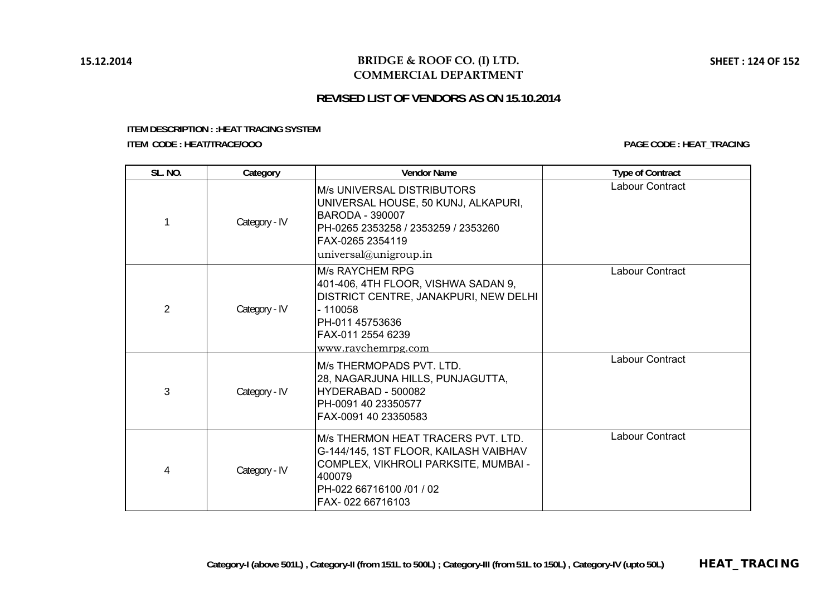# **BRIDGE & ROOF CO. (I) LTD. COMMERCIAL DEPARTMENT**

# **REVISED LIST OF VENDORS AS ON 15.10.2014**

#### **ITEM DESCRIPTION : :HEAT TRACING SYSTEM ITEM CODE : HEAT/TRACE/OOO**

**PAGE CODE : HEAT\_TRACING**

| <b>SL. NO.</b> | Category      | <b>Vendor Name</b>                                                                                                                                                                     | <b>Type of Contract</b> |
|----------------|---------------|----------------------------------------------------------------------------------------------------------------------------------------------------------------------------------------|-------------------------|
|                | Category - IV | <b>M/s UNIVERSAL DISTRIBUTORS</b><br>UNIVERSAL HOUSE, 50 KUNJ, ALKAPURI,<br><b>BARODA - 390007</b><br>PH-0265 2353258 / 2353259 / 2353260<br>FAX-0265 2354119<br>universal@unigroup.in | Labour Contract         |
| $\overline{2}$ | Category - IV | <b>M/s RAYCHEM RPG</b><br>401-406, 4TH FLOOR, VISHWA SADAN 9,<br>DISTRICT CENTRE, JANAKPURI, NEW DELHI<br>- 110058<br>PH-011 45753636<br>FAX-011 2554 6239<br>www.raychemrpg.com       | Labour Contract         |
| 3              | Category - IV | M/s THERMOPADS PVT. LTD.<br>28, NAGARJUNA HILLS, PUNJAGUTTA,<br>HYDERABAD - 500082<br>PH-0091 40 23350577<br>FAX-0091 40 23350583                                                      | Labour Contract         |
| $\overline{4}$ | Category - IV | M/s THERMON HEAT TRACERS PVT. LTD.<br>G-144/145, 1ST FLOOR, KAILASH VAIBHAV<br>COMPLEX, VIKHROLI PARKSITE, MUMBAI -<br>400079<br>PH-022 66716100 /01 / 02<br>FAX-022 66716103          | Labour Contract         |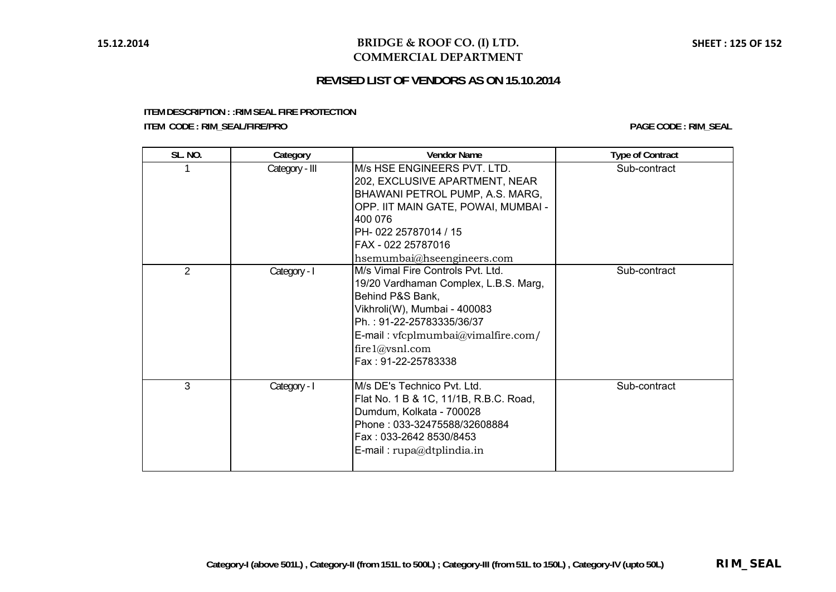### **REVISED LIST OF VENDORS AS ON 15.10.2014**

**ITEM DESCRIPTION : :RIM SEAL FIRE PROTECTION**

**ITEM CODE : RIM\_SEAL/FIRE/PRO PAGE CODE : RIM\_SEAL**

| <b>SL. NO.</b> | Category       | <b>Vendor Name</b>                                                                                                                                                                                                                                    | <b>Type of Contract</b> |
|----------------|----------------|-------------------------------------------------------------------------------------------------------------------------------------------------------------------------------------------------------------------------------------------------------|-------------------------|
|                | Category - III | M/s HSE ENGINEERS PVT. LTD.<br>202, EXCLUSIVE APARTMENT, NEAR<br>BHAWANI PETROL PUMP, A.S. MARG,<br>OPP. IIT MAIN GATE, POWAI, MUMBAI -<br>400 076<br>PH-022 25787014 / 15<br>FAX - 022 25787016<br>hsemumbai@hseengineers.com                        | Sub-contract            |
| $\overline{2}$ | Category - I   | M/s Vimal Fire Controls Pvt. Ltd.<br>19/20 Vardhaman Complex, L.B.S. Marg,<br>Behind P&S Bank,<br>Vikhroli(W), Mumbai - 400083<br>Ph.: 91-22-25783335/36/37<br>$E$ -mail: vfcplmumbai $@$ vimalfire.com/<br>fire $1$ @vsnl.com<br>Fax: 91-22-25783338 | Sub-contract            |
| 3              | Category - I   | M/s DE's Technico Pvt. Ltd.<br>Flat No. 1 B & 1C, 11/1B, R.B.C. Road,<br>Dumdum, Kolkata - 700028<br>Phone: 033-32475588/32608884<br>Fax: 033-2642 8530/8453<br>$E$ -mail: rupa@dtplindia.in                                                          | Sub-contract            |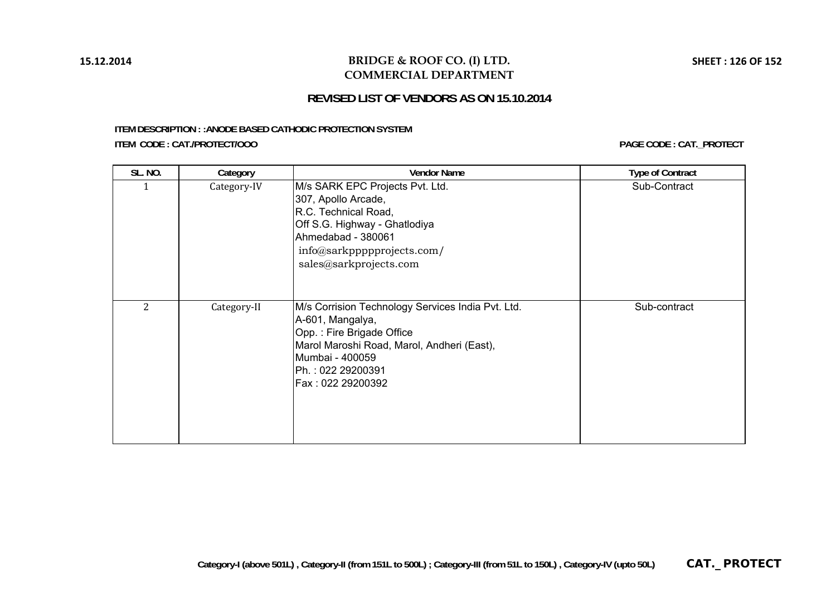### **BRIDGE & ROOF CO. (I) LTD. COMMERCIAL DEPARTMENT**

# **REVISED LIST OF VENDORS AS ON 15.10.2014**

#### **ITEM DESCRIPTION : :ANODE BASED CATHODIC PROTECTION SYSTEM ITEM CODE : CAT./PROTECT/OOO**

**PAGE CODE : CAT.\_PROTECT**

| <b>SL. NO.</b> | Category    | <b>Vendor Name</b>                                                                                                                                                                                            | <b>Type of Contract</b> |
|----------------|-------------|---------------------------------------------------------------------------------------------------------------------------------------------------------------------------------------------------------------|-------------------------|
|                | Category-IV | M/s SARK EPC Projects Pvt. Ltd.<br>307, Apollo Arcade,<br>R.C. Technical Road,<br>Off S.G. Highway - Ghatlodiya<br>Ahmedabad - 380061<br>info@sarkppppprojects.com/<br>sales@sarkprojects.com                 | Sub-Contract            |
| 2              | Category-II | M/s Corrision Technology Services India Pvt. Ltd.<br>A-601, Mangalya,<br>Opp.: Fire Brigade Office<br>Marol Maroshi Road, Marol, Andheri (East),<br>Mumbai - 400059<br>Ph.: 022 29200391<br>Fax: 022 29200392 | Sub-contract            |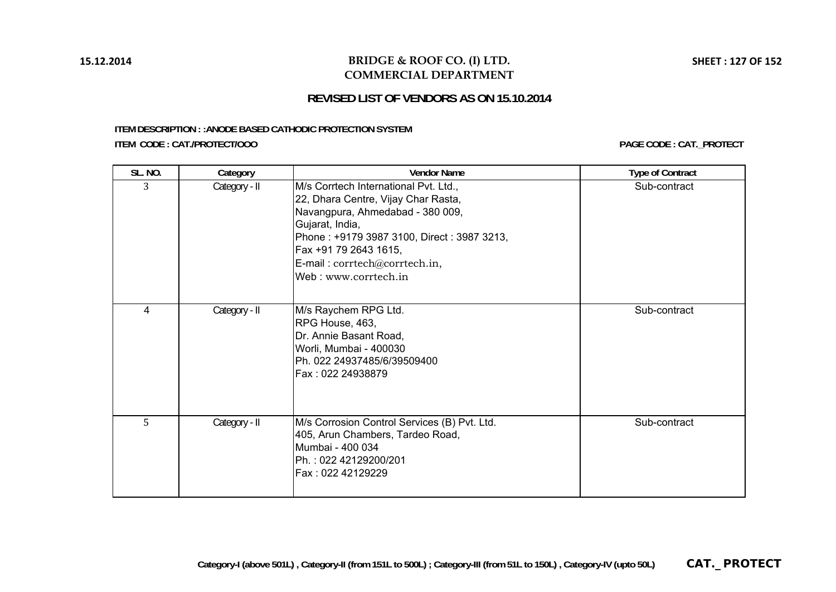### **BRIDGE & ROOF CO. (I) LTD. COMMERCIAL DEPARTMENT**

# **REVISED LIST OF VENDORS AS ON 15.10.2014**

#### **ITEM DESCRIPTION : :ANODE BASED CATHODIC PROTECTION SYSTEM ITEM CODE : CAT./PROTECT/OOO**

**PAGE CODE : CAT.\_PROTECT**

| <b>SL. NO.</b> | Category      | <b>Vendor Name</b>                                                                                                                                                                                                                                                  | <b>Type of Contract</b> |
|----------------|---------------|---------------------------------------------------------------------------------------------------------------------------------------------------------------------------------------------------------------------------------------------------------------------|-------------------------|
| 3              | Category - II | M/s Corrtech International Pvt. Ltd.,<br>22, Dhara Centre, Vijay Char Rasta,<br>Navangpura, Ahmedabad - 380 009,<br>Gujarat, India,<br>Phone: +9179 3987 3100, Direct: 3987 3213,<br>Fax +91 79 2643 1615,<br>E-mail: corrtech@corrtech.in,<br>Web: www.corrtech.in | Sub-contract            |
| 4              | Category - II | M/s Raychem RPG Ltd.<br>RPG House, 463,<br>Dr. Annie Basant Road,<br>Worli, Mumbai - 400030<br>Ph. 022 24937485/6/39509400<br>Fax: 022 24938879                                                                                                                     | Sub-contract            |
| 5              | Category - II | M/s Corrosion Control Services (B) Pvt. Ltd.<br>405, Arun Chambers, Tardeo Road,<br>Mumbai - 400 034<br>Ph.: 022 42129200/201<br>Fax: 022 42129229                                                                                                                  | Sub-contract            |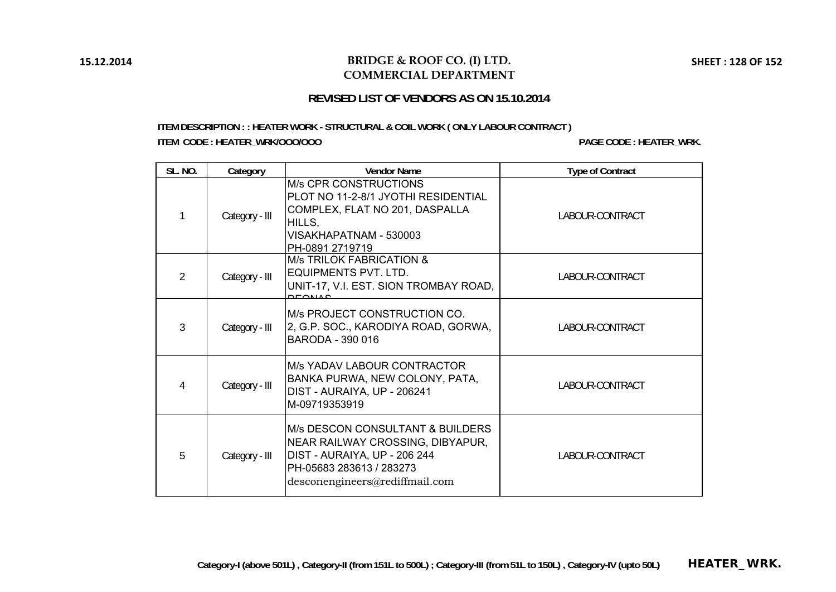### **BRIDGE & ROOF CO. (I) LTD. COMMERCIAL DEPARTMENT**

# **REVISED LIST OF VENDORS AS ON 15.10.2014**

### **ITEM DESCRIPTION : : HEATER WORK - STRUCTURAL & COIL WORK ( ONLY LABOUR CONTRACT ) ITEM CODE : HEATER\_WRK/OOO/OOO PAGE CODE : HEATER\_WRK.**

| <b>SL. NO.</b> | Category       | <b>Vendor Name</b>                                                                                                                                                            | <b>Type of Contract</b> |
|----------------|----------------|-------------------------------------------------------------------------------------------------------------------------------------------------------------------------------|-------------------------|
|                | Category - III | <b>M/s CPR CONSTRUCTIONS</b><br>PLOT NO 11-2-8/1 JYOTHI RESIDENTIAL<br>COMPLEX, FLAT NO 201, DASPALLA<br>HILLS,<br>VISAKHAPATNAM - 530003<br>PH-0891 2719719                  | LABOUR-CONTRACT         |
| $\mathcal{P}$  | Category - III | <b>M/s TRILOK FABRICATION &amp;</b><br><b>EQUIPMENTS PVT. LTD.</b><br>UNIT-17, V.I. EST. SION TROMBAY ROAD,<br><b>DEONIAO</b>                                                 | LABOUR-CONTRACT         |
| 3              | Category - III | M/s PROJECT CONSTRUCTION CO.<br>2, G.P. SOC., KARODIYA ROAD, GORWA,<br>BARODA - 390 016                                                                                       | LABOUR-CONTRACT         |
| 4              | Category - III | <b>M/s YADAV LABOUR CONTRACTOR</b><br>BANKA PURWA, NEW COLONY, PATA,<br>DIST - AURAIYA, UP - 206241<br>M-09719353919                                                          | LABOUR-CONTRACT         |
| 5              | Category - III | <b>M/s DESCON CONSULTANT &amp; BUILDERS</b><br>NEAR RAILWAY CROSSING, DIBYAPUR,<br>DIST - AURAIYA, UP - 206 244<br>PH-05683 283613 / 283273<br>desconengineers@rediffmail.com | LABOUR-CONTRACT         |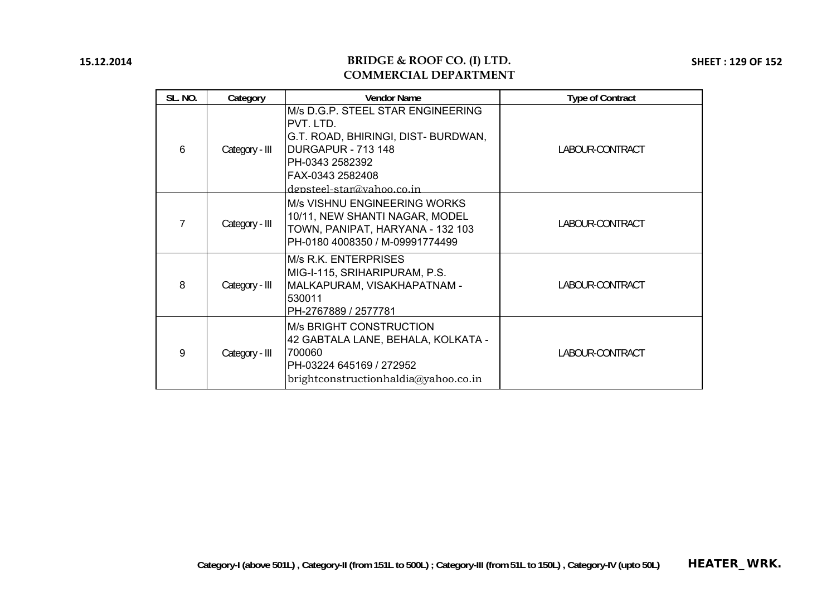### **BRIDGE & ROOF CO. (I) LTD. COMMERCIAL DEPARTMENT**

**SHEET : 129 OF 152**

| <b>SL. NO.</b> | Category       | <b>Vendor Name</b>                                                                                                                                                              | <b>Type of Contract</b> |
|----------------|----------------|---------------------------------------------------------------------------------------------------------------------------------------------------------------------------------|-------------------------|
| 6              | Category - III | M/s D.G.P. STEEL STAR ENGINEERING<br>PVT. LTD.<br>G.T. ROAD, BHIRINGI, DIST- BURDWAN,<br>DURGAPUR - 713 148<br>PH-0343 2582392<br>FAX-0343 2582408<br>depsteel-star@vahoo.co.in | LABOUR-CONTRACT         |
| 7              | Category - III | M/s VISHNU ENGINEERING WORKS<br>10/11, NEW SHANTI NAGAR, MODEL<br>TOWN, PANIPAT, HARYANA - 132 103<br>PH-0180 4008350 / M-09991774499                                           | LABOUR-CONTRACT         |
| 8              | Category - III | M/s R.K. ENTERPRISES<br>MIG-I-115, SRIHARIPURAM, P.S.<br>MALKAPURAM, VISAKHAPATNAM -<br>530011<br>PH-2767889 / 2577781                                                          | LABOUR-CONTRACT         |
| 9              | Category - III | <b>M/s BRIGHT CONSTRUCTION</b><br>42 GABTALA LANE, BEHALA, KOLKATA -<br>700060<br>PH-03224 645169 / 272952<br>brightconstructionhaldia@yahoo.co.in                              | LABOUR-CONTRACT         |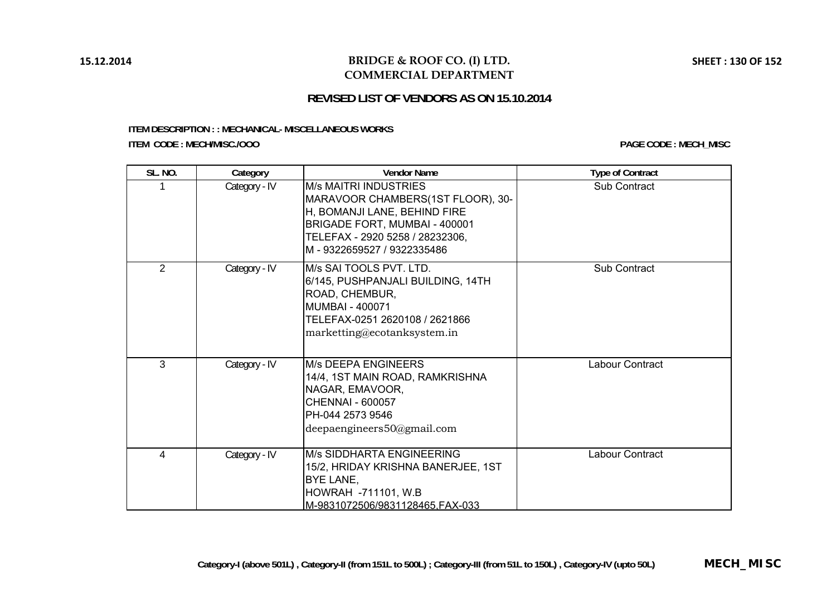# **BRIDGE & ROOF CO. (I) LTD. COMMERCIAL DEPARTMENT**

# **REVISED LIST OF VENDORS AS ON 15.10.2014**

#### **ITEM DESCRIPTION : : MECHANICAL- MISCELLANEOUS WORKS ITEM CODE : MECH/MISC./OOO**

| <b>SL. NO.</b> | Category      | <b>Vendor Name</b>                                                                                                                                                                                 | <b>Type of Contract</b> |
|----------------|---------------|----------------------------------------------------------------------------------------------------------------------------------------------------------------------------------------------------|-------------------------|
|                | Category - IV | <b>M/s MAITRI INDUSTRIES</b><br>MARAVOOR CHAMBERS(1ST FLOOR), 30-<br>H, BOMANJI LANE, BEHIND FIRE<br>BRIGADE FORT, MUMBAI - 400001<br>TELEFAX - 2920 5258 / 28232306,<br>M-9322659527 / 9322335486 | <b>Sub Contract</b>     |
| $\overline{2}$ | Category - IV | M/s SAI TOOLS PVT. LTD.<br>6/145, PUSHPANJALI BUILDING, 14TH<br>ROAD, CHEMBUR,<br><b>MUMBAI - 400071</b><br>TELEFAX-0251 2620108 / 2621866<br>marketting@ecotanksystem.in                          | Sub Contract            |
| $\overline{3}$ | Category - IV | <b>M/s DEEPA ENGINEERS</b><br>14/4, 1ST MAIN ROAD, RAMKRISHNA<br>NAGAR, EMAVOOR,<br><b>CHENNAI - 600057</b><br>PH-044 2573 9546<br>deepaengineers50@gmail.com                                      | Labour Contract         |
| 4              | Category - IV | M/s SIDDHARTA ENGINEERING<br>15/2, HRIDAY KRISHNA BANERJEE, 1ST<br>BYE LANE,<br>HOWRAH -711101, W.B<br>M-9831072506/9831128465.FAX-033                                                             | Labour Contract         |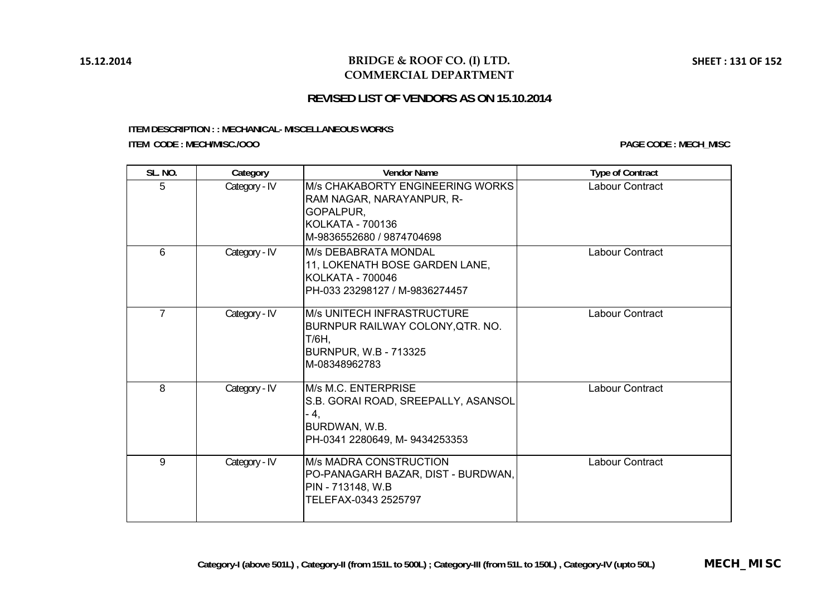# **BRIDGE & ROOF CO. (I) LTD. COMMERCIAL DEPARTMENT**

# **REVISED LIST OF VENDORS AS ON 15.10.2014**

#### **ITEM DESCRIPTION : : MECHANICAL- MISCELLANEOUS WORKS ITEM CODE : MECH/MISC./OOO**

| SL. NO.        | Category      | <b>Vendor Name</b>                                                                                                                        | <b>Type of Contract</b> |
|----------------|---------------|-------------------------------------------------------------------------------------------------------------------------------------------|-------------------------|
| 5              | Category - IV | <b>M/s CHAKABORTY ENGINEERING WORKS</b><br>RAM NAGAR, NARAYANPUR, R-<br>GOPALPUR,<br><b>KOLKATA - 700136</b><br>M-9836552680 / 9874704698 | Labour Contract         |
| 6              | Category - IV | <b>M/s DEBABRATA MONDAL</b><br>11, LOKENATH BOSE GARDEN LANE,<br><b>KOLKATA - 700046</b><br>PH-033 23298127 / M-9836274457                | Labour Contract         |
| $\overline{7}$ | Category - IV | <b>M/s UNITECH INFRASTRUCTURE</b><br>BURNPUR RAILWAY COLONY, QTR. NO.<br>T/6H,<br><b>BURNPUR, W.B - 713325</b><br>M-08348962783           | Labour Contract         |
| 8              | Category - IV | <b>IM/s M.C. ENTERPRISE</b><br>S.B. GORAI ROAD, SREEPALLY, ASANSOL<br>- 4,<br>BURDWAN, W.B.<br>PH-0341 2280649, M-9434253353              | Labour Contract         |
| 9              | Category - IV | <b>M/s MADRA CONSTRUCTION</b><br>PO-PANAGARH BAZAR, DIST - BURDWAN,<br>PIN - 713148, W.B<br>TELEFAX-0343 2525797                          | Labour Contract         |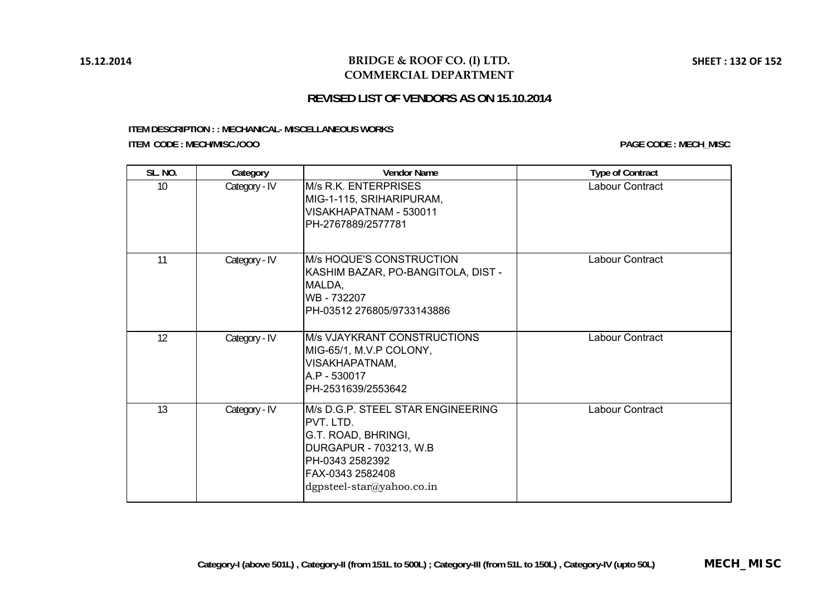### **BRIDGE & ROOF CO. (I) LTD. COMMERCIAL DEPARTMENT**

# **REVISED LIST OF VENDORS AS ON 15.10.2014**

#### **ITEM DESCRIPTION : : MECHANICAL- MISCELLANEOUS WORKS ITEM CODE : MECH/MISC./OOO**

| <b>SL. NO.</b> | Category      | <b>Vendor Name</b>                                                                                                                                                  | <b>Type of Contract</b> |
|----------------|---------------|---------------------------------------------------------------------------------------------------------------------------------------------------------------------|-------------------------|
| 10             | Category - IV | <b>M/s R.K. ENTERPRISES</b><br>MIG-1-115, SRIHARIPURAM,<br>VISAKHAPATNAM - 530011<br>PH-2767889/2577781                                                             | Labour Contract         |
| 11             | Category - IV | M/s HOQUE'S CONSTRUCTION<br>KASHIM BAZAR, PO-BANGITOLA, DIST -<br>MALDA,<br>WB - 732207<br>PH-03512 276805/9733143886                                               | Labour Contract         |
| 12             | Category - IV | <b>M/s VJAYKRANT CONSTRUCTIONS</b><br>MIG-65/1, M.V.P COLONY,<br>VISAKHAPATNAM,<br>A.P - 530017<br>PH-2531639/2553642                                               | Labour Contract         |
| 13             | Category - IV | M/s D.G.P. STEEL STAR ENGINEERING<br>PVT. LTD.<br>G.T. ROAD, BHRINGI,<br>DURGAPUR - 703213, W.B<br>PH-0343 2582392<br>FAX-0343 2582408<br>dgpsteel-star@yahoo.co.in | Labour Contract         |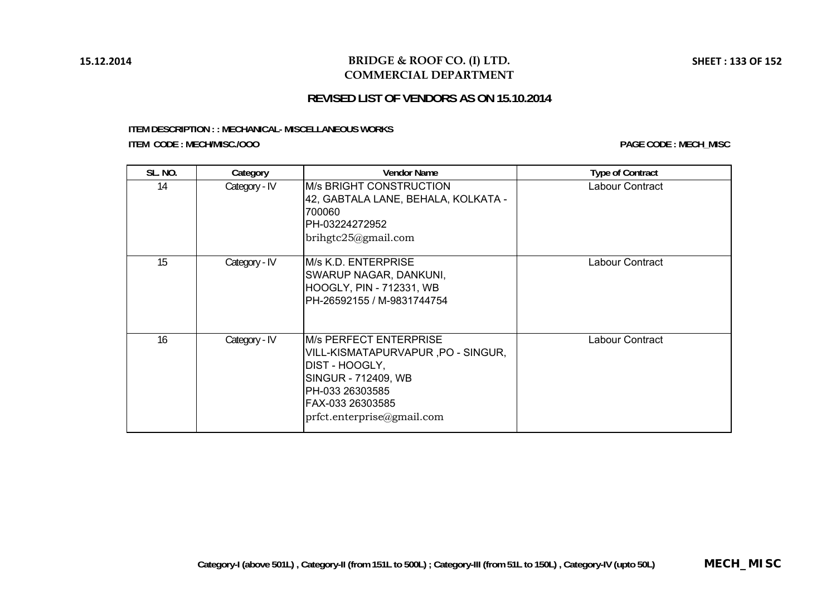### **BRIDGE & ROOF CO. (I) LTD. COMMERCIAL DEPARTMENT**

# **REVISED LIST OF VENDORS AS ON 15.10.2014**

#### **ITEM DESCRIPTION : : MECHANICAL- MISCELLANEOUS WORKS ITEM CODE : MECH/MISC./OOO**

| <b>SL. NO.</b> | Category      | <b>Vendor Name</b>                                                                                                                                                               | <b>Type of Contract</b> |
|----------------|---------------|----------------------------------------------------------------------------------------------------------------------------------------------------------------------------------|-------------------------|
| 14             | Category - IV | <b>IM/s BRIGHT CONSTRUCTION</b><br>42, GABTALA LANE, BEHALA, KOLKATA -<br>700060<br>IPH-03224272952<br>brihgtc25@gmail.com                                                       | Labour Contract         |
| 15             | Category - IV | M/s K.D. ENTERPRISE<br>SWARUP NAGAR, DANKUNI,<br><b>HOOGLY, PIN - 712331, WB</b><br>IPH-26592155 / M-9831744754                                                                  | Labour Contract         |
| 16             | Category - IV | IM/s PERFECT ENTERPRISE<br>VILL-KISMATAPURVAPUR, PO - SINGUR,<br>DIST - HOOGLY,<br>SINGUR - 712409, WB<br>PH-033 26303585<br>IFAX-033 26303585<br>prfct. enter prize a gmail.com | Labour Contract         |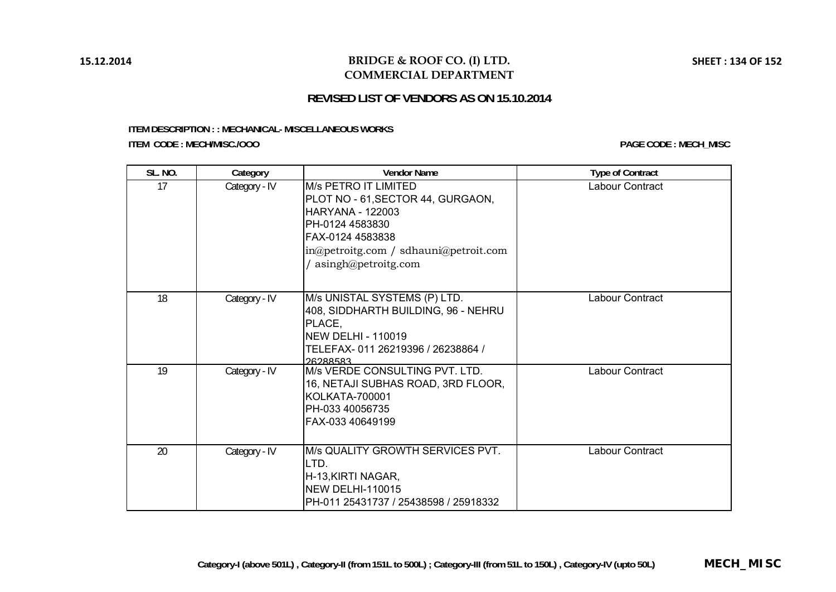### **BRIDGE & ROOF CO. (I) LTD. COMMERCIAL DEPARTMENT**

# **REVISED LIST OF VENDORS AS ON 15.10.2014**

#### **ITEM DESCRIPTION : : MECHANICAL- MISCELLANEOUS WORKS ITEM CODE : MECH/MISC./OOO**

| <b>SL. NO.</b> | Category      | <b>Vendor Name</b>                                                                                                                                                                                   | <b>Type of Contract</b> |
|----------------|---------------|------------------------------------------------------------------------------------------------------------------------------------------------------------------------------------------------------|-------------------------|
| 17             | Category - IV | <b>M/s PETRO IT LIMITED</b><br>PLOT NO - 61, SECTOR 44, GURGAON,<br><b>HARYANA - 122003</b><br>PH-0124 4583830<br>FAX-0124 4583838<br>in@petroitg.com / sdhauni@petroit.com<br>/ asingh@petroitg.com | Labour Contract         |
| 18             | Category - IV | M/s UNISTAL SYSTEMS (P) LTD.<br>408, SIDDHARTH BUILDING, 96 - NEHRU<br>PLACE,<br><b>NEW DELHI - 110019</b><br>TELEFAX-011 26219396 / 26238864 /<br>26288583                                          | Labour Contract         |
| 19             | Category - IV | M/s VERDE CONSULTING PVT. LTD.<br>16, NETAJI SUBHAS ROAD, 3RD FLOOR,<br><b>KOLKATA-700001</b><br>PH-033 40056735<br>FAX-033 40649199                                                                 | Labour Contract         |
| 20             | Category - IV | M/s QUALITY GROWTH SERVICES PVT.<br>LTD.<br>H-13, KIRTI NAGAR,<br><b>NEW DELHI-110015</b><br>PH-011 25431737 / 25438598 / 25918332                                                                   | Labour Contract         |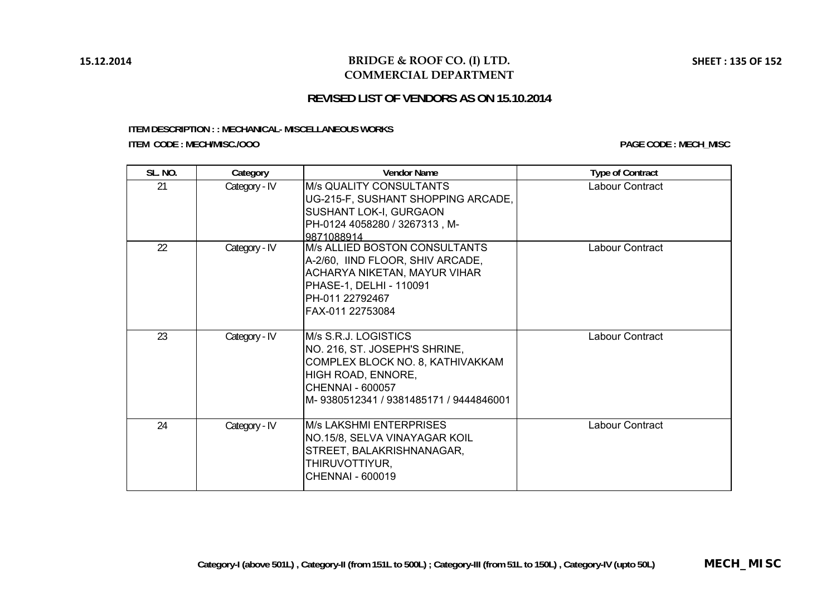### **BRIDGE & ROOF CO. (I) LTD. COMMERCIAL DEPARTMENT**

# **REVISED LIST OF VENDORS AS ON 15.10.2014**

#### **ITEM DESCRIPTION : : MECHANICAL- MISCELLANEOUS WORKS ITEM CODE : MECH/MISC./OOO**

| <b>SL. NO.</b> | Category      | <b>Vendor Name</b>                                                                                                                                                            | <b>Type of Contract</b> |
|----------------|---------------|-------------------------------------------------------------------------------------------------------------------------------------------------------------------------------|-------------------------|
| 21             | Category - IV | M/s QUALITY CONSULTANTS<br>UG-215-F, SUSHANT SHOPPING ARCADE,<br>SUSHANT LOK-I, GURGAON<br>PH-0124 4058280 / 3267313, M-<br>9871088914                                        | Labour Contract         |
| 22             | Category - IV | M/s ALLIED BOSTON CONSULTANTS<br>A-2/60, IIND FLOOR, SHIV ARCADE,<br><b>ACHARYA NIKETAN, MAYUR VIHAR</b><br>PHASE-1, DELHI - 110091<br>PH-011 22792467<br>FAX-011 22753084    | Labour Contract         |
| 23             | Category - IV | M/s S.R.J. LOGISTICS<br>NO. 216, ST. JOSEPH'S SHRINE,<br>COMPLEX BLOCK NO. 8, KATHIVAKKAM<br>HIGH ROAD, ENNORE,<br>CHENNAL - 600057<br>M-9380512341 / 9381485171 / 9444846001 | Labour Contract         |
| 24             | Category - IV | <b>M/s LAKSHMI ENTERPRISES</b><br>NO.15/8, SELVA VINAYAGAR KOIL<br>STREET, BALAKRISHNANAGAR,<br>THIRUVOTTIYUR,<br>CHENNAI - 600019                                            | Labour Contract         |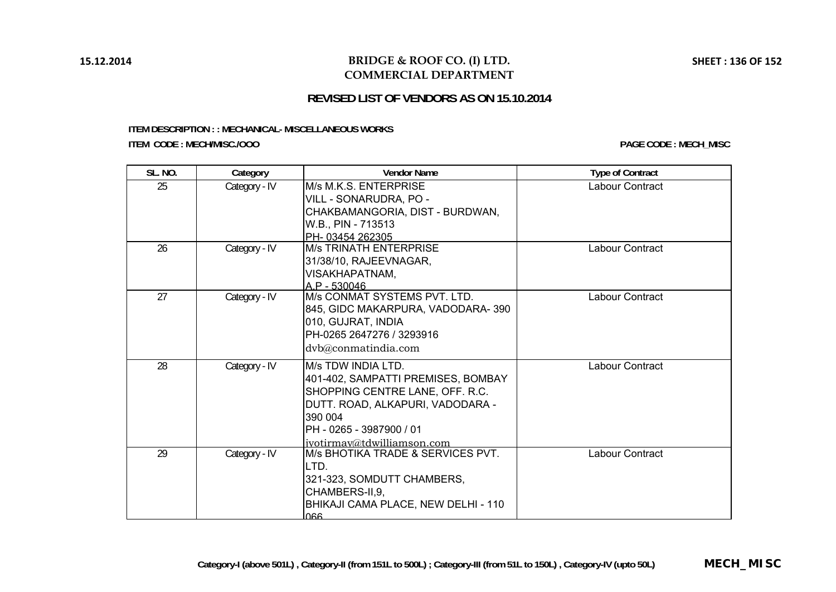# **BRIDGE & ROOF CO. (I) LTD. COMMERCIAL DEPARTMENT**

# **REVISED LIST OF VENDORS AS ON 15.10.2014**

#### **ITEM DESCRIPTION : : MECHANICAL- MISCELLANEOUS WORKS ITEM CODE : MECH/MISC./OOO**

| SL. NO. | Category      | <b>Vendor Name</b>                                                                                                                                                                                    | <b>Type of Contract</b> |
|---------|---------------|-------------------------------------------------------------------------------------------------------------------------------------------------------------------------------------------------------|-------------------------|
| 25      | Category - IV | M/s M.K.S. ENTERPRISE<br>VILL - SONARUDRA, PO -<br>CHAKBAMANGORIA, DIST - BURDWAN,<br>W.B., PIN - 713513<br>PH-03454 262305                                                                           | Labour Contract         |
| 26      | Category - IV | <b>M/s TRINATH ENTERPRISE</b><br>31/38/10, RAJEEVNAGAR,<br>VISAKHAPATNAM,<br>$A.P - 530046$                                                                                                           | Labour Contract         |
| 27      | Category - IV | M/s CONMAT SYSTEMS PVT. LTD.<br>845, GIDC MAKARPURA, VADODARA-390<br>010, GUJRAT, INDIA<br>PH-0265 2647276 / 3293916<br>dvb@conmatindia.com                                                           | Labour Contract         |
| 28      | Category - IV | M/s TDW INDIA LTD.<br>401-402, SAMPATTI PREMISES, BOMBAY<br>SHOPPING CENTRE LANE, OFF. R.C.<br>DUTT. ROAD, ALKAPURI, VADODARA -<br>390 004<br>IPH - 0265 - 3987900 / 01<br>ivotirmav@tdwilliamson.com | Labour Contract         |
| 29      | Category - IV | M/s BHOTIKA TRADE & SERVICES PVT.<br>LTD.<br>321-323, SOMDUTT CHAMBERS,<br>CHAMBERS-II, 9,<br>BHIKAJI CAMA PLACE, NEW DELHI - 110<br>066                                                              | Labour Contract         |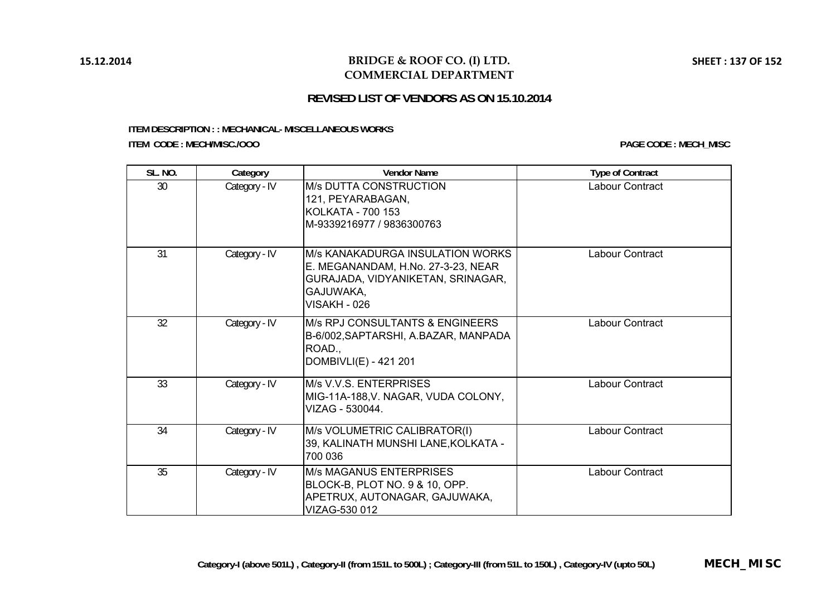### **BRIDGE & ROOF CO. (I) LTD. COMMERCIAL DEPARTMENT**

# **REVISED LIST OF VENDORS AS ON 15.10.2014**

#### **ITEM DESCRIPTION : : MECHANICAL- MISCELLANEOUS WORKS ITEM CODE : MECH/MISC./OOO**

| <b>SL. NO.</b> | Category      | <b>Vendor Name</b>                                                                                                                       | <b>Type of Contract</b> |
|----------------|---------------|------------------------------------------------------------------------------------------------------------------------------------------|-------------------------|
| 30             | Category - IV | <b>M/s DUTTA CONSTRUCTION</b><br>121, PEYARABAGAN,<br><b>KOLKATA - 700 153</b><br>M-9339216977 / 9836300763                              | Labour Contract         |
| 31             | Category - IV | M/s KANAKADURGA INSULATION WORKS<br>E. MEGANANDAM, H.No. 27-3-23, NEAR<br>GURAJADA, VIDYANIKETAN, SRINAGAR,<br>GAJUWAKA,<br>VISAKH - 026 | Labour Contract         |
| 32             | Category - IV | M/s RPJ CONSULTANTS & ENGINEERS<br>B-6/002, SAPTARSHI, A.BAZAR, MANPADA<br>ROAD.,<br>DOMBIVLI(E) - 421 201                               | Labour Contract         |
| 33             | Category - IV | M/s V.V.S. ENTERPRISES<br>MIG-11A-188, V. NAGAR, VUDA COLONY,<br>VIZAG - 530044.                                                         | Labour Contract         |
| 34             | Category - IV | M/s VOLUMETRIC CALIBRATOR(I)<br>39, KALINATH MUNSHI LANE, KOLKATA -<br>700 036                                                           | Labour Contract         |
| 35             | Category - IV | <b>M/s MAGANUS ENTERPRISES</b><br>BLOCK-B, PLOT NO. 9 & 10, OPP.<br>APETRUX, AUTONAGAR, GAJUWAKA,<br>VIZAG-530 012                       | Labour Contract         |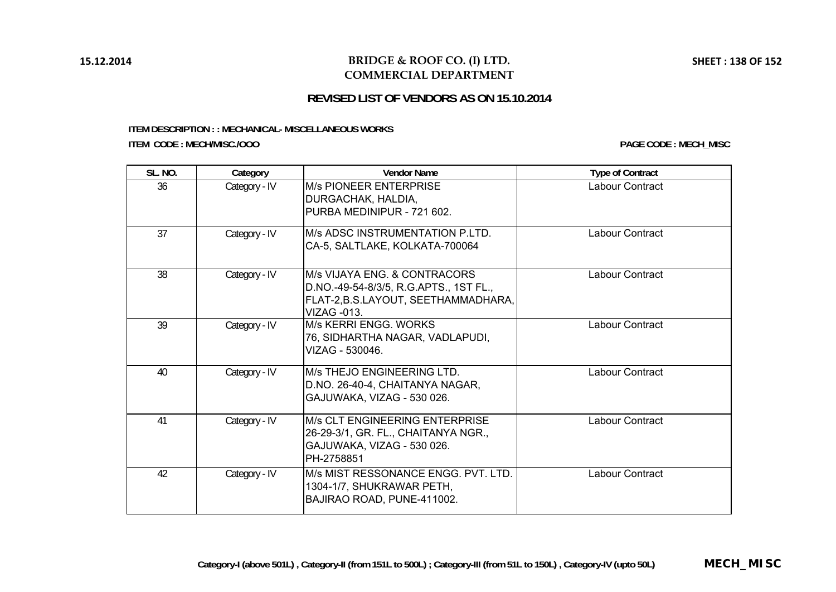### **BRIDGE & ROOF CO. (I) LTD. COMMERCIAL DEPARTMENT**

# **REVISED LIST OF VENDORS AS ON 15.10.2014**

# **ITEM DESCRIPTION : : MECHANICAL- MISCELLANEOUS WORKS**

**ITEM CODE : MECH/MISC./OOO**

| <b>SL. NO.</b> | Category      | <b>Vendor Name</b>                                                                                                                  | <b>Type of Contract</b> |
|----------------|---------------|-------------------------------------------------------------------------------------------------------------------------------------|-------------------------|
| 36             | Category - IV | <b>M/s PIONEER ENTERPRISE</b><br>DURGACHAK, HALDIA,<br>PURBA MEDINIPUR - 721 602.                                                   | Labour Contract         |
| 37             | Category - IV | M/s ADSC INSTRUMENTATION P.LTD.<br>CA-5, SALTLAKE, KOLKATA-700064                                                                   | Labour Contract         |
| 38             | Category - IV | M/s VIJAYA ENG. & CONTRACORS<br>D.NO.-49-54-8/3/5, R.G.APTS., 1ST FL.,<br>FLAT-2, B.S.LAYOUT, SEETHAMMADHARA,<br><b>VIZAG -013.</b> | Labour Contract         |
| 39             | Category - IV | M/s KERRI ENGG, WORKS<br>76, SIDHARTHA NAGAR, VADLAPUDI,<br>VIZAG - 530046.                                                         | Labour Contract         |
| 40             | Category - IV | M/s THEJO ENGINEERING LTD.<br>D.NO. 26-40-4, CHAITANYA NAGAR,<br>GAJUWAKA, VIZAG - 530 026.                                         | Labour Contract         |
| 41             | Category - IV | M/s CLT ENGINEERING ENTERPRISE<br>26-29-3/1, GR. FL., CHAITANYA NGR.,<br>GAJUWAKA, VIZAG - 530 026.<br>PH-2758851                   | Labour Contract         |
| 42             | Category - IV | M/s MIST RESSONANCE ENGG, PVT, LTD.<br>1304-1/7, SHUKRAWAR PETH,<br>BAJIRAO ROAD, PUNE-411002.                                      | Labour Contract         |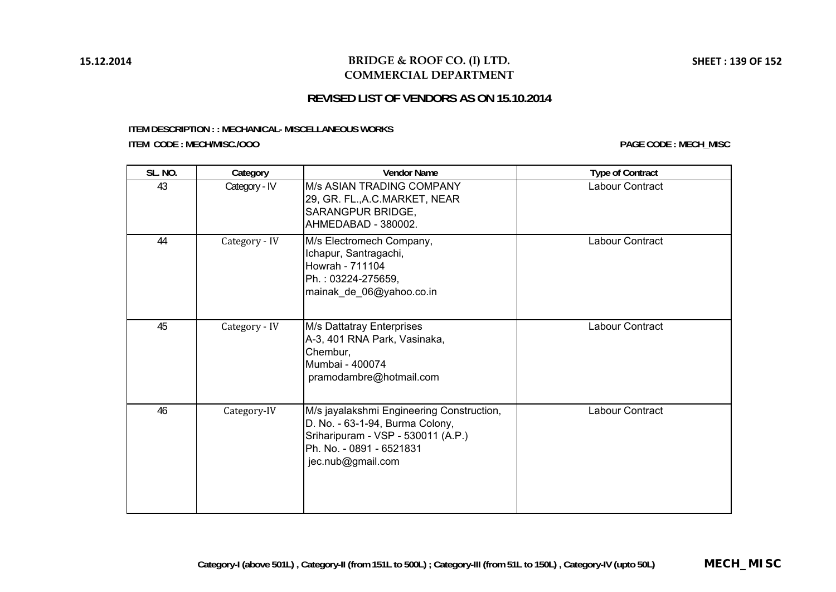# **BRIDGE & ROOF CO. (I) LTD. COMMERCIAL DEPARTMENT**

# **REVISED LIST OF VENDORS AS ON 15.10.2014**

#### **ITEM DESCRIPTION : : MECHANICAL- MISCELLANEOUS WORKS ITEM CODE : MECH/MISC./OOO**

| <b>SL. NO.</b> | Category      | <b>Vendor Name</b>                                                                                                                                                  | <b>Type of Contract</b> |
|----------------|---------------|---------------------------------------------------------------------------------------------------------------------------------------------------------------------|-------------------------|
| 43             | Category - IV | M/s ASIAN TRADING COMPANY<br>29, GR. FL., A.C. MARKET, NEAR<br>SARANGPUR BRIDGE,<br>AHMEDABAD - 380002.                                                             | <b>Labour Contract</b>  |
| 44             | Category - IV | M/s Electromech Company,<br>Ichapur, Santragachi,<br>Howrah - 711104<br>Ph.: 03224-275659,<br>mainak_de_06@yahoo.co.in                                              | Labour Contract         |
| 45             | Category - IV | M/s Dattatray Enterprises<br>A-3, 401 RNA Park, Vasinaka,<br>Chembur,<br>Mumbai - 400074<br>pramodambre@hotmail.com                                                 | Labour Contract         |
| 46             | Category-IV   | M/s jayalakshmi Engineering Construction,<br>D. No. - 63-1-94, Burma Colony,<br>Sriharipuram - VSP - 530011 (A.P.)<br>Ph. No. - 0891 - 6521831<br>jec.nub@gmail.com | Labour Contract         |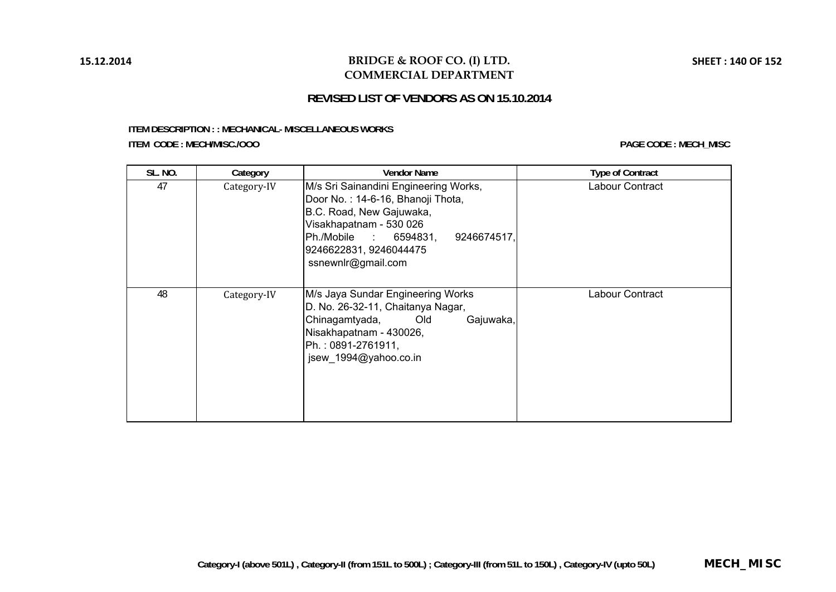# **BRIDGE & ROOF CO. (I) LTD. COMMERCIAL DEPARTMENT**

# **REVISED LIST OF VENDORS AS ON 15.10.2014**

#### **ITEM DESCRIPTION : : MECHANICAL- MISCELLANEOUS WORKS ITEM CODE : MECH/MISC./OOO**

| <b>SL. NO.</b> | Category    | <b>Vendor Name</b>                                                                                                                                                                                                        | <b>Type of Contract</b> |
|----------------|-------------|---------------------------------------------------------------------------------------------------------------------------------------------------------------------------------------------------------------------------|-------------------------|
| 47             | Category-IV | M/s Sri Sainandini Engineering Works,<br>Door No.: 14-6-16, Bhanoji Thota,<br>B.C. Road, New Gajuwaka,<br>Visakhapatnam - 530 026<br>Ph./Mobile : 6594831,<br>9246674517,<br>9246622831, 9246044475<br>ssnewnlr@gmail.com | Labour Contract         |
| 48             | Category-IV | M/s Jaya Sundar Engineering Works<br>D. No. 26-32-11, Chaitanya Nagar,<br>Chinagamtyada,<br>Gajuwaka,<br><b>Did</b><br>Nisakhapatnam - 430026,<br>Ph.: 0891-2761911,<br>jsew_1994@yahoo.co.in                             | Labour Contract         |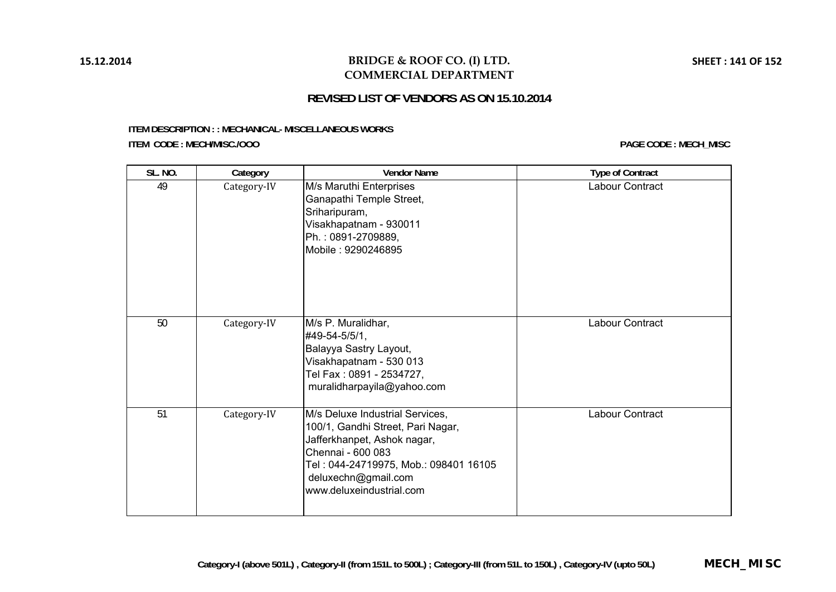### **BRIDGE & ROOF CO. (I) LTD. COMMERCIAL DEPARTMENT**

# **REVISED LIST OF VENDORS AS ON 15.10.2014**

#### **ITEM DESCRIPTION : : MECHANICAL- MISCELLANEOUS WORKS ITEM CODE : MECH/MISC./OOO**

| <b>SL. NO.</b> | Category    | <b>Vendor Name</b>                                                                                                                                                                                                   | <b>Type of Contract</b> |
|----------------|-------------|----------------------------------------------------------------------------------------------------------------------------------------------------------------------------------------------------------------------|-------------------------|
| 49             | Category-IV | M/s Maruthi Enterprises<br>Ganapathi Temple Street,<br>Sriharipuram,<br>Visakhapatnam - 930011<br>Ph.: 0891-2709889,<br>Mobile: 9290246895                                                                           | Labour Contract         |
| 50             | Category-IV | M/s P. Muralidhar,<br>#49-54-5/5/1,<br>Balayya Sastry Layout,<br>Visakhapatnam - 530 013<br>Tel Fax: 0891 - 2534727,<br>muralidharpayila@yahoo.com                                                                   | Labour Contract         |
| 51             | Category-IV | M/s Deluxe Industrial Services,<br>100/1, Gandhi Street, Pari Nagar,<br>Jafferkhanpet, Ashok nagar,<br>Chennai - 600 083<br>Tel: 044-24719975, Mob.: 098401 16105<br>deluxechn@gmail.com<br>www.deluxeindustrial.com | Labour Contract         |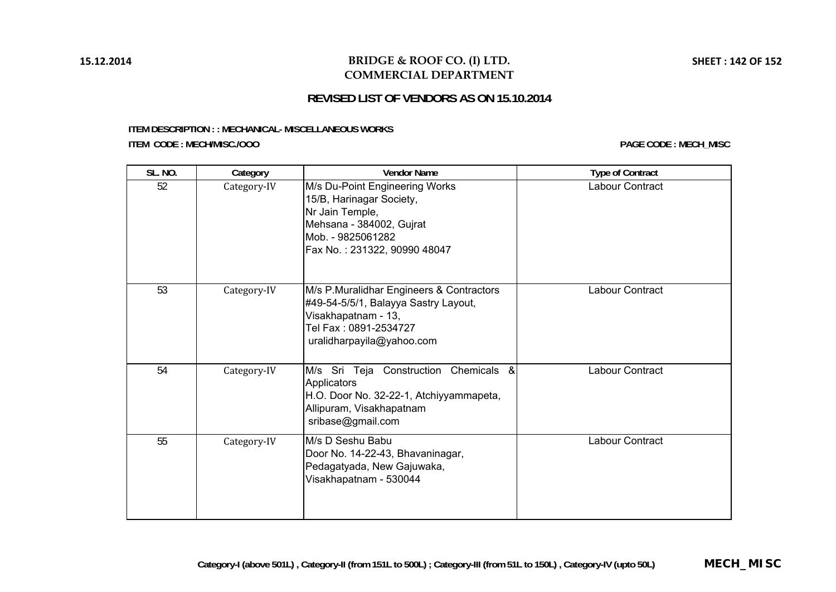### **BRIDGE & ROOF CO. (I) LTD. COMMERCIAL DEPARTMENT**

# **REVISED LIST OF VENDORS AS ON 15.10.2014**

#### **ITEM DESCRIPTION : : MECHANICAL- MISCELLANEOUS WORKS ITEM CODE : MECH/MISC./OOO**

| <b>SL. NO.</b> | Category    | <b>Vendor Name</b>                                                                                                                                             | <b>Type of Contract</b> |
|----------------|-------------|----------------------------------------------------------------------------------------------------------------------------------------------------------------|-------------------------|
| 52             | Category-IV | M/s Du-Point Engineering Works<br>15/B, Harinagar Society,<br>Nr Jain Temple,<br>Mehsana - 384002, Gujrat<br>Mob. - 9825061282<br>Fax No.: 231322, 90990 48047 | Labour Contract         |
| 53             | Category-IV | M/s P.Muralidhar Engineers & Contractors<br>#49-54-5/5/1, Balayya Sastry Layout,<br>Visakhapatnam - 13,<br>Tel Fax: 0891-2534727<br>uralidharpayila@yahoo.com  | Labour Contract         |
| 54             | Category-IV | M/s Sri Teja Construction Chemicals &<br>Applicators<br>H.O. Door No. 32-22-1, Atchiyyammapeta,<br>Allipuram, Visakhapatnam<br>sribase@gmail.com               | Labour Contract         |
| 55             | Category-IV | M/s D Seshu Babu<br>Door No. 14-22-43, Bhavaninagar,<br>Pedagatyada, New Gajuwaka,<br>Visakhapatnam - 530044                                                   | Labour Contract         |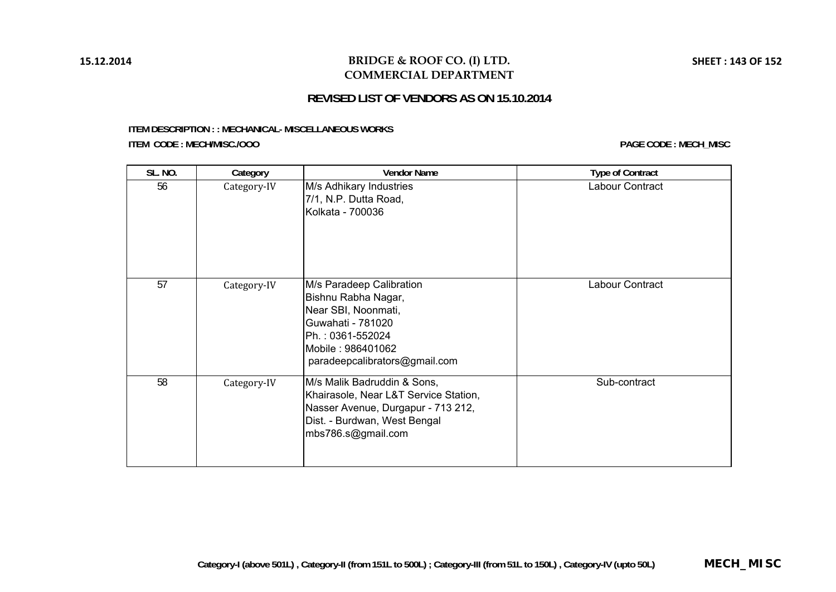# **BRIDGE & ROOF CO. (I) LTD. COMMERCIAL DEPARTMENT**

# **REVISED LIST OF VENDORS AS ON 15.10.2014**

#### **ITEM DESCRIPTION : : MECHANICAL- MISCELLANEOUS WORKS ITEM CODE : MECH/MISC./OOO**

| <b>SL. NO.</b> | Category    | <b>Vendor Name</b>                                                                                                                                                    | <b>Type of Contract</b> |
|----------------|-------------|-----------------------------------------------------------------------------------------------------------------------------------------------------------------------|-------------------------|
| 56             | Category-IV | M/s Adhikary Industries<br>7/1, N.P. Dutta Road,<br>Kolkata - 700036                                                                                                  | Labour Contract         |
| 57             | Category-IV | M/s Paradeep Calibration<br>Bishnu Rabha Nagar,<br>Near SBI, Noonmati,<br>Guwahati - 781020<br>Ph.: 0361-552024<br>Mobile: 986401062<br>paradeepcalibrators@gmail.com | Labour Contract         |
| 58             | Category-IV | M/s Malik Badruddin & Sons,<br>Khairasole, Near L&T Service Station,<br>Nasser Avenue, Durgapur - 713 212,<br>Dist. - Burdwan, West Bengal<br>mbs786.s@gmail.com      | Sub-contract            |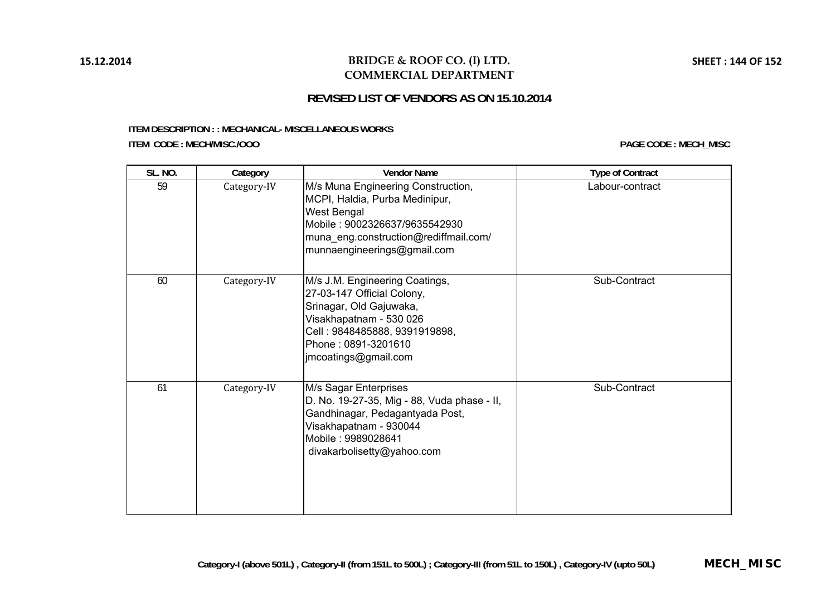### **BRIDGE & ROOF CO. (I) LTD. COMMERCIAL DEPARTMENT**

# **REVISED LIST OF VENDORS AS ON 15.10.2014**

#### **ITEM DESCRIPTION : : MECHANICAL- MISCELLANEOUS WORKS ITEM CODE : MECH/MISC./OOO**

| SL. NO. | Category    | <b>Vendor Name</b>                                                                                                                                                                                 | <b>Type of Contract</b> |
|---------|-------------|----------------------------------------------------------------------------------------------------------------------------------------------------------------------------------------------------|-------------------------|
| 59      | Category-IV | M/s Muna Engineering Construction,<br>MCPI, Haldia, Purba Medinipur,<br>West Bengal<br>Mobile: 9002326637/9635542930<br>muna_eng.construction@rediffmail.com/<br>munnaengineerings@gmail.com       | Labour-contract         |
| 60      | Category-IV | M/s J.M. Engineering Coatings,<br>27-03-147 Official Colony,<br>Srinagar, Old Gajuwaka,<br>Visakhapatnam - 530 026<br>Cell: 9848485888, 9391919898,<br>Phone: 0891-3201610<br>imcoatings@gmail.com | Sub-Contract            |
| 61      | Category-IV | M/s Sagar Enterprises<br>D. No. 19-27-35, Mig - 88, Vuda phase - II,<br>Gandhinagar, Pedagantyada Post,<br>Visakhapatnam - 930044<br>Mobile: 9989028641<br>divakarbolisetty@yahoo.com              | Sub-Contract            |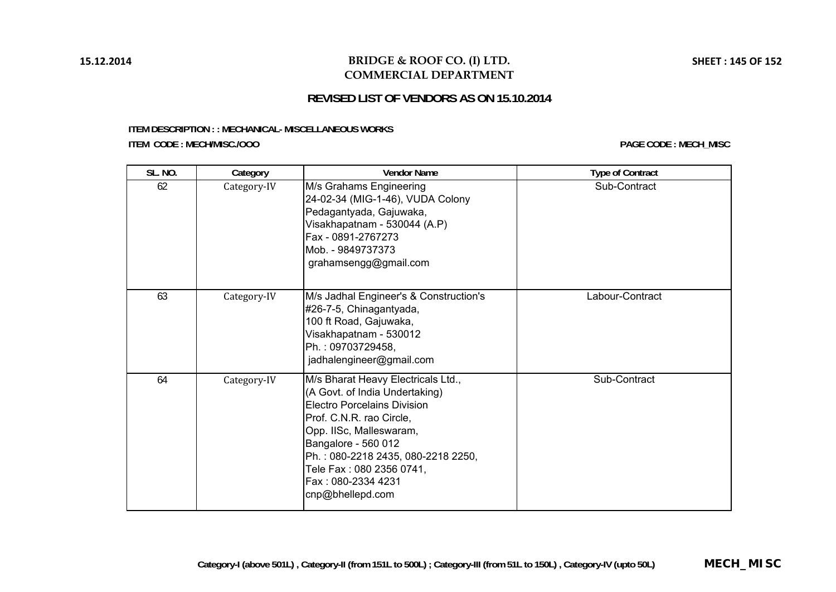### **BRIDGE & ROOF CO. (I) LTD. COMMERCIAL DEPARTMENT**

# **REVISED LIST OF VENDORS AS ON 15.10.2014**

#### **ITEM DESCRIPTION : : MECHANICAL- MISCELLANEOUS WORKS ITEM CODE : MECH/MISC./OOO**

| <b>SL. NO.</b> | Category    | <b>Vendor Name</b>                                                                                                                                                                                                                                                                                   | <b>Type of Contract</b> |
|----------------|-------------|------------------------------------------------------------------------------------------------------------------------------------------------------------------------------------------------------------------------------------------------------------------------------------------------------|-------------------------|
| 62             | Category-IV | M/s Grahams Engineering<br>24-02-34 (MIG-1-46), VUDA Colony<br>Pedagantyada, Gajuwaka,<br>Visakhapatnam - 530044 (A.P)<br>Fax - 0891-2767273<br>Mob. - 9849737373<br>grahamsengg@gmail.com                                                                                                           | Sub-Contract            |
| 63             | Category-IV | M/s Jadhal Engineer's & Construction's<br>#26-7-5, Chinagantyada,<br>100 ft Road, Gajuwaka,<br>Visakhapatnam - 530012<br>Ph.: 09703729458,<br>jadhalengineer@gmail.com                                                                                                                               | Labour-Contract         |
| 64             | Category-IV | M/s Bharat Heavy Electricals Ltd.,<br>(A Govt. of India Undertaking)<br><b>Electro Porcelains Division</b><br>Prof. C.N.R. rao Circle,<br>Opp. IISc, Malleswaram,<br>Bangalore - 560 012<br>Ph.: 080-2218 2435, 080-2218 2250,<br>Tele Fax: 080 2356 0741,<br>Fax: 080-2334 4231<br>cnp@bhellepd.com | Sub-Contract            |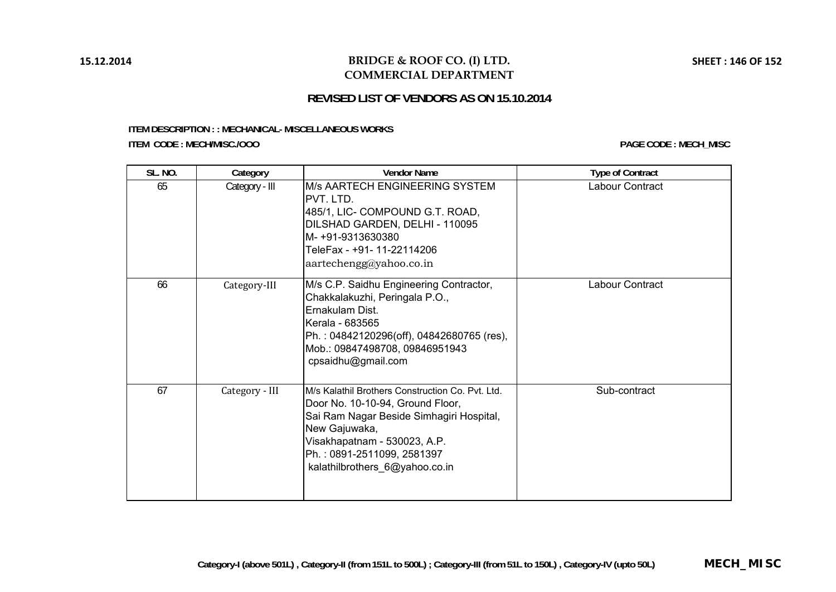## **BRIDGE & ROOF CO. (I) LTD. COMMERCIAL DEPARTMENT**

# **REVISED LIST OF VENDORS AS ON 15.10.2014**

#### **ITEM DESCRIPTION : : MECHANICAL- MISCELLANEOUS WORKS ITEM CODE : MECH/MISC./OOO**

| <b>SL. NO.</b> | Category       | <b>Vendor Name</b>                                                                                                                                                                                                                                | <b>Type of Contract</b> |
|----------------|----------------|---------------------------------------------------------------------------------------------------------------------------------------------------------------------------------------------------------------------------------------------------|-------------------------|
| 65             | Category - III | M/s AARTECH ENGINEERING SYSTEM<br>PVT. LTD.<br>485/1, LIC- COMPOUND G.T. ROAD,<br>DILSHAD GARDEN, DELHI - 110095<br>M-+91-9313630380<br>TeleFax - +91- 11-22114206<br>$a$ artechengg@yahoo.co.in                                                  | Labour Contract         |
| 66             | Category-III   | M/s C.P. Saidhu Engineering Contractor,<br>Chakkalakuzhi, Peringala P.O.,<br>Ernakulam Dist.<br>Kerala - 683565<br>Ph.: 04842120296(off), 04842680765 (res),<br>Mob.: 09847498708, 09846951943<br>cpsaidhu@gmail.com                              | Labour Contract         |
| 67             | Category - III | M/s Kalathil Brothers Construction Co. Pvt. Ltd.<br>Door No. 10-10-94, Ground Floor,<br>Sai Ram Nagar Beside Simhagiri Hospital,<br>New Gajuwaka,<br>Visakhapatnam - 530023, A.P.<br>Ph.: 0891-2511099, 2581397<br>kalathilbrothers 6@yahoo.co.in | Sub-contract            |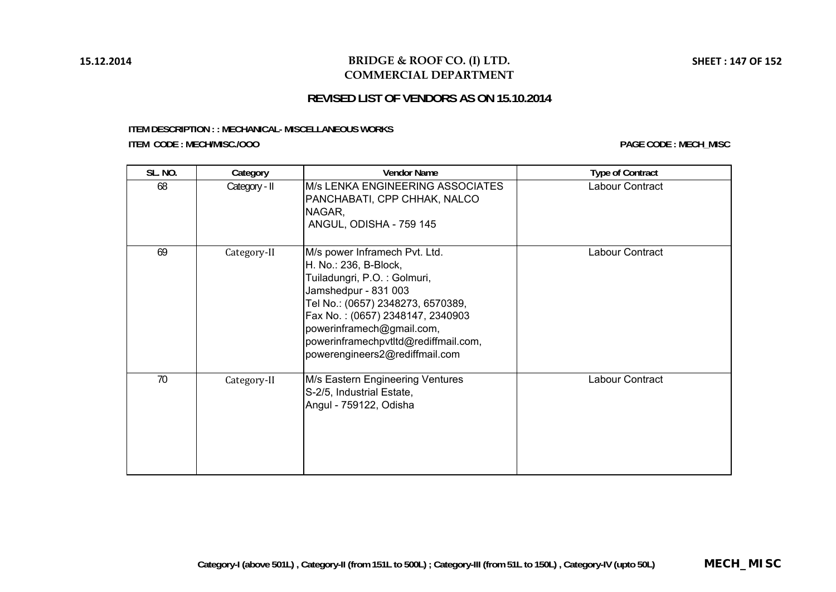## **BRIDGE & ROOF CO. (I) LTD. COMMERCIAL DEPARTMENT**

# **REVISED LIST OF VENDORS AS ON 15.10.2014**

#### **ITEM DESCRIPTION : : MECHANICAL- MISCELLANEOUS WORKS ITEM CODE : MECH/MISC./OOO**

| <b>SL. NO.</b> | Category      | <b>Vendor Name</b>                                                                                                                                                                                                                                                                            | <b>Type of Contract</b> |
|----------------|---------------|-----------------------------------------------------------------------------------------------------------------------------------------------------------------------------------------------------------------------------------------------------------------------------------------------|-------------------------|
| 68             | Category - II | M/s LENKA ENGINEERING ASSOCIATES<br>PANCHABATI, CPP CHHAK, NALCO<br>NAGAR,<br>ANGUL, ODISHA - 759 145                                                                                                                                                                                         | Labour Contract         |
| 69             | Category-II   | M/s power Inframech Pvt. Ltd.<br>H. No.: 236, B-Block,<br>Tuiladungri, P.O.: Golmuri,<br>Jamshedpur - 831 003<br>Tel No.: (0657) 2348273, 6570389,<br>Fax No.: (0657) 2348147, 2340903<br>powerinframech@gmail.com,<br>powerinframechpvtltd@rediffmail.com,<br>powerengineers2@rediffmail.com | Labour Contract         |
| 70             | Category-II   | M/s Eastern Engineering Ventures<br>S-2/5, Industrial Estate,<br>Angul - 759122, Odisha                                                                                                                                                                                                       | Labour Contract         |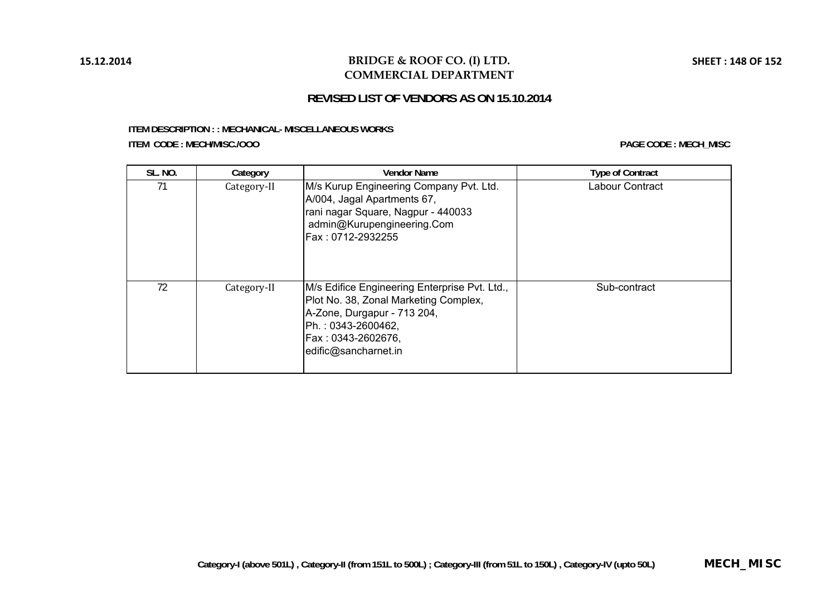## **BRIDGE & ROOF CO. (I) LTD. COMMERCIAL DEPARTMENT**

# **REVISED LIST OF VENDORS AS ON 15.10.2014**

#### **ITEM DESCRIPTION : : MECHANICAL- MISCELLANEOUS WORKS ITEM CODE : MECH/MISC./OOO**

| <b>SL. NO.</b> | Category    | <b>Vendor Name</b>                                                                                                                                                                        | <b>Type of Contract</b> |
|----------------|-------------|-------------------------------------------------------------------------------------------------------------------------------------------------------------------------------------------|-------------------------|
| 71             | Category-II | M/s Kurup Engineering Company Pvt. Ltd.<br>A/004, Jagal Apartments 67,<br>rani nagar Square, Nagpur - 440033<br>admin@Kurupengineering.Com<br>Fax: 0712-2932255                           | Labour Contract         |
| 72             | Category-II | M/s Edifice Engineering Enterprise Pvt. Ltd.,<br>Plot No. 38, Zonal Marketing Complex,<br>A-Zone, Durgapur - 713 204,<br>Ph.: 0343-2600462,<br>Fax: 0343-2602676,<br>edific@sancharnet.in | Sub-contract            |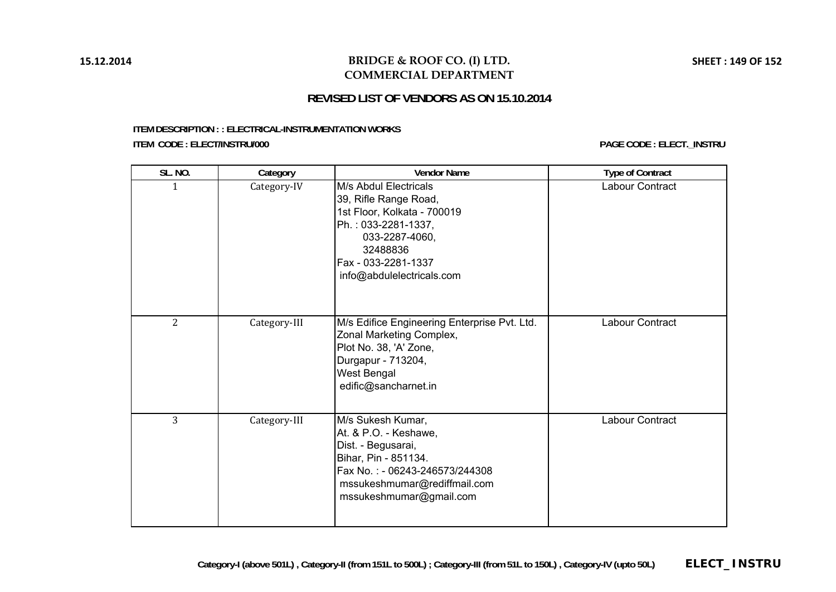### **BRIDGE & ROOF CO. (I) LTD. COMMERCIAL DEPARTMENT**

# **REVISED LIST OF VENDORS AS ON 15.10.2014**

#### **ITEM DESCRIPTION : : ELECTRICAL-INSTRUMENTATION WORKS ITEM CODE : ELECT/INSTRU/000 PAGE CODE : ELECT.\_INSTRU**

| SL. NO.        | Category     | <b>Vendor Name</b>                                                                                                                                                                     | <b>Type of Contract</b> |
|----------------|--------------|----------------------------------------------------------------------------------------------------------------------------------------------------------------------------------------|-------------------------|
| 1              | Category-IV  | M/s Abdul Electricals<br>39, Rifle Range Road,<br>1st Floor, Kolkata - 700019<br>Ph.: 033-2281-1337,<br>033-2287-4060,<br>32488836<br>Fax - 033-2281-1337<br>info@abdulelectricals.com | Labour Contract         |
| $\overline{2}$ | Category-III | M/s Edifice Engineering Enterprise Pvt. Ltd.<br>Zonal Marketing Complex,<br>Plot No. 38, 'A' Zone,<br>Durgapur - 713204,<br><b>West Bengal</b><br>edific@sancharnet.in                 | Labour Contract         |
| $\overline{3}$ | Category-III | M/s Sukesh Kumar,<br>At. & P.O. - Keshawe,<br>Dist. - Begusarai,<br>Bihar, Pin - 851134.<br>Fax No.: - 06243-246573/244308<br>mssukeshmumar@rediffmail.com<br>mssukeshmumar@gmail.com  | Labour Contract         |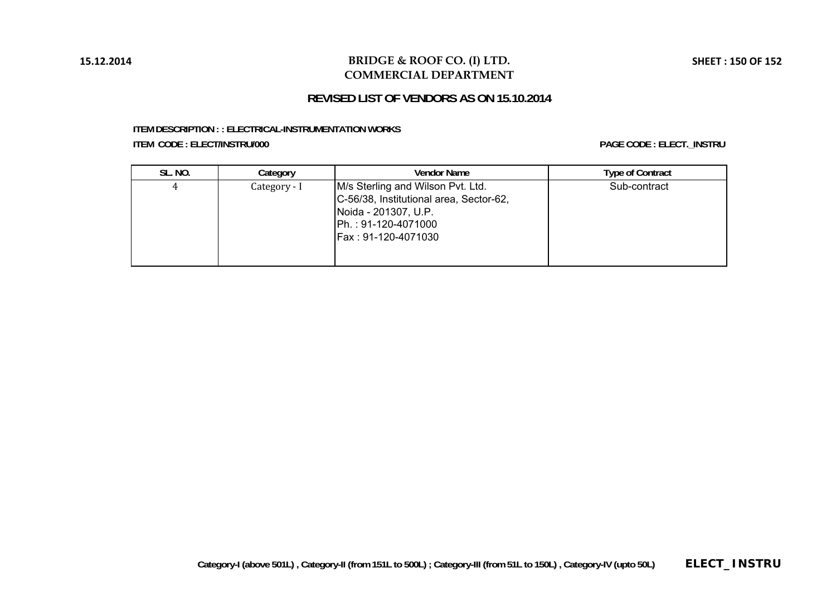### **BRIDGE & ROOF CO. (I) LTD. COMMERCIAL DEPARTMENT**

## **REVISED LIST OF VENDORS AS ON 15.10.2014**

#### **ITEM DESCRIPTION : : ELECTRICAL-INSTRUMENTATION WORKS ITEM CODE : ELECT/INSTRU/000 PAGE CODE : ELECT.\_INSTRU**

| SL. NO. | Category     | <b>Vendor Name</b>                                                                                                                                 | <b>Type of Contract</b> |
|---------|--------------|----------------------------------------------------------------------------------------------------------------------------------------------------|-------------------------|
|         | Category - I | M/s Sterling and Wilson Pvt. Ltd.<br>C-56/38, Institutional area, Sector-62,<br>Noida - 201307, U.P.<br>Ph.: 91-120-4071000<br>Fax: 91-120-4071030 | Sub-contract            |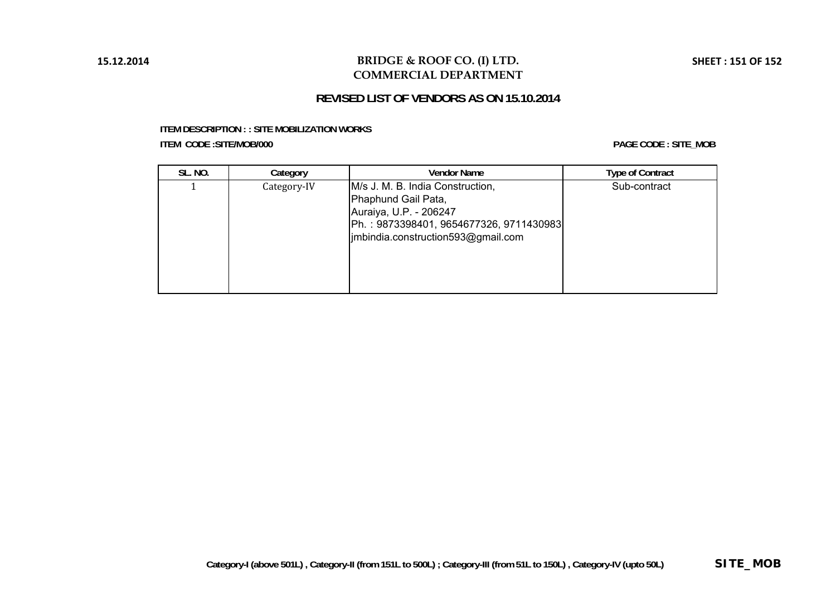## **BRIDGE & ROOF CO. (I) LTD. COMMERCIAL DEPARTMENT**

# **REVISED LIST OF VENDORS AS ON 15.10.2014**

#### **ITEM DESCRIPTION : : SITE MOBILIZATION WORKS ITEM CODE :SITE/MOB/000**

**PAGE CODE : SITE\_MOB**

| <b>SL. NO.</b> | Category    | <b>Vendor Name</b>                                                                                                                                                 | <b>Type of Contract</b> |
|----------------|-------------|--------------------------------------------------------------------------------------------------------------------------------------------------------------------|-------------------------|
|                | Category-IV | M/s J. M. B. India Construction,<br>Phaphund Gail Pata,<br>Auraiya, U.P. - 206247<br>Ph.: 9873398401, 9654677326, 9711430983<br>imbindia.construction593@gmail.com | Sub-contract            |

**SHEET : 151 OF 152**